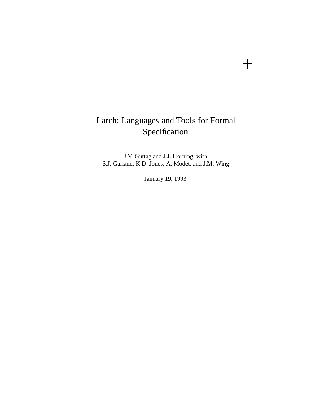## Larch: Languages and Tools for Formal Specification

 $\begin{tabular}{c} \top \end{tabular}$ 

J.V. Guttag and J.J. Horning, with S.J. Garland, K.D. Jones, A. Modet, and J.M. Wing

January 19, 1993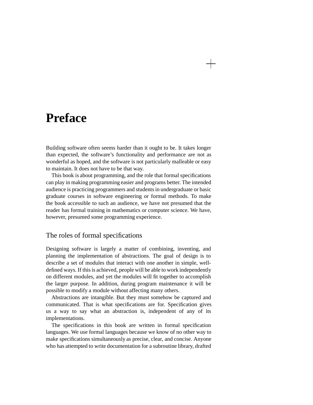## **Preface**

Building software often seems harder than it ought to be. It takes longer than expected, the software's functionality and performance are not as wonderful as hoped, and the software is not particularly malleable or easy to maintain. It does not have to be that way.

This book is about programming, and the role that formal specifications can play in making programming easier and programs better. The intended audience is practicing programmers and students in undergraduate or basic graduate courses in software engineering or formal methods. To make the book accessible to such an audience, we have not presumed that the reader has formal training in mathematics or computer science. We have, however, presumed some programming experience.

## The roles of formal specifications

Designing software is largely a matter of combining, inventing, and planning the implementation of abstractions. The goal of design is to describe a set of modules that interact with one another in simple, welldefined ways. If this is achieved, people will be able to work independently on different modules, and yet the modules will fit together to accomplish the larger purpose. In addition, during program maintenance it will be possible to modify a module without affecting many others.

Abstractions are intangible. But they must somehow be captured and communicated. That is what specifications are for. Specification gives us a way to say what an abstraction is, independent of any of its implementations.

The specifications in this book are written in formal specification languages. We use formal languages because we know of no other way to make specifications simultaneously as precise, clear, and concise. Anyone who has attempted to write documentation for a subroutine library, drafted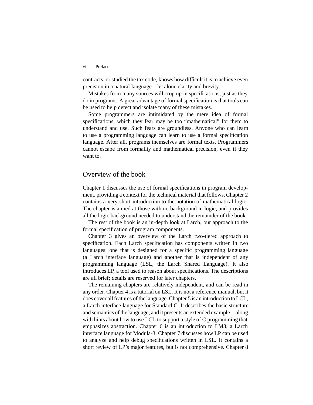#### vi Preface

contracts, or studied the tax code, knows how difficult it is to achieve even precision in a natural language—let alone clarity and brevity.

Mistakes from many sources will crop up in specifications, just as they do in programs. A great advantage of formal specification is that tools can be used to help detect and isolate many of these mistakes.

Some programmers are intimidated by the mere idea of formal specifications, which they fear may be too "mathematical" for them to understand and use. Such fears are groundless. Anyone who can learn to use a programming language can learn to use a formal specification language. After all, programs themselves are formal texts. Programmers cannot escape from formality and mathematical precision, even if they want to.

#### Overview of the book

Chapter 1 discusses the use of formal specifications in program development, providing a context for the technical material that follows. Chapter 2 contains a very short introduction to the notation of mathematical logic. The chapter is aimed at those with no background in logic, and provides all the logic background needed to understand the remainder of the book.

The rest of the book is an in-depth look at Larch, our approach to the formal specification of program components.

Chapter 3 gives an overview of the Larch two-tiered approach to specification. Each Larch specification has components written in two languages: one that is designed for a specific programming language (a Larch interface language) and another that is independent of any programming language (LSL, the Larch Shared Language). It also introduces LP, a tool used to reason about specifications. The descriptions are all brief; details are reserved for later chapters.

The remaining chapters are relatively independent, and can be read in any order. Chapter 4 is a tutorial on LSL. It is not a reference manual, but it does cover all features of the language. Chapter 5 is an introductionto LCL, a Larch interface language for Standard C. It describes the basic structure and semantics of the language, and it presents an extended example—along with hints about how to use LCL to support a style of C programming that emphasizes abstraction. Chapter 6 is an introduction to LM3, a Larch interface language for Modula-3. Chapter 7 discusses how LP can be used to analyze and help debug specifications written in LSL. It contains a short review of LP's major features, but is not comprehensive. Chapter 8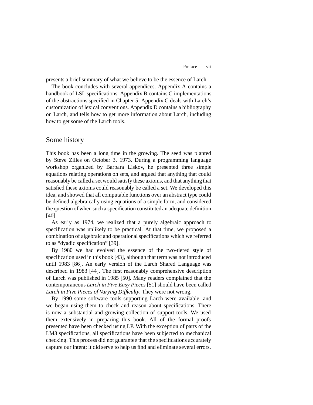presents a brief summary of what we believe to be the essence of Larch.

The book concludes with several appendices. Appendix A contains a handbook of LSL specifications. Appendix B contains C implementations of the abstractions specified in Chapter 5. Appendix C deals with Larch's customization of lexical conventions. Appendix D contains a bibliography on Larch, and tells how to get more information about Larch, including how to get some of the Larch tools.

#### Some history

This book has been a long time in the growing. The seed was planted by Steve Zilles on October 3, 1973. During a programming language workshop organized by Barbara Liskov, he presented three simple equations relating operations on sets, and argued that anything that could reasonably be called a set would satisfy these axioms, and that anything that satisfied these axioms could reasonably be called a set. We developed this idea, and showed that all computable functions over an abstract type could be defined algebraically using equations of a simple form, and considered the question of when such a specification constituted an adequate definition [40].

As early as 1974, we realized that a purely algebraic approach to specification was unlikely to be practical. At that time, we proposed a combination of algebraic and operational specifications which we referred to as "dyadic specification" [39].

By 1980 we had evolved the essence of the two-tiered style of specification used in this book [43], although that term was not introduced until 1983 [86]. An early version of the Larch Shared Language was described in 1983 [44]. The first reasonably comprehensive description of Larch was published in 1985 [50]. Many readers complained that the contemporaneous *Larch in Five Easy Pieces* [51] should have been called *Larch in Five Pieces of Varying Difficulty*. They were not wrong.

By 1990 some software tools supporting Larch were available, and we began using them to check and reason about specifications. There is now a substantial and growing collection of support tools. We used them extensively in preparing this book. All of the formal proofs presented have been checked using LP. With the exception of parts of the LM3 specifications, all specifications have been subjected to mechanical checking. This process did not guarantee that the specifications accurately capture our intent; it did serve to help us find and eliminate several errors.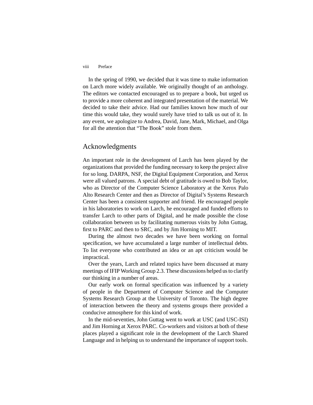#### viii Preface

In the spring of 1990, we decided that it was time to make information on Larch more widely available. We originally thought of an anthology. The editors we contacted encouraged us to prepare a book, but urged us to provide a more coherent and integrated presentation of the material. We decided to take their advice. Had our families known how much of our time this would take, they would surely have tried to talk us out of it. In any event, we apologize to Andrea, David, Jane, Mark, Michael, and Olga for all the attention that "The Book" stole from them.

### Acknowledgments

An important role in the development of Larch has been played by the organizations that provided the funding necessary to keep the project alive for so long. DARPA, NSF, the Digital Equipment Corporation, and Xerox were all valued patrons. A special debt of gratitude is owed to Bob Taylor, who as Director of the Computer Science Laboratory at the Xerox Palo Alto Research Center and then as Director of Digital's Systems Research Center has been a consistent supporter and friend. He encouraged people in his laboratories to work on Larch, he encouraged and funded efforts to transfer Larch to other parts of Digital, and he made possible the close collaboration between us by facilitating numerous visits by John Guttag, first to PARC and then to SRC, and by Jim Horning to MIT.

During the almost two decades we have been working on formal specification, we have accumulated a large number of intellectual debts. To list everyone who contributed an idea or an apt criticism would be impractical.

Over the years, Larch and related topics have been discussed at many meetings of IFIP Working Group 2.3. These discussions helped us to clarify our thinking in a number of areas.

Our early work on formal specification was influenced by a variety of people in the Department of Computer Science and the Computer Systems Research Group at the University of Toronto. The high degree of interaction between the theory and systems groups there provided a conducive atmosphere for this kind of work.

In the mid-seventies, John Guttag went to work at USC (and USC-ISI) and Jim Horning at Xerox PARC. Co-workers and visitors at both of these places played a significant role in the development of the Larch Shared Language and in helping us to understand the importance of support tools.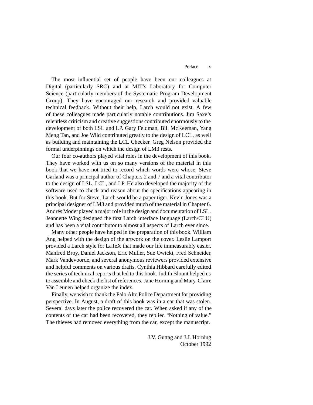Preface ix

The most influential set of people have been our colleagues at Digital (particularly SRC) and at MIT's Laboratory for Computer Science (particularly members of the Systematic Program Development Group). They have encouraged our research and provided valuable technical feedback. Without their help, Larch would not exist. A few of these colleagues made particularly notable contributions. Jim Saxe's relentless criticism and creative suggestions contributed enormously to the development of both LSL and LP. Gary Feldman, Bill McKeeman, Yang Meng Tan, and Joe Wild contributed greatly to the design of LCL, as well as building and maintaining the LCL Checker. Greg Nelson provided the formal underpinnings on which the design of LM3 rests.

Our four co-authors played vital roles in the development of this book. They have worked with us on so many versions of the material in this book that we have not tried to record which words were whose. Steve Garland was a principal author of Chapters 2 and 7 and a vital contributor to the design of LSL, LCL, and LP. He also developed the majority of the software used to check and reason about the specifications appearing in this book. But for Steve, Larch would be a paper tiger. Kevin Jones was a principal designer of LM3 and provided much of the material in Chapter 6. Andrés Modet played a major role in the design and documentation of LSL. Jeannette Wing designed the first Larch interface language (Larch/CLU) and has been a vital contributor to almost all aspects of Larch ever since.

Many other people have helped in the preparation of this book. William Ang helped with the design of the artwork on the cover. Leslie Lamport provided a Larch style for LaTeX that made our life immeasurably easier. Manfred Broy, Daniel Jackson, Eric Muller, Sue Owicki, Fred Schneider, Mark Vandevoorde, and several anonymous reviewers provided extensive and helpful comments on various drafts. Cynthia Hibbard carefully edited the series of technical reports that led to this book. Judith Blount helped us to assemble and check the list of references. Jane Horning and Mary-Claire Van Leunen helped organize the index.

Finally, we wish to thank the Palo Alto Police Department for providing perspective. In August, a draft of this book was in a car that was stolen. Several days later the police recovered the car. When asked if any of the contents of the car had been recovered, they replied "Nothing of value." The thieves had removed everything from the car, except the manuscript.

> J.V. Guttag and J.J. Horning October 1992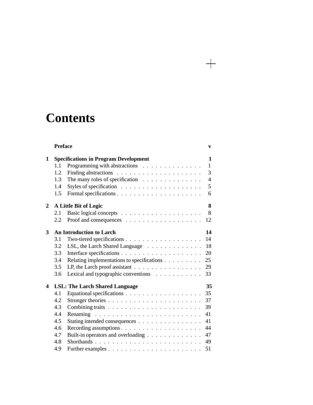# **Contents**

|                | <b>Preface</b>                               |                                            | V              |  |
|----------------|----------------------------------------------|--------------------------------------------|----------------|--|
| 1              | <b>Specifications in Program Development</b> |                                            |                |  |
|                | 1.1                                          | Programming with abstractions              | 1              |  |
|                | 1.2                                          |                                            | 3              |  |
|                | 1.3                                          | The many roles of specification            | $\overline{4}$ |  |
|                | 1.4                                          |                                            | 5              |  |
|                | 1.5                                          |                                            | 6              |  |
| $\overline{2}$ |                                              | A Little Bit of Logic                      | 8              |  |
|                | 2.1                                          |                                            | - 8            |  |
|                | 2.2                                          |                                            | 12             |  |
| 3              |                                              | <b>An Introduction to Larch</b>            | 14             |  |
|                | 3.1                                          |                                            | 14             |  |
|                | 3.2                                          | LSL, the Larch Shared Language             | 18             |  |
|                | 3.3                                          |                                            | 20             |  |
|                | 3.4                                          | Relating implementations to specifications | 25             |  |
|                | 3.5                                          | LP, the Larch proof assistant $\ldots$ ,   | 29             |  |
|                | 3.6                                          | Lexical and typographic conventions        | 33             |  |
| 4              | <b>LSL: The Larch Shared Language</b>        |                                            |                |  |
|                | 4.1                                          |                                            | 35             |  |
|                | 4.2                                          |                                            | 37             |  |
|                | 4.3                                          |                                            | 39             |  |
|                | 4.4                                          |                                            | 41             |  |
|                | 4.5                                          | Stating intended consequences              | 41             |  |
|                | 4.6                                          |                                            | 44             |  |
|                | 4.7                                          | Built-in operators and overloading         | 47             |  |
|                | 4.8                                          |                                            | 49             |  |
|                | 4.9                                          |                                            | 51             |  |

 $\color{red}+$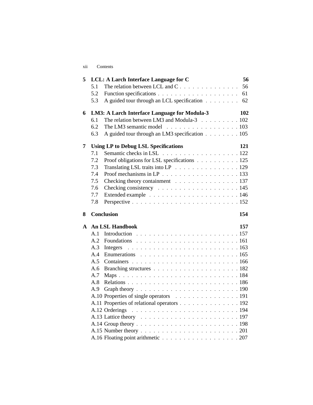| Contents |
|----------|
|          |

| 5 |                                              | LCL: A Larch Interface Language for C          | 56  |
|---|----------------------------------------------|------------------------------------------------|-----|
|   | 5.1                                          | The relation between LCL and C                 | 56  |
|   | 5.2                                          |                                                | 61  |
|   | 5.3                                          | A guided tour through an LCL specification     | 62  |
| 6 | LM3: A Larch Interface Language for Modula-3 |                                                |     |
|   | 6.1                                          | The relation between LM3 and Modula-3 102      |     |
|   | 6.2                                          | The LM3 semantic model 103                     |     |
|   | 6.3                                          | A guided tour through an LM3 specification 105 |     |
| 7 |                                              | <b>Using LP to Debug LSL Specifications</b>    | 121 |
|   | 7.1                                          |                                                |     |
|   | 7.2                                          | Proof obligations for LSL specifications 125   |     |
|   | 7.3                                          | Translating LSL traits into LP 129             |     |
|   | 7.4                                          |                                                |     |
|   | 7.5                                          | Checking theory containment 137                |     |
|   | 7.6                                          |                                                |     |
|   | 7.7                                          |                                                |     |
|   | 7.8                                          |                                                |     |
|   |                                              |                                                |     |
| 8 |                                              | <b>Conclusion</b>                              | 154 |
| A |                                              | <b>An LSL Handbook</b>                         | 157 |
|   | A.1                                          |                                                |     |
|   | A.2                                          |                                                |     |
|   | A.3                                          |                                                |     |
|   | A.4                                          |                                                |     |
|   | A.5                                          |                                                |     |
|   | A.6                                          |                                                |     |
|   | A.7                                          |                                                |     |
|   | A.8                                          |                                                |     |
|   | A.9                                          |                                                |     |
|   |                                              | A.10 Properties of single operators 191        |     |
|   |                                              | A.11 Properties of relational operators 192    |     |
|   |                                              |                                                |     |
|   |                                              |                                                |     |
|   |                                              |                                                |     |
|   |                                              |                                                |     |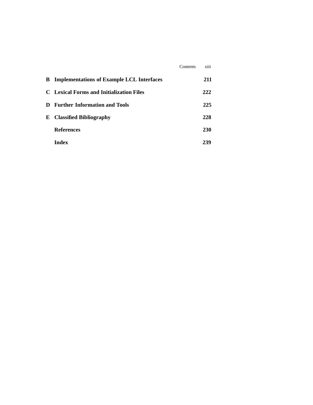|   |                                                  | Contents | xiii       |
|---|--------------------------------------------------|----------|------------|
| B | <b>Implementations of Example LCL Interfaces</b> |          | 211        |
|   | <b>C</b> Lexical Forms and Initialization Files  |          | 222        |
|   | <b>D</b> Further Information and Tools           |          | 225        |
| E | <b>Classified Bibliography</b>                   |          | 228        |
|   | <b>References</b>                                |          | <b>230</b> |
|   | Index                                            |          | 239        |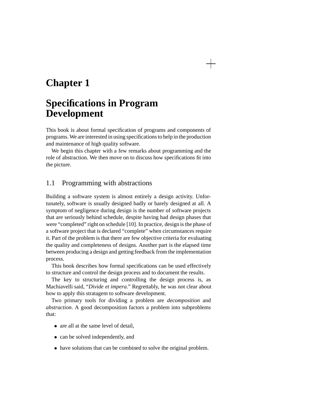## **Chapter 1**

## **Specifications in Program Development**

This book is about formal specification of programs and components of programs.We are interested in using specifications to help in the production and maintenance of high quality software.

We begin this chapter with a few remarks about programming and the role of abstraction. We then move on to discuss how specifications fit into the picture.

## 1.1 Programming with abstractions

Building a software system is almost entirely a design activity. Unfortunately, software is usually designed badly or barely designed at all. A symptom of negligence during design is the number of software projects that are seriously behind schedule, despite having had design phases that were "completed" right on schedule [10]. In practice, design is the phase of a software project that is declared "complete" when circumstances require it. Part of the problem is that there are few objective criteria for evaluating the quality and completeness of designs. Another part is the elapsed time between producing a design and getting feedback from the implementation process.

This book describes how formal specifications can be used effectively to structure and control the design process and to document the results.

The key to structuring and controlling the design process is, as Machiavelli said, "*Divide et impera*." Regrettably, he was not clear about how to apply this stratagem to software development.

Two primary tools for dividing a problem are *decomposition* and *abstraction*. A good decomposition factors a problem into subproblems that:

- are all at the same level of detail,
- can be solved independently, and
- have solutions that can be combined to solve the original problem.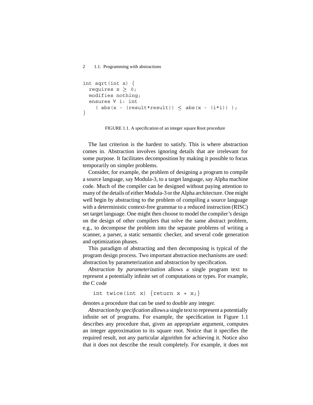2 1.1. Programming with abstractions

```
int sqrt(int x) {
  requires x \geq 0;
  modifies nothing;
  ensures \forall i: int
    (abs(x - (result*result)) \le abs(x - (i*1)));}
```
FIGURE 1.1. A specification of an integer square Root procedure

The last criterion is the hardest to satisfy. This is where abstraction comes in. Abstraction involves ignoring details that are irrelevant for some purpose. It facilitates decomposition by making it possible to focus temporarily on simpler problems.

Consider, for example, the problem of designing a program to compile a source language, say Modula-3, to a target language, say Alpha machine code. Much of the compiler can be designed without paying attention to many of the details of either Modula-3 or the Alpha architecture. One might well begin by abstracting to the problem of compiling a source language with a deterministic context-free grammar to a reduced instruction (RISC) set target language. One might then choose to model the compiler's design on the design of other compilers that solve the same abstract problem, e.g., to decompose the problem into the separate problems of writing a scanner, a parser, a static semantic checker, and several code generation and optimization phases.

This paradigm of abstracting and then decomposing is typical of the program design process. Two important abstraction mechanisms are used: abstraction by parameterization and abstraction by specification.

*Abstraction by parameterization* allows a single program text to represent a potentially infinite set of computations or types. For example, the C code

int twice(int x) {return  $x + x$ ; }

denotes a procedure that can be used to double any integer.

*Abstraction by specification* allows a single text to represent a potentially infinite set of programs. For example, the specification in Figure 1.1 describes any procedure that, given an appropriate argument, computes an integer approximation to its square root. Notice that it specifies the required result, not any particular algorithm for achieving it. Notice also that it does not describe the result completely. For example, it does not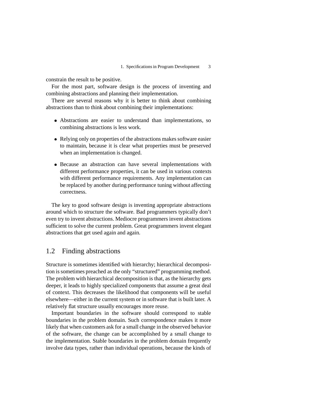constrain the result to be positive.

For the most part, software design is the process of inventing and combining abstractions and planning their implementation.

There are several reasons why it is better to think about combining abstractions than to think about combining their implementations:

- Abstractions are easier to understand than implementations, so combining abstractions is less work.
- Relying only on properties of the abstractions makes software easier to maintain, because it is clear what properties must be preserved when an implementation is changed.
- Because an abstraction can have several implementations with different performance properties, it can be used in various contexts with different performance requirements. Any implementation can be replaced by another during performance tuning without affecting correctness.

The key to good software design is inventing appropriate abstractions around which to structure the software. Bad programmers typically don't even try to invent abstractions. Mediocre programmers invent abstractions sufficient to solve the current problem. Great programmers invent elegant abstractions that get used again and again.

## 1.2 Finding abstractions

Structure is sometimes identified with hierarchy; hierarchical decomposition is sometimes preached as the only "structured" programming method. The problem with hierarchical decomposition is that, as the hierarchy gets deeper, it leads to highly specialized components that assume a great deal of context. This decreases the likelihood that components will be useful elsewhere—either in the current system or in software that is built later. A relatively flat structure usually encourages more reuse.

Important boundaries in the software should correspond to stable boundaries in the problem domain. Such correspondence makes it more likely that when customers ask for a small change in the observed behavior of the software, the change can be accomplished by a small change to the implementation. Stable boundaries in the problem domain frequently involve data types, rather than individual operations, because the kinds of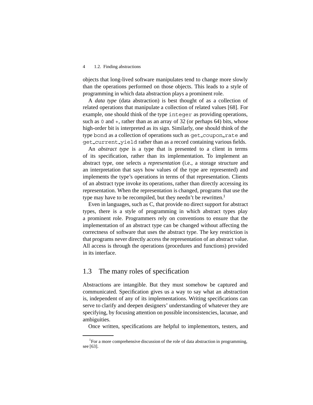#### 4 1.2. Finding abstractions

objects that long-lived software manipulates tend to change more slowly than the operations performed on those objects. This leads to a style of programming in which data abstraction plays a prominent role.

A *data type* (data abstraction) is best thought of as a collection of related operations that manipulate a collection of related values [68]. For example, one should think of the type integer as providing operations, such as 0 and  $+$ , rather than as an array of 32 (or perhaps 64) bits, whose high-order bit is interpreted as its sign. Similarly, one should think of the type bond as a collection of operations such as get coupon rate and get current yield rather than as a record containing various fields.

An *abstract type* is a type that is presented to a client in terms of its specification, rather than its implementation. To implement an abstract type, one selects a *representation* (i.e., a storage structure and an interpretation that says how values of the type are represented) and implements the type's operations in terms of that representation. Clients of an abstract type invoke its operations, rather than directly accessing its representation. When the representation is changed, programs that use the type may have to be recompiled, but they needn't be rewritten.<sup>1</sup>

Even in languages, such as C, that provide no direct support for abstract types, there is a style of programming in which abstract types play a prominent role. Programmers rely on conventions to ensure that the implementation of an abstract type can be changed without affecting the correctness of software that uses the abstract type. The key restriction is that programs never directly access the representation of an abstract value. All access is through the operations (procedures and functions) provided in its interface.

## 1.3 The many roles of specification

Abstractions are intangible. But they must somehow be captured and communicated. Specification gives us a way to say what an abstraction is, independent of any of its implementations. Writing specifications can serve to clarify and deepen designers' understanding of whatever they are specifying, by focusing attention on possible inconsistencies, lacunae, and ambiguities.

Once written, specifications are helpful to implementors, testers, and

<sup>&</sup>lt;sup>1</sup>For a more comprehensive discussion of the role of data abstraction in programming, see [63].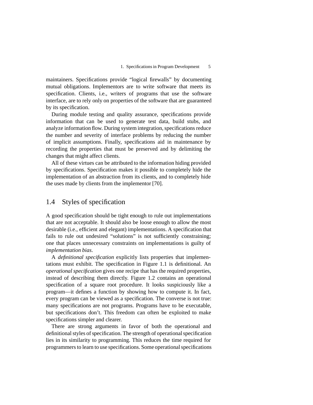maintainers. Specifications provide "logical firewalls" by documenting mutual obligations. Implementors are to write software that meets its specification. Clients, i.e., writers of programs that use the software interface, are to rely only on properties of the software that are guaranteed by its specification.

During module testing and quality assurance, specifications provide information that can be used to generate test data, build stubs, and analyze information flow. During system integration, specifications reduce the number and severity of interface problems by reducing the number of implicit assumptions. Finally, specifications aid in maintenance by recording the properties that must be preserved and by delimiting the changes that might affect clients.

All of these virtues can be attributed to the information hiding provided by specifications. Specification makes it possible to completely hide the implementation of an abstraction from its clients, and to completely hide the uses made by clients from the implementor [70].

## 1.4 Styles of specification

A good specification should be tight enough to rule out implementations that are not acceptable. It should also be loose enough to allow the most desirable (i.e., efficient and elegant) implementations. A specification that fails to rule out undesired "solutions" is not sufficiently constraining; one that places unnecessary constraints on implementations is guilty of *implementation bias*.

A *definitional specification* explicitly lists properties that implementations must exhibit. The specification in Figure 1.1 is definitional. An *operational specification* gives one recipe that has the required properties, instead of describing them directly. Figure 1.2 contains an operational specification of a square root procedure. It looks suspiciously like a program—it defines a function by showing how to compute it. In fact, every program can be viewed as a specification. The converse is not true: many specifications are not programs. Programs have to be executable, but specifications don't. This freedom can often be exploited to make specifications simpler and clearer.

There are strong arguments in favor of both the operational and definitional styles of specification. The strength of operational specification lies in its similarity to programming. This reduces the time required for programmers to learn to use specifications. Some operational specifications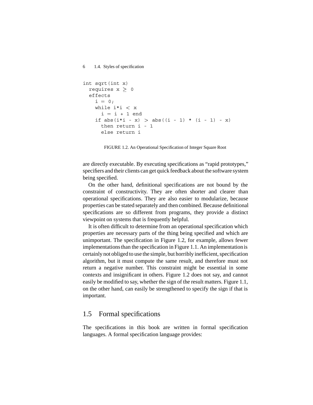6 1.4. Styles of specification

```
int sqrt(int x)
 requires x \geq 0effects
    i = 0;while i * i < xi = i + 1 end
    if abs(i * i - x) > abs((i - 1) * (i - 1) - x)then return i - 1
      else return i
```
FIGURE 1.2. An Operational Specification of Integer Square Root

are directly executable. By executing specifications as "rapid prototypes," specifiers and their clients can get quick feedback about the software system being specified.

On the other hand, definitional specifications are not bound by the constraint of constructivity. They are often shorter and clearer than operational specifications. They are also easier to modularize, because properties can be stated separately and then combined. Because definitional specifications are so different from programs, they provide a distinct viewpoint on systems that is frequently helpful.

It is often difficult to determine from an operational specification which properties are necessary parts of the thing being specified and which are unimportant. The specification in Figure 1.2, for example, allows fewer implementations than the specification in Figure 1.1. An implementation is certainly not obliged to use the simple, but horribly inefficient, specification algorithm, but it must compute the same result, and therefore must not return a negative number. This constraint might be essential in some contexts and insignificant in others. Figure 1.2 does not say, and cannot easily be modified to say, whether the sign of the result matters. Figure 1.1, on the other hand, can easily be strengthened to specify the sign if that is important.

#### 1.5 Formal specifications

The specifications in this book are written in formal specification languages. A formal specification language provides: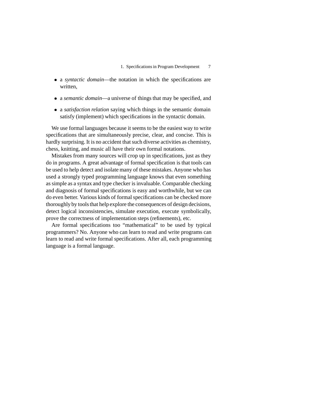- a *syntactic domain*—the notation in which the specifications are written,
- a *semantic domain*—a universe of things that may be specified, and
- a *satisfaction relation* saying which things in the semantic domain satisfy (implement) which specifications in the syntactic domain.

We use formal languages because it seems to be the easiest way to write specifications that are simultaneously precise, clear, and concise. This is hardly surprising. It is no accident that such diverse activities as chemistry, chess, knitting, and music all have their own formal notations.

Mistakes from many sources will crop up in specifications, just as they do in programs. A great advantage of formal specification is that tools can be used to help detect and isolate many of these mistakes. Anyone who has used a strongly typed programming language knows that even something as simple as a syntax and type checker is invaluable. Comparable checking and diagnosis of formal specifications is easy and worthwhile, but we can do even better. Various kinds of formal specifications can be checked more thoroughly by tools that help explore the consequences of design decisions, detect logical inconsistencies, simulate execution, execute symbolically, prove the correctness of implementation steps (refinements), etc.

Are formal specifications too "mathematical" to be used by typical programmers? No. Anyone who can learn to read and write programs can learn to read and write formal specifications. After all, each programming language is a formal language.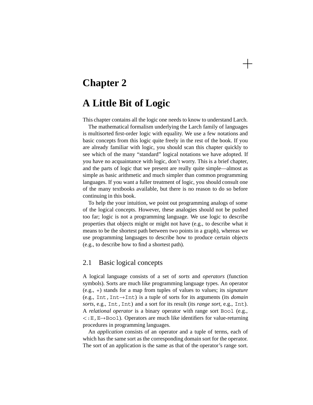## **Chapter 2**

## **A Little Bit of Logic**

This chapter contains all the logic one needs to know to understand Larch.

 $\overline{\phantom{a}}$ 

The mathematical formalism underlying the Larch family of languages is multisorted first-order logic with equality. We use a few notations and basic concepts from this logic quite freely in the rest of the book. If you are already familiar with logic, you should scan this chapter quickly to see which of the many "standard" logical notations we have adopted. If you have no acquaintance with logic, don't worry. This is a brief chapter, and the parts of logic that we present are really quite simple—almost as simple as basic arithmetic and much simpler than common programming languages. If you want a fuller treatment of logic, you should consult one of the many textbooks available, but there is no reason to do so before continuing in this book.

To help the your intuition, we point out programming analogs of some of the logical concepts. However, these analogies should not be pushed too far; logic is not a programming language. We use logic to describe properties that objects might or might not have (e.g., to describe what it means to be the shortest path between two points in a graph), whereas we use programming languages to describe how to produce certain objects (e.g., to describe how to find a shortest path).

### 2.1 Basic logical concepts

A logical language consists of a set of *sorts* and *operators* (function symbols). Sorts are much like programming language types. An operator (e.g., +) stands for a map from tuples of values to values; its *signature* (e.g., Int,Int-Int) is a tuple of sorts for its arguments (its *domain sorts*, e.g., Int,Int) and a sort for its result (its *range sort*, e.g., Int). A *relational operator* is a binary operator with range sort Bool (e.g., -:E,E-Bool). Operators are much like identifiers for value-returning procedures in programming languages.

An *application* consists of an operator and a tuple of terms, each of which has the same sort as the corresponding domain sort for the operator. The sort of an application is the same as that of the operator's range sort.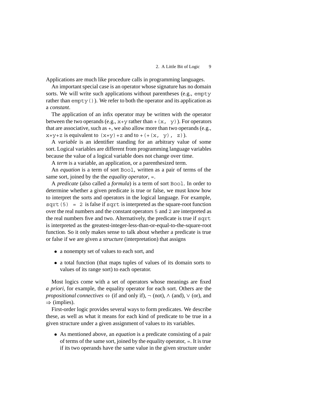Applications are much like procedure calls in programming languages.

An important special case is an operator whose signature has no domain sorts. We will write such applications without parentheses (e.g., empty rather than  $empty()$ ). We refer to both the operator and its application as a *constant*.

The application of an infix operator may be written with the operator between the two operands (e.g.,  $x+y$  rather than  $+(x, y)$ ). For operators that are associative, such as +, we also allow more than two operands (e.g.,  $x+y+z$  is equivalent to  $(x+y)+z$  and to  $+(x, y), z$ ).

A *variable* is an identifier standing for an arbitrary value of some sort. Logical variables are different from programming language variables because the value of a logical variable does not change over time.

A *term* is a variable, an application, or a parenthesized term.

An *equation* is a term of sort Bool, written as a pair of terms of the same sort, joined by the the *equality operator*, =.

A *predicate* (also called a *formula*) is a term of sort Bool. In order to determine whether a given predicate is true or false, we must know how to interpret the sorts and operators in the logical language. For example, sqrt(5) = 2 is false if sqrt is interpreted as the square-root function over the real numbers and the constant operators 5 and 2 are interpreted as the real numbers five and two. Alternatively, the predicate is true if sqrt is interpreted as the greatest-integer-less-than-or-equal-to-the-square-root function. So it only makes sense to talk about whether a predicate is true or false if we are given a *structure* (interpretation) that assigns

- a nonempty set of values to each sort, and
- a total function (that maps tuples of values of its domain sorts to values of its range sort) to each operator.

Most logics come with a set of operators whose meanings are fixed *a priori*, for example, the equality operator for each sort. Others are the *propositional connectives*  $\Leftrightarrow$  (if and only if),  $\neg$  (not),  $\wedge$  (and),  $\vee$  (or), and  $\Rightarrow$  (implies).

First-order logic provides several ways to form predicates. We describe these, as well as what it means for each kind of predicate to be true in a given structure under a given assignment of values to its variables.

 As mentioned above, an *equation* is a predicate consisting of a pair of terms of the same sort, joined by the equality operator, =. It is true if its two operands have the same value in the given structure under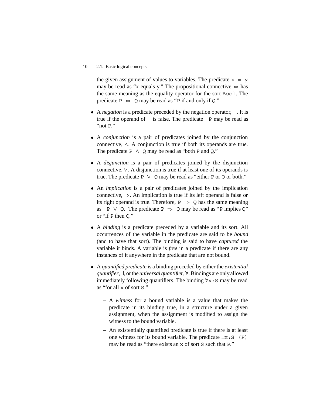#### 10 2.1. Basic logical concepts

the given assignment of values to variables. The predicate  $x = y$ may be read as "x equals y." The propositional connective  $\Leftrightarrow$  has the same meaning as the equality operator for the sort Bool. The predicate  $P \Leftrightarrow Q$  may be read as "P if and only if Q."

- A *negation* is a predicate preceded by the negation operator,  $\neg$ . It is true if the operand of  $\neg$  is false. The predicate  $\neg P$  may be read as "not P."
- A *conjunction* is a pair of predicates joined by the conjunction connective,  $\wedge$ . A conjunction is true if both its operands are true. The predicate  $P \wedge Q$  may be read as "both P and Q."
- A *disjunction* is a pair of predicates joined by the disjunction connective,  $\vee$ . A disjunction is true if at least one of its operands is true. The predicate  $P \lor Q$  may be read as "either P or Q or both."
- An *implication* is a pair of predicates joined by the implication connective,  $\Rightarrow$ . An implication is true if its left operand is false or its right operand is true. Therefore,  $P \Rightarrow Q$  has the same meaning as  $\neg P \lor Q$ . The predicate  $P \Rightarrow Q$  may be read as "P implies Q" or "if P then Q."
- A *binding* is a predicate preceded by a variable and its sort. All occurrences of the variable in the predicate are said to be *bound* (and to have that sort). The binding is said to have *captured* the variable it binds. A variable is *free* in a predicate if there are any instances of it anywhere in the predicate that are not bound.
- A *quantified predicate* is a binding preceded by either the *existential quantifier*,  $\exists$ , or the *universal quantifier*,  $\forall$ . Bindings are only allowed immediately following quantifiers. The binding  $\forall x: S$  may be read as "for all x of sort S."
	- **–** A *witness* for a bound variable is a value that makes the predicate in its binding true, in a structure under a given assignment, when the assignment is modified to assign the witness to the bound variable.
	- **–** An existentially quantified predicate is true if there is at least one witness for its bound variable. The predicate  $\exists x : S$  (P) may be read as "there exists an x of sort S such that P."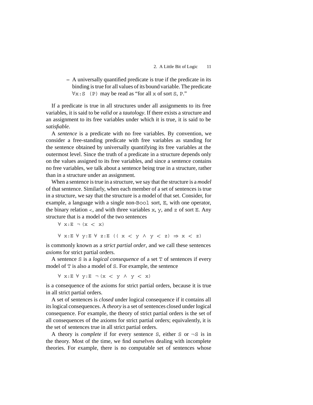**–** A universally quantified predicate is true if the predicate in its binding is true for all values of its bound variable. The predicate  $\forall x: S \quad (P) \text{ may be read as "for all } x \text{ of sort } S, P."$ 

If a predicate is true in all structures under all assignments to its free variables, it is said to be *valid* or a *tautology*. If there exists a structure and an assignment to its free variables under which it is true, it is said to be *satisfiable*.

A *sentence* is a predicate with no free variables. By convention, we consider a free-standing predicate with free variables as standing for the sentence obtained by universally quantifying its free variables at the outermost level. Since the truth of a predicate in a structure depends only on the values assigned to its free variables, and since a sentence contains no free variables, we talk about a sentence being true in a structure, rather than in a structure under an assignment.

When a sentence is true in a structure, we say that the structure is a *model* of that sentence. Similarly, when each member of a set of sentences is true in a structure, we say that the structure is a model of that set. Consider, for example, a language with a single non-Bool sort, E, with one operator, the binary relation  $\lt$ , and with three variables x, y, and z of sort E. Any structure that is a model of the two sentences

 $\forall x: E \neg (x < x)$  $\forall$  x:E  $\forall$  y:E  $\forall$  z:E (( x < y ^ y < z)  $\Rightarrow$  x < z)

is commonly known as a *strict partial order*, and we call these sentences *axioms* for strict partial orders.

A sentence S is a *logical consequence* of a set T of sentences if every model of T is also a model of S. For example, the sentence

∀ x:E ∀ y:E ㄱ(x < y ∧ y < x)

is a consequence of the axioms for strict partial orders, because it is true in all strict partial orders.

A set of sentences is *closed* under logical consequence if it contains all its logical consequences. A *theory* is a set of sentences closed under logical consequence. For example, the theory of strict partial orders is the set of all consequences of the axioms for strict partial orders; equivalently, it is the set of sentences true in all strict partial orders.

A theory is *complete* if for every sentence S, either S or  $\neg S$  is in the theory. Most of the time, we find ourselves dealing with incomplete theories. For example, there is no computable set of sentences whose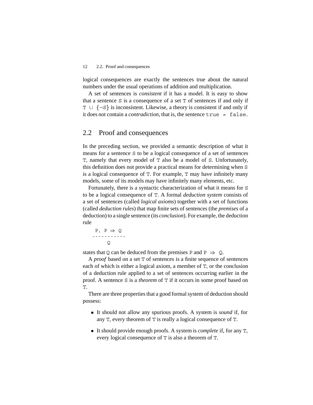#### 12 2.2. Proof and consequences

logical consequences are exactly the sentences true about the natural numbers under the usual operations of addition and multiplication.

A set of sentences is *consistent* if it has a model. It is easy to show that a sentence S is a consequence of a set T of sentences if and only if  $T \cup \{-S\}$  is inconsistent. Likewise, a theory is consistent if and only if it does not contain a *contradiction*, that is, the sentence true = false.

### 2.2 Proof and consequences

In the preceding section, we provided a semantic description of what it means for a sentence S to be a logical consequence of a set of sentences T, namely that every model of T also be a model of S. Unfortunately, this definition does not provide a practical means for determining when S is a logical consequence of T. For example, T may have infinitely many models, some of its models may have infinitely many elements, etc.

Fortunately, there is a syntactic characterization of what it means for S to be a logical consequence of T. A formal *deduction system* consists of a set of sentences (called *logical axioms*) together with a set of functions (called *deduction rules*) that map finite sets of sentences (the *premises* of a deduction) to a single sentence (its *conclusion*). For example, the deduction rule

```
P, P \Rightarrow Q-----------
       Q
```
states that Q can be deduced from the premises P and P  $\Rightarrow$  Q.

A *proof* based on a set T of sentences is a finite sequence of sentences each of which is either a logical axiom, a member of T, or the conclusion of a deduction rule applied to a set of sentences occurring earlier in the proof. A sentence S is a *theorem* of T if it occurs in some proof based on T.

There are three properties that a good formal system of deduction should possess:

- It should not allow any spurious proofs. A system is *sound* if, for any T, every theorem of T is really a logical consequence of T.
- It should provide enough proofs. A system is *complete* if, for any T, every logical consequence of T is also a theorem of T.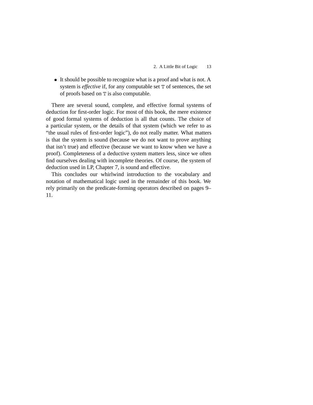It should be possible to recognize what is a proof and what is not. A system is *effective* if, for any computable set T of sentences, the set of proofs based on T is also computable.

There are several sound, complete, and effective formal systems of deduction for first-order logic. For most of this book, the mere existence of good formal systems of deduction is all that counts. The choice of a particular system, or the details of that system (which we refer to as "the usual rules of first-order logic"), do not really matter. What matters is that the system is sound (because we do not want to prove anything that isn't true) and effective (because we want to know when we have a proof). Completeness of a deductive system matters less, since we often find ourselves dealing with incomplete theories. Of course, the system of deduction used in LP, Chapter 7, is sound and effective.

This concludes our whirlwind introduction to the vocabulary and notation of mathematical logic used in the remainder of this book. We rely primarily on the predicate-forming operators described on pages 9– 11.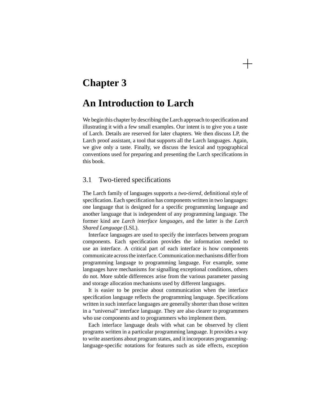## **Chapter 3**

## **An Introduction to Larch**

We begin this chapter by describing the Larch approach to specification and illustrating it with a few small examples. Our intent is to give you a taste of Larch. Details are reserved for later chapters. We then discuss LP, the Larch proof assistant, a tool that supports all the Larch languages. Again, we give only a taste. Finally, we discuss the lexical and typographical conventions used for preparing and presenting the Larch specifications in this book.

 $\overline{\phantom{a}}$ 

## 3.1 Two-tiered specifications

The Larch family of languages supports a *two-tiered*, definitional style of specification. Each specification has components written in two languages: one language that is designed for a specific programming language and another language that is independent of any programming language. The former kind are *Larch interface languages*, and the latter is the *Larch Shared Language* (LSL).

Interface languages are used to specify the interfaces between program components. Each specification provides the information needed to use an interface. A critical part of each interface is how components communicate across the interface. Communication mechanisms differ from programming language to programming language. For example, some languages have mechanisms for signalling exceptional conditions, others do not. More subtle differences arise from the various parameter passing and storage allocation mechanisms used by different languages.

It is easier to be precise about communication when the interface specification language reflects the programming language. Specifications written in such interface languages are generally shorter than those written in a "universal" interface language. They are also clearer to programmers who use components and to programmers who implement them.

Each interface language deals with what can be observed by client programs written in a particular programming language. It provides a way to write assertions about program states, and it incorporates programminglanguage-specific notations for features such as side effects, exception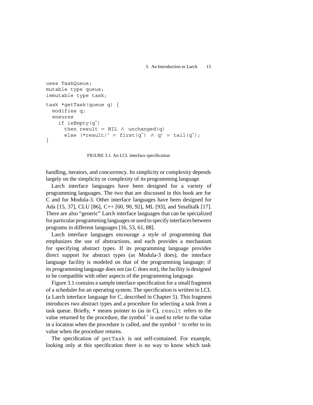```
uses TaskQueue;
mutable type queue;
immutable type task;
task *getTask(queue q) {
 modifies q;
  ensures
    if isEmpty(qˆ)
      then result = NIL \wedge unchanged(q)else (*result)' = first(q^) \land q' = tail(q^);
}
```
FIGURE 3.1. An LCL interface specification

handling, iterators, and concurrency. Its simplicity or complexity depends largely on the simplicity or complexity of its programming language.

Larch interface languages have been designed for a variety of programming languages. The two that are discussed in this book are for C and for Modula-3. Other interface languages have been designed for Ada [15, 37], CLU [86], C++ [60, 90, 92], ML [93], and Smalltalk [17]. There are also "generic" Larch interface languages that can be specialized for particular programming languages or used to specify interfaces between programs in different languages [16, 53, 61, 88].

Larch interface languages encourage a style of programming that emphasizes the use of abstractions, and each provides a mechanism for specifying abstract types. If its programming language provides direct support for abstract types (as Modula-3 does), the interface language facility is modeled on that of the programming language; if its programming language does not (as C does not), the facility is designed to be compatible with other aspects of the programming language.

Figure 3.1 contains a sample interface specification for a small fragment of a scheduler for an operating system. The specification is written in LCL (a Larch interface language for C, described in Chapter 5). This fragment introduces two abstract types and a procedure for selecting a task from a task queue. Briefly, \* means pointer to (as in C), result refers to the value returned by the procedure, the symbol  $\hat{ }$  is used to refer to the value in a location when the procedure is called, and the symbol ' to refer to its value when the procedure returns.

The specification of getTask is not self-contained. For example, looking only at this specification there is no way to know which task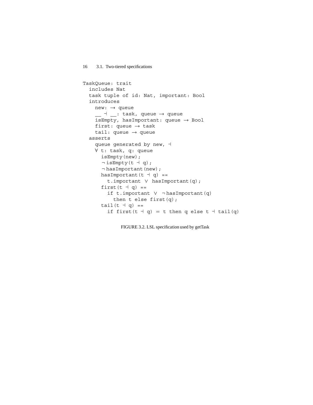```
TaskQueue: trait
  includes Nat
  task tuple of id: Nat, important: Bool
  introduces
    new: \rightarrow queue- \overline{ } \overline{ } \overline{ } \overline{ } : task, queue \rightarrow queue
    isEmpty, hasImportant: queue \rightarrow Bool
    first: queue \rightarrow task
    tail: queue \rightarrow queue
  asserts
    queue generated by new, \dagger-
 t: task, q: queue
       isEmpty(new); \neg isEmpty(t \neg q);
       \neg hasImportant(new);
       hasImportant(t + q) ==
          t.important \vee hasImportant(q);
       first(t + q) ==
          if t.important \vee \neg hasImportant(q)
            then t else first(q);
       tail(t + q) ==
          if first(t + q) = t then q else t + tail(q)
```
16 3.1. Two-tiered specifications

FIGURE 3.2. LSL specification used by getTask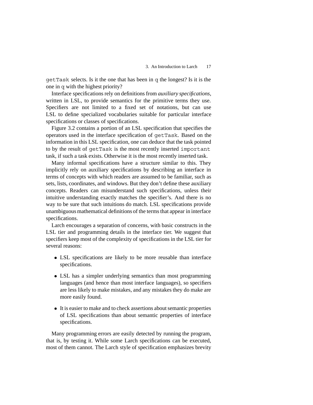getTask selects. Is it the one that has been in q the longest? Is it is the one in q with the highest priority?

Interface specifications rely on definitions from *auxiliary specifications*, written in LSL, to provide semantics for the primitive terms they use. Specifiers are not limited to a fixed set of notations, but can use LSL to define specialized vocabularies suitable for particular interface specifications or classes of specifications.

Figure 3.2 contains a portion of an LSL specification that specifies the operators used in the interface specification of getTask. Based on the information in this LSL specification, one can deduce that the task pointed to by the result of getTask is the most recently inserted important task, if such a task exists. Otherwise it is the most recently inserted task.

Many informal specifications have a structure similar to this. They implicitly rely on auxiliary specifications by describing an interface in terms of concepts with which readers are assumed to be familiar, such as sets, lists, coordinates, and windows. But they don't define these auxiliary concepts. Readers can misunderstand such specifications, unless their intuitive understanding exactly matches the specifier's. And there is no way to be sure that such intuitions do match. LSL specifications provide unambiguous mathematical definitions of the terms that appear in interface specifications.

Larch encourages a separation of concerns, with basic constructs in the LSL tier and programming details in the interface tier. We suggest that specifiers keep most of the complexity of specifications in the LSL tier for several reasons:

- LSL specifications are likely to be more reusable than interface specifications.
- LSL has a simpler underlying semantics than most programming languages (and hence than most interface languages), so specifiers are less likely to make mistakes, and any mistakes they do make are more easily found.
- It is easier to make and to check assertions about semantic properties of LSL specifications than about semantic properties of interface specifications.

Many programming errors are easily detected by running the program, that is, by testing it. While some Larch specifications can be executed, most of them cannot. The Larch style of specification emphasizes brevity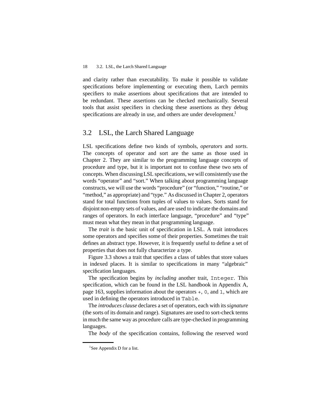#### 18 3.2. LSL, the Larch Shared Language

and clarity rather than executability. To make it possible to validate specifications before implementing or executing them, Larch permits specifiers to make assertions about specifications that are intended to be redundant. These assertions can be checked mechanically. Several tools that assist specifiers in checking these assertions as they debug specifications are already in use, and others are under development.<sup>1</sup>

### 3.2 LSL, the Larch Shared Language

LSL specifications define two kinds of symbols, *operators* and *sorts*. The concepts of operator and sort are the same as those used in Chapter 2. They are similar to the programming language concepts of procedure and type, but it is important not to confuse these two sets of concepts. When discussing LSL specifications, we will consistently use the words "operator" and "sort." When talking about programming language constructs, we will use the words "procedure" (or "function," "routine," or "method," as appropriate) and "type." As discussed in Chapter 2, operators stand for total functions from tuples of values to values. Sorts stand for disjoint non-empty sets of values, and are used to indicate the domains and ranges of operators. In each interface language, "procedure" and "type" must mean what they mean in that programming language.

The *trait* is the basic unit of specification in LSL. A trait introduces some operators and specifies some of their properties. Sometimes the trait defines an abstract type. However, it is frequently useful to define a set of properties that does not fully characterize a type.

Figure 3.3 shows a trait that specifies a class of tables that store values in indexed places. It is similar to specifications in many "algebraic" specification languages.

The specification begins by *including* another trait, Integer. This specification, which can be found in the LSL handbook in Appendix A, page 163, supplies information about the operators +, 0, and 1, which are used in defining the operators introduced in Table.

The *introduces clause* declares a set of operators, each with its*signature* (the sorts of its domain and range). Signatures are used to sort-check terms in much the same way as procedure calls are type-checked in programming languages.

The *body* of the specification contains, following the reserved word

<sup>&</sup>lt;sup>1</sup>See Appendix D for a list.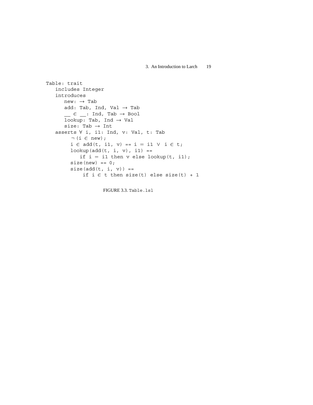```
Table: trait
   includes Integer
   introduces
      new: \rightarrow Tabadd: Tab, Ind, Val \rightarrow Tab
        \_ \in \_ : Ind, Tab \rightarrow Bool
       \overline{lookup}: Tab, Ind \rightarrow Val
       size: Tab \rightarrow Int
    asserts ∀ i, i1: Ind, v: Val, t: Tab
         \neg (i \in new);
         i \in add(t, i1, v) == i = i1 \lor i \in t;lookup(\text{add}(t, i, v), i1) ==if i = i1 then v else lookup(t, i1);
         size(new) == 0;size(add(t, i, v)) ==if i \in t then size(t) else size(t) + 1
```
FIGURE 3.3. Table.lsl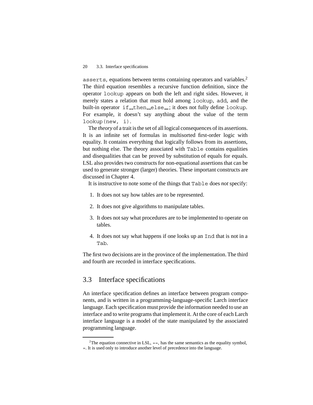#### 20 3.3. Interface specifications

asserts, equations between terms containing operators and variables.2 The third equation resembles a recursive function definition, since the operator lookup appears on both the left and right sides. However, it merely states a relation that must hold among lookup, add, and the built-in operator if then else<sub>-</sub>; it does not fully define lookup. For example, it doesn't say anything about the value of the term lookup(new, i).

The *theory* of a trait is the set of all logical consequences of its assertions. It is an infinite set of formulas in multisorted first-order logic with equality. It contains everything that logically follows from its assertions, but nothing else. The theory associated with Table contains equalities and disequalities that can be proved by substitution of equals for equals. LSL also provides two constructs for non-equational assertions that can be used to generate stronger (larger) theories. These important constructs are discussed in Chapter 4.

It is instructive to note some of the things that Table does *not* specify:

- 1. It does not say how tables are to be represented.
- 2. It does not give algorithms to manipulate tables.
- 3. It does not say what procedures are to be implemented to operate on tables.
- 4. It does not say what happens if one looks up an Ind that is not in a Tab.

The first two decisions are in the province of the implementation. The third and fourth are recorded in interface specifications.

## 3.3 Interface specifications

An interface specification defines an interface between program components, and is written in a programming-language-specific Larch interface language. Each specification must provide the information needed to use an interface and to write programs that implement it. At the core of each Larch interface language is a model of the state manipulated by the associated programming language.

<sup>&</sup>lt;sup>2</sup>The equation connective in LSL,  $==$ , has the same semantics as the equality symbol,

<sup>=</sup>. It is used only to introduce another level of precedence into the language.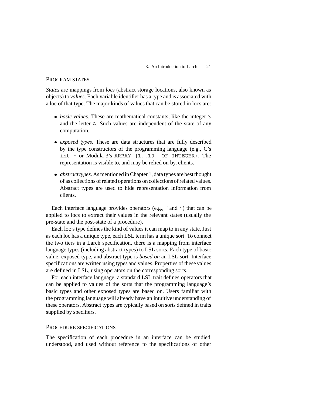#### PROGRAM STATES

*States* are mappings from *locs* (abstract storage locations, also known as objects) to *values*. Each variable identifier has a type and is associated with a loc of that type. The major kinds of values that can be stored in locs are:

- *basic values*. These are mathematical constants, like the integer 3 and the letter A. Such values are independent of the state of any computation.
- *exposed types*. These are data structures that are fully described by the type constructors of the programming language (e.g., C's int \* or Modula-3's ARRAY [1..10] OF INTEGER). The representation is visible to, and may be relied on by, clients.
- *abstract types*. As mentioned in Chapter 1, data types are best thought of as collections of related operations on collections of related values. Abstract types are used to hide representation information from clients.

Each interface language provides operators (e.g., ˆ and ') that can be applied to locs to extract their values in the relevant states (usually the pre-state and the post-state of a procedure).

Each loc's type defines the kind of values it can map to in any state. Just as each loc has a unique type, each LSL term has a unique sort. To connect the two tiers in a Larch specification, there is a mapping from interface language types (including abstract types) to LSL sorts. Each type of basic value, exposed type, and abstract type is *based on* an LSL sort. Interface specifications are written using types and values. Properties of these values are defined in LSL, using operators on the corresponding sorts.

For each interface language, a standard LSL trait defines operators that can be applied to values of the sorts that the programming language's basic types and other exposed types are based on. Users familiar with the programming language will already have an intuitive understanding of these operators. Abstract types are typically based on sorts defined in traits supplied by specifiers.

#### PROCEDURE SPECIFICATIONS

The specification of each procedure in an interface can be studied, understood, and used without reference to the specifications of other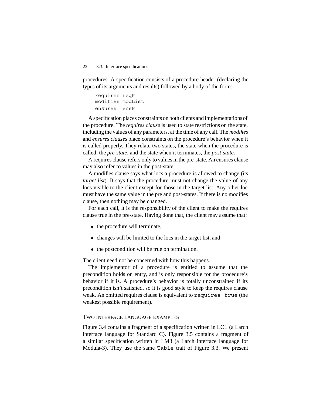#### 22 3.3. Interface specifications

procedures. A specification consists of a procedure header (declaring the types of its arguments and results) followed by a body of the form:

```
requires reqP
modifies modList
ensures ensP
```
A specification places constraints on both clients and implementations of the procedure. The *requires clause* is used to state restrictions on the state, including the values of any parameters, at the time of any call. The *modifies* and *ensures clauses* place constraints on the procedure's behavior when it is called properly. They relate two states, the state when the procedure is called, the *pre-state*, and the state when it terminates, the *post-state*.

A requires clause refers only to values in the pre-state. An ensures clause may also refer to values in the post-state.

A modifies clause says what locs a procedure is allowed to change (its *target list*). It says that the procedure must not change the value of any locs visible to the client except for those in the target list. Any other loc must have the same value in the pre and post-states. If there is no modifies clause, then nothing may be changed.

For each call, it is the responsibility of the client to make the requires clause true in the pre-state. Having done that, the client may assume that:

- the procedure will terminate,
- changes will be limited to the locs in the target list, and
- the postcondition will be true on termination.

The client need not be concerned with how this happens.

The implementor of a procedure is entitled to assume that the precondition holds on entry, and is only responsible for the procedure's behavior if it is. A procedure's behavior is totally unconstrained if its precondition isn't satisfied, so it is good style to keep the requires clause weak. An omitted requires clause is equivalent to requires true (the weakest possible requirement).

#### TWO INTERFACE LANGUAGE EXAMPLES

Figure 3.4 contains a fragment of a specification written in LCL (a Larch interface language for Standard C). Figure 3.5 contains a fragment of a similar specification written in LM3 (a Larch interface language for Modula-3). They use the same Table trait of Figure 3.3. We present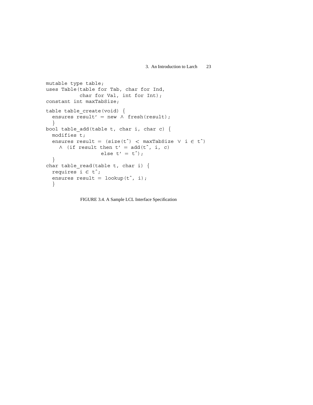3. An Introduction to Larch 23

```
mutable type table;
uses Table(table for Tab, char for Ind,
            char for Val, int for Int);
constant int maxTabSize;
table table_create(void) {
  ensures result' = new \land fresh(result);
  }
bool table_add(table t, char i, char c) {
  modifies t;
  ensures result = (size(t^*) < maxTablesize \vee i \in t^*)\wedge (if result then t' = add(t^, i, c)
                   else t' = t^{\hat{ }};
  }
char table_read(table t, char i) {
  requires i \in t<sup>^</sup>;
  ensures result = lookup(t^, i);}
```
FIGURE 3.4. A Sample LCL Interface Specification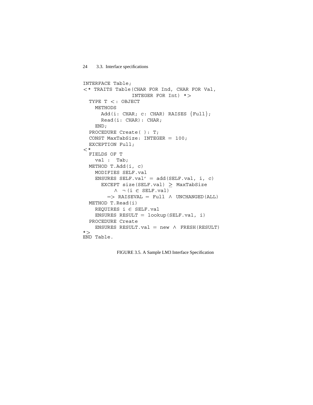```
INTERFACE Table;
\lt^* TRAITS Table(CHAR FOR Ind, CHAR FOR Val,
                INTEGER FOR Int) *TYPE T < : OBJECT
    METHODS
      Add(i: CHAR; c: CHAR) RAISES {Full};
      Read(i: CHAR): CHAR;
    END;
  PROCEDURE Create( ): T;
  CONST MaxTabSize: INTEGER = 100;EXCEPTION Full;
< *
  FIELDS OF T
   val : Tab;
 METHOD T.Add(i, c)
   MODIFIES SELF.val
    ENSURES SELF.val' = add(SELF.val, i, c)EXCEPT size(SELF.val) \geq MaxTabSize
          \land \neg (i \in SELF.val)
        \Rightarrow RAISEVAL = Full \land UNCHANGED(ALL)
  METHOD T.Read(i)
   REQUIRES i \in SELF.valENSURES RESULT = lookup(SELF.val, i)PROCEDURE Create
ENSURES RESULT.val = new \land FRESH(RESULT) *>

END Table.
```
FIGURE 3.5. A Sample LM3 Interface Specification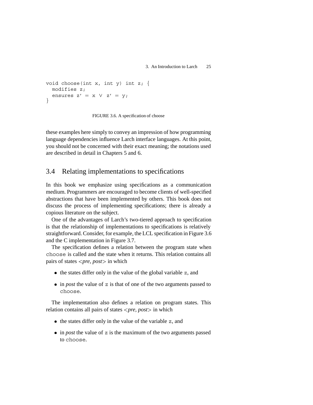```
void choose(int x, int y) int z; {
 modifies z;
  ensures z' = x \lor z' = y;}
```
FIGURE 3.6. A specification of choose

these examples here simply to convey an impression of how programming language dependencies influence Larch interface languages. At this point, you should not be concerned with their exact meaning; the notations used are described in detail in Chapters 5 and 6.

### 3.4 Relating implementations to specifications

In this book we emphasize using specifications as a communication medium. Programmers are encouraged to become clients of well-specified abstractions that have been implemented by others. This book does not discuss the process of implementing specifications; there is already a copious literature on the subject.

One of the advantages of Larch's two-tiered approach to specification is that the relationship of implementations to specifications is relatively straightforward. Consider, for example, the LCL specification in Figure 3.6 and the C implementation in Figure 3.7.

The specification defines a relation between the program state when choose is called and the state when it returns. This relation contains all pairs of states <*pre, post*> in which

- the states differ only in the value of the global variable z, and
- in *post* the value of z is that of one of the two arguments passed to choose.

The implementation also defines a relation on program states. This relation contains all pairs of states <*pre, post*> in which

- the states differ only in the value of the variable z, and
- in *post* the value of z is the maximum of the two arguments passed to choose.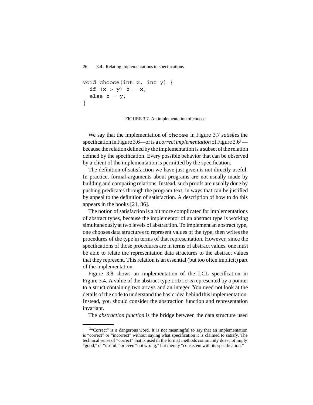26 3.4. Relating implementations to specifications

```
void choose(int x, int y) {
  if (x > y) z = x;
  else z = y;
}
```
#### FIGURE 3.7. An implementation of choose

We say that the implementation of choose in Figure 3.7 *satisfies* the specification in Figure 3.6—or is a *correct implementation* of Figure 3.63 because the relation defined by the implementation is a subset of the relation defined by the specification. Every possible behavior that can be observed by a client of the implementation is permitted by the specification.

The definition of satisfaction we have just given is not directly useful. In practice, formal arguments about programs are not usually made by building and comparing relations. Instead, such proofs are usually done by pushing predicates through the program text, in ways that can be justified by appeal to the definition of satisfaction. A description of how to do this appears in the books [21, 36].

The notion of satisfaction is a bit more complicated for implementations of abstract types, because the implementor of an abstract type is working simultaneously at two levels of abstraction. To implement an abstract type, one chooses data structures to represent values of the type, then writes the procedures of the type in terms of that representation. However, since the specifications of those procedures are in terms of abstract values, one must be able to relate the representation data structures to the abstract values that they represent. This relation is an essential (but too often implicit) part of the implementation.

Figure 3.8 shows an implementation of the LCL specification in Figure 3.4. A value of the abstract type table is represented by a pointer to a struct containing two arrays and an integer. You need not look at the details of the code to understand the basic idea behind this implementation. Instead, you should consider the abstraction function and representation invariant.

The *abstraction function* is the bridge between the data structure used

<sup>&</sup>lt;sup>3</sup>"Correct" is a dangerous word. It is not meaningful to say that an implementation is "correct" or "incorrect" without saying what specification it is claimed to satisfy. The technical sense of "correct" that is used in the formal methods community does not imply "good," or "useful," or even "not wrong," but merely "consistent with its specification."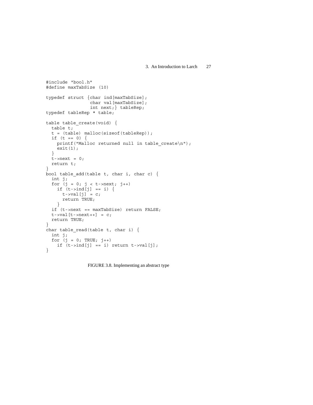```
#include "bool.h"
#define maxTabSize (10)
typedef struct {char ind[maxTabSize];
                char val[maxTabSize];
                int next;} tableRep;
typedef tableRep * table;
table table create(void) {
 table t;
  t = (table) malloc(sizeof(tableRep));
  if (t == 0)printf("Malloc returned null in table create\n");
    exit(1);}
  t->next = 0;
  return t;
}
bool table add(table t, char i, char c) {
  int j;
  for (j = 0; j < t->next; j++)
    if (t->ind[j]) == i) {
      t->val[j] = c;return TRUE;
    }
  if (t->next == maxTabSize) return FALSE;
  t->val[t->next++] = c;
  return TRUE;
}
char table_read(table t, char i) {
  int j;
  for (j = 0; TRUE; j++)if (t\text{-}ind[j] == i) return t\text{-} - yal[j];
}
```
FIGURE 3.8. Implementing an abstract type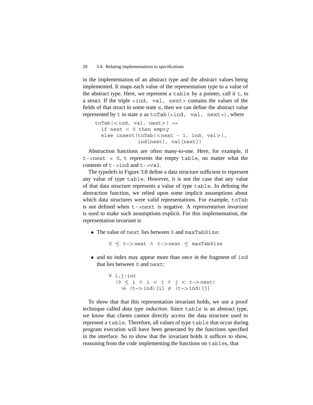#### 28 3.4. Relating implementations to specifications

in the implementation of an abstract type and the abstract values being implemented. It maps each value of the representation type to a value of the abstract type. Here, we represent a table by a pointer, call it  $t$ , to a struct. If the triple <ind, val, next> contains the values of the fields of that struct in some state s, then we can define the abstract value represented by  $t$  in state s as  $t$  or ab  $(\text{sind}, \text{val}, \text{next})$ , where

```
toTab(<ind, val, next>) =if next = 0 then empty
 else insert(toTab(<next - 1, ind, val>),
             ind[next], val[next])
```
Abstraction functions are often many-to-one. Here, for example, if  $t$ ->next = 0, t represents the empty table, no matter what the contents of  $t$ ->ind and  $t$ ->val.

The typedefs in Figure 3.8 define a data structure sufficient to represent any value of type table. However, it is not the case that any value of that data structure represents a value of type table. In defining the abstraction function, we relied upon some implicit assumptions about which data structures were valid representations. For example, toTab is not defined when t->next is negative. A *representation invariant* is used to make such assumptions explicit. For this implementation, the representation invariant is

The value of next lies between 0 and maxTabSize:

```
0 \leq t ->next \land t ->next \leq maxTabSize
```
• and no index may appear more than once in the fragment of ind that lies between 0 and next:

```
-
 i,j:int
  (0 \leq i \land i \leq j \land j \leq t->next)
     \Rightarrow (t->ind)[i] \neq (t->ind)[j]
```
To show that that this representation invariant holds, we use a proof technique called *data type induction*. Since table is an abstract type, we know that clients cannot directly access the data structure used to represent a table. Therefore, all values of type table that occur during program execution will have been generated by the functions specified in the interface. So to show that the invariant holds it suffices to show, reasoning from the code implementing the functions on tables, that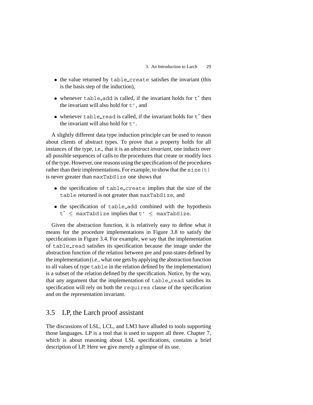- the value returned by table create satisfies the invariant (this is the basis step of the induction),
- whenever table\_add is called, if the invariant holds for t^ then the invariant will also hold for  $t'$ , and
- whenever table read is called, if the invariant holds for tˆ then the invariant will also hold for  $t'$ .

A slightly different data type induction principle can be used to reason about clients of abstract types. To prove that a property holds for all instances of the type, i.e., that it is an *abstract invariant*, one inducts over all possible sequences of calls to the procedures that create or modify locs of the type. However, one reasons using the specifications of the procedures rather than their implementations. For example, to show that the  $size(t)$ is never greater than maxTabSize one shows that

- the specification of table create implies that the size of the table returned is not greater than maxTabSize, and
- the specification of table add combined with the hypothesis  $t^{\hat{ }} \leq$  maxTabSize implies that  $t' \leq$  maxTabSize.

Given the abstraction function, it is relatively easy to define what it means for the procedure implementations in Figure 3.8 to satisfy the specifications in Figure 3.4. For example, we say that the implementation of table read satisfies its specification because the image under the abstraction function of the relation between pre and post-states defined by the implementation (i.e., what one gets by applying the abstraction function to all values of type table in the relation defined by the implementation) is a subset of the relation defined by the specification. Notice, by the way, that any argument that the implementation of table read satisfies its specification will rely on both the requires clause of the specification and on the representation invariant.

## 3.5 LP, the Larch proof assistant

The discussions of LSL, LCL, and LM3 have alluded to tools supporting those languages. LP is a tool that is used to support all three. Chapter 7, which is about reasoning about LSL specifications, contains a brief description of LP. Here we give merely a glimpse of its use.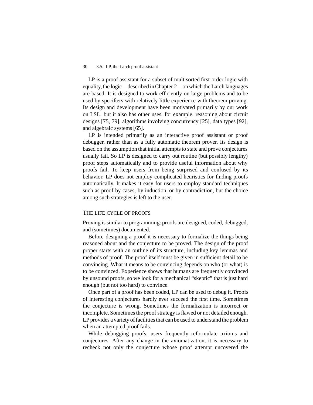#### 30 3.5. LP, the Larch proof assistant

LP is a proof assistant for a subset of multisorted first-order logic with equality, the logic—described in Chapter 2—on which the Larch languages are based. It is designed to work efficiently on large problems and to be used by specifiers with relatively little experience with theorem proving. Its design and development have been motivated primarily by our work on LSL, but it also has other uses, for example, reasoning about circuit designs [75, 79], algorithms involving concurrency [25], data types [92], and algebraic systems [65].

LP is intended primarily as an interactive proof assistant or proof debugger, rather than as a fully automatic theorem prover. Its design is based on the assumption that initial attempts to state and prove conjectures usually fail. So LP is designed to carry out routine (but possibly lengthy) proof steps automatically and to provide useful information about why proofs fail. To keep users from being surprised and confused by its behavior, LP does not employ complicated heuristics for finding proofs automatically. It makes it easy for users to employ standard techniques such as proof by cases, by induction, or by contradiction, but the choice among such strategies is left to the user.

#### THE LIFE CYCLE OF PROOFS

Proving is similar to programming: proofs are designed, coded, debugged, and (sometimes) documented.

Before designing a proof it is necessary to formalize the things being reasoned about and the conjecture to be proved. The design of the proof proper starts with an outline of its structure, including key lemmas and methods of proof. The proof itself must be given in sufficient detail to be convincing. What it means to be convincing depends on who (or what) is to be convinced. Experience shows that humans are frequently convinced by unsound proofs, so we look for a mechanical "skeptic" that is just hard enough (but not too hard) to convince.

Once part of a proof has been coded, LP can be used to debug it. Proofs of interesting conjectures hardly ever succeed the first time. Sometimes the conjecture is wrong. Sometimes the formalization is incorrect or incomplete. Sometimes the proof strategy is flawed or not detailed enough. LP provides a variety of facilities that can be used to understand the problem when an attempted proof fails.

While debugging proofs, users frequently reformulate axioms and conjectures. After any change in the axiomatization, it is necessary to recheck not only the conjecture whose proof attempt uncovered the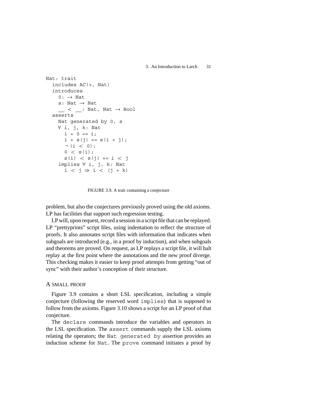```
Nat: trait
  includes AC(+, Nat)
  introduces
     0: \rightarrow Nat
     s: Nat \rightarrow Nat\frac{1}{2} < \frac{1}{2}: Nat, Nat \rightarrow Bool
  asserts
    Nat generated by 0, s
     ∀ i, j, k: Nat
       i + 0 == i;i + s(j) == s(i + j);- (i < 0);
       0 < s(i);s(i) < s(j) == i < jimplies \forall i, j, k: Nat
       i < j \Rightarrow i < (j + k)
```
FIGURE 3.9. A trait containing a conjecture

problem, but also the conjectures previously proved using the old axioms. LP has facilities that support such regression testing.

LP will, upon request, record a session in a script file that can be replayed. LP "prettyprints" script files, using indentation to reflect the structure of proofs. It also annotates script files with information that indicates when subgoals are introduced (e.g., in a proof by induction), and when subgoals and theorems are proved. On request, as LP replays a script file, it will halt replay at the first point where the annotations and the new proof diverge. This checking makes it easier to keep proof attempts from getting "out of sync" with their author's conception of their structure.

## A SMALL PROOF

Figure 3.9 contains a short LSL specification, including a simple conjecture (following the reserved word implies) that is supposed to follow from the axioms. Figure 3.10 shows a script for an LP proof of that conjecture.

The declare commands introduce the variables and operators in the LSL specification. The assert commands supply the LSL axioms relating the operators; the Nat generated by assertion provides an induction scheme for Nat. The prove command initiates a proof by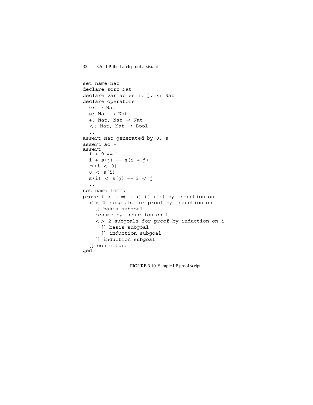```
set name nat
declare sort Nat
declare variables i, j, k: Nat
declare operators
  0: \rightarrow Nat
  s: Nat \rightarrow Nat+: Nat, Nat \rightarrow Nat
  \lt:: Nat, Nat \rightarrow Bool
  ..
assert Nat generated by 0, s
assert ac +
assert
  i + 0 == ii + s(j) == s(i + j)\neg (i < 0)0 < s(i)s(i) < s(j) == i < j..
set name lemma
prove i < j \Rightarrow i < (j + k) by induction on j
   -
 2 subgoals for proof by induction on j
    [] basis subgoal
    resume by induction on i
      -
 2 subgoals for proof by induction on i
      [] basis subgoal
      [] induction subgoal
    [] induction subgoal
  [] conjecture
qed
```
FIGURE 3.10. Sample LP proof script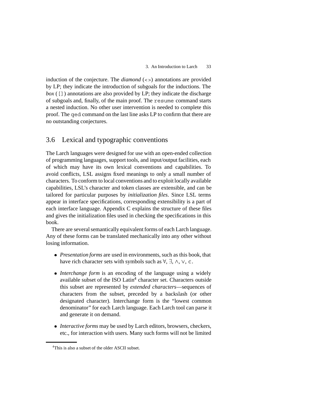induction of the conjecture. The *diamond* (<>) annotations are provided by LP; they indicate the introduction of subgoals for the inductions. The *box* ([]) annotations are also provided by LP; they indicate the discharge of subgoals and, finally, of the main proof. The resume command starts a nested induction. No other user intervention is needed to complete this proof. The qed command on the last line asks LP to confirm that there are no outstanding conjectures.

## 3.6 Lexical and typographic conventions

The Larch languages were designed for use with an open-ended collection of programming languages, support tools, and input/output facilities, each of which may have its own lexical conventions and capabilities. To avoid conflicts, LSL assigns fixed meanings to only a small number of characters. To conform to local conventions and to exploit locally available capabilities, LSL's character and token classes are extensible, and can be tailored for particular purposes by *initialization files*. Since LSL terms appear in interface specifications, corresponding extensibility is a part of each interface language. Appendix C explains the structure of these files and gives the initialization files used in checking the specifications in this book.

There are several semantically equivalent forms of each Larch language. Any of these forms can be translated mechanically into any other without losing information.

- *Presentation forms* are used in environments, such as this book, that have rich character sets with symbols such as  $\forall$ ,  $\exists$ ,  $\wedge$ ,  $\vee$ ,  $\in$ .
- *Interchange form* is an encoding of the language using a widely available subset of the ISO Latin<sup>4</sup> character set. Characters outside this subset are represented by *extended characters*—sequences of characters from the subset, preceded by a backslash (or other designated character). Interchange form is the "lowest common denominator" for each Larch language. Each Larch tool can parse it and generate it on demand.
- *Interactive forms* may be used by Larch editors, browsers, checkers, etc., for interaction with users. Many such forms will not be limited

<sup>&</sup>lt;sup>4</sup>This is also a subset of the older ASCII subset.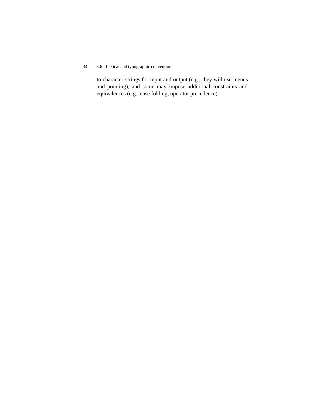## 34 3.6. Lexical and typographic conventions

to character strings for input and output (e.g., they will use menus and pointing), and some may impose additional constraints and equivalences (e.g., case folding, operator precedence).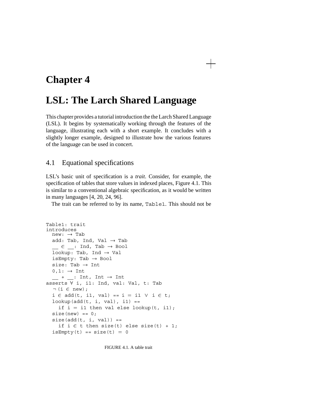# **Chapter 4**

# **LSL: The Larch Shared Language**

This chapter provides a tutorial introduction the the Larch Shared Language (LSL). It begins by systematically working through the features of the language, illustrating each with a short example. It concludes with a slightly longer example, designed to illustrate how the various features of the language can be used in concert.

## 4.1 Equational specifications

LSL's basic unit of specification is a *trait*. Consider, for example, the specification of tables that store values in indexed places, Figure 4.1. This is similar to a conventional algebraic specification, as it would be written in many languages [4, 20, 24, 96].

The trait can be referred to by its name, Table1. This should not be

```
Table1: trait
introduces
  new: \rightarrow Tabadd: Tab, Ind, Val \rightarrow Tab
    \in : Ind, Tab \rightarrow Bool
  lookup: Tab, Ind \rightarrow Val
  isEmpty: Tab \rightarrow Bool
  size: Tab \rightarrow Int
  0,1: \rightarrow Int
  \frac{1}{\sqrt{2}} + \frac{1}{\sqrt{2}} : Int, Int \rightarrow Int
asserts ∀ i, i1: Ind, val: Val, t: Tab
  \neg (i \in new);
  i \in add(t, i1, val) == i = i1 \lor i \in t;lookup(\text{add}(t, i, val), i1) ==if i = i1 then val else lookup(t, i1);
  size(new) == 0;size(add(t, i, val)) ==if i \in t then size(t) else size(t) + 1;
  isEmpty(t) == size(t) = 0
```
FIGURE 4.1. A table trait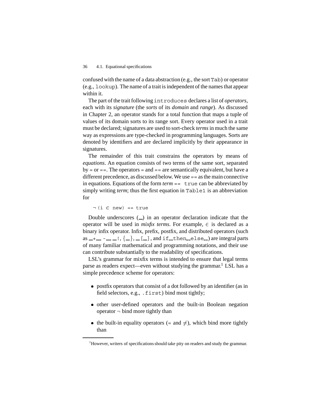#### 36 4.1. Equational specifications

confused with the name of a data abstraction (e.g., the sort Tab) or operator (e.g., lookup). The name of a trait is independent of the names that appear within it.

The part of the trait following introduces declares a list of *operators*, each with its *signature* (the *sorts* of its *domain* and *range*). As discussed in Chapter 2, an operator stands for a total function that maps a tuple of values of its domain sorts to its range sort. Every operator used in a trait must be declared; signatures are used to sort-check *terms* in much the same way as expressions are type-checked in programming languages. Sorts are denoted by identifiers and are declared implicitly by their appearance in signatures.

The remainder of this trait constrains the operators by means of *equations*. An equation consists of two terms of the same sort, separated  $by = or ==$ . The operators = and == are semantically equivalent, but have a different precedence, as discussed below.We use == as the main connective in equations. Equations of the form *term* == true can be abbreviated by simply writing *term*; thus the first equation in Table1 is an abbreviation for

```
\neg (i \in new) == true
```
Double underscores  $($ <sub>-</sub> $)$  in an operator declaration indicate that the operator will be used in *mixfix terms*. For example,  $\in$  is declared as a binary infix operator. Infix, prefix, postfix, and distributed operators (such as  $-+$ ,  $-$ ,  $-$ ,  $-$ !,  $\{-$ },  $-$ [ $-$ ], and if then else ) are integral parts of many familiar mathematical and programming notations, and their use can contribute substantially to the readability of specifications.

LSL's grammar for mixfix terms is intended to ensure that legal terms parse as readers expect—even without studying the grammar.<sup>1</sup> LSL has a simple precedence scheme for operators:

- postfix operators that consist of a dot followed by an identifier (as in field selectors, e.g., .first) bind most tightly;
- other user-defined operators and the built-in Boolean negation operator  $\neg$  bind more tightly than
- the built-in equality operators (= and  $\neq$ ), which bind more tightly than

<sup>&</sup>lt;sup>1</sup>However, writers of specifications should take pity on readers and study the grammar.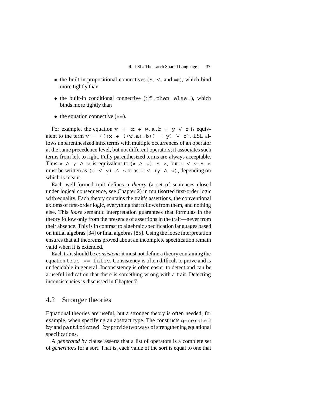- the built-in propositional connectives  $(\wedge, \vee, \text{ and } \Rightarrow)$ , which bind more tightly than
- $\bullet$  the built-in conditional connective (if then else ), which binds more tightly than
- $\bullet$  the equation connective (==).

For example, the equation  $v = x + w.a.b = y \lor z$  is equivalent to the term  $v = ((x + ((w.a).b)) = v) \vee z)$ . LSL allows unparenthesized infix terms with multiple occurrences of an operator at the same precedence level, but not different operators; it associates such terms from left to right. Fully parenthesized terms are always acceptable. Thus  $x \wedge y \wedge z$  is equivalent to  $(x \wedge y) \wedge z$ , but  $x \vee y \wedge z$ must be written as  $(x \lor y) \land z$  or as  $x \lor (y \land z)$ , depending on which is meant.

Each well-formed trait defines a *theory* (a set of sentences closed under logical consequence, see Chapter 2) in multisorted first-order logic with equality. Each theory contains the trait's assertions, the conventional axioms of first-order logic, everything that follows from them, and nothing else. This *loose* semantic interpretation guarantees that formulas in the theory follow only from the presence of assertions in the trait—never from their absence. This is in contrast to algebraic specification languages based on initial algebras [34] or final algebras [85]. Using the loose interpretation ensures that all theorems proved about an incomplete specification remain valid when it is extended.

Each trait should be *consistent:* it must not define a theory containing the equation  $true = false$ . Consistency is often difficult to prove and is undecidable in general. Inconsistency is often easier to detect and can be a useful indication that there is something wrong with a trait. Detecting inconsistencies is discussed in Chapter 7.

## 4.2 Stronger theories

Equational theories are useful, but a stronger theory is often needed, for example, when specifying an abstract type. The constructs generated by and partitioned by provide two ways of strengthening equational specifications.

A *generated by* clause asserts that a list of operators is a complete set of *generators* for a sort. That is, each value of the sort is equal to one that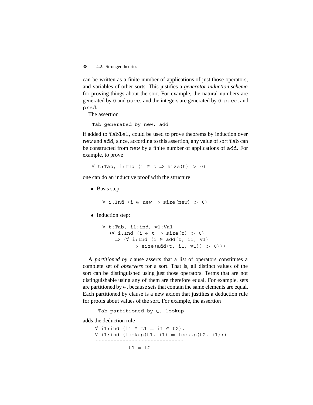#### 38 4.2. Stronger theories

can be written as a finite number of applications of just those operators, and variables of other sorts. This justifies a *generator induction schema* for proving things about the sort. For example, the natural numbers are generated by 0 and succ, and the integers are generated by 0, succ, and pred.

The assertion

Tab generated by new, add

if added to Table1, could be used to prove theorems by induction over new and add, since, according to this assertion, any value of sort Tab can be constructed from new by a finite number of applications of add. For example, to prove

 $\forall$  t:Tab, i:Ind (i  $\in$  t  $\Rightarrow$  size(t)  $>$  0)

one can do an inductive proof with the structure

Basis step:

```
\forall i:Ind (i \in new \Rightarrow size(new) > 0)
```
• Induction step:

```
-
 t:Tab, i1:ind, v1:Val
  (\forall i:Ind (i \in t \Rightarrow size(t) > 0)
     \Rightarrow (\forall i:Ind (i \in add(t, i1, v1)
              \Rightarrow size(add(t, i1, v1)) > 0)))
```
A *partitioned by* clause asserts that a list of operators constitutes a complete set of *observers* for a sort. That is, all distinct values of the sort can be distinguished using just those operators. Terms that are not distinguishable using any of them are therefore equal. For example, sets are partitioned by  $\in$ , because sets that contain the same elements are equal. Each partitioned by clause is a new axiom that justifies a deduction rule for proofs about values of the sort. For example, the assertion

Tab partitioned by  $\in$ , lookup

adds the deduction rule

 $\forall$  i1:ind (i1  $\in$  t1 = i1  $\in$  t2),  $\forall$  i1:ind (lookup(t1, i1) = lookup(t2, i1))) ----------------------------  $t1 = t2$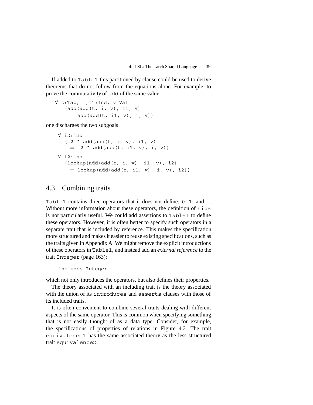If added to Table1 this partitioned by clause could be used to derive theorems that do not follow from the equations alone. For example, to prove the commutativity of add of the same value,

```
-
 t:Tab, i,i1:Ind, v Val
   (add(add(t, i, v), i1, v) = add(add(t, il, v), i, v))
```
one discharges the two subgoals

```
-
 i2:ind
  (i2 \in add(add(t, i, v), ii, v))= i2 \in add(add(t, i1, v), i, v)) i2:ind
  (lookup(add(add(t, i, v), i1, v), i2) = lookup(add(add(t, i1, v), i, v), i2))
```
## 4.3 Combining traits

Table1 contains three operators that it does not define: 0, 1, and +. Without more information about these operators, the definition of size is not particularly useful. We could add assertions to Table1 to define these operators. However, it is often better to specify such operators in a separate trait that is included by reference. This makes the specification more structured and makes it easier to reuse existing specifications, such as the traits given in Appendix A. We might remove the explicit introductions of these operators in Table1, and instead add an *external reference* to the trait Integer (page 163):

```
includes Integer
```
which not only introduces the operators, but also defines their properties.

The theory associated with an including trait is the theory associated with the union of its introduces and asserts clauses with those of its included traits.

It is often convenient to combine several traits dealing with different aspects of the same operator. This is common when specifying something that is not easily thought of as a data type. Consider, for example, the specifications of properties of relations in Figure 4.2. The trait equivalence1 has the same associated theory as the less structured trait equivalence2.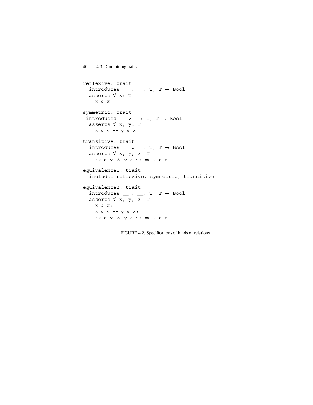40 4.3. Combining traits

```
reflexive: trait
   introduces _ \circ _: T, T \rightarrow Bool
   asserts \forall x: T
      \mathbf{x}~\diamond~\mathbf{x}symmetric: trait
 introduces \_\diamond \_\colon T, T \to Bool
   asserts \forall x, y: T
     x \circ y == y \circ xtransitive: trait
   introduces \diamond : T, T \rightarrow Bool
   asserts \forall x, y, z: T
      (\mathtt{x}\ \diamond\ \mathtt{y}\ \wedge\ \mathtt{y}\ \diamond\ \mathtt{z})\ \Rightarrow\ \mathtt{x}\ \diamond\ \mathtt{z}equivalence1: trait
   includes reflexive, symmetric, transitive
equivalence2: trait
   introduces _ \circ _: T, T \rightarrow Bool
   asserts \forall x, y, z: T
     x \circ x;x \circ y == y \circ x;(x \circ y \land y \circ z) \Rightarrow x \circ z
```
FIGURE 4.2. Specifications of kinds of relations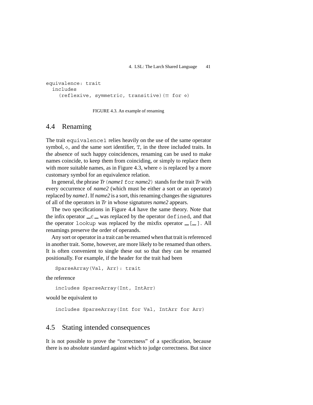```
equivalence: trait
  includes
     (reflexive, symmetric, transitive) (\equiv for \diamond)
```
FIGURE 4.3. An example of renaming

## 4.4 Renaming

The trait equivalence1 relies heavily on the use of the same operator symbol,  $\Diamond$ , and the same sort identifier, T, in the three included traits. In the absence of such happy coincidences, renaming can be used to make names coincide, to keep them from coinciding, or simply to replace them with more suitable names, as in Figure 4.3, where  $\diamond$  is replaced by a more customary symbol for an equivalence relation.

In general, the phrase *Tr*(*name1* for *name2*) stands for the trait *Tr* with every occurrence of *name2* (which must be either a sort or an operator) replaced by *name1*. If *name2* is a sort, this renaming changes the signatures of all of the operators in *Tr* in whose signatures *name2* appears.

The two specifications in Figure 4.4 have the same theory. Note that the infix operator  $\equiv$   $\equiv$  was replaced by the operator defined, and that the operator lookup was replaced by the mixfix operator  $\lfloor \cdot \rfloor$ . All renamings preserve the order of operands.

Any sort or operator in a trait can be renamed when that trait is referenced in another trait. Some, however, are more likely to be renamed than others. It is often convenient to single these out so that they can be renamed positionally. For example, if the header for the trait had been

SparseArray(Val, Arr): trait

the reference

```
includes SparseArray(Int, IntArr)
```
would be equivalent to

includes SparseArray(Int for Val, IntArr for Arr)

## 4.5 Stating intended consequences

It is not possible to prove the "correctness" of a specification, because there is no absolute standard against which to judge correctness. But since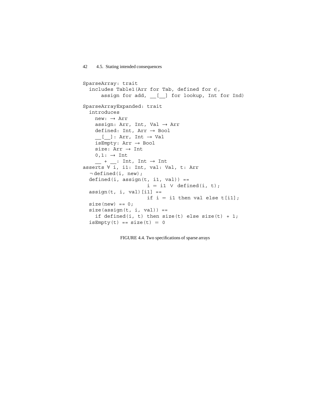```
SparseArray: trait
  includes Table1(Arr for Tab, defined for \in,
      assign for add, [] for lookup, Int for Ind)
SparseArrayExpanded: trait
  introduces
    new:  Arr
    assign: Arr, Int, Val \rightarrow Arr
    defined: Int, Arr \rightarrow Bool
     [\_]: Arr, Int \rightarrow Val
    \overline{\text{isEmpty: Arr}} \rightarrow \text{Bool}size: Arr Int
    0, 1: \rightarrow Int
    + : Int, Int \rightarrow Int
asserts ∀ i, i1: Int, val: Val, t: Arr
   defined(i, new);
  defined(i, assign(t, il, val)) ==i = i1 \vee \text{defined}(i, t);
  assign(t, i, val)[i1] ==
                        if i = i1 then val else t[i1];
  size(new) == 0;size(assign(t, i, val)) ==if defined(i, t) then size(t) else size(t) + 1;
  isEmpty(t) == size(t) = 0
```
42 4.5. Stating intended consequences

FIGURE 4.4. Two specifications of sparse arrays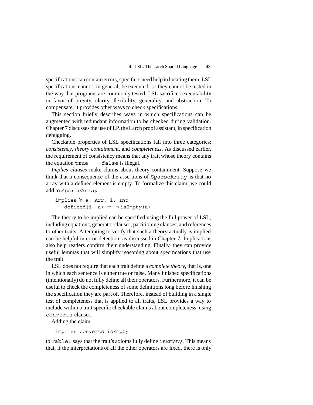specifications can contain errors, specifiers need help in locating them. LSL specifications cannot, in general, be executed, so they cannot be tested in the way that programs are commonly tested. LSL sacrifices executability in favor of brevity, clarity, flexibility, generality, and abstraction. To compensate, it provides other ways to check specifications.

This section briefly describes ways in which specifications can be augmented with redundant information to be checked during validation. Chapter 7 discusses the use of LP, the Larch proof assistant, in specification debugging.

Checkable properties of LSL specifications fall into three categories: *consistency*, *theory containment*, and *completeness*. As discussed earlier, the requirement of consistency means that any trait whose theory contains the equation  $true = false$  is illegal.

*Implies clauses* make claims about theory containment. Suppose we think that a consequence of the assertions of SparseArray is that no array with a defined element is empty. To formalize this claim, we could add to SparseArray

```
implies V a: Arr, i: Int
   defined(i, a) \Rightarrow \neg isEmpty(a)
```
The theory to be implied can be specified using the full power of LSL, including equations, generator clauses, partitioning clauses, and references to other traits. Attempting to verify that such a theory actually is implied can be helpful in error detection, as discussed in Chapter 7. Implications also help readers confirm their understanding. Finally, they can provide useful lemmas that will simplify reasoning about specifications that use the trait.

LSL does not require that each trait define a *complete theory*, that is, one in which each sentence is either true or false. Many finished specifications (intentionally) do not fully define all their operators. Furthermore, it can be useful to check the completeness of some definitions long before finishing the specification they are part of. Therefore, instead of building in a single test of completeness that is applied to all traits, LSL provides a way to include within a trait specific checkable claims about completeness, using converts clauses.

Adding the claim

implies converts isEmpty

to Table1 says that the trait's axioms fully define isEmpty. This means that, if the interpretations of all the other operators are fixed, there is only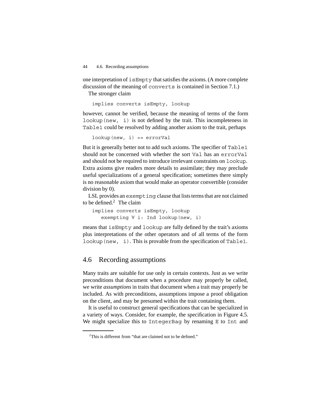### 44 4.6. Recording assumptions

one interpretation of isEmpty that satisfies the axioms. (A more complete discussion of the meaning of converts is contained in Section 7.1.)

The stronger claim

implies converts isEmpty, lookup

however, cannot be verified, because the meaning of terms of the form lookup(new, i) is not defined by the trait. This incompleteness in Table1 could be resolved by adding another axiom to the trait, perhaps

lookup(new, i) == errorVal

But it is generally better not to add such axioms. The specifier of Table1 should not be concerned with whether the sort Val has an errorVal and should not be required to introduce irrelevant constraints on lookup. Extra axioms give readers more details to assimilate; they may preclude useful specializations of a general specification; sometimes there simply is no reasonable axiom that would make an operator convertible (consider division by 0).

LSL provides an exempting clause that lists terms that are not claimed to be defined. $2$  The claim

implies converts isEmpty, lookup exempting  $\forall$  i: Ind lookup (new, i)

means that isEmpty and lookup are fully defined by the trait's axioms plus interpretations of the other operators and of all terms of the form lookup(new, i). This is provable from the specification of Table1.

## 4.6 Recording assumptions

Many traits are suitable for use only in certain contexts. Just as we write preconditions that document when a procedure may properly be called, we write *assumptions* in traits that document when a trait may properly be included. As with preconditions, assumptions impose a proof obligation on the client, and may be presumed within the trait containing them.

It is useful to construct general specifications that can be specialized in a variety of ways. Consider, for example, the specification in Figure 4.5. We might specialize this to IntegerBag by renaming E to Int and

<sup>&</sup>lt;sup>2</sup>This is different from "that are claimed not to be defined."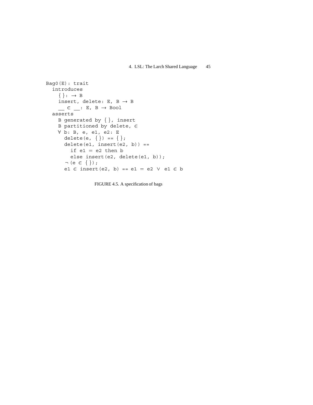```
Bag0(E): trait
  introduces
    \{\}\colon \rightarrow Binsert, delete: E, B \rightarrow B\_ \in \_ : \mathbb{E}, \mathbb{B} \to \mathbb{B}ool
  asserts
    B generated by { }, insert
    B partitioned by delete, \in-
 b: B, e, e1, e2: E
       delete(e, {}) = = {};
       delete(e1, insert(e2, b)) ==if e1 = e2 then b
         else insert(e2, delete(e1, b));
       \neg (e \in { });
       e1 \in insert(e2, b) == e1 = e2 \vee e1 \in b
```
FIGURE 4.5. A specification of bags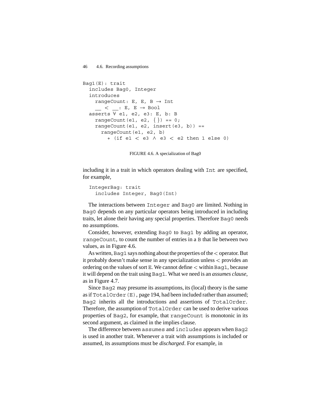46 4.6. Recording assumptions

```
Bag1(E): trait
  includes Bag0, Integer
  introduces
    rangeCount: E, E, B \rightarrow Int
     \angle \leq \bot: E, E \rightarrow Bool
  asserts \forall e1, e2, e3: E, b: B
    rangeCount (e1, e2, \{\}\ == 0;
    rangeCount(e1, e2, insert(e3, b)) ==
       rangeCount(e1, e2, b)
         + (if e1 < e3 \land e3 < e2 then 1 else 0)
```
FIGURE 4.6. A specialization of Bag0

including it in a trait in which operators dealing with Int are specified, for example,

```
IntegerBag: trait
 includes Integer, Bag0(Int)
```
The interactions between Integer and Bag0 are limited. Nothing in Bag0 depends on any particular operators being introduced in including traits, let alone their having any special properties. Therefore Bag0 needs no assumptions.

Consider, however, extending Bag0 to Bag1 by adding an operator, rangeCount, to count the number of entries in a B that lie between two values, as in Figure 4.6.

As written, Bag1 says nothing about the properties of the < operator. But it probably doesn't make sense in any specialization unless  $\lt$  provides an ordering on the values of sort E. We cannot define < within Bag1, because it will depend on the trait using Bag1. What we need is an *assumes clause*, as in Figure 4.7.

Since Bag2 may presume its assumptions, its (local) theory is the same as if TotalOrder(E), page 194, had been included rather than assumed; Bag2 inherits all the introductions and assertions of TotalOrder. Therefore, the assumption of TotalOrder can be used to derive various properties of Bag2, for example, that rangeCount is monotonic in its second argument, as claimed in the implies clause.

The difference between assumes and includes appears when Bag2 is used in another trait. Whenever a trait with assumptions is included or assumed, its assumptions must be *discharged*. For example, in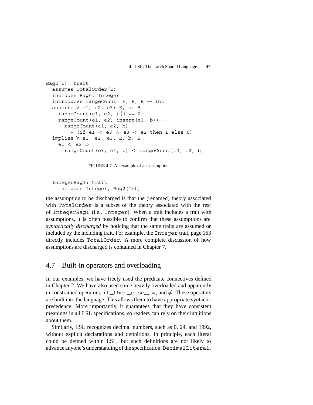```
Bag2(E): trait
  assumes TotalOrder(E)
  includes Bag0, Integer
  introduces rangeCount: E, E, B \rightarrow Int
  asserts \forall e1, e2, e3: E, b: B
    rangeCount (e1, e2, \{ \}) == 0;
    rangeCount(e1, e2, insert(e3, b)) ==
      rangeCount(e1, e2, b)
         + (if e1 < e3 \land e3 < e2 then 1 else 0)
  implies \forall e1, e2, e3: E, b: B
    e1 \leq e2 \RightarrowrangeCount(e3, e1, b) \leq rangeCount(e3, e2, b)
```
FIGURE 4.7. An example of an assumption

```
IntegerBag1: trait
  includes Integer, Bag2(Int)
```
the assumption to be discharged is that the (renamed) theory associated with TotalOrder is a subset of the theory associated with the rest of IntegerBag1 (i.e., Integer). When a trait includes a trait with assumptions, it is often possible to confirm that these assumptions are *syntactically discharged* by noticing that the same traits are assumed or included by the including trait. For example, the Integer trait, page 163 directly includes TotalOrder. A more complete discussion of how assumptions are discharged is contained in Chapter 7.

## 4.7 Built-in operators and overloading

In our examples, we have freely used the predicate connectives defined in Chapter 2. We have also used some heavily overloaded and apparently unconstrained operators: if \_then\_else\_, =, and  $\neq$ . These operators are built into the language. This allows them to have appropriate syntactic precedence. More importantly, it guarantees that they have consistent meanings in all LSL specifications, so readers can rely on their intuitions about them.

Similarly, LSL recognizes decimal numbers, such as 0, 24, and 1992, without explicit declarations and definitions. In principle, each literal could be defined within LSL, but such definitions are not likely to advance anyone's understanding of the specification. DecimalLiteral,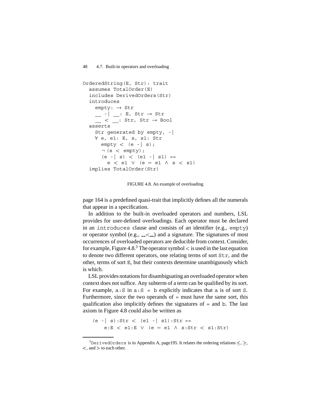#### 48 4.7. Built-in operators and overloading

```
OrderedString(E, Str): trait
  assumes TotalOrder(E)
   includes DerivedOrders(Str)
   introduces
     empty: \rightarrow Str\begin{array}{c} \begin{array}{c} \end{array} \end{array} - \begin{array}{c} \end{array} : E, Str \rightarrow Str
      \frac{1}{2} \leq \frac{1}{2}: Str, Str \rightarrow Bool
  asserts
     Str generated by empty, -|
      -
 e, e1: E, s, s1: Str
        empty < (e - | s);\neg (s < empty);
         (e - | s) < (e1 - | s1) ==e \lt e1 \vee (e = e1 \land s \lt s1)implies TotalOrder(Str)
```
FIGURE 4.8. An example of overloading

page 164 is a predefined quasi-trait that implicitly defines all the numerals that appear in a specification.

In addition to the built-in overloaded operators and numbers, LSL provides for user-defined overloadings. Each operator must be declared in an introduces clause and consists of an identifier (e.g., empty) or operator symbol (e.g.,  $-\leq$  ) and a signature. The signatures of most occurrences of overloaded operators are deducible from context. Consider, for example, Figure 4.8.<sup>3</sup> The operator symbol  $\lt$  is used in the last equation to denote two different operators, one relating terms of sort Str, and the other, terms of sort E, but their contexts determine unambiguously which is which.

LSL provides notations for disambiguating an overloaded operator when context does not suffice. Any subterm of a term can be qualified by its sort. For example,  $a: S$  in  $a: S = b$  explicitly indicates that a is of sort S. Furthermore, since the two operands of  $=$  must have the same sort, this qualification also implicitly defines the signatures of = and b. The last axiom in Figure 4.8 could also be written as

 $(e - | s):Str < (e1 - | s1):Str ==$  $e: E \leq e1: E \vee (e = e1 \wedge s: Str \leq sl:Str)$ 

<sup>&</sup>lt;sup>3</sup>DerivedOrders is in Appendix A, page195. It relates the ordering relations  $\leq, \geq,$  $\lt$ , and  $>$  to each other.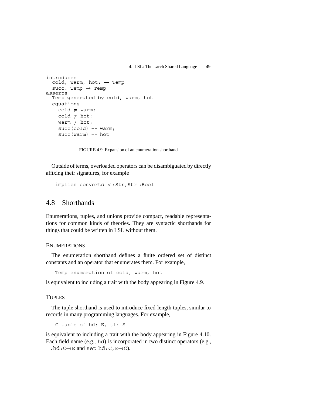4. LSL: The Larch Shared Language 49

```
introduces
  cold, warm, hot: \rightarrow Temp
 succ: Temp \rightarrow Temp
asserts
  Temp generated by cold, warm, hot
  equations
    cold \neq warm;
    cold \neq hot;
    warm \neq hot;
    succ(cold) == warm;succ(warm) == hot
```
FIGURE 4.9. Expansion of an enumeration shorthand

Outside of terms, overloaded operators can be disambiguated by directly affixing their signatures, for example

 $implies$  converts  $\lt$ :Str, Str $\rightarrow$ Bool

## 4.8 Shorthands

Enumerations, tuples, and unions provide compact, readable representations for common kinds of theories. They are syntactic shorthands for things that could be written in LSL without them.

## **ENUMERATIONS**

The enumeration shorthand defines a finite ordered set of distinct constants and an operator that enumerates them. For example,

```
Temp enumeration of cold, warm, hot
```
is equivalent to including a trait with the body appearing in Figure 4.9.

## TUPLES

The tuple shorthand is used to introduce fixed-length tuples, similar to records in many programming languages. For example,

```
C tuple of hd: E, tl: S
```
is equivalent to including a trait with the body appearing in Figure 4.10. Each field name (e.g., hd) is incorporated in two distinct operators (e.g.,  $hd:C\rightarrow E$  and set  $hd:C, E\rightarrow C$ ).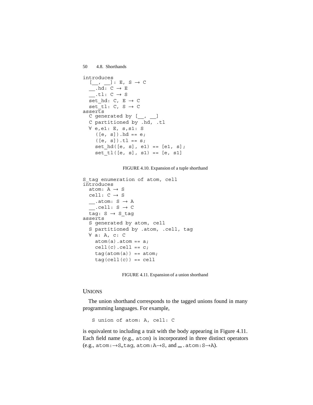```
50 4.8. Shorthands
introduces
   [\underline{\hspace{1cm}},\underline{\hspace{1cm}}]: E, S \rightarrow C\overline{\phantom{a}}.hd: C \rightarrow E\_.t1: C \rightarrow Sset hd: C, E \rightarrow Cset tl: C, S \rightarrow C
asserts
  C generated by [__, __]
  C partitioned by .hd, .tl
   \forall e,el: E, s,sl: S
      ([e, s]).hd == e;
      ([e, s]) . t1 == s;set hd([e, s], e1) == [e1, s];set tl([e, s], sl) == [e, sl]
```
FIGURE 4.10. Expansion of a tuple shorthand

```
S tag enumeration of atom, cell
introduces
  atom: A \rightarrow Scell: C \rightarrow S\_\_ . atom: S \rightarrow A\_\_.cell: S \rightarrow C
  tag: S \rightarrow S_ttag
asserts
  S generated by atom, cell
  S partitioned by .atom, .cell, tag
  ∀ a: A, c: C
    atom(a) .atom == a;cell(c).cell == c;
    tag(atom(a)) == atom;tag(cell(c)) == cell
```
FIGURE 4.11. Expansion of a union shorthand

## UNIONS

The union shorthand corresponds to the tagged unions found in many programming languages. For example,

S union of atom: A, cell: C

is equivalent to including a trait with the body appearing in Figure 4.11. Each field name (e.g., atom) is incorporated in three distinct operators  $(e.g., atom: \rightarrow S\_tag, atom:A \rightarrow S, and ... atom:S \rightarrow A).$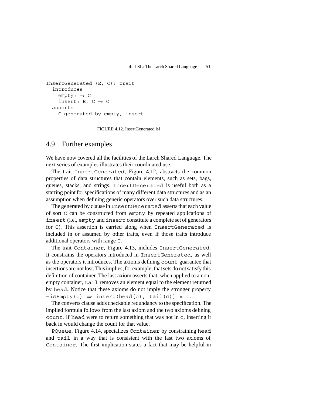```
InsertGenerated (E, C): trait
  introduces
    empty: \rightarrow Cinsert: E, C \rightarrow Casserts
    C generated by empty, insert
```
FIGURE 4.12. InsertGenerated.lsl

## 4.9 Further examples

We have now covered all the facilities of the Larch Shared Language. The next series of examples illustrates their coordinated use.

The trait InsertGenerated, Figure 4.12, abstracts the common properties of data structures that contain elements, such as sets, bags, queues, stacks, and strings. InsertGenerated is useful both as a starting point for specifications of many different data structures and as an assumption when defining generic operators over such data structures.

The generated by clause in InsertGenerated asserts that each value of sort C can be constructed from empty by repeated applications of insert (i.e., empty and insert constitute a complete set of generators for C). This assertion is carried along when InsertGenerated is included in or assumed by other traits, even if those traits introduce additional operators with range C.

The trait Container, Figure 4.13, includes InsertGenerated. It constrains the operators introduced in InsertGenerated, as well as the operators it introduces. The axioms defining count guarantee that insertions are not lost. This implies, for example, that sets do not satisfy this definition of container. The last axiom asserts that, when applied to a nonempty container, tail removes an element equal to the element returned by head. Notice that these axioms do not imply the stronger property  $\neg$ isEmpty(c)  $\Rightarrow$  insert(head(c), tail(c)) = c.

The converts clause adds checkable redundancy to the specification. The implied formula follows from the last axiom and the two axioms defining count. If head were to return something that was not in c, inserting it back in would change the count for that value.

PQueue, Figure 4.14, specializes Container by constraining head and tail in a way that is consistent with the last two axioms of Container. The first implication states a fact that may be helpful in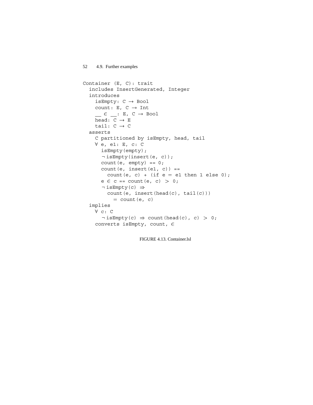```
52 4.9. Further examples
```

```
Container (E, C): trait
  includes InsertGenerated, Integer
  introduces
    isEmpty: C \rightarrow Bool
    count: E, C \rightarrow Int\_ \in \_ : \mathbb{E}, \mathbb{C} \rightarrow \mathbb{B}ool
    head: C \rightarrow Etail: C \rightarrow Casserts
    C partitioned by isEmpty, head, tail
     ∀ e, e1: E, c: C
       isEmpty(empty);  isEmpty(insert(e, c));
       count (e, empty) == 0;
       count (e, insert (e1, c)) ==
         count(e, c) + (if e = e1 then 1 else 0);
       e \in c == count(e, c) > 0;-isEmpty(c) \Rightarrowcount(e, insert(head(c), tail(c)))
            = count (e, c)
  implies
     -
 c: C \neg isEmpty(c) \Rightarrow count(head(c), c) > 0;converts isEmpty, count,
```
FIGURE 4.13. Container.lsl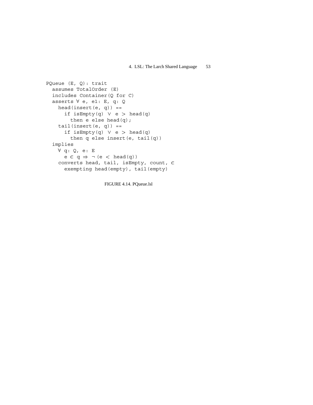```
PQueue (E, Q): trait
  assumes TotalOrder (E)
  includes Container(Q for C)
  asserts \forall e, e1: E, q: Q
    head(insert(e, q)) ==
      if is Empty (q) \lor e > head(q)then e else head(q);
    tail(insert(e, q)) ==
      if is Empty (q) \lor e > head(q)then q else insert(e, tail(q))
  implies
    -
 q: Q, e: E
      e \in q \Rightarrow \neg (e \prec head(q))converts head, tail, isEmpty, count, 	
      exempting head(empty), tail(empty)
```
FIGURE 4.14. PQueue.lsl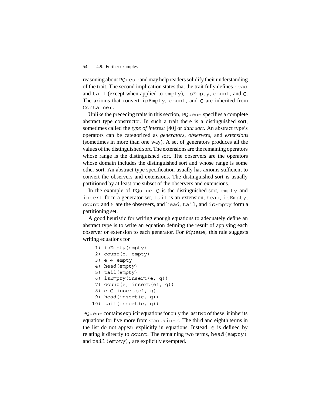#### 54 4.9. Further examples

reasoning about PQueue and may help readers solidify their understanding of the trait. The second implication states that the trait fully defines head and tail (except when applied to empty), is Empty, count, and  $\in$ . The axioms that convert is Empty, count, and  $\in$  are inherited from Container.

Unlike the preceding traits in this section, PQueue specifies a complete abstract type constructor. In such a trait there is a distinguished sort, sometimes called the *type of interest* [40] or *data sort*. An abstract type's operators can be categorized as *generators*, *observers*, and *extensions* (sometimes in more than one way). A set of generators produces all the values of the distinguished sort. The extensions are the remaining operators whose range is the distinguished sort. The observers are the operators whose domain includes the distinguished sort and whose range is some other sort. An abstract type specification usually has axioms sufficient to convert the observers and extensions. The distinguished sort is usually partitioned by at least one subset of the observers and extensions.

In the example of PQueue, Q is the distinguished sort, empty and insert form a generator set, tail is an extension, head, isEmpty, count and  $\in$  are the observers, and head, tail, and is Empty form a partitioning set.

A good heuristic for writing enough equations to adequately define an abstract type is to write an equation defining the result of applying each observer or extension to each generator. For PQueue, this rule suggests writing equations for

```
1) isEmpty(empty)
 2) count(e, empty)
 3) e \in \text{empty}4) head(empty)
 5) tail(empty)
 6) isEmpty(insert(e, q))
 7) count (e, insert (e1, q))
 8) e \in insert (e1, q)
 9) head(insert(e, q))
10) tail(insert(e, q))
```
PQueue contains explicit equations for only the last two of these; it inherits equations for five more from Container. The third and eighth terms in the list do not appear explicitly in equations. Instead,  $\in$  is defined by relating it directly to count. The remaining two terms, head (empty) and tail(empty), are explicitly exempted.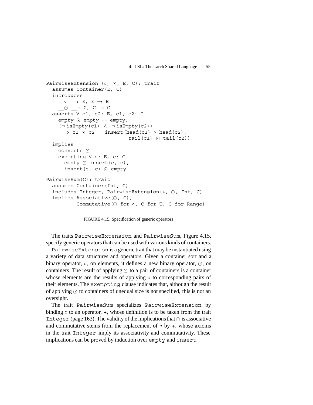```
PairwiseExtension (o, \odot, E, C): trait
  assumes Container(E, C)
  introduces
    \_\circ _ : E, E \rightarrow E
     \circ \qquad : C, C \rightarrow C
  asserts \forall e1, e2: E, c1, c2: C
    empty \odot empty == empty;(\neg \text{isEmpty}(c1) \land \neg \text{isEmpty}(c2))\Rightarrow c1 \odot c2 = insert(head(c1) \circ head(c2),
                                  tail(c1) \odot tail(c2));
  implies
    converts 
     exempting \forall e: E, c: C
       empty \odot insert(e, c),
       insert(e, c) \odot empty
PairwiseSum(C): trait
  assumes Container(Int, C)
  includes Integer, PairwiseExtension(+, \oplus, \text{Int, C})implies Associative(\oplus, C),
            Commutative (\oplus for \circ, C for T, C for Range)
```
FIGURE 4.15. Specification of generic operators

The traits PairwiseExtension and PairwiseSum, Figure 4.15, specify generic operators that can be used with various kinds of containers.

PairwiseExtension is a generic trait that may be instantiated using a variety of data structures and operators. Given a container sort and a binary operator,  $\circ$ , on elements, it defines a new binary operator,  $\circ$ , on containers. The result of applying  $\odot$  to a pair of containers is a container whose elements are the results of applying  $\circ$  to corresponding pairs of their elements. The exempting clause indicates that, although the result of applying  $\odot$  to containers of unequal size is not specified, this is not an oversight.

The trait PairwiseSum specializes PairwiseExtension by binding  $\circ$  to an operator,  $+$ , whose definition is to be taken from the trait Integer (page 163). The validity of the implications that  $\oplus$  is associative and commutative stems from the replacement of  $\circ$  by +, whose axioms in the trait Integer imply its associativity and commutativity. These implications can be proved by induction over empty and insert.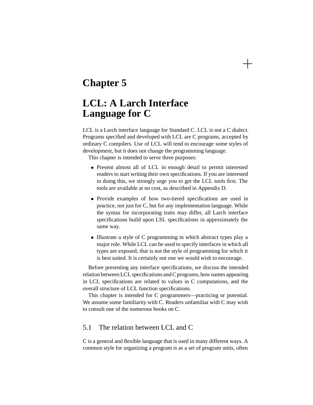# **Chapter 5**

# **LCL: A Larch Interface Language for C**

LCL is a Larch interface language for Standard C. LCL is not a C dialect. Programs specified and developed with LCL are C programs, accepted by ordinary C compilers. Use of LCL will tend to encourage some styles of development, but it does not change the programming language.

 $\overline{\phantom{a}}$ 

This chapter is intended to serve three purposes:

- Present almost all of LCL in enough detail to permit interested readers to start writing their own specifications. If you are interested in doing this, we strongly urge you to get the LCL tools first. The tools are available at no cost, as described in Appendix D.
- Provide examples of how two-tiered specifications are used in practice, not just for C, but for any implementation language. While the syntax for incorporating traits may differ, all Larch interface specifications build upon LSL specifications in approximately the same way.
- Illustrate a style of C programming in which abstract types play a major role. While LCL can be used to specify interfaces in which all types are exposed, that is not the style of programming for which it is best suited. It is certainly not one we would wish to encourage.

Before presenting any interface specifications, we discuss the intended relation between LCL specifications and C programs, how names appearing in LCL specifications are related to values in C computations, and the overall structure of LCL function specifications.

This chapter is intended for C programmers—practicing or potential. We assume some familiarity with C. Readers unfamiliar with C may wish to consult one of the numerous books on C.

## 5.1 The relation between LCL and C

C is a general and flexible language that is used in many different ways. A common style for organizing a program is as a set of program units, often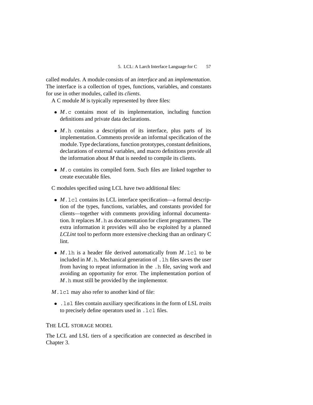called *modules*. A module consists of an *interface* and an *implementation*. The interface is a collection of types, functions, variables, and constants for use in other modules, called its *clients*.

A C module *M* is typically represented by three files:

- *M*.c contains most of its implementation, including function definitions and private data declarations.
- *M*.h contains a description of its interface, plus parts of its implementation. Comments provide an informal specification of the module. Type declarations, function prototypes, constant definitions, declarations of external variables, and macro definitions provide all the information about *M* that is needed to compile its clients.
- *M*.o contains its compiled form. Such files are linked together to create executable files.

C modules specified using LCL have two additional files:

- *M*.lcl contains its LCL interface specification—a formal description of the types, functions, variables, and constants provided for clients—together with comments providing informal documentation. It replaces *M*.h as documentation for client programmers. The extra information it provides will also be exploited by a planned *LCLint* tool to perform more extensive checking than an ordinary C lint.
- *M*.lh is a header file derived automatically from *M*.lcl to be included in  $M$ .h. Mechanical generation of . 1h files saves the user from having to repeat information in the . h file, saving work and avoiding an opportunity for error. The implementation portion of *M*.h must still be provided by the implementor.
- *M*.lcl may also refer to another kind of file:
	- .lsl files contain auxiliary specifications in the form of LSL *traits* to precisely define operators used in . 1c1 files.

### THE LCL STORAGE MODEL

The LCL and LSL tiers of a specification are connected as described in Chapter 3.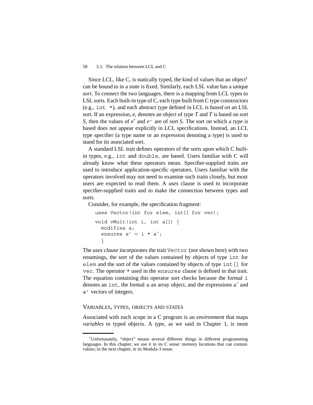### 58 5.1. The relation between LCL and C

Since LCL, like C, is statically typed, the kind of values that an object<sup>1</sup> can be bound to in a state is fixed. Similarly, each LSL value has a unique *sort*. To connect the two languages, there is a mapping from LCL types to LSL sorts. Each built-in type of C, each type built from C type constructors (e.g., int \*), and each abstract type defined in LCL is *based on* an LSL sort. If an expression, *e*, denotes an object of type *T* and *T* is based on sort *S*, then the values of *e*ˆ and *e*' are of sort *S*. The sort on which a type is based does not appear explicitly in LCL specifications. Instead, an LCL type specifier (a type name or an expression denoting a type) is used to stand for its associated sort.

A standard LSL trait defines operators of the sorts upon which C builtin types, e.g., int and double, are based. Users familiar with C will already know what these operators mean. Specifier-supplied traits are used to introduce application-specific operators. Users familiar with the operators involved may not need to examine such traits closely, but most users are expected to read them. A *uses* clause is used to incorporate specifier-supplied traits and to make the connection between types and sorts.

Consider, for example, the specification fragment:

```
uses Vector(int for elem, int[] for vec);
void vMult(int i, int a[]) {
 modifies a;
  ensures a' = i * a^;
  }
```
The *uses clause* incorporates the trait Vector (not shown here) with two renamings, the sort of the values contained by objects of type int for elem and the sort of the values contained by objects of type int[] for vec. The operator \* used in the ensures clause is defined in that trait. The equation containing this operator sort checks because the formal  $\pm$ denotes an int, the formal a an array object, and the expressions aˆ and a' vectors of integers.

## VARIABLES, TYPES, OBJECTS AND STATES

Associated with each scope in a C program is an *environment* that maps *variables* to typed objects. A *type*, as we said in Chapter 1, is most

<sup>&</sup>lt;sup>1</sup>Unfortunately, "object" means several different things in different programming languages. In this chapter, we use it in its C sense: memory locations that can contain values; in the next chapter, in its Modula-3 sense.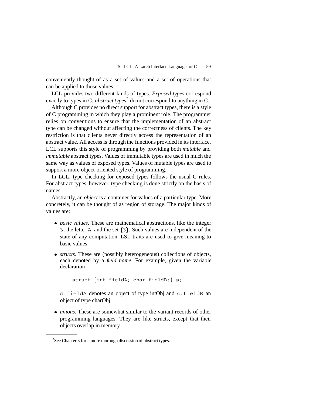conveniently thought of as a set of values and a set of operations that can be applied to those values.

LCL provides two different kinds of types. *Exposed types* correspond exactly to types in C; *abstract types*<sup>2</sup> do not correspond to anything in C.

Although C provides no direct support for abstract types, there is a style of C programming in which they play a prominent role. The programmer relies on conventions to ensure that the implementation of an abstract type can be changed without affecting the correctness of clients. The key restriction is that clients never directly access the representation of an abstract value. All access is through the functions provided in its interface. LCL supports this style of programming by providing both *mutable* and *immutable* abstract types. Values of immutable types are used in much the same way as values of exposed types. Values of mutable types are used to support a more object-oriented style of programming.

In LCL, type checking for exposed types follows the usual C rules. For abstract types, however, type checking is done strictly on the basis of names.

Abstractly, an *object* is a container for values of a particular type. More concretely, it can be thought of as region of storage. The major kinds of values are:

- *basic values*. These are mathematical abstractions, like the integer 3, the letter A, and the set  $\{3\}$ . Such values are independent of the state of any computation. LSL traits are used to give meaning to basic values.
- *structs*. These are (possibly heterogeneous) collections of objects, each denoted by a *field name*. For example, given the variable declaration

```
struct {int fieldA; char fieldB;} s;
```
s.fieldA denotes an object of type intObj and s.fieldB an object of type charObj.

 *unions*. These are somewhat similar to the variant records of other programming languages. They are like structs, except that their objects overlap in memory.

 $2$ See Chapter 3 for a more thorough discussion of abstract types.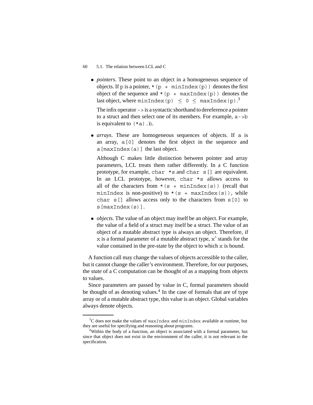### 60 5.1. The relation between LCL and C

 *pointers*. These point to an object in a homogeneous sequence of objects. If p is a pointer,  $*(p + minIndex(p))$  denotes the first object of the sequence and  $*(p + maxIndex(p))$  denotes the last object, where minIndex (p)  $\leq$  0  $\leq$  maxIndex (p).<sup>3</sup>

The infix operator  $>$  is a syntactic shorthand to dereference a pointer to a struct and then select one of its members. For example, a->b is equivalent to  $(*a)$ .b.

 *arrays*. These are homogeneous sequences of objects. If a is an array, a[0] denotes the first object in the sequence and a[maxIndex(a)] the last object.

Although C makes little distinction between pointer and array parameters, LCL treats them rather differently. In a C function prototype, for example, char \*s and char s[] are equivalent. In an LCL prototype, however, char  $*$ s allows access to all of the characters from  $*(s + minIndex(s))$  (recall that minIndex is non-positive) to  $*(s + \maxIndex(s))$ , while char s[] allows access only to the characters from s[0] to s[maxIndex(s)].

 *objects*. The value of an object may itself be an object. For example, the value of a field of a struct may itself be a struct. The value of an object of a mutable abstract type is always an object. Therefore, if  $x$  is a formal parameter of a mutable abstract type,  $x<sup>2</sup>$  stands for the value contained in the pre-state by the object to which x is bound.

A function call may change the values of objects accessible to the caller, but it cannot change the caller's environment. Therefore, for our purposes, the *state* of a C computation can be thought of as a mapping from objects to values.

Since parameters are passed by value in C, formal parameters should be thought of as denoting values.<sup>4</sup> In the case of formals that are of type array or of a mutable abstract type, this value is an object. Global variables always denote objects.

 $3C$  does not make the values of maxIndex and minIndex available at runtime, but they are useful for specifying and reasoning about programs.

<sup>&</sup>lt;sup>4</sup>Within the body of a function, an object is associated with a formal parameter, but since that object does not exist in the environment of the caller, it is not relevant to the specification.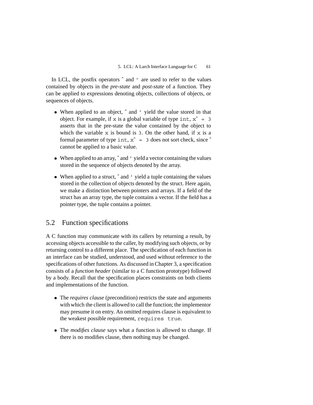In LCL, the postfix operators  $\hat{ }$  and  $\hat{ }$  are used to refer to the values contained by objects in the *pre-state* and *post-state* of a function. They can be applied to expressions denoting objects, collections of objects, or sequences of objects.

- When applied to an object, ˆ and ' yield the value stored in that object. For example, if x is a global variable of type int,  $x^2 = 3$ asserts that in the pre-state the value contained by the object to which the variable  $x$  is bound is 3. On the other hand, if  $x$  is a formal parameter of type int,  $x^{\hat{ }} = 3$  does not sort check, since  $\hat{ }$ cannot be applied to a basic value.
- When applied to an array, ˆ and ' yield a vector containing the values stored in the sequence of objects denoted by the array.
- When applied to a struct, ˆ and ' yield a tuple containing the values stored in the collection of objects denoted by the struct. Here again, we make a distinction between pointers and arrays. If a field of the struct has an array type, the tuple contains a vector. If the field has a pointer type, the tuple contains a pointer.

## 5.2 Function specifications

A C function may communicate with its callers by returning a result, by accessing objects accessible to the caller, by modifying such objects, or by returning control to a different place. The specification of each function in an interface can be studied, understood, and used without reference to the specifications of other functions. As discussed in Chapter 3, a specification consists of a *function header* (similar to a C function prototype) followed by a body. Recall that the specification places constraints on both clients and implementations of the function.

- The *requires clause* (precondition) restricts the state and arguments with which the client is allowed to call the function; the implementor may presume it on entry. An omitted requires clause is equivalent to the weakest possible requirement, requires true.
- The *modifies clause* says what a function is allowed to change. If there is no modifies clause, then nothing may be changed.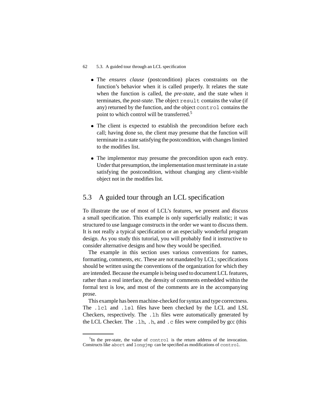### 62 5.3. A guided tour through an LCL specification

- The *ensures clause* (postcondition) places constraints on the function's behavior when it is called properly. It relates the state when the function is called, the *pre-state*, and the state when it terminates, the *post-state*. The object result contains the value (if any) returned by the function, and the object control contains the point to which control will be transferred.<sup>5</sup>
- The client is expected to establish the precondition before each call; having done so, the client may presume that the function will terminate in a state satisfying the postcondition, with changes limited to the modifies list.
- The implementor may presume the precondition upon each entry. Under that presumption, the implementation must terminate in a state satisfying the postcondition, without changing any client-visible object not in the modifies list.

## 5.3 A guided tour through an LCL specification

To illustrate the use of most of LCL's features, we present and discuss a small specification. This example is only superficially realistic; it was structured to use language constructs in the order we want to discuss them. It is not really a typical specification or an especially wonderful program design. As you study this tutorial, you will probably find it instructive to consider alternative designs and how they would be specified.

The example in this section uses various conventions for names, formatting, comments, etc. These are not mandated by LCL; specifications should be written using the conventions of the organization for which they are intended. Because the example is being used to document LCL features, rather than a real interface, the density of comments embedded within the formal text is low, and most of the comments are in the accompanying prose.

This example has been machine-checked for syntax and type correctness. The .lcl and .lsl files have been checked by the LCL and LSL Checkers, respectively. The .lh files were automatically generated by the LCL Checker. The .lh, .h, and .c files were compiled by gcc (this

<sup>&</sup>lt;sup>5</sup>In the pre-state, the value of control is the return address of the invocation. Constructs like abort and longjmp can be specified as modifications of control.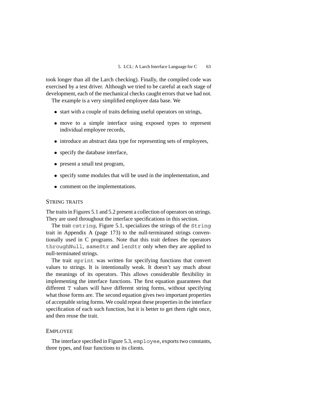took longer than all the Larch checking). Finally, the compiled code was exercised by a test driver. Although we tried to be careful at each stage of development, each of the mechanical checks caught errors that we had not.

The example is a very simplified employee data base. We

- start with a couple of traits defining useful operators on strings,
- move to a simple interface using exposed types to represent individual employee records,
- introduce an abstract data type for representing sets of employees,
- specify the database interface,
- present a small test program,
- specify some modules that will be used in the implementation, and
- comment on the implementations.

#### STRING TRAITS

The traits in Figures 5.1 and 5.2 present a collection of operators on strings. They are used throughout the interface specifications in this section.

The trait cstring, Figure 5.1, specializes the strings of the String trait in Appendix A (page 173) to the null-terminated strings conventionally used in C programs. Note that this trait defines the operators throughNull, sameStr and lenStr only when they are applied to null-terminated strings.

The trait sprint was written for specifying functions that convert values to strings. It is intentionally weak. It doesn't say much about the meanings of its operators. This allows considerable flexibility in implementing the interface functions. The first equation guarantees that different T values will have different string forms, without specifying what those forms are. The second equation gives two important properties of acceptable string forms. We could repeat these properties in the interface specification of each such function, but it is better to get them right once, and then reuse the trait.

### EMPLOYEE

The interface specified in Figure 5.3, employee, exports two constants, three types, and four functions to its clients.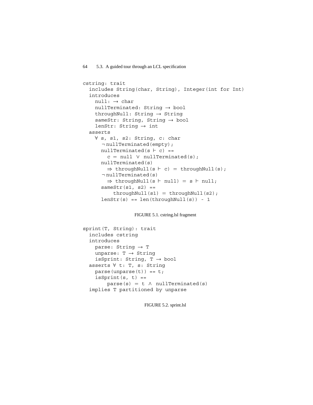```
cstring: trait
  includes String(char, String), Integer(int for Int)
  introduces
    null: \rightarrow charnullTerminated: String \rightarrow bool
    throughNull: String \rightarrow String
    sameStr: String, String \rightarrow bool
    lenStr: String \rightarrow int
  asserts
     -
 s, s1, s2: String, c: char  nullTerminated(empty);
      nullTerminated(s \vdash c) ==
         c = null \vee nullTerminated(s);
      nullTerminated(s)
         \Rightarrow throughNull(s \vdash c) = throughNull(s);
       \negnullTerminated(s)
         \Rightarrow throughNull(s \vdash null) = s \vdash null;
       sameStr(s1, s2) ==throughNull(s1) = throughNull(s2);lenstr(s) == len(throughNull(s)) - 1
```
FIGURE 5.1. cstring.lsl fragment

```
sprint(T, String): trait
  includes cstring
  introduces
    parse: String \rightarrow T
    unparse: T \rightarrow String
    isSprint: String, T \rightarrow \text{bool}asserts \forall t: T, s: String
    parse(unparse(t)) == t;isSprint(s, t) ==parse(s) = t \land nullTerminated(s)implies T partitioned by unparse
```
FIGURE 5.2. sprint.lsl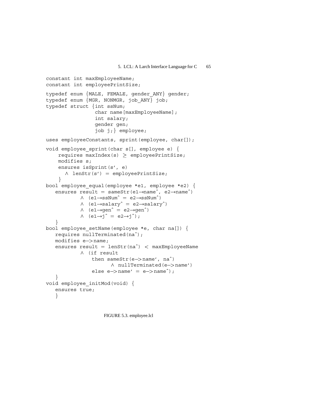```
5. LCL: A Larch Interface Language for C 65
```

```
constant int maxEmployeeName;
constant int employeePrintSize;
typedef enum {MALE, FEMALE, gender ANY} gender;
typedef enum {MGR, NONMGR, job_ANY} job;
typedef struct {int ssNum;
                    char name[maxEmployeeName];
                    int salary;
                    gender gen;
                    job j;} employee;
uses employeeConstants, sprint(employee, char[]);
void employee_sprint(char s[], employee e) {
     requires maxIndex(s) > employePrintSize;modifies s;
     ensures isSprint(s', e)
       \land lenStr(s') = employeePrintSize;
     }
bool employee_equal(employee *e1, employee *e2) {
   ensures result = sameStr(e1\rightarrowname\hat{}, e2\rightarrowname\hat{})
              \wedge (e1\rightarrowssNum<sup>\hat{ }</sup> = e2\rightarrowssNum\hat{ })
              \land (e1\rightarrowsalary<sup>\land</sup> = e2\rightarrowsalary\land)
              \wedge (e1\rightarrowgen<sup>\wedge</sup> = e2\rightarrowgen\wedge)
              \wedge (e1\rightarrowj<sup>\wedge</sup> = e2\rightarrowj\wedge);
   }
bool employee setName(employee *e, char na[]) {
   requires nullTerminated(na^);
    modifies e
-
name;
   ensures result = lenStr(na^) \langle maxEmployeeName
              \wedge (if result
                   then sameStr(e
-
name', naˆ)
                           A nullTerminated(e->name')
                   else e->name' = e->name\hat{ });
   }
void employee_initMod(void) {
   ensures true;
   }
```
FIGURE 5.3. employee.lcl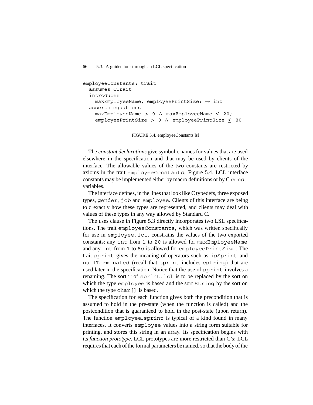```
employeeConstants: trait
  assumes CTrait
  introduces
    maxEmployeeName, employeePrintSize: \rightarrow intasserts equations
    maxEmployeeName > 0 \wedge maxEmployeeName \leq 20;employeePrintSize > 0 \land employeePrintSize \leq 80
```
FIGURE 5.4. employeeConstants.lsl

The *constant declarations* give symbolic names for values that are used elsewhere in the specification and that may be used by clients of the interface. The allowable values of the two constants are restricted by axioms in the trait employeeConstants, Figure 5.4. LCL interface constants may be implemented either by macro definitions or by C const variables.

The interface defines, in the lines that look like C typedefs, three exposed types, gender, job and employee. Clients of this interface are being told exactly how these types are represented, and clients may deal with values of these types in any way allowed by Standard C.

The uses clause in Figure 5.3 directly incorporates two LSL specifications. The trait employeeConstants, which was written specifically for use in employee.lcl, constrains the values of the two exported constants: any int from 1 to 20 is allowed for maxEmployeeName and any int from 1 to 80 is allowed for employeePrintSize. The trait sprint gives the meaning of operators such as isSprint and nullTerminated (recall that sprint includes cstring) that are used later in the specification. Notice that the use of sprint involves a renaming. The sort T of sprint.lsl is to be replaced by the sort on which the type employee is based and the sort String by the sort on which the type char [] is based.

The specification for each function gives both the precondition that is assumed to hold in the pre-state (when the function is called) and the postcondition that is guaranteed to hold in the post-state (upon return). The function employee sprint is typical of a kind found in many interfaces. It converts employee values into a string form suitable for printing, and stores this string in an array. Its specification begins with its *function prototype*. LCL prototypes are more restricted than C's; LCL requires that each of the formal parameters be named, so that the body of the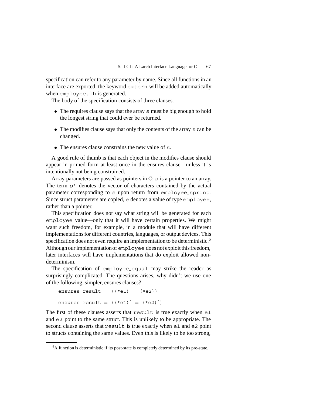specification can refer to any parameter by name. Since all functions in an interface are exported, the keyword extern will be added automatically when employee.lh is generated.

The body of the specification consists of three clauses.

- The requires clause says that the array s must be big enough to hold the longest string that could ever be returned.
- The modifies clause says that only the contents of the array s can be changed.
- The ensures clause constrains the new value of s.

A good rule of thumb is that each object in the modifies clause should appear in primed form at least once in the ensures clause—unless it is intentionally not being constrained.

Array parameters are passed as pointers in  $C$ ; s is a pointer to an array. The term s' denotes the vector of characters contained by the actual parameter corresponding to s upon return from employee sprint. Since struct parameters are copied, e denotes a value of type employee, rather than a pointer.

This specification does not say what string will be generated for each employee value—only that it will have certain properties. We might want such freedom, for example, in a module that will have different implementations for different countries, languages, or output devices. This specification does not even require an implementation to be deterministic.<sup>6</sup> Although our implementation of employee does not exploit this freedom, later interfaces will have implementations that do exploit allowed nondeterminism.

The specification of employee equal may strike the reader as surprisingly complicated. The questions arises, why didn't we use one of the following, simpler, ensures clauses?

```
ensures result = ((*e1) = (*e2))ensures result = ((*e1)^{\hat{}} = (*e2)^{\hat{}})
```
The first of these clauses asserts that result is true exactly when e1 and e2 point to the same struct. This is unlikely to be appropriate. The second clause asserts that result is true exactly when e1 and e2 point to structs containing the same values. Even this is likely to be too strong,

<sup>&</sup>lt;sup>6</sup>A function is deterministic if its post-state is completely determined by its pre-state.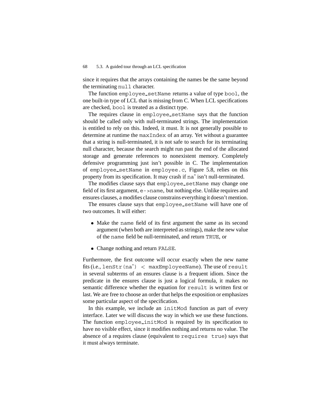since it requires that the arrays containing the names be the same beyond the terminating null character.

The function employee setName returns a value of type bool, the one built-in type of LCL that is missing from C. When LCL specifications are checked, bool is treated as a distinct type.

The requires clause in employee setName says that the function should be called only with null-terminated strings. The implementation is entitled to rely on this. Indeed, it must. It is not generally possible to determine at runtime the maxIndex of an array. Yet without a guarantee that a string is null-terminated, it is not safe to search for its terminating null character, because the search might run past the end of the allocated storage and generate references to nonexistent memory. Completely defensive programming just isn't possible in C. The implementation of employee setName in employee.c, Figure 5.8, relies on this property from its specification. It may crash if naˆ isn't null-terminated.

The modifies clause says that employee setName may change one field of its first argument, e->name, but nothing else. Unlike requires and ensures clauses, a modifies clause constrains everything it doesn't mention.

The ensures clause says that employee setName will have one of two outcomes. It will either:

- Make the name field of its first argument the same as its second argument (when both are interpreted as strings), make the new value of the name field be null-terminated, and return TRUE, or
- Change nothing and return FALSE.

Furthermore, the first outcome will occur exactly when the new name fits (i.e., lenStr(na^) < maxEmployeeName). The use of result in several subterms of an ensures clause is a frequent idiom. Since the predicate in the ensures clause is just a logical formula, it makes no semantic difference whether the equation for result is written first or last. We are free to choose an order that helps the exposition or emphasizes some particular aspect of the specification.

In this example, we include an initMod function as part of every interface. Later we will discuss the way in which we use these functions. The function employee initMod is required by its specification to have no visible effect, since it modifies nothing and returns no value. The absence of a requires clause (equivalent to requires true) says that it must always terminate.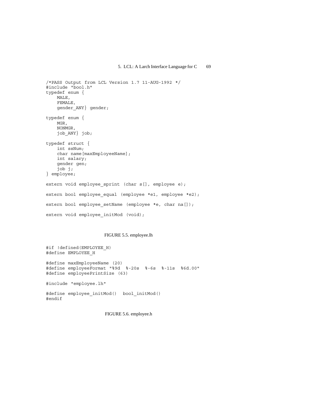```
/*PASS Output from LCL Version 1.7 11-AUG-1992 */
#include "bool.h"
typedef enum {
   MALE,
    FEMALE,
    gender_ANY} gender;
typedef enum {
   MGR,
    NONMGR,
    job_ANY} job;
typedef struct {
    int ssNum;
    char name[maxEmployeeName];
    int salary;
    gender gen;
    job j;
} employee;
extern void employee sprint (char s[], employee e);
extern bool employee_equal (employee *e1, employee *e2);
extern bool employee_setName (employee *e, char na[]);
extern void employee_initMod (void);
```
#### FIGURE 5.5. employee.lh

```
#if !defined(EMPLOYEE_H)
#define EMPLOYEE_H
#define maxEmployeeName (20)
#define employeeFormat "%9d %-20s %-6s %-11s %6d.00"
#define employeePrintSize (63)
#include "employee.lh"
#define employee_initMod() bool_initMod()
#endif
```
FIGURE 5.6. employee.h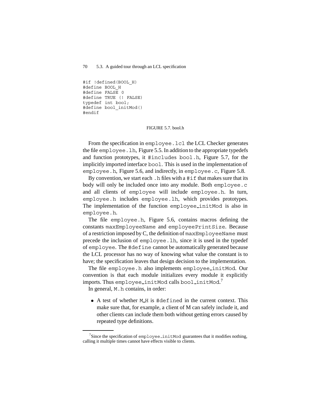```
#if !defined(BOOL_H)
#define BOOL_H
#define FALSE 0
#define TRUE (! FALSE)
typedef int bool;
#define bool_initMod()
#endif
```
#### FIGURE 5.7. bool.h

From the specification in employee.lcl the LCL Checker generates the file employee.lh, Figure 5.5. In addition to the appropriate typedefs and function prototypes, it #includes bool.h, Figure 5.7, for the implicitly imported interface bool. This is used in the implementation of employee.h, Figure 5.6, and indirectly, in employee.c, Figure 5.8.

By convention, we start each .  $h$  files with a  $\#$  if that makes sure that its body will only be included once into any module. Both employee.c and all clients of employee will include employee.h. In turn, employee.h includes employee.lh, which provides prototypes. The implementation of the function employee initMod is also in employee.h.

The file employee.h, Figure 5.6, contains macros defining the constants maxEmployeeName and employeePrintSize. Because of a restriction imposed by C, the definition of maxEmployeeName must precede the inclusion of employee.lh, since it is used in the typedef of employee. The #define cannot be automatically generated because the LCL processor has no way of knowing what value the constant is to have; the specification leaves that design decision to the implementation.

The file employee.h also implements employee initMod. Our convention is that each module initializes every module it explicitly imports. Thus employee\_initMod calls bool\_initMod. $^7$ 

In general, M.h contains, in order:

 A test of whether M H is #defined in the current context. This make sure that, for example, a client of M can safely include it, and other clients can include them both without getting errors caused by repeated type definitions.

<sup>&</sup>lt;sup>7</sup>Since the specification of employee\_initMod guarantees that it modifies nothing, calling it multiple times cannot have effects visible to clients.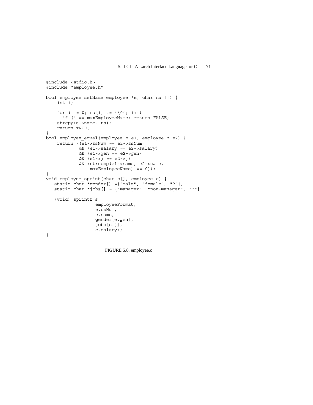```
#include <stdio.h>
#include "employee.h"
bool employee_setName(employee *e, char na []) {
    int i;
    for (i = 0; na[i] != '\\ 0'; i++)if (i == maxEmployeeName) return FALSE;
    strcpy(e->name, na);
    return TRUE;
}
bool employee_equal(employee * e1, employee * e2) {
    return ((e1->ssNum == e2->ssNum))&& (e1->salary == e2->salary)
             &c (e1->gen == e2->gen)
            & (e1 - y) = e2 - y&& (strncmp(e1->name, e2->name,
                maxEmployeeName) == 0));
}
void employee_sprint(char s[], employee e) {
   static char *gender[] =\{ "male", "female", "?"};
   static char *jobs[] = \{\text{``manager''}, \text{``non-manager''}, \text{``?''}\};(void) sprintf(s,
                   employeeFormat,
                   e.ssNum,
                   e.name,
                   gender[e.gen],
                   jobs[e.j],
                   e.salary);
}
```
FIGURE 5.8. employee.c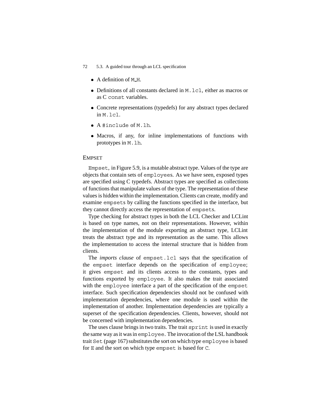- 72 5.3. A guided tour through an LCL specification
	- A definition of M H.
	- Definitions of all constants declared in M.lcl, either as macros or as C const variables.
	- Concrete representations (typedefs) for any abstract types declared in M.lcl.
	- A #include of M.lh.
	- Macros, if any, for inline implementations of functions with prototypes in M.lh.

# EMPSET

Empset, in Figure 5.9, is a mutable abstract type. Values of the type are objects that contain sets of employees. As we have seen, exposed types are specified using C typedefs. Abstract types are specified as collections of functions that manipulate values of the type. The representation of these values is hidden within the implementation. Clients can create, modify and examine empsets by calling the functions specified in the interface, but they cannot directly access the representation of empsets.

Type checking for abstract types in both the LCL Checker and LCLint is based on type names, not on their representations. However, within the implementation of the module exporting an abstract type, LCLint treats the abstract type and its representation as the same. This allows the implementation to access the internal structure that is hidden from clients.

The *imports clause* of empset.lcl says that the specification of the empset interface depends on the specification of employee; it gives empset and its clients access to the constants, types and functions exported by employee. It also makes the trait associated with the employee interface a part of the specification of the empset interface. Such specification dependencies should not be confused with implementation dependencies, where one module is used within the implementation of another. Implementation dependencies are typically a superset of the specification dependencies. Clients, however, should not be concerned with implementation dependencies.

The uses clause brings in two traits. The trait sprint is used in exactly the same way as it was in employee. The invocation of the LSL handbook trait Set (page 167) substitutes the sort on which type employee is based for E and the sort on which type empset is based for C.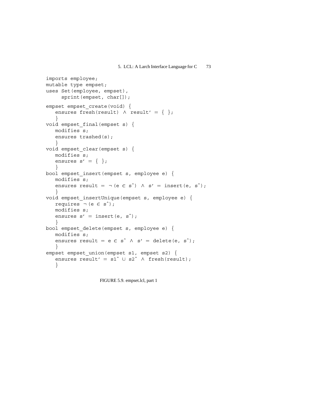```
imports employee;
mutable type empset;
uses Set(employee, empset),
      sprint(empset, char[]);
empset empset_create(void) {
   ensures fresh(result) \land result' = { };
    }
void empset_final(empset s) {
   modifies s;
   ensures trashed(s);
   }
void empset_clear(empset s) {
   modifies s;
   ensures s' = \{\};
    }
bool empset_insert(empset s, employee e) {
   modifies s;
   ensures result = \neg (e \in s^) \land s' = insert(e, s^);
   }
void empset insertUnique(empset s, employee e) {
   requires \neg (e \in s<sup>^</sup>);
   modifies s;
   ensures s' = insert(e, s');
    }
bool empset_delete(empset s, employee e) {
   modifies s;
   ensures result = e \in s^{\hat{ }} \wedge s' = delete(e, s^);
    }
empset empset union(empset s1, empset s2) {
   ensures result' = s1^{\degree} \cup s2^{\degree} \wedge \text{ fresh}(\text{result});
   }
```
FIGURE 5.9. empset.lcl, part 1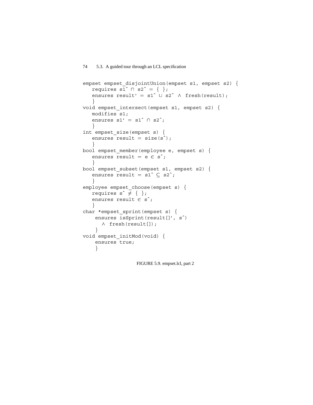```
empset empset disjointUnion(empset s1, empset s2) {
   requires s1^ \cap s2^ = { };
   ensures result' = s1^{\degree} \cup s2^{\degree} \wedge \text{ fresh}(\text{result});
   }
void empset intersect(empset s1, empset s2) {
   modifies s1;
   ensures s1' = s1^{\hat{ }} \cap s2^{\hat{ }};
   }
int empset_size(empset s) {
   ensures result = size(s^{\prime});
   }
bool empset member(employee e, empset s) {
   ensures result = e \in s^*;
    }
bool empset_subset(empset s1, empset s2) {
   ensures result = s1^{\degree} \subseteq s2^{\degree};
    }
employee empset_choose(empset s) {
   requires s^{\hat{ }} \neq {\hat{ }} };
   ensures result \in s<sup>^</sup>;
   }
char *empset_sprint(empset s) {
    ensures isSprint(result[]', sˆ)
       \land fresh(result[]);
     }
void empset_initMod(void) {
     ensures true;
     }
```
FIGURE 5.9. empset.lcl, part 2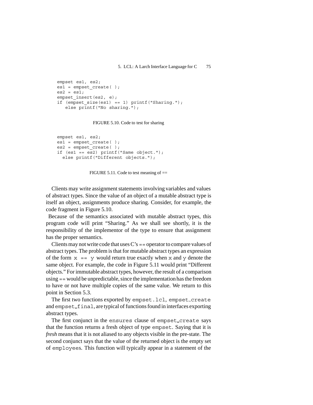```
empset es1, es2;
es1 = empset create( );
\text{es2 = es1:}empset insert(es2, e);
if (empset size(es1) == 1) printf("Sharing.");
   else printf("No sharing.");
```
#### FIGURE 5.10. Code to test for sharing

```
empset es1, es2;
es1 = empset create();
es2 = empset create();
if (es1 == es2) printf("Same object.");
 else printf("Different objects.");
```
FIGURE 5.11. Code to test meaning of  $==$ 

Clients may write assignment statements involving variables and values of abstract types. Since the value of an object of a mutable abstract type is itself an object, assignments produce sharing. Consider, for example, the code fragment in Figure 5.10.

Because of the semantics associated with mutable abstract types, this program code will print "Sharing." As we shall see shortly, it is the responsibility of the implementor of the type to ensure that assignment has the proper semantics.

Clients may not write code that uses  $C's = -$  operator to compare values of abstract types. The problem is that for mutable abstract types an expression of the form  $x = y$  would return true exactly when x and y denote the same object. For example, the code in Figure 5.11 would print "Different objects." For immutable abstract types, however, the result of a comparison using ==would be unpredictable, since the implementation has the freedom to have or not have multiple copies of the same value. We return to this point in Section 5.3.

The first two functions exported by empset.lcl, empset\_create and empset\_final, are typical of functions found in interfaces exporting abstract types.

The first conjunct in the ensures clause of empset create says that the function returns a fresh object of type empset. Saying that it is *fresh* means that it is not aliased to any objects visible in the pre-state. The second conjunct says that the value of the returned object is the empty set of employees. This function will typically appear in a statement of the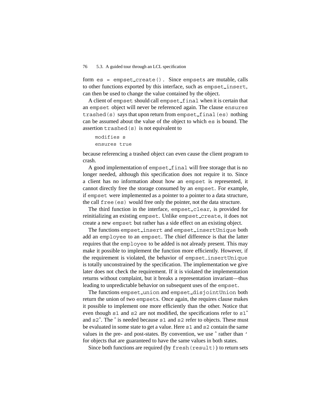form es = empset create(). Since empsets are mutable, calls to other functions exported by this interface, such as empset insert, can then be used to change the value contained by the object.

A client of empset should call empset\_final when it is certain that an empset object will never be referenced again. The clause ensures trashed(s) says that upon return from empset\_final(es) nothing can be assumed about the value of the object to which es is bound. The assertion trashed(s) is not equivalent to

```
modifies s
ensures true
```
because referencing a trashed object can even cause the client program to crash.

A good implementation of empset final will free storage that is no longer needed, although this specification does not require it to. Since a client has no information about how an empset is represented, it cannot directly free the storage consumed by an empset. For example, if empset were implemented as a pointer to a pointer to a data structure, the call free (es) would free only the pointer, not the data structure.

The third function in the interface, empset<sub>clear</sub>, is provided for reinitializing an existing empset. Unlike empset create, it does not create a new empset but rather has a side effect on an existing object.

The functions empset insert and empset insertUnique both add an employee to an empset. The chief difference is that the latter requires that the employee to be added is not already present. This may make it possible to implement the function more efficiently. However, if the requirement is violated, the behavior of empset insertUnique is totally unconstrained by the specification. The implementation we give later does not check the requirement. If it is violated the implementation returns without complaint, but it breaks a representation invariant—thus leading to unpredictable behavior on subsequent uses of the empset.

The functions empset union and empset disjointUnion both return the union of two empsets. Once again, the requires clause makes it possible to implement one more efficiently than the other. Notice that even though s1 and s2 are not modified, the specifications refer to s1<sup> $\hat{ }$ </sup> and s2<sup> $\hat{ }}$ </sup>. The  $\hat{ }}$  is needed because s1 and s2 refer to objects. These must be evaluated in some state to get a value. Here s1 and s2 contain the same values in the pre- and post-states. By convention, we use ˆ rather than ' for objects that are guaranteed to have the same values in both states.

Since both functions are required (by fresh (result)) to return sets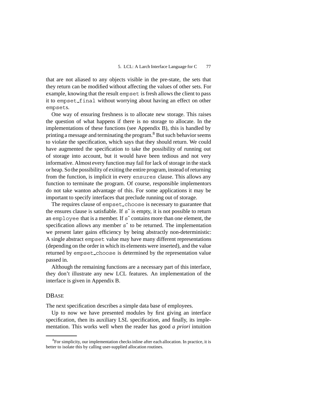that are not aliased to any objects visible in the pre-state, the sets that they return can be modified without affecting the values of other sets. For example, knowing that the result empset is fresh allows the client to pass it to empset\_final without worrying about having an effect on other empsets.

One way of ensuring freshness is to allocate new storage. This raises the question of what happens if there is no storage to allocate. In the implementations of these functions (see Appendix B), this is handled by printing a message and terminating the program.<sup>8</sup> But such behavior seems to violate the specification, which says that they should return. We could have augmented the specification to take the possibility of running out of storage into account, but it would have been tedious and not very informative. Almost every function may fail for lack of storage in the stack or heap. So the possibility of exiting the entire program, instead of returning from the function, is implicit in every ensures clause. This allows any function to terminate the program. Of course, responsible implementors do not take wanton advantage of this. For some applications it may be important to specify interfaces that preclude running out of storage.

The requires clause of empset choose is necessary to guarantee that the ensures clause is satisfiable. If  $s^{\hat{ }}$  is empty, it is not possible to return an employee that is a member. If sˆ contains more than one element, the specification allows any member s<sup> $\hat{ }$ </sup> to be returned. The implementation we present later gains efficiency by being abstractly non-deterministic: A single abstract empset value may have many different representations (depending on the order in which its elements were inserted), and the value returned by empset choose is determined by the representation value passed in.

Although the remaining functions are a necessary part of this interface, they don't illustrate any new LCL features. An implementation of the interface is given in Appendix B.

## **DBASE**

The next specification describes a simple data base of employees.

Up to now we have presented modules by first giving an interface specification, then its auxiliary LSL specification, and finally, its implementation. This works well when the reader has good *a priori* intuition

<sup>&</sup>lt;sup>8</sup>For simplicity, our implementation checks inline after each allocation. In practice, it is better to isolate this by calling user-supplied allocation routines.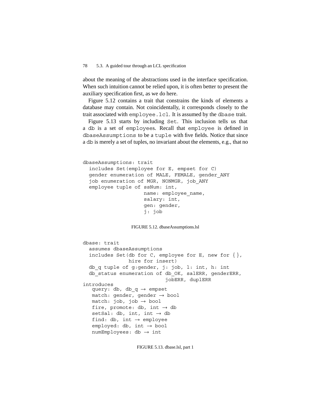about the meaning of the abstractions used in the interface specification. When such intuition cannot be relied upon, it is often better to present the auxiliary specification first, as we do here.

Figure 5.12 contains a trait that constrains the kinds of elements a database may contain. Not coincidentally, it corresponds closely to the trait associated with employee.lcl. It is assumed by the dbase trait.

Figure 5.13 starts by including Set. This inclusion tells us that a db is a set of employees. Recall that employee is defined in dbaseAssumptions to be a tuple with five fields. Notice that since a db is merely a set of tuples, no invariant about the elements, e.g., that no

```
dbaseAssumptions: trait
  includes Set(employee for E, empset for C)
  gender enumeration of MALE, FEMALE, gender_ANY
  job enumeration of MGR, NONMGR, job_ANY
  employee tuple of ssNum: int,
                    name: employee_name,
                    salary: int,
                    gen: gender,
                    j: job
```
FIGURE 5.12. dbaseAssumptions.lsl

```
dbase: trait
  assumes dbaseAssumptions
  includes Set(db for C, employee for E, new for \{\,\},
                 hire for insert)
  db_q tuple of g:gender, j: job, l: int, h: int
  db_status enumeration of db_OK, salERR, genderERR,
                                jobERR, duplERR
introduces
   query: db, db_q \rightarrow empset
   match: gender, gender \rightarrow bool
   match: job, job \rightarrow boolfire, promote: db, int \rightarrow db
   setSal: db, int, int \rightarrow db
   find: db, int \rightarrow employee
   employed: db, int \rightarrow bool
   numEmployes: db \rightarrow int
```
FIGURE 5.13. dbase.lsl, part 1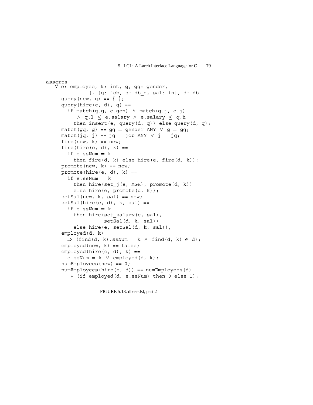```
asserts
   -
 e: employee, k: int, g, gq: gender,
              j, jq: job, q: db_q, sal: int, d: db
     query (new, q) == \{\};
     query(hire(e, d), q) ==
       if match(q.g, e.gen) \wedge match(q.j, e.j)\land q.l \leq e.salary \land e.salary \leq q.h
         then insert(e, query(d, q)) else query(d, q);
     match(gq, g) == gq = gender ANY \vee g = gq;
     match(jq, j) == jq = job_ANY \vee j = jq;
     fire(new, k) == new;
     fire(hire(e, d), k) ==
       if e.ssNum = kthen fire(d, k) else hire(e, fire(d, k));
     promote(new, k) == new;
     promote(hire(e, d), k) ==
       if e.ssNum = kthen hire(set j(e, MGR), promote(d, k))
         else hire(e, promote(d, k));
     setSal(new, k, sal) == new;
     setsal(hire(e, d), k, sal) ==if e.ssNum = kthen hire(set salary(e, sal),
                   setSal(d, k, sal))
         else hire(e, setSal(d, k, sal));
     employed(d, k)
       \Rightarrow (find(d, k).ssNum = k \land find(d, k) \in d);
     emploved(new, k) == false;employed(hire(e, d), k) ==
       e.ssNum = k \vee employed(d, k);
     numEmployees(new) == 0;
     numEmployees(hire(e, d)) == numEmployees(d)
        + (if employed(d, e.ssNum) then 0 else 1);
```

```
FIGURE 5.13. dbase.lsl, part 2
```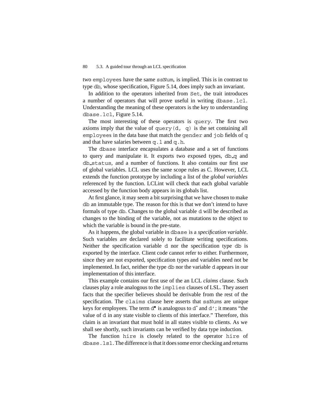two employees have the same ssNum, is implied. This is in contrast to type db, whose specification, Figure 5.14, does imply such an invariant.

In addition to the operators inherited from Set, the trait introduces a number of operators that will prove useful in writing dbase.lcl. Understanding the meaning of these operators is the key to understanding dbase.lcl, Figure 5.14.

The most interesting of these operators is query. The first two axioms imply that the value of query $(d, q)$  is the set containing all employees in the data base that match the gender and job fields of q and that have salaries between q.l and q.h.

The dbase interface encapsulates a database and a set of functions to query and manipulate it. It exports two exposed types, db\_q and db status, and a number of functions. It also contains our first use of global variables. LCL uses the same scope rules as C. However, LCL extends the function prototype by including a list of the *global variables* referenced by the function. LCLint will check that each global variable accessed by the function body appears in its globals list.

At first glance, it may seem a bit surprising that we have chosen to make db an immutable type. The reason for this is that we don't intend to have formals of type db. Changes to the global variable d will be described as changes to the binding of the variable, not as mutations to the object to which the variable is bound in the pre-state.

As it happens, the global variable in dbase is a *specification variable*. Such variables are declared solely to facilitate writing specifications. Neither the specification variable d nor the specification type db is exported by the interface. Client code cannot refer to either. Furthermore, since they are not exported, specification types and variables need not be implemented. In fact, neither the type db nor the variable d appears in our implementation of this interface.

This example contains our first use of the an LCL *claims* clause. Such clauses play a role analogous to the implies clauses of LSL. They assert facts that the specifier believes should be derivable from the rest of the specification. The claims clause here asserts that ssNums are unique keys for employees. The term  $d^{\bullet}$  is analogous to  $d^{\uparrow}$  and  $d'$ ; it means "the value of d in any state visible to clients of this interface." Therefore, this claim is an invariant that must hold in all states visible to clients. As we shall see shortly, such invariants can be verified by data type induction.

The function hire is closely related to the operator hire of dbase.lsl. The difference is that it does some error checking and returns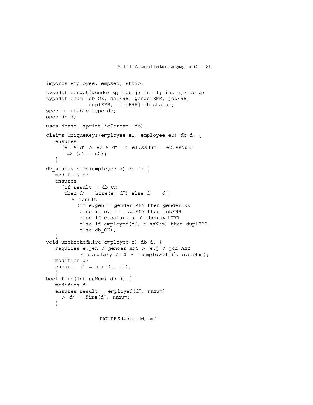```
imports employee, empset, stdio;
typedef struct{gender g; job j; int l; int h;} db_q;
typedef enum {db_OK, salERR, genderERR, jobERR,
               duplERR, missERR} db status;
spec immutable type db;
spec db d;
uses dbase, sprint(ioStream, db);
claims UniqueKeys(employee e1, employee e2) db d; {
   ensures
     (e1 \in d' \land e2 \in d' \land e1.ssNum = e2.ssNum)
        \Rightarrow (e1 = e2);
   }
db status hire(employee e) db d; {
   modifies d;
   ensures
     (if result = db OK
      then d' = hire(e, d<sup>^</sup>) else d' = d<sup>^</sup>)\land result =
           (if e.gen = gender ANY then genderERR
            else if e_i = j job ANY then jobERR
            else if e.salary < 0 then salERR
            else if employed(dˆ, e.ssNum) then duplERR
            else db_OK);
   }
void uncheckedHire(employee e) db d; {
   requires e.gen \neq gender_ANY \land e.j \neq job_ANY
            \land e.salary \geq 0 \land \neg employed(d<sup>^</sup>, e.ssNum);
   modifies d;
   ensures d' = hire(e, d');
   }
bool fire(int ssNum) db d; {
   modifies d;
   ensures result = employed(d^{\hat{}}, ssNum)
     \wedge d' = fire(d^, ssNum);
   }
```
FIGURE 5.14. dbase.lcl, part 1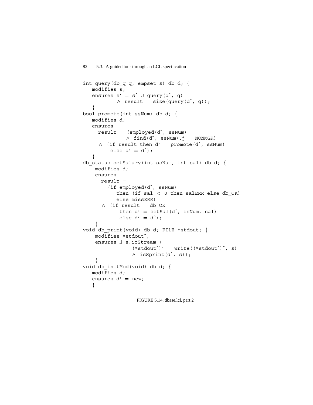```
int query(db q q, empset s) db d; {
   modifies s;
   ensures s' = s^{\hat{}} \cup query(d^{\hat{}}, q)
            \land result = size(query(d^, q));
   }
bool promote(int ssNum) db d; {
   modifies d;
   ensures
     result = (emploped(d<sup>^</sup>, ssNum)\land find(d<sup>^</sup>, ssNum).j = NONMGR)
      \wedge (if result then d' = promote(d^, ssNum)
          else d' = d<sup>\land</sup>;
   }
db_status setSalary(int ssNum, int sal) db d; {
    modifies d;
    ensures
       result =(if employed(dˆ, ssNum)
            then (if sal < 0 then salERR else db_OK)
            else missERR)
       \wedge (if result = db OK
             then d' = setSal(d', ssNum, sal)else d' = d<sup>2</sup>);
    }
void db_print(void) db d; FILE *stdout; {
    modifies *stdoutˆ;
    ensures \exists s:ioStream (
                   (*stdout^{'})' = write((**stdout^{'})^r, s) isSprint(dˆ, s));
    }
void db_initMod(void) db d; {
   modifies d;
   ensures d' = new;}
```
FIGURE 5.14. dbase.lcl, part 2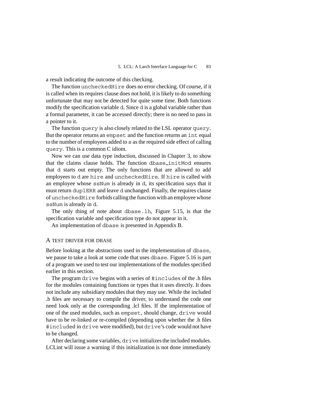a result indicating the outcome of this checking.

The function uncheckedHire does no error checking. Of course, if it is called when its requires clause does not hold, it is likely to do something unfortunate that may not be detected for quite some time. Both functions modify the specification variable d. Since d is a global variable rather than a formal parameter, it can be accessed directly; there is no need to pass in a pointer to it.

The function query is also closely related to the LSL operator query. But the operator returns an empset and the function returns an int equal to the number of employees added to s as the required side effect of calling query. This is a common C idiom.

Now we can use data type induction, discussed in Chapter 3, to show that the claims clause holds. The function dbase initMod ensures that d starts out empty. The only functions that are allowed to add employees to d are hire and uncheckedHire. If hire is called with an employee whose ssNum is already in d, its specification says that it must return duplERR and leave d unchanged. Finally, the requires clause of uncheckedHire forbids calling the function with an employee whose ssNum is already in d.

The only thing of note about dbase.lh, Figure 5.15, is that the specification variable and specification type do not appear in it.

An implementation of dbase is presented in Appendix B.

# A TEST DRIVER FOR DBASE

Before looking at the abstractions used in the implementation of dbase, we pause to take a look at some code that uses dbase. Figure 5.16 is part of a program we used to test our implementations of the modules specified earlier in this section.

The program drive begins with a series of #includes of the .h files for the modules containing functions or types that it uses directly. It does not include any subsidiary modules that they may use. While the included .h files are necessary to compile the driver, to understand the code one need look only at the corresponding .lcl files. If the implementation of one of the used modules, such as empset, should change, drive would have to be re-linked or re-compiled (depending upon whether the .h files #included in drive were modified), but drive's code would not have to be changed.

After declaring some variables, drive initializes the included modules. LCLint will issue a warning if this initialization is not done immediately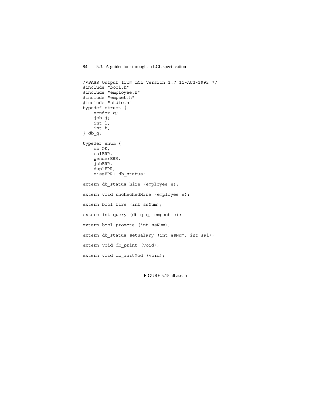```
/*PASS Output from LCL Version 1.7 11-AUG-1992 */
#include "bool.h"
#include "employee.h"
#include "empset.h"
#include "stdio.h"
typedef struct {
    gender g;
    job j;
    int l;
    int h;
} db_q;
typedef enum {
    db_OK,
    salERR,
    genderERR,
    jobERR,
    duplERR,
    missERR} db_status;
extern db_status hire (employee e);
extern void uncheckedHire (employee e);
extern bool fire (int ssNum);
extern int query (db_q q, empset s);
extern bool promote (int ssNum);
extern db_status setSalary (int ssNum, int sal);
extern void db print (void);
extern void db_initMod (void);
```
FIGURE 5.15. dbase.lh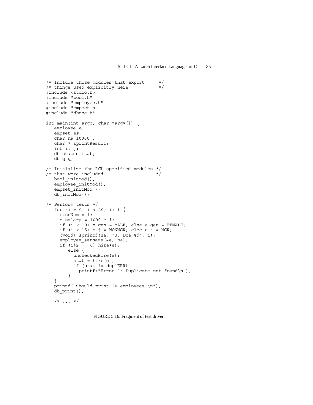```
/* Include those modules that export \overrightarrow{'}<br>/* things used explicitly here \overrightarrow{'}/* things used explicitly here
#include <stdio.h>
#include "bool.h"
#include "employee.h"
#include "empset.h"
#include "dbase.h"
int main(int argc, char *argv[]) {
   employee e;
   empset es;
   char na[10000];
   char * sprintResult;
   int i, j;
   db_status stat;
   db_q q;
/* Initialize the LCL-specified modules */
/* that were included */bool_initMod();
   employee initMod();
   empset_initMod();
   db_initMod();
/* Perform tests */
   for (i = 0; i < 20; i++) {
     e.ssNum = i;
     e.salary = 1000 * i;if (i < 10) e.gen = MALE; else e.gen = FEMALE;
     if (i < 15) e.j = NONMGR; else e.j = MGR;
     (void) sprintf(na, "J. Doe %d", i);
     employee setName(&e, na);
     if (1\frac{1}{2}2 = 0) hire(e);
        else {
          uncheckedHire(e);
          stat = hire(e);if (stat != duplERR)
            printf("Error 1: Duplicate not found\n");
        }
   }
   printf("Should print 20 employees:\n");
   db print();
   /* \ldots */
```
FIGURE 5.16. Fragment of test driver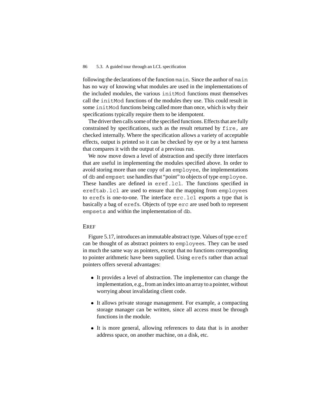following the declarations of the function main. Since the author of main has no way of knowing what modules are used in the implementations of the included modules, the various initMod functions must themselves call the initMod functions of the modules they use. This could result in some initMod functions being called more than once, which is why their specifications typically require them to be idempotent.

The driver then calls some of the specified functions. Effects that are fully constrained by specifications, such as the result returned by fire, are checked internally. Where the specification allows a variety of acceptable effects, output is printed so it can be checked by eye or by a test harness that compares it with the output of a previous run.

We now move down a level of abstraction and specify three interfaces that are useful in implementing the modules specified above. In order to avoid storing more than one copy of an employee, the implementations of db and empset use handles that "point" to objects of type employee. These handles are defined in eref.lcl. The functions specified in ereftab.lcl are used to ensure that the mapping from employees to erefs is one-to-one. The interface erc.lcl exports a type that is basically a bag of erefs. Objects of type erc are used both to represent empsets and within the implementation of db.

#### EREF

Figure 5.17, introduces an immutable abstract type. Values of type eref can be thought of as abstract pointers to employees. They can be used in much the same way as pointers, except that no functions corresponding to pointer arithmetic have been supplied. Using erefs rather than actual pointers offers several advantages:

- It provides a level of abstraction. The implementor can change the implementation, e.g., from an index into an array to a pointer, without worrying about invalidating client code.
- It allows private storage management. For example, a compacting storage manager can be written, since all access must be through functions in the module.
- It is more general, allowing references to data that is in another address space, on another machine, on a disk, etc.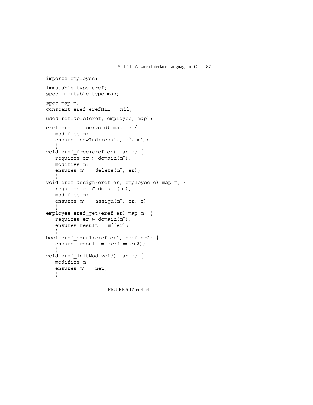```
imports employee;
immutable type eref;
spec immutable type map;
spec map m;
constant eref erefNIL = nil;uses refTable(eref, employee, map);
eref eref alloc(void) map m; {
   modifies m;
   ensures newInd(result, m^, m');
   }
void eref free(eref er) map m; {
   requires er \in domain(m^*);
   modifies m;
   ensures m' = delete(m^2, er);
   }
void eref_assign(eref er, employee e) map m; {
   requires er \in domain(m^*);
   modifies m;
   ensures m' = \text{assign}(m^2, er, e);}
employee eref_get(eref er) map m; {
   requires er \in domain(m^*);
   ensures result = m^{\circ}[er];
   }
bool eref_equal(eref er1, eref er2) {
   ensures result = (er1 = er2);}
void eref_initMod(void) map m; {
   modifies m;
   ensures m' = new;}
```
FIGURE 5.17. eref.lcl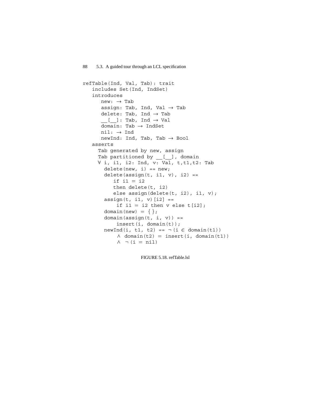```
refTable(Ind, Val, Tab): trait
   includes Set(Ind, IndSet)
   introduces
      new: \rightarrow Tabassign: Tab, Ind, Val \rightarrow Tab
      delete: Tab, Ind \rightarrow Tab
       [ ]: Tab, Ind \rightarrow Val
      domain: Tab \rightarrow IndSet
      nil: \rightarrow IndnewInd: Ind, Tab, Tab \rightarrow Bool
   asserts
     Tab generated by new, assign
     Tab partitioned by []. domain
     -
 i, i1, i2: Ind, v: Val, t,t1,t2: Tab
       delete(new, i) == new;delete(assign(t, i1, v), i2) ==
           if i1 = i2
           then delete(t, i2)
           else assign(delete(t, i2), i1, v);
       assign(t, i1, v) [i2] ==
            if i1 = i2 then v else t[i2];
       domain(new) = \{\};
       domain(assign(t, i, v)) ==insert(i, domain(t));
       newInd(i, t1, t2) == \neg (i \in domain(t1))\land domain(t2) = insert(i, domain(t1))
            \wedge \neg(i = nil)
```
FIGURE 5.18. refTable.lsl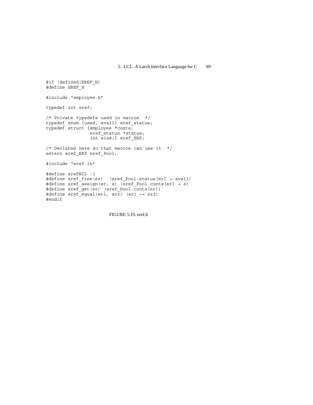5. LCL: A Larch Interface Language for C 89

```
#if !defined(EREF_H)
#define EREF_H
#include "employee.h"
typedef int eref;
/* Private typedefs used in macros */
typedef enum {used, avail} eref_status;
typedef struct {employee *conts;
                eref status *status;
                int size;} eref_ERP;
/* Declared here so that macros can use it */extern eref ERP eref Pool;
#include "eref.lh"
#define erefNIL -1
#define eref_free(er) (eref_Pool.status[er] = avail)
#define eref_assign(er, e) (eref_Pool.conts[er] = e)
#define eref_get(er) (eref_Pool.conts[er])
#define eref_equal(er1, er2) (er1 == er2)
#endif
```
FIGURE 5.19. eref.h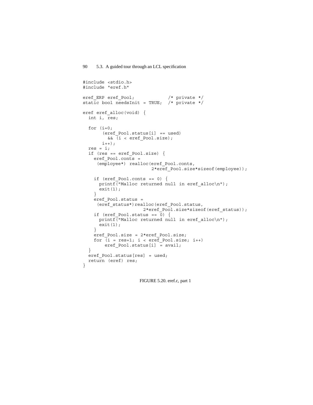```
#include <stdio.h>
#include "eref.h"
eref_ERP eref_Pool; /* private */
static bool needsInit = TRUE; /* private */
eref eref_alloc(void) {
 int i, res;
 for (i=0;
       (eref_Pool.status[i] == used)
         &\& (i < eref Pool.size);
       i++);
  res = i;if (res == eref_Pool.size) {
    eref Pool.conts =
     (employee*) realloc(eref_Pool.conts,
                          2*eref_Pool.size*sizeof(employee));
    if (eref_Pool.conts == 0) {
      printf("Malloc returned null in eref_alloc\n");
      exit(1);}
    eref_Pool.status =
    (eref_status*)realloc(eref_Pool.status,
                      2*eref Pool.size*sizeof(eref status));
    if (eref Pool.status == \overline{0}) {
      print<sup>\sqrt{</sup> "Malloc returned null in eref_alloc\n");
      exit(1);
    }
    eref Pool.size = 2*eref Pool.size;
    for (i = \text{res}+1; i < \text{eref} Pool.size; i++)eref Pool.status[i] = avail;
  }
  eref_Pool.status[res] = used;
 return (eref) res;
}
```
FIGURE 5.20. eref.c, part 1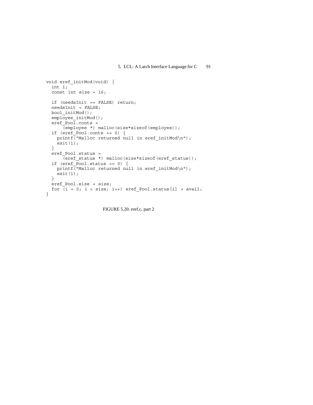```
void eref_initMod(void) {
 int i;
 const int size = 16;
 if (needsInit == FALSE) return;
 needsInit = FALSE;
 bool_initMod();
 employee initMod();
 eref Pool.conts =
      (employee *) malloc(size*sizeof(employee));
 if (eref_Pool.conts == 0) {
   printf("Malloc returned null in eref_initMod\n");
   exit(1);
  }
 eref_Pool.status =
      (eref_status *) malloc(size*sizeof(eref_status));
  if (eref Pool.status == 0) {
   printf("Malloc returned null in eref_initMod\n");
   exit(1);
 }
 eref_Pool.size = size;
 for (i = 0; i < size; i++) eref Pool.status[i] = avail;
}
```
FIGURE 5.20. eref.c, part 2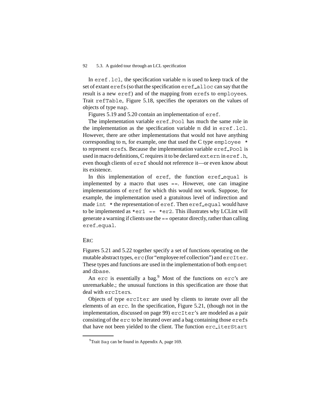In eref. lcl, the specification variable m is used to keep track of the set of extant erefs (so that the specification eref-alloc can say that the result is a new eref) and of the mapping from erefs to employees. Trait refTable, Figure 5.18, specifies the operators on the values of objects of type map.

Figures 5.19 and 5.20 contain an implementation of eref.

The implementation variable eref Pool has much the same role in the implementation as the specification variable m did in eref.lcl. However, there are other implementations that would not have anything corresponding to m, for example, one that used the C type employee \* to represent erefs. Because the implementation variable eref\_Pool is used in macro definitions, C requires it to be declared extern in eref.h, even though clients of eref should not reference it—or even know about its existence.

In this implementation of eref, the function eref equal is implemented by a macro that uses ==. However, one can imagine implementations of eref for which this would not work. Suppose, for example, the implementation used a gratuitous level of indirection and made int \* the representation of eref. Then eref\_equal would have to be implemented as  $*er1 == *er2$ . This illustrates why LCLint will generate a warning if clients use the == operator directly, rather than calling eref\_equal.

## **ERC**

Figures 5.21 and 5.22 together specify a set of functions operating on the mutable abstract types,  $exc$  (for "employee ref collection") and ercIter. These types and functions are used in the implementation of both empset and dbase.

An erc is essentially a bag.<sup>9</sup> Most of the functions on erc's are unremarkable.; the unusual functions in this specification are those that deal with ercIters.

Objects of type ercIter are used by clients to iterate over all the elements of an erc. In the specification, Figure 5.21, (though not in the implementation, discussed on page 99) ercIter's are modeled as a pair consisting of the erc to be iterated over and a bag containing those erefs that have not been yielded to the client. The function erc iterStart

 $^{9}$ Trait Bag can be found in Appendix A, page 169.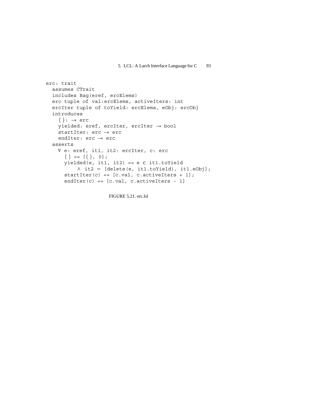```
erc: trait
  assumes CTrait
  includes Bag(eref, ercElems)
  erc tuple of val:ercElems, activeIters: int
  ercIter tuple of toYield: ercElems, eObj: ercObj
  introduces
    \{\}\colon \rightarrow \text{erc}yielded: eref, ercIter, ercIter \rightarrow bool
    startIter: erc \rightarrow erc
    endIter: erc \rightarrow erc
  asserts
    -
 e: eref, it1, it2: ercIter, c: erc
      \{\}\ =\ [\{\},\ 0];yielded(e, it1, it2) == e \in it1.toYield\land it2 = [delete(e, it1.toYield), it1.eObj];
      startIter(c) == [c.val, c.acitiveIters + 1];endIter(c) == [c.val, c.activeIters - 1]
```
FIGURE 5.21. erc.lsl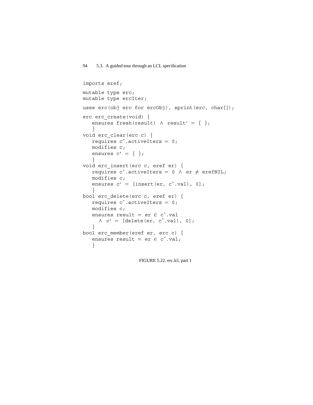```
imports eref;
mutable type erc;
mutable type ercIter;
uses erc(obj erc for ercObj), sprint(erc, char[]);
erc erc create(void) {
   ensures fresh(result) \land result' = { };
   }
void erc_clear(erc c) {
   requires c^{\hat{ }}. activeIters = 0;
   modifies c;
   ensures c' = \{\};
   }
void erc insert (erc c, eref er) {
   requires c^.activeIters = 0 \land er \neq erefNIL;
   modifies c;
   ensures c' = [insert(er, c^{\hat{ }}.val), 0];
   }
bool erc_delete(erc c, eref er) {
   requires c^{\hat{ }}. activeIters = 0;
   modifies c;
   ensures result = er \in c^{\hat{}}.val
     \wedge c' = [delete(er, c^.val), 0];
   }
bool erc member(eref er, erc c) {
   ensures result = er \in c^{\hat{ }}.val;}
```
FIGURE 5.22. erc.lcl, part 1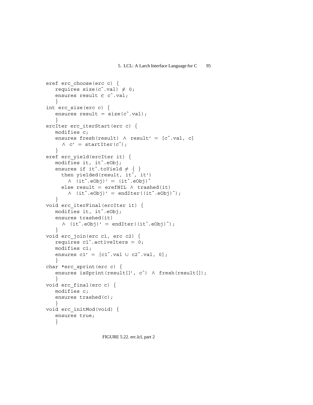```
eref erc choose(erc c) \{requires size(c<sup>\hat{c}</sup>.val) \neq 0;
   ensures result \in c^.val;
   }
int erc size(erc c) \{ensures result = size(c^{\hat{ }}.);
   }
ercIter erc_iterStart(erc c) {
   modifies c;
   ensures fresh(result) \land result' = [c^.val, c]
     \wedge c' = startIter(c^);
   }
eref erc_yield(ercIter it) {
   modifies it, itˆ.eObj;
   ensures if it^.toYield \neq \{ \}then yielded(result, itˆ, it')
         (itˆ.eObj)'  (itˆ.eObj)ˆ
     else result = erefNIL \land trashed(it)
        \land (it^.eObj)' = endIter((it^.eObj)^);
   }
void erc iterFinal(ercIter it) {
   modifies it, itˆ.eObj;
   ensures trashed(it)
      \land (it^.eObj)' = endIter((it^.eObj)^);
   }
void erc_join(erc c1, erc c2) {
   requires c1^.activeIters = 0;modifies c1;
   ensures c1' = [c1^{\degree} \ldots a1 \cup c2^{\degree} \ldots a1, 0];}
char *erc sprint(erc c) {
   ensures isSprint(result[]', c^{\wedge}) \wedge fresh(result[]);
   }
void erc_final(erc c) {
   modifies c;
   ensures trashed(c);
   }
void erc_initMod(void) {
   ensures true;
   }
```
FIGURE 5.22. erc.lcl, part 2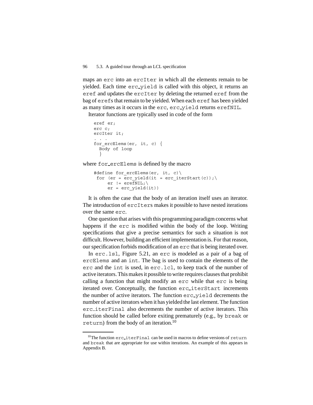maps an erc into an ercIter in which all the elements remain to be yielded. Each time erc yield is called with this object, it returns an eref and updates the ercIter by deleting the returned eref from the bag of erefs that remain to be yielded. When each eref has been yielded as many times as it occurs in the erc, erc yield returns erefNIL.

Iterator functions are typically used in code of the form

```
eref er;
erc c;
ercIter it;
...
for ercElems (er, it, c) {
  Body of loop
  }
```
where for ercElems is defined by the macro

```
#define for ercElems(er, it, c)\
for (er = erc yield(it = erc iterStart(c));
    er != erffNIL;\er = erc_yield(it))
```
It is often the case that the body of an iteration itself uses an iterator. The introduction of ercIters makes it possible to have nested iterations over the same erc.

One question that arises with this programming paradigm concerns what happens if the erc is modified within the body of the loop. Writing specifications that give a precise semantics for such a situation is not difficult. However, building an efficient implementation is. For that reason, our specification forbids modification of an erc that is being iterated over.

In erc.lsl, Figure 5.21, an erc is modeled as a pair of a bag of ercElems and an int. The bag is used to contain the elements of the erc and the int is used, in erc.lcl, to keep track of the number of active iterators. This makes it possible to write requires clauses that prohibit calling a function that might modify an erc while that erc is being iterated over. Conceptually, the function erc iterStart increments the number of active iterators. The function erc yield decrements the number of active iterators when it has yielded the last element. The function erc iterFinal also decrements the number of active iterators. This function should be called before exiting prematurely (e.g., by break or return) from the body of an iteration.<sup>10</sup>

 $10$ The function erc\_iterFinal can be used in macros to define versions of return and break that are appropriate for use within iterations. An example of this appears in Appendix B.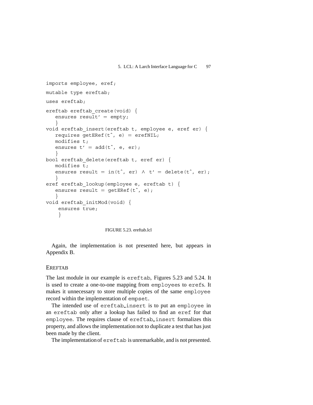```
imports employee, eref;
mutable type ereftab;
uses ereftab;
ereftab ereftab create(void) {
   ensures result' = empty;}
void ereftab insert(ereftab t, employee e, eref er) {
   requires getERef(t^, e) = erefNIL;
   modifies t;
   ensures t' = add(t^{\hat{}}, e, er);}
bool ereftab delete(ereftab t, eref er) {
   modifies t;
   ensures result = in(t<sup>o</sup>, er) \wedge t' = delete(t<sup>o</sup>, er);
   }
eref ereftab lookup(employee e, ereftab t) {
   ensures result = getERef(t^, e);}
void ereftab_initMod(void) {
    ensures true;
    }
```
FIGURE 5.23. ereftab.lcl

Again, the implementation is not presented here, but appears in Appendix B.

# EREFTAB

The last module in our example is ereftab, Figures 5.23 and 5.24. It is used to create a one-to-one mapping from employees to erefs. It makes it unnecessary to store multiple copies of the same employee record within the implementation of empset.

The intended use of ereftab insert is to put an employee in an ereftab only after a lookup has failed to find an eref for that employee. The requires clause of ereftab insert formalizes this property, and allows the implementation not to duplicate a test that has just been made by the client.

The implementation of ereftab is unremarkable, and is not presented.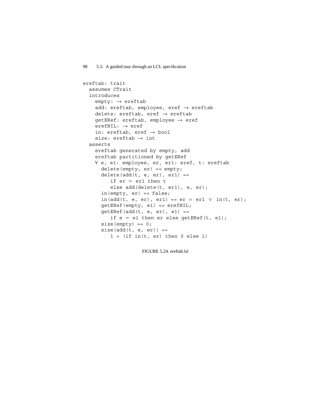```
98 5.3. A guided tour through an LCL specification
ereftab: trait
  assumes CTrait
  introduces
    empty: \rightarrow ereftabadd: ereftab, employee, eref \rightarrow ereftab
    delete: ereftab, eref \rightarrow ereftab
    getERef: ereftab, employee \rightarrow eref
    erefNIL: \rightarrow eref
    in: ereftab, eref \rightarrow bool
    size: ereftab \rightarrow int
  asserts
    ereftab generated by empty, add
    ereftab partitioned by getERef
    -
 e, e1: employee, er, er1: eref, t: ereftab
      delete(empty, er) == empty;
      delete(add(t, e, er), er1) ==if er = er1 then t
          else add(delete(t, er1), e, er);
      in(empty, er) == false;
      in(add(t, e, er), er1) == er = er1 \lor in(t, er);getERef(empty, e1) == erefNIL;
      getERef(add(t, e, er), e1) ==if e = e1 then er else getERef(t, e1);
      size(empty) == 0;size(add(t, e, er)) ==1 + (if in(t, er) then 0 else 1)
```
FIGURE 5.24. ereftab.lsl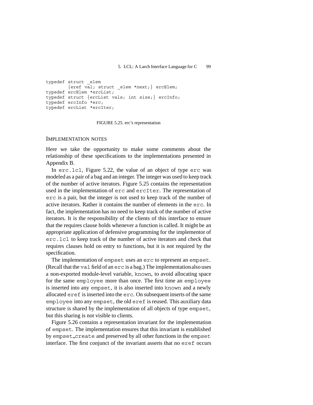```
typedef struct _elem
          \{ \text{erf } \overline{\text{val}}; \text{ struct } \text{elem } \text{*next}; \} \text{ ercElement};typedef ercElem *ercList;
typedef struct {ercList vals; int size;} ercInfo;
typedef ercInfo *erc;
typedef ercList *ercIter;
```
FIGURE 5.25. erc's representation

#### IMPLEMENTATION NOTES

Here we take the opportunity to make some comments about the relationship of these specifications to the implementations presented in Appendix B.

In erc. 1c1, Figure 5.22, the value of an object of type erc was modeled as a pair of a bag and an integer. The integer was used to keep track of the number of active iterators. Figure 5.25 contains the representation used in the implementation of erc and ercIter. The representation of erc is a pair, but the integer is not used to keep track of the number of active iterators. Rather it contains the number of elements in the erc. In fact, the implementation has no need to keep track of the number of active iterators. It is the responsibility of the clients of this interface to ensure that the requires clause holds whenever a function is called. It might be an appropriate application of defensive programming for the implementor of erc.lcl to keep track of the number of active iterators and check that requires clauses hold on entry to functions, but it is not required by the specification.

The implementation of empset uses an erc to represent an empset. (Recall that the val field of an erc is a bag.) The implementationalso uses a non-exported module-level variable, known, to avoid allocating space for the same employee more than once. The first time an employee is inserted into any empset, it is also inserted into known and a newly allocated eref is inserted into the erc. On subsequent inserts of the same employee into any empset, the old eref is reused. This auxiliary data structure is shared by the implementation of all objects of type empset, but this sharing is not visible to clients.

Figure 5.26 contains a representation invariant for the implementation of empset. The implementation ensures that this invariant is established by empset\_create and preserved by all other functions in the empset interface. The first conjunct of the invariant asserts that no eref occurs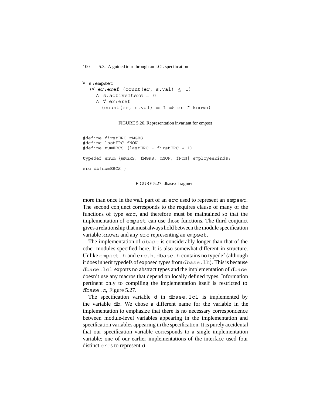100 5.3. A guided tour through an LCL specification

```
-
 s:empset
  (\forall \text{er:} \text{erf } (\text{count}(er, s.val) \leq 1))\land s.activeIters = 0
      ∧ ∀ er:eref
        (count (er, s.val) = 1 \Rightarrow er \in known)
```
FIGURE 5.26. Representation invariant for empset

```
#define firstERC mMGRS
#define lastERC fNON
#define numERCS (lastERC - firstERC + 1)
typedef enum {mMGRS, fMGRS, mNON, fNON} employeeKinds;
erc db[numERCS];
```
FIGURE 5.27. dbase.c fragment

more than once in the val part of an erc used to represent an empset. The second conjunct corresponds to the requires clause of many of the functions of type erc, and therefore must be maintained so that the implementation of empset can use those functions. The third conjunct gives a relationship that must always hold between the module specification variable known and any erc representing an empset.

The implementation of dbase is considerably longer than that of the other modules specified here. It is also somewhat different in structure. Unlike empset.h and erc.h, dbase.h contains no typedef (although it does inherit typedefs of exposed types fromdbase.lh). This is because dbase.lcl exports no abstract types and the implementation of dbase doesn't use any macros that depend on locally defined types. Information pertinent only to compiling the implementation itself is restricted to dbase.c, Figure 5.27.

The specification variable d in dbase. Lcl is implemented by the variable db. We chose a different name for the variable in the implementation to emphasize that there is no necessary correspondence between module-level variables appearing in the implementation and specification variables appearing in the specification. It is purely accidental that our specification variable corresponds to a single implementation variable; one of our earlier implementations of the interface used four distinct ercs to represent d.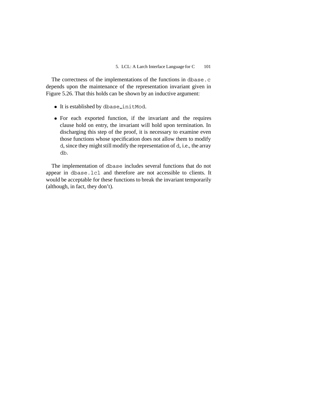The correctness of the implementations of the functions in dbase.c depends upon the maintenance of the representation invariant given in Figure 5.26. That this holds can be shown by an inductive argument:

- It is established by dbase initMod.
- For each exported function, if the invariant and the requires clause hold on entry, the invariant will hold upon termination. In discharging this step of the proof, it is necessary to examine even those functions whose specification does not allow them to modify d, since they might still modify the representation of d, i.e., the array db.

The implementation of dbase includes several functions that do not appear in dbase.lcl and therefore are not accessible to clients. It would be acceptable for these functions to break the invariant temporarily (although, in fact, they don't).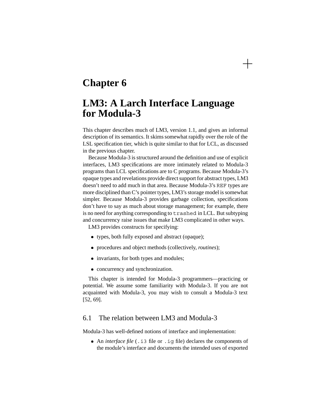# **Chapter 6**

# **LM3: A Larch Interface Language for Modula-3**

This chapter describes much of LM3, version 1.1, and gives an informal description of its semantics. It skims somewhat rapidly over the role of the LSL specification tier, which is quite similar to that for LCL, as discussed in the previous chapter.

 $+$ 

Because Modula-3 is structured around the definition and use of explicit interfaces, LM3 specifications are more intimately related to Modula-3 programs than LCL specifications are to C programs. Because Modula-3's opaque types and revelations provide direct support for abstract types, LM3 doesn't need to add much in that area. Because Modula-3's REF types are more disciplined than C's pointer types, LM3's storage model is somewhat simpler. Because Modula-3 provides garbage collection, specifications don't have to say as much about storage management; for example, there is no need for anything corresponding to trashed in LCL. But subtyping and concurrency raise issues that make LM3 complicated in other ways.

LM3 provides constructs for specifying:

- types, both fully exposed and abstract (opaque);
- procedures and object methods (collectively, *routines*);
- invariants, for both types and modules;
- concurrency and synchronization.

This chapter is intended for Modula-3 programmers—practicing or potential. We assume some familiarity with Modula-3. If you are not acquainted with Modula-3, you may wish to consult a Modula-3 text [52, 69].

# 6.1 The relation between LM3 and Modula-3

Modula-3 has well-defined notions of interface and implementation:

 An *interface file* (.i3 file or .ig file) declares the components of the module's interface and documents the intended uses of exported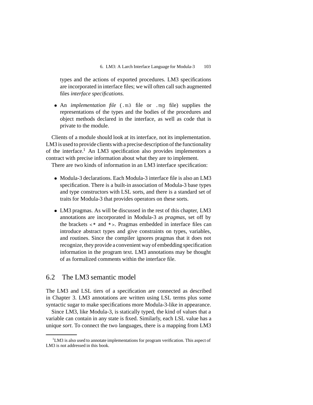types and the actions of exported procedures. LM3 specifications are incorporated in interface files; we will often call such augmented files *interface specifications.*

 An *implementation file* (.m3 file or .mg file) supplies the representations of the types and the bodies of the procedures and object methods declared in the interface, as well as code that is private to the module.

Clients of a module should look at its interface, not its implementation. LM3 is used to provide clients with a precise description of the functionality of the interface.<sup>1</sup> An LM3 specification also provides implementors a contract with precise information about what they are to implement.

There are two kinds of information in an LM3 interface specification:

- Modula-3 declarations. Each Modula-3 interface file is also an LM3 specification. There is a built-in association of Modula-3 base types and type constructors with LSL sorts, and there is a standard set of traits for Modula-3 that provides operators on these sorts.
- LM3 pragmas. As will be discussed in the rest of this chapter, LM3 annotations are incorporated in Modula-3 as *pragmas*, set off by the brackets <\* and \*>. Pragmas embedded in interface files can introduce abstract types and give constraints on types, variables, and routines. Since the compiler ignores pragmas that it does not recognize, they provide a convenient way of embedding specification information in the program text. LM3 annotations may be thought of as formalized comments within the interface file.

# 6.2 The LM3 semantic model

The LM3 and LSL tiers of a specification are connected as described in Chapter 3. LM3 annotations are written using LSL terms plus some syntactic sugar to make specifications more Modula-3-like in appearance.

Since LM3, like Modula-3, is statically typed, the kind of values that a variable can contain in any state is fixed. Similarly, each LSL value has a unique *sort*. To connect the two languages, there is a mapping from LM3

<sup>&</sup>lt;sup>1</sup>LM3 is also used to annotate implementations for program verification. This aspect of LM3 is not addressed in this book.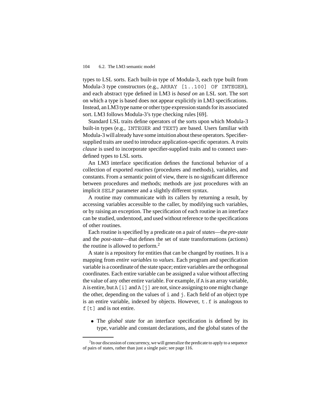#### 104 6.2. The LM3 semantic model

types to LSL sorts. Each built-in type of Modula-3, each type built from Modula-3 type constructors (e.g., ARRAY [1..100] OF INTEGER), and each abstract type defined in LM3 is *based on* an LSL sort. The sort on which a type is based does not appear explicitly in LM3 specifications. Instead, an LM3 type name or other type expression stands for its associated sort. LM3 follows Modula-3's type checking rules [69].

Standard LSL traits define operators of the sorts upon which Modula-3 built-in types (e.g., INTEGER and TEXT) are based. Users familiar with Modula-3 will already have some intuition about these operators. Specifiersupplied traits are used to introduce application-specific operators. A *traits clause* is used to incorporate specifier-supplied traits and to connect userdefined types to LSL sorts.

An LM3 interface specification defines the functional behavior of a collection of exported *routines* (procedures and methods), variables, and constants. From a semantic point of view, there is no significant difference between procedures and methods; methods are just procedures with an implicit SELF parameter and a slightly different syntax.

A routine may communicate with its callers by returning a result, by accessing variables accessible to the caller, by modifying such variables, or by raising an exception. The specification of each routine in an interface can be studied, understood, and used without reference to the specifications of other routines.

Each routine is specified by a predicate on a pair of *states*—the *pre-state* and the *post-state*—that defines the set of state transformations (actions) the routine is allowed to perform.2

A state is a repository for entities that can be changed by routines. It is a mapping from *entire variables* to *values*. Each program and specification variable is a coordinate of the state space; entire variables are the orthogonal coordinates. Each entire variable can be assigned a value without affecting the value of any other entire variable. For example, if A is an array variable, A is entire, but A [i] and A [j] are not, since assigning to one might change the other, depending on the values of  $\pm$  and  $\pm$ . Each field of an object type is an entire variable, indexed by objects. However,  $t \cdot f$  is analogous to  $f[t]$  and is not entire.

 The *global state* for an interface specification is defined by its type, variable and constant declarations, and the global states of the

 $2$ In our discussion of concurrency, we will generalize the predicate to apply to a sequence of pairs of states, rather than just a single pair; see page 116.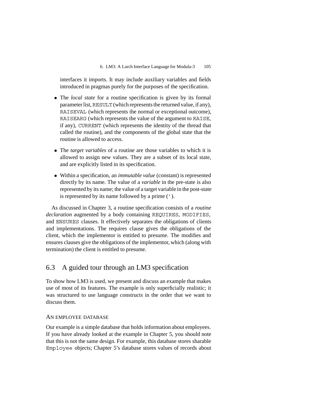interfaces it imports. It may include auxiliary variables and fields introduced in pragmas purely for the purposes of the specification.

- The *local state* for a routine specification is given by its formal parameter list, RESULT(which represents the returned value, if any), RAISEVAL (which represents the normal or exceptional outcome), RAISEARG (which represents the value of the argument to RAISE, if any), CURRENT (which represents the identity of the thread that called the routine), and the components of the global state that the routine is allowed to access.
- The *target variables* of a routine are those variables to which it is allowed to assign new values. They are a subset of its local state, and are explicitly listed in its specification.
- Within a specification, an *immutable value* (constant) is represented directly by its name. The value of a *variable* in the pre-state is also represented by its name; the value of a target variable in the post-state is represented by its name followed by a prime (').

As discussed in Chapter 3, a routine specification consists of a *routine declaration* augmented by a body containing REQUIRES, MODIFIES, and ENSURES clauses. It effectively separates the obligations of clients and implementations. The requires clause gives the obligations of the client, which the implementor is entitled to presume. The modifies and ensures clauses give the obligations of the implementor, which (along with termination) the client is entitled to presume.

# 6.3 A guided tour through an LM3 specification

To show how LM3 is used, we present and discuss an example that makes use of most of its features. The example is only superficially realistic; it was structured to use language constructs in the order that we want to discuss them.

#### AN EMPLOYEE DATABASE

Our example is a simple database that holds information about employees. If you have already looked at the example in Chapter 5, you should note that this is not the same design. For example, this database stores sharable Employee objects; Chapter 5's database stores values of records about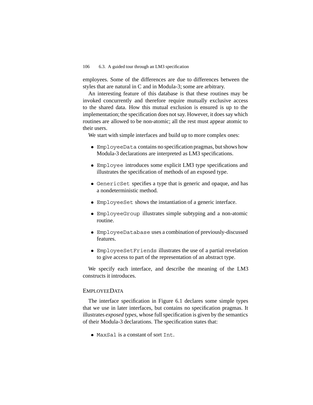#### 106 6.3. A guided tour through an LM3 specification

employees. Some of the differences are due to differences between the styles that are natural in C and in Modula-3; some are arbitrary.

An interesting feature of this database is that these routines may be invoked concurrently and therefore require mutually exclusive access to the shared data. How this mutual exclusion is ensured is up to the implementation;the specification does not say. However, it does say which routines are allowed to be non-atomic; all the rest must appear atomic to their users.

We start with simple interfaces and build up to more complex ones:

- EmployeeData contains no specification pragmas, but shows how Modula-3 declarations are interpreted as LM3 specifications.
- Employee introduces some explicit LM3 type specifications and illustrates the specification of methods of an exposed type.
- GenericSet specifies a type that is generic and opaque, and has a nondeterministic method.
- EmployeeSet shows the instantiation of a generic interface.
- EmployeeGroup illustrates simple subtyping and a non-atomic routine.
- EmployeeDatabase uses a combination of previously-discussed features.
- EmployeeSetFriends illustrates the use of a partial revelation to give access to part of the representation of an abstract type.

We specify each interface, and describe the meaning of the LM3 constructs it introduces.

# EMPLOYEEDATA

The interface specification in Figure 6.1 declares some simple types that we use in later interfaces, but contains no specification pragmas. It illustrates *exposed types*, whose full specification is given by the semantics of their Modula-3 declarations. The specification states that:

MaxSal is a constant of sort Int.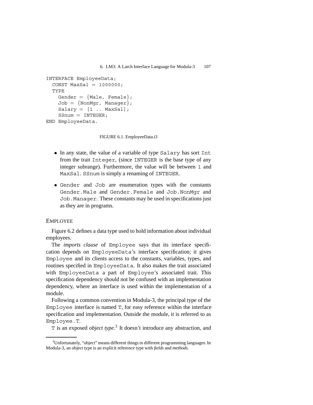```
INTERFACE EmployeeData;
  CONST MaxSal = 1000000;
  TYPE
   Gender = {Male, Female};Job = \{NonMgr, Manager\};Salary = [1 ... MaxSal];SSnum = INTEGR;END EmployeeData.
```
FIGURE 6.1. EmployeeData.i3

- In any state, the value of a variable of type Salary has sort Int from the trait Integer, (since INTEGER is the base type of any integer subrange). Furthermore, the value will be between 1 and MaxSal. SSnum is simply a renaming of INTEGER.
- Gender and Job are enumeration types with the constants Gender.Male and Gender.Female and Job.NonMgr and Job.Manager. These constants may be used in specifications just as they are in programs.

## EMPLOYEE

Figure 6.2 defines a data type used to hold information about individual employees.

The *imports clause* of Employee says that its interface specification depends on EmployeeData's interface specification; it gives Employee and its clients access to the constants, variables, types, and routines specified in EmployeeData. It also makes the trait associated with EmployeeData a part of Employee's associated trait. This specification dependency should not be confused with an implementation dependency, where an interface is used within the implementation of a module.

Following a common convention in Modula-3, the principal type of the Employee interface is named T, for easy reference within the interface specification and implementation. Outside the module, it is referred to as Employee.T.

T is an exposed *object type*. <sup>3</sup> It doesn't introduce any abstraction, and

<sup>&</sup>lt;sup>3</sup>Unfortunately, "object" means different things in different programming languages. In Modula-3, an object type is an explicit reference type with *fields* and *methods*.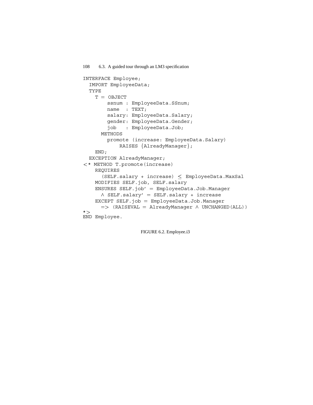```
108 6.3. A guided tour through an LM3 specification
INTERFACE Employee;
 IMPORT EmployeeData;
 TYPE
    T = OBJECTssnum : EmployeeData.SSnum;
        name : TEXT;
        salary: EmployeeData.Salary;
        gender: EmployeeData.Gender;
        job : EmployeeData.Job;
      METHODS
        promote (increase: EmployeeData.Salary)
            RAISES {AlreadyManager};
    END;
 EXCEPTION AlreadyManager;
* METHOD T.promote(increase)
    REQUIRES
      (SELF.salary + increase)  EmployeeData.MaxSal
   MODIFIES SELF.job, SELF.salary
   ENSURES SELF.job'  EmployeeData.Job.Manager
      \land SELF.salary' = SELF.salary + increase
   EXCEPT SELF.job = EmployeeData.Job.Manager
\ket{X} => (RAISEVAL = AlreadyManager \land UNCHANGED(ALL))

END Employee.
```
FIGURE 6.2. Employee.i3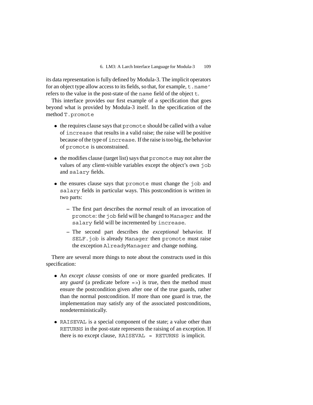its data representation is fully defined by Modula-3. The implicit operators for an object type allow access to its fields, so that, for example,  $t$ . name' refers to the value in the post-state of the name field of the object t.

This interface provides our first example of a specification that goes beyond what is provided by Modula-3 itself. In the specification of the method T.promote

- the requires clause says that promote should be called with a value of increase that results in a valid raise; the raise will be positive because of the type of increase. If the raise is too big, the behavior of promote is unconstrained.
- the modifies clause (target list) says that promote may not alter the values of any client-visible variables except the object's own job and salary fields.
- the ensures clause says that promote must change the job and salary fields in particular ways. This postcondition is written in two parts:
	- **–** The first part describes the *normal* result of an invocation of promote: the job field will be changed to Manager and the salary field will be incremented by increase.
	- **–** The second part describes the *exceptional* behavior. If SELF.job is already Manager then promote must raise the exception AlreadyManager and change nothing.

There are several more things to note about the constructs used in this specification:

- An *except clause* consists of one or more guarded predicates. If any *guard* (a predicate before  $\Rightarrow$ ) is true, then the method must ensure the postcondition given after one of the true guards, rather than the normal postcondition. If more than one guard is true, the implementation may satisfy any of the associated postconditions, nondeterministically.
- RAISEVAL is a special component of the state; a value other than RETURNS in the post-state represents the raising of an exception. If there is no except clause,  $RAISEVAL = RETURNS$  is implicit.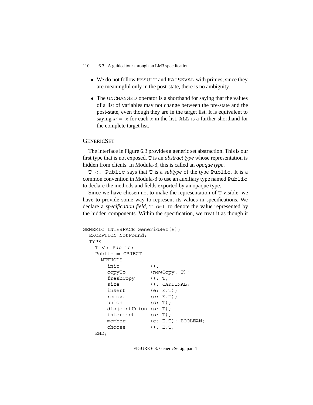- We do not follow RESULT and RAISEVAL with primes; since they are meaningful only in the post-state, there is no ambiguity.
- The UNCHANGED operator is a shorthand for saying that the values of a list of variables may not change between the pre-state and the post-state, even though they are in the target list. It is equivalent to saying  $x' = x$  for each x in the list. ALL is a further shorthand for the complete target list.

## **GENERICSET**

The interface in Figure 6.3 provides a generic set abstraction. This is our first type that is not exposed. T is an *abstract type* whose representation is hidden from clients. In Modula-3, this is called an *opaque type*.

T <: Public says that T is a *subtype* of the type Public. It is a common convention in Modula-3 to use an auxiliary type named Public to declare the methods and fields exported by an opaque type.

Since we have chosen not to make the representation of T visible, we have to provide some way to represent its values in specifications. We declare a *specification field*, T.set to denote the value represented by the hidden components. Within the specification, we treat it as though it

```
GENERIC INTERFACE GenericSet(E);
 EXCEPTION NotFound;
 TYPE
   T < : Public;Public = OBJECTMETHODS
      init ();
                 (newCopy: T);freshCopy (): T;
      size (): CARDINAL;
      insert (e: E.T);
      remove (e: E.T);
      union (s: T);
      disjointUnion (s: T);
      intersect (s: T);
      member (e: E.T): BOOLEAN;
      choose (): E.T;
   END;
```
FIGURE 6.3. GenericSet.ig, part 1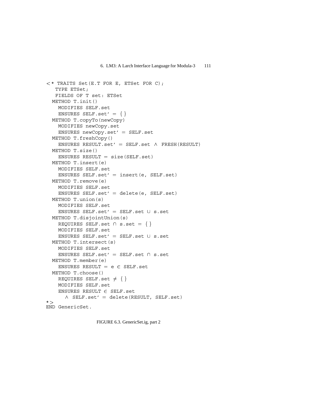```
\lt* TRAITS Set(E.T FOR E, ETSet FOR C);
   TYPE ETSet;
  FIELDS OF T set: ETSet
 METHOD T.init()
   MODIFIES SELF.set
   ENSURES SELF.set' = \{\}METHOD T.copyTo(newCopy)
   MODIFIES newCopy.set
   ENSURES newCopy.set' = SELF.set
 METHOD T.freshCopy()
   ENSURES RESULT.set' = SELF.set \land FRESH(RESULT)
 METHOD T.size()
   ENSURES RESULT = size(SELF.set)METHOD T.insert(e)
   MODIFIES SELF.set
   ENSURES SELF.set' = insert(e, SELF.set)
 METHOD T.remove(e)
   MODIFIES SELF.set
   ENSURES SELF.set' = delete(e, SELF.set)METHOD T.union(s)
   MODIFIES SELF.set
   ENSURES SELF.set' = SELF.set \cup s.set
 METHOD T.disjointUnion(s)
   REQUIRES SELF.set \cap s.set = \{\}MODIFIES SELF.set
   ENSURES SELF.set' = SELF.set \cup s.set
 METHOD T.intersect(s)
   MODIFIES SELF.set
   ENSURES SELF.set' = SELF.set \cap s.set
 METHOD T.member(e)
   ENSURES RESULT = e \in SELF.set
 METHOD T.choose()
   REQUIRES SELF.set \neq \{\}MODIFIES SELF.set
   ENSURES RESULT \in SELF.set
\land SELF.set' = delete(RESULT, SELF.set) *>

END GenericSet.
```
FIGURE 6.3. GenericSet.ig, part 2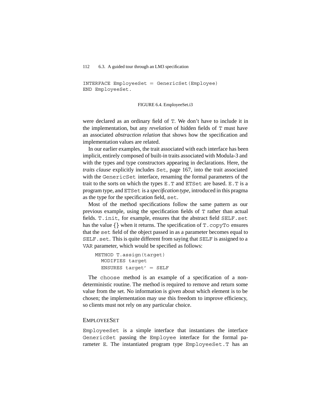112 6.3. A guided tour through an LM3 specification

```
INTERFACE EmployeeSet  GenericSet(Employee)
END EmployeeSet.
```
FIGURE 6.4. EmployeeSet.i3

were declared as an ordinary field of T. We don't have to include it in the implementation, but any *revelation* of hidden fields of T must have an associated *abstraction relation* that shows how the specification and implementation values are related.

In our earlier examples, the trait associated with each interface has been implicit, entirely composed of built-in traits associated with Modula-3 and with the types and type constructors appearing in declarations. Here, the *traits clause* explicitly includes Set, page 167, into the trait associated with the GenericSet interface, renaming the formal parameters of the trait to the sorts on which the types E.T and ETSet are based. E.T is a program type, and ETSet is a *specification type*, introduced in this pragma as the type for the specification field, set.

Most of the method specifications follow the same pattern as our previous example, using the specification fields of T rather than actual fields. T.init, for example, ensures that the abstract field SELF.set has the value  $\{\}$  when it returns. The specification of T.copyTo ensures that the set field of the object passed in as a parameter becomes equal to SELF. set. This is quite different from saying that SELF is assigned to a VAR parameter, which would be specified as follows:

```
METHOD T.assign(target)
 MODIFIES target
  ENSURES target' = SELF
```
The choose method is an example of a specification of a nondeterministic routine. The method is required to remove and return some value from the set. No information is given about which element is to be chosen; the implementation may use this freedom to improve efficiency, so clients must not rely on any particular choice.

## EMPLOYEESET

EmployeeSet is a simple interface that instantiates the interface GenericSet passing the Employee interface for the formal parameter E. The instantiated program type EmployeeSet.T has an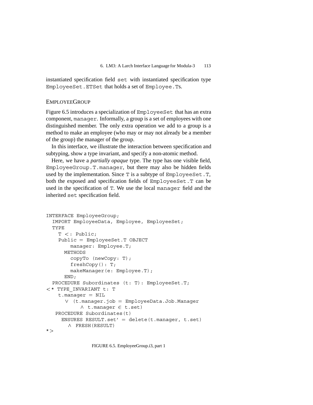instantiated specification field set with instantiated specification type EmployeeSet.ETSet that holds a set of Employee.Ts.

## EMPLOYEEGROUP

Figure 6.5 introduces a specialization of EmployeeSet that has an extra component, manager. Informally, a group is a set of employees with one distinguished member. The only extra operation we add to a group is a method to make an employee (who may or may not already be a member of the group) the manager of the group.

In this interface, we illustrate the interaction between specification and subtyping, show a type invariant, and specify a non-atomic method.

Here, we have a *partially opaque* type. The type has one visible field, EmployeeGroup.T.manager, but there may also be hidden fields used by the implementation. Since T is a subtype of EmployeeSet.T, both the exposed and specification fields of EmployeeSet.T can be used in the specification of T. We use the local manager field and the inherited set specification field.

```
INTERFACE EmployeeGroup;
 IMPORT EmployeeData, Employee, EmployeeSet;
 TYPE
   T < : Public;Public  EmployeeSet.T OBJECT
       manager: Employee.T;
     METHODS
       copyTo (newCopy: T);
       freshCopy(): T;
       makeManager(e: Employee.T);
     END;
 PROCEDURE Subordinates (t: T): EmployeeSet.T;
<* TYPE INVARIANT t: T
   t.manager = NIL
       (t.manager.job  EmployeeData.Job.Manager
           \land t.manager \in t.set)
  PROCEDURE Subordinates(t)
    ENSURES RESULT.set' = delete(t.manager, t.set)
\land FRESH(RESULT) *>
```

```
FIGURE 6.5. EmployeeGroup.i3, part 1
```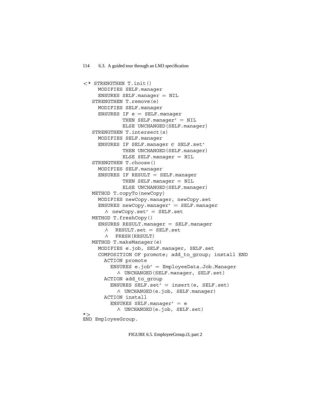```
\lt* STRENGTHEN T.init()
    MODIFIES SELF.manager
    ENSURES SELF.maxPage r = NILSTRENGTHEN T.remove(e)
    MODIFIES SELF.manager
    ENSURES IF e = SELF.manager
            THEN SELF.manager' = NIL
            ELSE UNCHANGED(SELF.manager)
  STRENGTHEN T.intersect(s)
    MODIFIES SELF.manager
    ENSURES IF SELF.manager \in SELF.set'
            THEN UNCHANGED(SELF.manager)
            ELSE SELF.manager = NIL
  STRENGTHEN T.choose()
    MODIFIES SELF.manager
    ENSURES IF RESULT = SELF.manager
             THEN SELF.manager = NIL
             ELSE UNCHANGED(SELF.manager)
  METHOD T.copyTo(newCopy)
    MODIFIES newCopy.manager, newCopy.set
    ENSURES newCopy.manager' = SELF.manager
       \land newCopy.set' = SELF.set
  METHOD T.freshCopy()
    ENSURES RESULT.manager = SELF.manager
       \land RESULT.set = SELF.set
        FRESH(RESULT)
  METHOD T.makeManager(e)
    MODIFIES e.job, SELF.manager, SELF.set
    COMPOSITION OF promote; add_to_group; install END
      ACTION promote
         ENSURES e.job' = EmployeeData.Job.Manager UNCHANGED(SELF.manager, SELF.set)
      ACTION add_to_group
         ENSURES SELF.set' = insert(e, SELF.set)
            UNCHANGED(e.job, SELF.manager)
      ACTION install
        ENSURES SELF.manager' = e
           \land UNCHANGED(e.job, SELF.set)

END EmployeeGroup.
```
114 6.3. A guided tour through an LM3 specification

FIGURE 6.5. EmployeeGroup.i3, part 2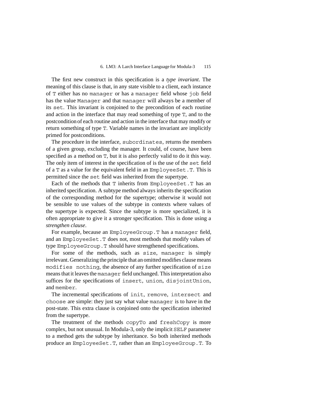The first new construct in this specification is a *type invariant*. The meaning of this clause is that, in any state visible to a client, each instance of T either has no manager or has a manager field whose job field has the value Manager and that manager will always be a member of its set. This invariant is conjoined to the precondition of each routine and action in the interface that may read something of type T, and to the postcondition of each routine and action in the interface that may modify or return something of type T. Variable names in the invariant are implicitly primed for postconditions.

The procedure in the interface, subordinates, returns the members of a given group, excluding the manager. It could, of course, have been specified as a method on T, but it is also perfectly valid to do it this way. The only item of interest in the specification of is the use of the set field of a T as a value for the equivalent field in an EmployeeSet.T. This is permitted since the set field was inherited from the supertype.

Each of the methods that T inherits from EmployeeSet.T has an inherited specification. A subtype method always inherits the specification of the corresponding method for the supertype; otherwise it would not be sensible to use values of the subtype in contexts where values of the supertype is expected. Since the subtype is more specialized, it is often appropriate to give it a stronger specification. This is done using a *strengthen clause*.

For example, because an EmployeeGroup.T has a manager field, and an EmployeeSet.T does not, most methods that modify values of type EmployeeGroup.T should have strengthened specifications.

For some of the methods, such as size, manager is simply irrelevant. Generalizing the principle that an omitted modifies clause means modifies nothing, the absence of any further specification of size means that it leaves the manager field unchanged. This interpretation also suffices for the specifications of insert, union, disjointUnion, and member.

The incremental specifications of init, remove, intersect and choose are simple: they just say what value manager is to have in the post-state. This extra clause is conjoined onto the specification inherited from the supertype.

The treatment of the methods copyTo and freshCopy is more complex, but not unusual. In Modula-3, only the implicit SELF parameter to a method gets the subtype by inheritance. So both inherited methods produce an EmployeeSet.T, rather than an EmployeeGroup.T. To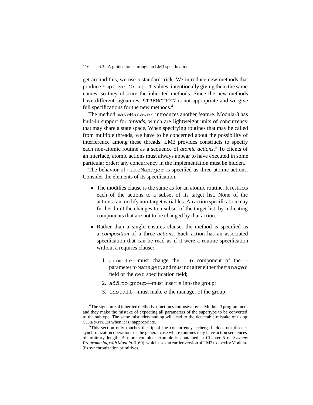get around this, we use a standard trick. We introduce new methods that produce EmployeeGroup.T values, intentionally giving them the same names, so they obscure the inherited methods. Since the new methods have different signatures, STRENGTHEN is not appropriate and we give full specifications for the new methods.<sup>4</sup>

The method makeManager introduces another feature. Modula-3 has built-in support for *threads*, which are lightweight units of concurrency that may share a state space. When specifying routines that may be called from multiple threads, we have to be concerned about the possibility of interference among these threads. LM3 provides constructs to specify each non-atomic routine as a sequence of *atomic actions*. <sup>5</sup> To clients of an interface, atomic actions must always appear to have executed in some particular order; any concurrency in the implementation must be hidden.

The behavior of makeManager is specified as three atomic actions. Consider the elements of its specification:

- The modifies clause is the same as for an atomic routine. It restricts each of the actions to a subset of its target list. None of the actions can modify non-target variables. An action specification may further limit the changes to a subset of the target list, by indicating components that are not to be changed by that action.
- Rather than a single ensures clause, the method is specified as a *composition* of a three *actions*. Each action has an associated specification that can be read as if it were a routine specification without a requires clause:
	- 1. promote—must change the job component of the e parameter to Manager, and must not alter either the manager field or the set specification field;
	- 2. add to group—must insert e into the group;
	- 3. install—must make e the manager of the group.

<sup>&</sup>lt;sup>4</sup>The signature of inherited methods sometimes confuses novice Modula-3 programmers and they make the mistake of expecting all parameters of the supertype to be converted to the subtype. The same misunderstanding will lead to the detectable mistake of using STRENGTHEN when it is inappropriate.

<sup>&</sup>lt;sup>5</sup>This section only touches the tip of the concurrency iceberg. It does not discuss synchronization operations or the general case where routines may have action sequences of arbitrary length. A more complete example is contained in Chapter 5 of *Systems Programmingwith Modula-3* [69], which uses an earlier version of LM3 to specifyModula-3's synchronization primitives.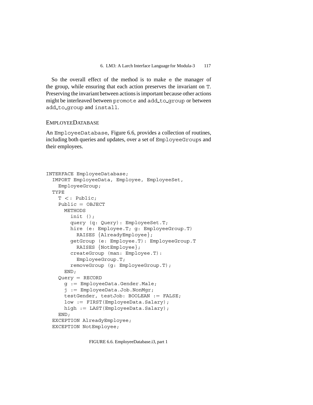So the overall effect of the method is to make e the manager of the group, while ensuring that each action preserves the invariant on T. Preserving the invariant between actions is important because other actions might be interleaved between promote and add to group or between add\_to\_qroup and install.

## EMPLOYEEDATABASE

An EmployeeDatabase, Figure 6.6, provides a collection of routines, including both queries and updates, over a set of EmployeeGroups and their employees.

```
INTERFACE EmployeeDatabase;
 IMPORT EmployeeData, Employee, EmployeeSet,
   EmployeeGroup;
 TYPE
   T < : Public;Public = OBJECTMETHODS
       init ();
       query (q: Query): EmployeeSet.T;
       hire (e: Employee.T; g: EmployeeGroup.T)
         RAISES {AlreadyEmployee};
       getGroup (e: Employee.T): EmployeeGroup.T
         RAISES {NotEmployee};
       createGroup (man: Employee.T):
         EmployeeGroup.T;
       removeGroup (g: EmployeeGroup.T);
     END;
   Query = RECORDg := EmployeeData.Gender.Male;
     j := EmployeeData.Job.NonMgr;testGender, testJob: BOOLEAN := FALSE;
     low := FIRST(EmployeeData.Salary);high := LAST(EmployeeData.Salary);
   END;
 EXCEPTION AlreadyEmployee;
  EXCEPTION NotEmployee;
```
FIGURE 6.6. EmployeeDatabase.i3, part 1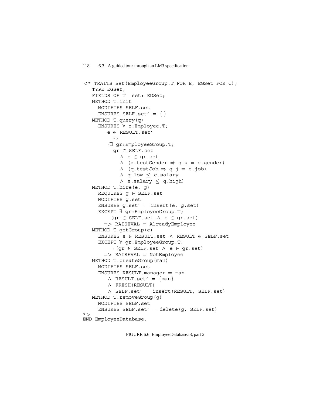```
* TRAITS Set(EmployeeGroup.T FOR E, EGSet FOR C);
   TYPE EGSet;
   FIELDS OF T set: EGSet;
   METHOD T.init
     MODIFIES SELF.set
     ENSURES SELF.set' = \{\}METHOD T.query(q)
     ENSURES \forall e: Employee. T;
         e \in RESULT.set'
           \Leftrightarrow(\exists gr:EmployeeGroup.T;
           gr \in SELF.set\wedge e \in gr.set
             \land (q.testGender \Rightarrow q.g = e.gender)
             \land (q.testJob \Rightarrow q.j = e.job)
             \land q.low \leq e.salary
             \land e.salary \leq q.high)
   METHOD T.hire(e, g)
     REQUIRES g \in SELF.setMODIFIES g.set
     ENSURES g.set' = insert(e, g.set)EXCEPT \exists gr: EmployeeGroup. T;
          (gr \in SELF.set \land e \in gr.set)-
 RAISEVAL  AlreadyEmployee
   METHOD T.getGroup(e)
     ENSURES e \in RESULT.set \land RESULT \in SELF.set
     EXCEPT ∀ gr:EmployeeGroup.T;
          \neg (gr \in SELF.set \land e \in gr.set)
        -
 RAISEVAL  NotEmployee
   METHOD T.createGroup(man)
     MODIFIES SELF.set
     ENSURES RESULT.manager = man
         \land RESULT.set' = {man}
          FRESH(RESULT)
         \land SELF.set' = insert(RESULT, SELF.set)
   METHOD T. removeGroup(g)
     MODIFIES SELF.set
ENSURES SELF.set' = delete(g, SELF.set) *>

END EmployeeDatabase.
```
FIGURE 6.6. EmployeeDatabase.i3, part 2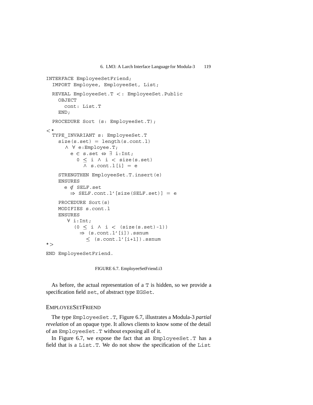```
INTERFACE EmployeeSetFriend;
  IMPORT Employee, EmployeeSet, List;
  REVEAL EmployeeSet.T <: EmployeeSet.Public
    OBJECT
      cont: List.T
    END;
  PROCEDURE Sort (s: EmployeeSet.T);
  TYPE_INVARIANT s: EmployeeSet.T
    size(s.set) = length(s.contrib.1)\land \forall e: Employee. T;
         e \in s.set \Leftrightarrow \exists i:Int;
           0 \leq i \land i < size(s.set)\land s.cont.l[i] = e
    STRENGTHEN EmployeeSet.T.insert(e)
    ENSURES
      e \notin SELF.set
         \Rightarrow SELF.cont.l'[size(SELF.set)] = e
```
6. LM3: A Larch Interface Language for Modula-3 119

```
PROCEDURE Sort(s)
    MODIFIES s.cont.l
    ENSURES
       \forall i:Int;
          (0 \leq i \land i < (size(s.set)-1))\Rightarrow (s.cont.l'[i]).ssnum
\leq (s.cont.l'[i+1]).ssnum *>
```
END EmployeeSetFriend.

\*

```
FIGURE 6.7. EmployeeSetFriend.i3
```
As before, the actual representation of a  $T$  is hidden, so we provide a specification field set, of abstract type EGSet.

## EMPLOYEESETFRIEND

The type EmployeeSet.T, Figure 6.7, illustrates a Modula-3 *partial revelation* of an opaque type. It allows clients to know some of the detail of an EmployeeSet.T without exposing all of it.

In Figure 6.7, we expose the fact that an EmployeeSet.T has a field that is a List.T. We do not show the specification of the List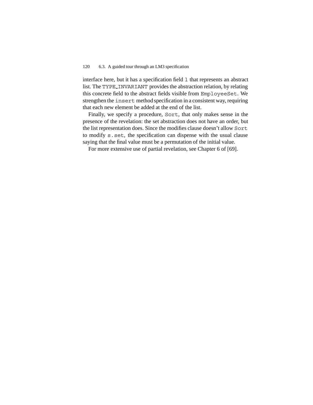#### 120 6.3. A guided tour through an LM3 specification

interface here, but it has a specification field l that represents an abstract list. The TYPE INVARIANT provides the abstraction relation, by relating this concrete field to the abstract fields visible from EmployeeSet. We strengthen the insert method specification in a consistent way, requiring that each new element be added at the end of the list.

Finally, we specify a procedure, Sort, that only makes sense in the presence of the revelation: the set abstraction does not have an order, but the list representation does. Since the modifies clause doesn't allow Sort to modify s.set, the specification can dispense with the usual clause saying that the final value must be a permutation of the initial value.

For more extensive use of partial revelation, see Chapter 6 of [69].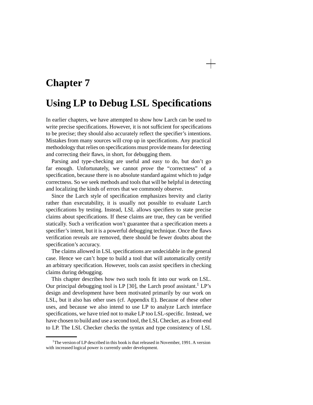# **Chapter 7**

# **Using LP to Debug LSL Specifications**

In earlier chapters, we have attempted to show how Larch can be used to write precise specifications. However, it is not sufficient for specifications to be precise; they should also accurately reflect the specifier's intentions. Mistakes from many sources will crop up in specifications. Any practical methodology that relies on specifications must provide means for detecting and correcting their flaws, in short, for debugging them.

Parsing and type-checking are useful and easy to do, but don't go far enough. Unfortunately, we cannot *prove* the "correctness" of a specification, because there is no absolute standard against which to judge correctness. So we seek methods and tools that will be helpful in detecting and localizing the kinds of errors that we commonly observe.

Since the Larch style of specification emphasizes brevity and clarity rather than executability, it is usually not possible to evaluate Larch specifications by testing. Instead, LSL allows specifiers to state precise claims about specifications. If these claims are true, they can be verified statically. Such a verification won't guarantee that a specification meets a specifier's intent, but it is a powerful debugging technique. Once the flaws verification reveals are removed, there should be fewer doubts about the specification's accuracy.

The claims allowed in LSL specifications are undecidable in the general case. Hence we can't hope to build a tool that will automatically certify an arbitrary specification. However, tools can assist specifiers in checking claims during debugging.

This chapter describes how two such tools fit into our work on LSL. Our principal debugging tool is LP [30], the Larch proof assistant.<sup>1</sup> LP's design and development have been motivated primarily by our work on LSL, but it also has other uses (cf. Appendix E). Because of these other uses, and because we also intend to use LP to analyze Larch interface specifications, we have tried not to make LP too LSL-specific. Instead, we have chosen to build and use a second tool, the LSL Checker, as a front-end to LP. The LSL Checker checks the syntax and type consistency of LSL

<sup>&</sup>lt;sup>1</sup>The version of LP described in this book is that released in November, 1991. A version with increased logical power is currently under development.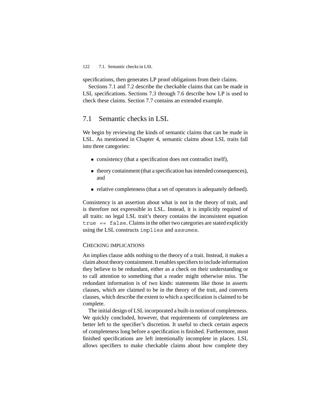#### 122 7.1. Semantic checks in LSL

specifications, then generates LP proof obligations from their claims.

Sections 7.1 and 7.2 describe the checkable claims that can be made in LSL specifications. Sections 7.3 through 7.6 describe how LP is used to check these claims. Section 7.7 contains an extended example.

# 7.1 Semantic checks in LSL

We begin by reviewing the kinds of semantic claims that can be made in LSL. As mentioned in Chapter 4, semantic claims about LSL traits fall into three categories:

- consistency (that a specification does not contradict itself),
- theory containment (that a specification has intended consequences), and
- relative completeness (that a set of operators is adequately defined).

Consistency is an assertion about what is not in the theory of trait, and is therefore not expressible in LSL. Instead, it is implicitly required of all traits: no legal LSL trait's theory contains the inconsistent equation true  $=$  false. Claims in the other two categories are stated explicitly using the LSL constructs implies and assumes.

### CHECKING IMPLICATIONS

An implies clause adds nothing to the theory of a trait. Instead, it makes a claim about theory containment. It enables specifiers to include information they believe to be redundant, either as a check on their understanding or to call attention to something that a reader might otherwise miss. The redundant information is of two kinds: statements like those in asserts clauses, which are claimed to be in the theory of the trait, and converts clauses, which describe the extent to which a specification is claimed to be complete.

The initial design of LSL incorporated a built-in notion of completeness. We quickly concluded, however, that requirements of completeness are better left to the specifier's discretion. It useful to check certain aspects of completeness long before a specification is finished. Furthermore, most finished specifications are left intentionally incomplete in places. LSL allows specifiers to make checkable claims about how complete they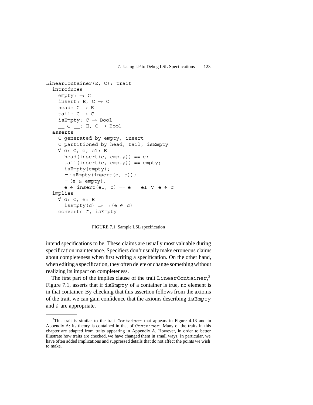```
LinearContainer(E, C): trait
  introduces
    empty: \rightarrow Cinsert: E, C \rightarrow Chead: C \rightarrow Etail: C \rightarrow CisEmpty: C \rightarrow Bool
    \qquad \in \_ : E, C \rightarrow Bool
  asserts
    C generated by empty, insert
    C partitioned by head, tail, isEmpty
     ∀ c: C, e, e1: E
       head(insert(e, empty)) == e;
       tail(insert(e, empty)) == empty;isEmpty(empty); \negisEmpty(insert(e, c));
       \neg (e \in empty);
       e \in insert(e1, c) == e = e1 V e \in cimplies
     ∀ c: C, e: E
       isEmpty(c) \Rightarrow \neg (e \in c)converts \in, isEmpty
```
FIGURE 7.1. Sample LSL specification

intend specifications to be. These claims are usually most valuable during specification maintenance. Specifiers don't usually make erroneous claims about completeness when first writing a specification. On the other hand, when editing a specification, they often delete or change something without realizing its impact on completeness.

The first part of the implies clause of the trait Linear Container, $^2$ Figure 7.1, asserts that if isEmpty of a container is true, no element is in that container. By checking that this assertion follows from the axioms of the trait, we can gain confidence that the axioms describing isEmpty and  $\in$  are appropriate.

 $2$ This trait is similar to the trait Container that appears in Figure 4.13 and in Appendix A: its theory is contained in that of Container. Many of the traits in this chapter are adapted from traits appearing in Appendix A. However, in order to better illustrate how traits are checked, we have changed them in small ways. In particular, we have often added implications and suppressed details that do not affect the points we wish to make.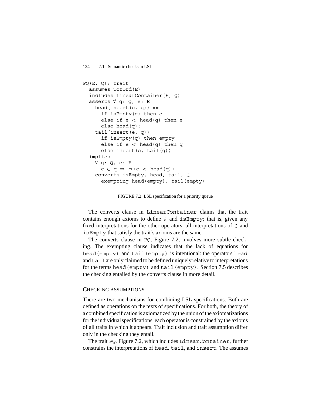```
124 7.1. Semantic checks in LSL
PQ(E, Q): trait
  assumes TotOrd(E)
  includes LinearContainer(E, Q)
  asserts ∀ q: Q, e: E
    head(insert(e, q)) ==
      if isEmpty(q) then e
      else if e < head(q) then e
      else head(q);
    tail(insert(e, q)) ==
      if isEmpty(q) then empty
      else if e < head(q) then q
      else insert(e, tail(q))
  implies
    -
 q: Q, e: E
      e \in q \Rightarrow \neg (e \leq head(q))converts isEmpty, head, tail, 	
      exempting head(empty), tail(empty)
```
FIGURE 7.2. LSL specification for a priority queue

The converts clause in LinearContainer claims that the trait contains enough axioms to define  $\in$  and is Empty; that is, given any fixed interpretations for the other operators, all interpretations of  $\in$  and isEmpty that satisfy the trait's axioms are the same.

The converts clause in PQ, Figure 7.2, involves more subtle checking. The exempting clause indicates that the lack of equations for head(empty) and tail(empty) is intentional: the operators head and tail are only claimed to be defined uniquely relative to interpretations for the terms head(empty) and tail(empty). Section 7.5 describes the checking entailed by the converts clause in more detail.

### CHECKING ASSUMPTIONS

There are two mechanisms for combining LSL specifications. Both are defined as operations on the texts of specifications. For both, the theory of a combined specification is axiomatized by the union of the axiomatizations for the individual specifications; each operator is constrained by the axioms of all traits in which it appears. Trait inclusion and trait assumption differ only in the checking they entail.

The trait PQ, Figure 7.2, which includes LinearContainer, further constrains the interpretations of head, tail, and insert. The assumes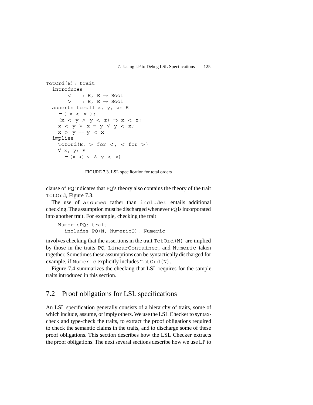```
TotOrd(E): trait
  introduces
    \_\_ < \_\_: E, E \rightarrow Bool
     > : E, E \rightarrow Bool
  asserts forall x, y, z: E \neg ( x < x ) ;(x < y \land y < z) \Rightarrow x < z;x < y \lor x = y \lor y < x;x > y == y < ximplies
     TotOrd(E, > for <, < for >)
     -
 x, y: E \neg\ (x\ <\ y\ \land\ y\ <\ x)
```
FIGURE 7.3. LSL specification for total orders

clause of PQ indicates that PQ's theory also contains the theory of the trait TotOrd, Figure 7.3.

The use of assumes rather than includes entails additional checking. The assumption must be discharged whenever PQ is incorporated into another trait. For example, checking the trait

```
NumericPQ: trait
  includes PQ(N, NumericQ), Numeric
```
involves checking that the assertions in the trait TotOrd(N) are implied by those in the traits PQ, LinearContainer, and Numeric taken together. Sometimes these assumptions can be syntactically discharged for example, if Numeric explicitly includes TotOrd(N).

Figure 7.4 summarizes the checking that LSL requires for the sample traits introduced in this section.

# 7.2 Proof obligations for LSL specifications

An LSL specification generally consists of a hierarchy of traits, some of which include, assume, or imply others. We use the LSL Checker to syntaxcheck and type-check the traits, to extract the proof obligations required to check the semantic claims in the traits, and to discharge some of these proof obligations. This section describes how the LSL Checker extracts the proof obligations. The next several sections describe how we use LP to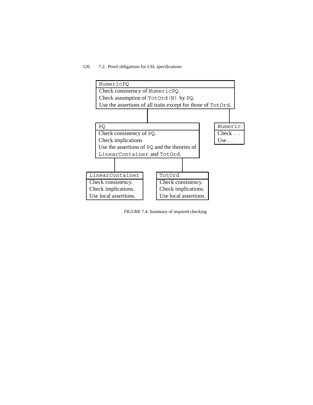## 126 7.2. Proof obligations for LSL specifications



FIGURE 7.4. Summary of required checking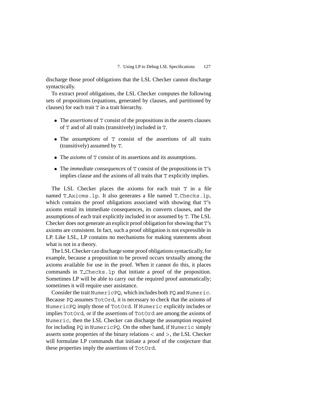discharge those proof obligations that the LSL Checker cannot discharge syntactically.

To extract proof obligations, the LSL Checker computes the following sets of propositions (equations, generated by clauses, and partitioned by clauses) for each trait  $T$  in a trait hierarchy.

- The *assertions* of T consist of the propositions in the asserts clauses of T and of all traits (transitively) included in T.
- The *assumptions* of T consist of the assertions of all traits (transitively) assumed by T.
- The *axioms* of T consist of its assertions and its assumptions.
- The *immediate consequences* of T consist of the propositions in T's implies clause and the axioms of all traits that T explicitly implies.

The LSL Checker places the axioms for each trait T in a file named T Axioms.lp. It also generates a file named T Checks.lp, which contains the proof obligations associated with showing that T's axioms entail its immediate consequences, its converts clauses, and the assumptions of each trait explicitly included in or assumed by T. The LSL Checker does not generate an explicit proof obligation for showing that T's axioms are consistent. In fact, such a proof obligation is not expressible in LP. Like LSL, LP contains no mechanisms for making statements about what is not in a theory.

The LSL Checker can discharge some proof obligations syntactically, for example, because a proposition to be proved occurs textually among the axioms available for use in the proof. When it cannot do this, it places commands in T Checks.lp that initiate a proof of the proposition. Sometimes LP will be able to carry out the required proof automatically; sometimes it will require user assistance.

Consider the trait NumericPQ, which includes both PQ and Numeric. Because PQ assumes TotOrd, it is necessary to check that the axioms of NumericPQ imply those of TotOrd. If Numeric explicitly includes or implies TotOrd, or if the assertions of TotOrd are among the axioms of Numeric, then the LSL Checker can discharge the assumption required for including PQ in NumericPQ. On the other hand, if Numeric simply asserts some properties of the binary relations  $\langle$  and  $\rangle$ , the LSL Checker will formulate LP commands that initiate a proof of the conjecture that these properties imply the assertions of TotOrd.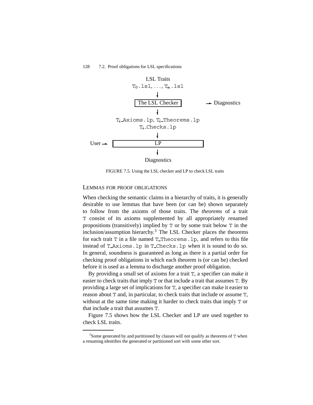

FIGURE 7.5. Using the LSL checker and LP to check LSL traits

#### LEMMAS FOR PROOF OBLIGATIONS

When checking the semantic claims in a hierarchy of traits, it is generally desirable to use lemmas that have been (or can be) shown separately to follow from the axioms of those traits. The *theorems* of a trait T consist of its axioms supplemented by all appropriately renamed propositions (transitively) implied by T or by some trait below T in the inclusion/assumption hierarchy.<sup>3</sup> The LSL Checker places the theorems for each trait  $T$  in a file named  $T$  Theorems. 1p, and refers to this file instead of T Axioms.lp in T Checks.lp when it is sound to do so. In general, soundness is guaranteed as long as there is a partial order for checking proof obligations in which each theorem is (or can be) checked before it is used as a lemma to discharge another proof obligation.

By providing a small set of axioms for a trait T, a specifier can make it easier to check traits that imply T or that include a trait that assumes T. By providing a large set of implications for T, a specifier can make it easier to reason about T and, in particular, to check traits that include or assume T, without at the same time making it harder to check traits that imply T or that include a trait that assumes T.

Figure 7.5 shows how the LSL Checker and LP are used together to check LSL traits.

 $3$ Some generated by and partitioned by clauses will not qualify as theorems of  $T$  when a renaming identifies the generated or partitioned sort with some other sort.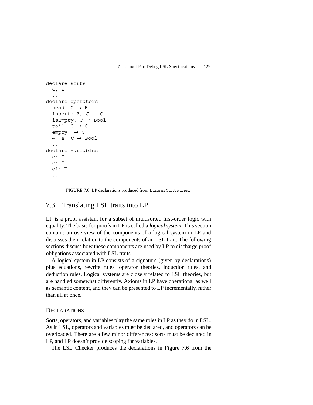```
declare sorts
  C, E
   ..
declare operators
  head: C \rightarrow Einsert: E, C \rightarrow CisEmpty: C \rightarrow Bool
  tail: C \rightarrow Cempty: \rightarrow C\in: E, C \rightarrow Bool
   ..
declare variables
  e: E
  c: C
  e1: E
   ..
```
FIGURE 7.6. LP declarations produced from LinearContainer

# 7.3 Translating LSL traits into LP

LP is a proof assistant for a subset of multisorted first-order logic with equality. The basis for proofs in LP is called a *logical system*. This section contains an overview of the components of a logical system in LP and discusses their relation to the components of an LSL trait. The following sections discuss how these components are used by LP to discharge proof obligations associated with LSL traits.

A logical system in LP consists of a signature (given by declarations) plus equations, rewrite rules, operator theories, induction rules, and deduction rules. Logical systems are closely related to LSL theories, but are handled somewhat differently. Axioms in LP have operational as well as semantic content, and they can be presented to LP incrementally, rather than all at once.

#### DECLARATIONS

Sorts, operators, and variables play the same roles in LP as they do in LSL. As in LSL, operators and variables must be declared, and operators can be overloaded. There are a few minor differences: sorts must be declared in LP, and LP doesn't provide scoping for variables.

The LSL Checker produces the declarations in Figure 7.6 from the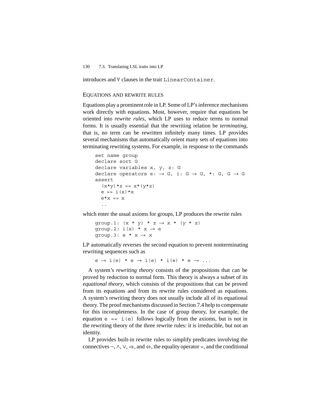#### 130 7.3. Translating LSL traits into LP

introduces and  $\forall$  clauses in the trait LinearContainer.

#### EQUATIONS AND REWRITE RULES

Equations play a prominent role in LP. Some of LP's inference mechanisms work directly with equations. Most, however, require that equations be oriented into *rewrite rules*, which LP uses to reduce terms to normal forms. It is usually essential that the rewriting relation be *terminating*, that is, no term can be rewritten infinitely many times. LP provides several mechanisms that automatically orient many sets of equations into terminating rewriting systems. For example, in response to the commands

```
set name group
declare sort G
declare variables x, y, z: G
declare operators e: \rightarrow G, i: G \rightarrow G, *: G, G \rightarrow G
assert
  (x*y)*z == x*(y*z)e == i(x) * xe^{\star}x == x..
```
which enter the usual axioms for groups, LP produces the rewrite rules

qroup.1:  $(x * y) * z \rightarrow x * (y * z)$ qroup.2:  $i(x) * x \rightarrow e$ group.3:  $e * x \rightarrow x$ 

LP automatically reverses the second equation to prevent nonterminating rewriting sequences such as

 $e \rightarrow i(e) * e \rightarrow i(e) * i(e) * e \rightarrow ...$ 

A system's *rewriting theory* consists of the propositions that can be proved by reduction to normal form. This theory is always a subset of its *equational theory*, which consists of the propositions that can be proved from its equations and from its rewrite rules considered as equations. A system's rewriting theory does not usually include all of its equational theory. The proof mechanisms discussed in Section 7.4 help to compensate for this incompleteness. In the case of group theory, for example, the equation  $e = i(e)$  follows logically from the axioms, but is not in the rewriting theory of the three rewrite rules: it is irreducible, but not an identity.

LP provides built-in rewrite rules to simplify predicates involving the connectives  $\neg, \wedge, \vee, \Rightarrow$ , and  $\Leftrightarrow$ , the equality operator =, and the conditional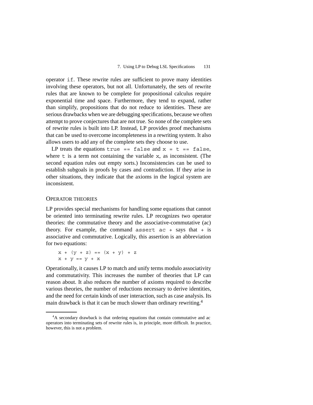operator if. These rewrite rules are sufficient to prove many identities involving these operators, but not all. Unfortunately, the sets of rewrite rules that are known to be complete for propositional calculus require exponential time and space. Furthermore, they tend to expand, rather than simplify, propositions that do not reduce to identities. These are serious drawbacks when we are debugging specifications, because we often attempt to prove conjectures that are not true. So none of the complete sets of rewrite rules is built into LP. Instead, LP provides proof mechanisms that can be used to overcome incompleteness in a rewriting system. It also allows users to add any of the complete sets they choose to use.

LP treats the equations true == false and  $x = t$  == false, where  $t$  is a term not containing the variable  $x$ , as inconsistent. (The second equation rules out empty sorts.) Inconsistencies can be used to establish subgoals in proofs by cases and contradiction. If they arise in other situations, they indicate that the axioms in the logical system are inconsistent.

#### OPERATOR THEORIES

LP provides special mechanisms for handling some equations that cannot be oriented into terminating rewrite rules. LP recognizes two operator theories: the commutative theory and the associative-commutative (ac) theory. For example, the command assert  $ac + says that + is$ associative and commutative. Logically, this assertion is an abbreviation for two equations:

 $x + (y + z) = (x + y) + z$  $x + y == y + x$ 

Operationally, it causes LP to match and unify terms modulo associativity and commutativity. This increases the number of theories that LP can reason about. It also reduces the number of axioms required to describe various theories, the number of reductions necessary to derive identities, and the need for certain kinds of user interaction, such as case analysis. Its main drawback is that it can be much slower than ordinary rewriting.<sup>4</sup>

<sup>&</sup>lt;sup>4</sup>A secondary drawback is that ordering equations that contain commutative and ac operators into terminating sets of rewrite rules is, in principle, more difficult. In practice, however, this is not a problem.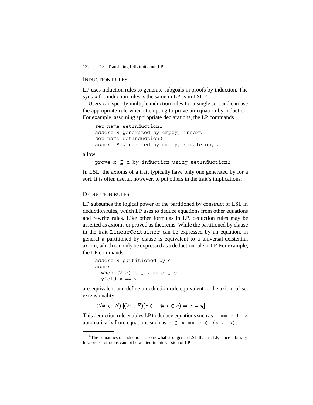132 7.3. Translating LSL traits into LP

#### INDUCTION RULES

LP uses induction rules to generate subgoals in proofs by induction. The syntax for induction rules is the same in LP as in LSL.<sup>5</sup>

Users can specify multiple induction rules for a single sort and can use the appropriate rule when attempting to prove an equation by induction. For example, assuming appropriate declarations, the LP commands

```
set name setInduction1
assert S generated by empty, insert
set name setInduction2
assert S generated by empty, singleton, U
```
allow

prove  $x \subseteq x$  by induction using setInduction2

In LSL, the axioms of a trait typically have only one generated by for a sort. It is often useful, however, to put others in the trait's implications.

### DEDUCTION RULES

LP subsumes the logical power of the partitioned by construct of LSL in deduction rules, which LP uses to deduce equations from other equations and rewrite rules. Like other formulas in LP, deduction rules may be asserted as axioms or proved as theorems. While the partitioned by clause in the trait LinearContainer can be expressed by an equation, in general a partitioned by clause is equivalent to a universal-existential axiom, which can only be expressed as a deduction rule in LP. For example, the LP commands

```
assert S partitioned by \inassert
  when (\forall e) e \in x == e \in yyield x == y
```
are equivalent and define a deduction rule equivalent to the axiom of set extensionality

 $(\forall x,y:S)~[(\forall e:E)(e\in x \Leftrightarrow e\in y)\Rightarrow x=y]$ 

This deduction rule enables LP to deduce equations such as  $x = x \cup x$ automatically from equations such as  $e \in x == e \in (x \cup x)$ .

<sup>&</sup>lt;sup>5</sup>The semantics of induction is somewhat stronger in LSL than in LP, since arbitrary first-order formulas cannot be written in this version of LP.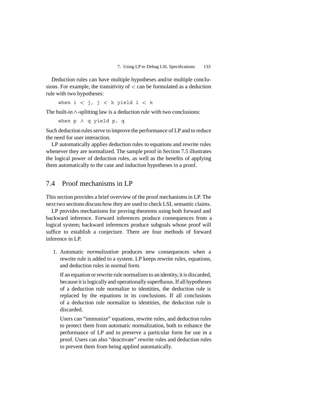Deduction rules can have multiple hypotheses and/or multiple conclusions. For example, the transitivity of  $\langle$  can be formulated as a deduction rule with two hypotheses:

when  $i < j$ ,  $j < k$  yield  $i < k$ 

The built-in  $\wedge$ -splitting law is a deduction rule with two conclusions:

when  $p \wedge q$  yield  $p$ , q

Such deduction rules serve to improve the performance of LP and to reduce the need for user interaction.

LP automatically applies deduction rules to equations and rewrite rules whenever they are normalized. The sample proof in Section 7.5 illustrates the logical power of deduction rules, as well as the benefits of applying them automatically to the case and induction hypotheses in a proof.

# 7.4 Proof mechanisms in LP

This section provides a brief overview of the proof mechanisms in LP. The next two sections discuss how they are used to check LSL semantic claims.

LP provides mechanisms for proving theorems using both forward and backward inference. Forward inferences produce consequences from a logical system; backward inferences produce subgoals whose proof will suffice to establish a conjecture. There are four methods of forward inference in LP.

1. Automatic *normalization* produces new consequences when a rewrite rule is added to a system. LP keeps rewrite rules, equations, and deduction rules in normal form.

If an equation or rewrite rule normalizes to an identity, it is discarded, because it is logically and operationally superfluous. If all hypotheses of a deduction rule normalize to identities, the deduction rule is replaced by the equations in its conclusions. If all conclusions of a deduction rule normalize to identities, the deduction rule is discarded.

Users can "immunize" equations, rewrite rules, and deduction rules to protect them from automatic normalization, both to enhance the performance of LP and to preserve a particular form for use in a proof. Users can also "deactivate" rewrite rules and deduction rules to prevent them from being applied automatically.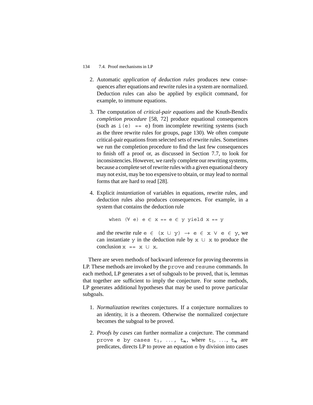#### 134 7.4. Proof mechanisms in LP

- 2. Automatic *application of deduction rules* produces new consequences after equations and rewrite rules in a system are normalized. Deduction rules can also be applied by explicit command, for example, to immune equations.
- 3. The computation of *critical-pair equations* and the Knuth-Bendix *completion procedure* [58, 72] produce equational consequences (such as  $i(e) == e$ ) from incomplete rewriting systems (such as the three rewrite rules for groups, page 130). We often compute critical-pair equations from selected sets of rewrite rules. Sometimes we run the completion procedure to find the last few consequences to finish off a proof or, as discussed in Section 7.7, to look for inconsistencies. However, we rarely complete our rewriting systems, because a complete set of rewrite rules with a given equational theory may not exist, may be too expensive to obtain, or may lead to normal forms that are hard to read [28].
- 4. Explicit *instantiation* of variables in equations, rewrite rules, and deduction rules also produces consequences. For example, in a system that contains the deduction rule

when  $(\forall e) e \in x == e \in y$  yield  $x == y$ 

and the rewrite rule  $e \in (x \cup y) \rightarrow e \in x \lor e \in y$ , we can instantiate y in the deduction rule by  $x \cup x$  to produce the conclusion  $x = x \cup x$ .

There are seven methods of backward inference for proving theorems in LP. These methods are invoked by the prove and resume commands. In each method, LP generates a set of subgoals to be proved, that is, lemmas that together are sufficient to imply the conjecture. For some methods, LP generates additional hypotheses that may be used to prove particular subgoals.

- 1. *Normalization* rewrites conjectures. If a conjecture normalizes to an identity, it is a theorem. Otherwise the normalized conjecture becomes the subgoal to be proved.
- 2. *Proofs by cases* can further normalize a conjecture. The command prove e by cases  $t_1$ , ...,  $t_n$ , where  $t_1$ , ...,  $t_n$  are predicates, directs LP to prove an equation e by division into cases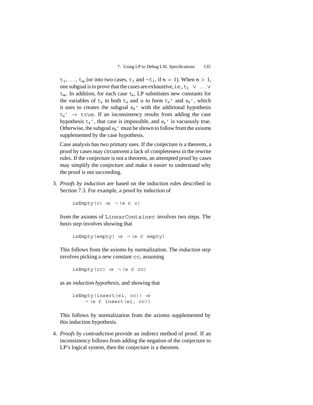$t_1, \ldots, t_n$  (or into two cases,  $t_1$  and  $\lnot t_1$ , if  $n = 1$ ). When  $n > 1$ , one subgoal is to prove that the cases are exhaustive, i.e.,  $t_1 \vee \dots \vee$  $t_n$ . In addition, for each case  $t_i$ , LP substitutes new constants for the variables of  $t_i$  in both  $t_i$  and e to form  $t_i'$  and  $e_i'$ , which it uses to creates the subgoal  $e_i'$  with the additional hypothesis  $t_i' \rightarrow \text{true}$ . If an inconsistency results from adding the case hypothesis  $t_i'$ , that case is impossible, and  $e_i'$  is vacuously true. Otherwise, the subgoal  $e_i'$  must be shown to follow from the axioms supplemented by the case hypothesis.

Case analysis has two primary uses. If the conjecture is a theorem, a proof by cases may circumvent a lack of completeness in the rewrite rules. If the conjecture is not a theorem, an attempted proof by cases may simplify the conjecture and make it easier to understand why the proof is not succeeding.

3. *Proofs by induction* are based on the induction rules described in Section 7.3. For example, a proof by induction of

 $isEmpty(c) \Rightarrow \neg(e \in c)$ 

from the axioms of LinearContainer involves two steps. The *basis step* involves showing that

$$
\texttt{isEmpty}(\texttt{empty}) \Rightarrow \neg (\texttt{e} \in \texttt{empty})
$$

This follows from the axioms by normalization. The *induction step* involves picking a new constant cc, assuming

 $isEmpty(cc) \Rightarrow \neg(e \in cc)$ 

as an *induction hypothesis*, and showing that

isEmpty(insert(e1, cc))  $\Rightarrow$  $\neg$  (e  $\in$  insert(e1, cc))

This follows by normalization from the axioms supplemented by this induction hypothesis.

4. *Proofs by contradiction* provide an indirect method of proof. If an inconsistency follows from adding the negation of the conjecture to LP's logical system, then the conjecture is a theorem.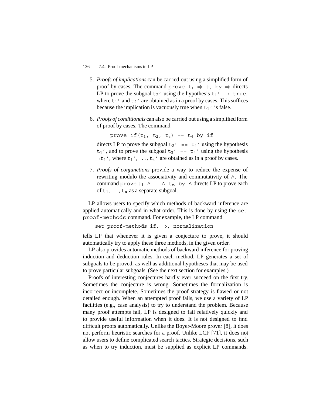### 136 7.4. Proof mechanisms in LP

- 5. *Proofs of implications* can be carried out using a simplified form of proof by cases. The command prove  $t_1 \Rightarrow t_2$  by  $\Rightarrow$  directs LP to prove the subgoal  $t_2'$  using the hypothesis  $t_1' \rightarrow \text{true}$ , where  $t_1'$  and  $t_2'$  are obtained as in a proof by cases. This suffices because the implication is vacuously true when  $t_1'$  is false.
- 6. *Proofs of conditionals* can also be carried out using a simplified form of proof by cases. The command

prove if( $t_1$ ,  $t_2$ ,  $t_3$ ) ==  $t_4$  by if

directs LP to prove the subgoal  $t_2' = t_4'$  using the hypothesis  $t_1'$ , and to prove the subgoal  $t_3' = t_4'$  using the hypothesis  $\neg t_1'$ , where  $t_1'$ , ...,  $t_4'$  are obtained as in a proof by cases.

7. *Proofs of conjunctions* provide a way to reduce the expense of rewriting modulo the associativity and commutativity of  $\wedge$ . The command prove  $t_1 \wedge \ldots \wedge t_n$  by  $\wedge$  directs LP to prove each of  $t_1, \ldots, t_n$  as a separate subgoal.

LP allows users to specify which methods of backward inference are applied automatically and in what order. This is done by using the set proof-methods command. For example, the LP command

set proof-methods if,  $\Rightarrow$ , normalization

tells LP that whenever it is given a conjecture to prove, it should automatically try to apply these three methods, in the given order.

LP also provides automatic methods of backward inference for proving induction and deduction rules. In each method, LP generates a set of subgoals to be proved, as well as additional hypotheses that may be used to prove particular subgoals. (See the next section for examples.)

Proofs of interesting conjectures hardly ever succeed on the first try. Sometimes the conjecture is wrong. Sometimes the formalization is incorrect or incomplete. Sometimes the proof strategy is flawed or not detailed enough. When an attempted proof fails, we use a variety of LP facilities (e.g., case analysis) to try to understand the problem. Because many proof attempts fail, LP is designed to fail relatively quickly and to provide useful information when it does. It is not designed to find difficult proofs automatically. Unlike the Boyer-Moore prover [8], it does not perform heuristic searches for a proof. Unlike LCF [71], it does not allow users to define complicated search tactics. Strategic decisions, such as when to try induction, must be supplied as explicit LP commands.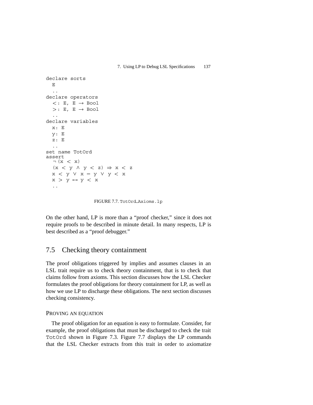```
declare sorts
  E
  ..
declare operators
  \lt:: E, E \rightarrow Bool
  >: E, E \rightarrow Bool
  ..
declare variables
  x: E
  y: E
  z: E
  ..
set name TotOrd
assert \neg (x < x)(x < y \land y < z) \Rightarrow x < zx < y \lor x = y \lor y < xx > y == y < x..
```
FIGURE 7.7. TotOrd Axioms.lp

On the other hand, LP is more than a "proof checker," since it does not require proofs to be described in minute detail. In many respects, LP is best described as a "proof debugger."

## 7.5 Checking theory containment

The proof obligations triggered by implies and assumes clauses in an LSL trait require us to check theory containment, that is to check that claims follow from axioms. This section discusses how the LSL Checker formulates the proof obligations for theory containment for LP, as well as how we use LP to discharge these obligations. The next section discusses checking consistency.

### PROVING AN EQUATION

The proof obligation for an equation is easy to formulate. Consider, for example, the proof obligations that must be discharged to check the trait TotOrd shown in Figure 7.3. Figure 7.7 displays the LP commands that the LSL Checker extracts from this trait in order to axiomatize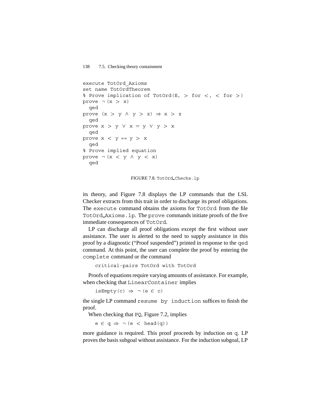138 7.5. Checking theory containment

```
execute TotOrd_Axioms
set name TotOrdTheorem
% Prove implication of TotOrd(E, > for <, < for >)
prove \neg (x > x)qed
prove (x > y \land y > z) \Rightarrow x > zqed
prove x > y \lor x = y \lor y > xqed
prove x < y == y > xqed
% Prove implied equation
prove \neg (x < y \land y < x)qed
```
FIGURE 7.8. TotOrd Checks.lp

its theory, and Figure 7.8 displays the LP commands that the LSL Checker extracts from this trait in order to discharge its proof obligations. The execute command obtains the axioms for TotOrd from the file TotOrd Axioms.lp. The prove commands initiate proofs of the five immediate consequences of TotOrd.

LP can discharge all proof obligations except the first without user assistance. The user is alerted to the need to supply assistance in this proof by a diagnostic ("Proof suspended") printed in response to the qed command. At this point, the user can complete the proof by entering the complete command or the command

critical-pairs TotOrd with TotOrd

Proofs of equations require varying amounts of assistance. For example, when checking that LinearContainer implies

isEmpty(c)  $\Rightarrow \neg$  (e  $\in$  c)

the single LP command resume by induction suffices to finish the proof.

When checking that PQ, Figure 7.2, implies

 $e \in q \Rightarrow \neg (e \leq head(q))$ 

more guidance is required. This proof proceeds by induction on q. LP proves the basis subgoal without assistance. For the induction subgoal, LP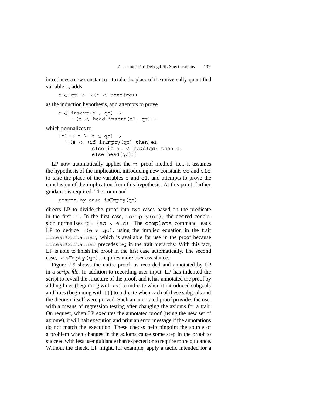introduces a new constant qc to take the place of the universally-quantified variable q, adds

 $e \in qc \Rightarrow \neg(e \le head(qc))$ 

as the induction hypothesis, and attempts to prove

```
e \in insert(e1, qc) \Rightarrow\neg (e < head(insert(e1, qc)))
```
which normalizes to

```
(el = e \vee e \in qc) \Rightarrow\neg (e < (if isEmpty(qc) then e1
            else if e1 < head(qc) then e1else head(qc)))
```
LP now automatically applies the  $\Rightarrow$  proof method, i.e., it assumes the hypothesis of the implication, introducing new constants ec and e1c to take the place of the variables e and e1, and attempts to prove the conclusion of the implication from this hypothesis. At this point, further guidance is required. The command

```
resume by case isEmpty(qc)
```
directs LP to divide the proof into two cases based on the predicate in the first if. In the first case, isEmpty(qc), the desired conclusion normalizes to  $\neg$  (ec < e1c). The complete command leads LP to deduce  $\neg$  (e  $\in$  qc), using the implied equation in the trait LinearContainer, which is available for use in the proof because LinearContainer precedes PQ in the trait hierarchy. With this fact, LP is able to finish the proof in the first case automatically. The second case,  $\neg$  is Empty(qc), requires more user assistance.

Figure 7.9 shows the entire proof, as recorded and annotated by LP in a *script file*. In addition to recording user input, LP has indented the script to reveal the structure of the proof, and it has annotated the proof by adding lines (beginning with <>) to indicate when it introduced subgoals and lines (beginning with []) to indicate when each of these subgoals and the theorem itself were proved. Such an annotated proof provides the user with a means of regression testing after changing the axioms for a trait. On request, when LP executes the annotated proof (using the new set of axioms), it will halt execution and print an error message if the annotations do not match the execution. These checks help pinpoint the source of a problem when changes in the axioms cause some step in the proof to succeed with less user guidance than expected or to require more guidance. Without the check, LP might, for example, apply a tactic intended for a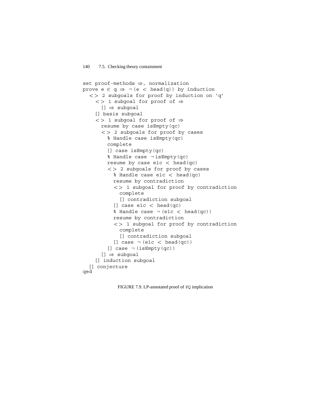```
set proof-methods \Rightarrow, normalization
prove e \in q \Rightarrow \neg (e \leq head(q)) by induction
   -
 2 subgoals for proof by induction on 'q'
     \lt>1 subgoal for proof of \Rightarrow[] \Rightarrow \text{subgoal}[] basis subgoal
     \lt>1 subgoal for proof of \Rightarrowresume by case isEmpty(qc)
        -
 2 subgoals for proof by cases
         % Handle case isEmpty(qc)
         complete
         [] case isEmpty(qc)
         % Handle case -isEmpty(qc)
        resume by case e1c \langle head(qc)
          -
 2 subgoals for proof by cases
           % Handle case e1c \langle head(qc)
           resume by contradiction
            -
 1 subgoal for proof by contradiction
             complete
             [] contradiction subgoal
           [] case e1c \langle head(qc)
           % Handle case \neg (e1c \lt head(qc))
           resume by contradiction
            -
 1 subgoal for proof by contradiction
             complete
             [] contradiction subgoal
           [] case \neg (e1c < head(qc))
         [] case \neg (isEmpty(qc))
      [] \Rightarrow subgoal
    [] induction subgoal
  [] conjecture
qed
```
FIGURE 7.9. LP-annotated proof of PQ implication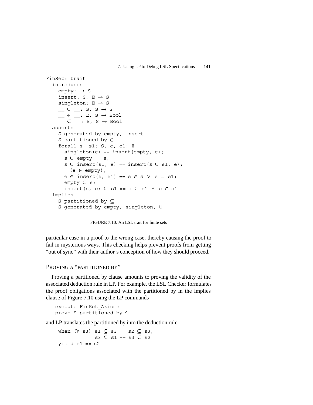```
FinSet: trait
  introduces
     empty: \rightarrow Sinsert: S, E \rightarrow Ssingleton: E \rightarrow S\begin{array}{c} \begin{array}{c} \end{array} \cup \begin{array}{c} \end{array} \vdots S, S \rightarrow S
      \in : E, S \rightarrow Bool
      \subseteq : S, S \rightarrow Bool
  asserts
     S generated by empty, insert
     S partitioned by \inforall s, s1: S, e, e1: E
        singleton(e) == insert(empty, e);
        s \cup \emptyset empty == s;
        s \cup insert(s1, e) == insert(s \cup s1, e);
        \neg (e \in empty);
        e \in insert(s, e1) == e \in s \vee e = e1;
        empty \subseteq s;insert(s, e) \subseteq s1 == s \subseteq s1 \land e \in s1
   implies
     S partitioned by \subsetS generated by empty, singleton, U
```
FIGURE 7.10. An LSL trait for finite sets

particular case in a proof to the wrong case, thereby causing the proof to fail in mysterious ways. This checking helps prevent proofs from getting "out of sync" with their author's conception of how they should proceed.

### PROVING A "PARTITIONED BY"

Proving a partitioned by clause amounts to proving the validity of the associated deduction rule in LP. For example, the LSL Checker formulates the proof obligations associated with the partitioned by in the implies clause of Figure 7.10 using the LP commands

```
execute FinSet_Axioms
prove S partitioned by \subseteq
```
and LP translates the partitioned by into the deduction rule

when  $(\forall s3)$   $s1 \subseteq s3 == s2 \subseteq s3$ ,  $s3 \subseteq s1 == s3 \subseteq s2$  $yield s1 == s2$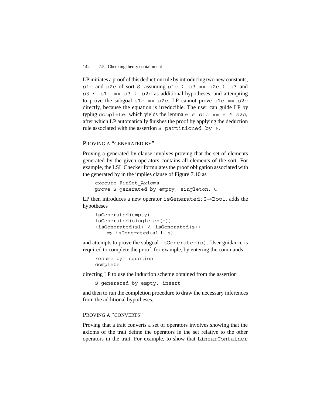### 142 7.5. Checking theory containment

LP initiates a proof of this deduction rule by introducing two new constants, s1c and s2c of sort S, assuming s1c  $\subseteq$  s3 == s2c  $\subseteq$  s3 and  $s3 \subseteq s1c == s3 \subseteq s2c$  as additional hypotheses, and attempting to prove the subgoal  $s1c == s2c$ . LP cannot prove  $s1c == s2c$ directly, because the equation is irreducible. The user can guide LP by typing complete, which yields the lemma  $e \in \text{slc} = e \in \text{slc}$ , after which LP automatically finishes the proof by applying the deduction rule associated with the assertion S partitioned by  $\in$ .

### PROVING A "GENERATED BY"

Proving a generated by clause involves proving that the set of elements generated by the given operators contains all elements of the sort. For example, the LSL Checker formulates the proof obligation associated with the generated by in the implies clause of Figure 7.10 as

```
execute FinSet_Axioms
prove S generated by empty, singleton, U
```
LP then introduces a new operator isGenerated: S->Bool, adds the hypotheses

```
isGenerated(empty)
isGenerated(singleton(e))
(isGeneraled(s1) \wedge isGeneral(s))\Rightarrow isGenerated(s1 \cup s)
```
and attempts to prove the subgoal isGenerated(s). User guidance is required to complete the proof, for example, by entering the commands

resume by induction complete

directing LP to use the induction scheme obtained from the assertion

S generated by empty, insert

and then to run the completion procedure to draw the necessary inferences from the additional hypotheses.

### PROVING A "CONVERTS"

Proving that a trait converts a set of operators involves showing that the axioms of the trait define the operators in the set relative to the other operators in the trait. For example, to show that LinearContainer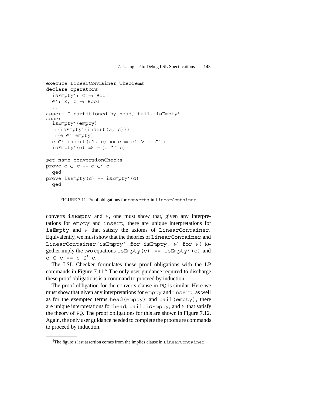```
execute LinearContainer Theorems
declare operators
  isEmpty': C \rightarrow Bool
  \in': E, C \rightarrow Bool
  ..
assert C partitioned by head, tail, isEmpty'
assert
  isEmpty'(empty)  (isEmpty'(insert(e, c))) \neg (e \in' empty)
  e \in' insert(e1, c) == e = e1 \vee e \in' c
  isEmpty'(c) \Rightarrow \neg (e \in' c)
  ..
set name conversionChecks
prove e \in c == e \in' cqed
prove isEmpty(c) == isEmpty'(c)qed
```
FIGURE 7.11. Proof obligations for converts in LinearContainer

converts is Empty and  $\in$ , one must show that, given any interpretations for empty and insert, there are unique interpretations for is Empty and  $\in$  that satisfy the axioms of LinearContainer. Equivalently, we must show that the theories of LinearContainer and LinearContainer(isEmpty' for isEmpty,  $\in'$  for  $\in$ ) together imply the two equations  $i$ sEmpty(c) ==  $i$ sEmpty'(c) and e  $\in$  c == e  $\in'$  c.

The LSL Checker formulates these proof obligations with the LP commands in Figure  $7.11<sup>6</sup>$  The only user guidance required to discharge these proof obligations is a command to proceed by induction.

The proof obligation for the converts clause in PQ is similar. Here we must show that given any interpretations for empty and insert, as well as for the exempted terms head(empty) and tail(empty), there are unique interpretations for head,  $tail$ , is Empty, and  $\in$  that satisfy the theory of PQ. The proof obligations for this are shown in Figure 7.12. Again, the only user guidance needed to complete the proofs are commands to proceed by induction.

 ${}^{6}$ The figure's last assertion comes from the implies clause in LinearContainer.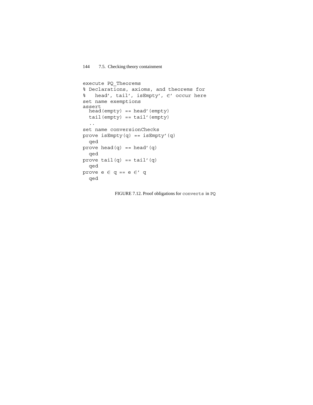```
execute PQ_Theorems
% Declarations, axioms, and theorems for
% head', tail', isEmpty', \in' occur here
set name exemptions
assert
 head(empty) == head'(empty)
 tail(empty) == tail'(empty)
  ..
set name conversionChecks
prove isEmpty(q) == isEmpty'(q)qed
prove head(q) == head'(q)qed
prove tail(q) == tail'(q)qed
prove e \in q == e \in' qqed
```

```
FIGURE 7.12. Proof obligations for converts in PQ
```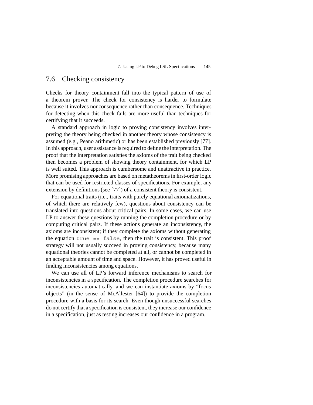## 7.6 Checking consistency

Checks for theory containment fall into the typical pattern of use of a theorem prover. The check for consistency is harder to formulate because it involves nonconsequence rather than consequence. Techniques for detecting when this check fails are more useful than techniques for certifying that it succeeds.

A standard approach in logic to proving consistency involves interpreting the theory being checked in another theory whose consistency is assumed (e.g., Peano arithmetic) or has been established previously [77]. In this approach, user assistance is required to define the interpretation. The proof that the interpretation satisfies the axioms of the trait being checked then becomes a problem of showing theory containment, for which LP is well suited. This approach is cumbersome and unattractive in practice. More promising approaches are based on metatheorems in first-order logic that can be used for restricted classes of specifications. For example, any extension by definitions (see [77]) of a consistent theory is consistent.

For equational traits (i.e., traits with purely equational axiomatizations, of which there are relatively few), questions about consistency can be translated into questions about critical pairs. In some cases, we can use LP to answer these questions by running the completion procedure or by computing critical pairs. If these actions generate an inconsistency, the axioms are inconsistent; if they complete the axioms without generating the equation  $true = false$ , then the trait is consistent. This proof strategy will not usually succeed in proving consistency, because many equational theories cannot be completed at all, or cannot be completed in an acceptable amount of time and space. However, it has proved useful in finding inconsistencies among equations.

We can use all of LP's forward inference mechanisms to search for inconsistencies in a specification. The completion procedure searches for inconsistencies automatically, and we can instantiate axioms by "focus objects" (in the sense of McAllester [64]) to provide the completion procedure with a basis for its search. Even though unsuccessful searches do not certify that a specification is consistent, they increase our confidence in a specification, just as testing increases our confidence in a program.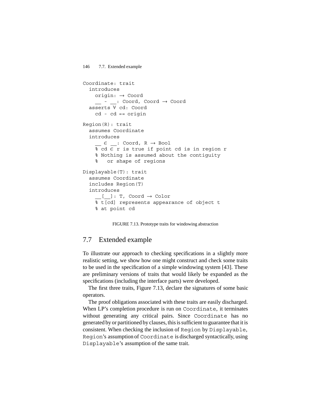```
146 7.7. Extended example
Coordinate: trait
  introduces
    origin: \rightarrow Coord- : Coord, Coord \rightarrow Coord
  asserts \forall cd: Coord
    cd - cd == origin
Region(R): trait
  assumes Coordinate
  introduces
      _ e \in \_\_: Coord, R \rightarrow Bool
    % cl \in r is true if point cd is in region r
    % Nothing is assumed about the contiguity
    % or shape of regions
Displayable(T): trait
  assumes Coordinate
  includes Region(T)
  introduces
     [ ]: T, Coord \rightarrow Color
    % t[cd] represents appearance of object t
    % at point cd
```
FIGURE 7.13. Prototype traits for windowing abstraction

## 7.7 Extended example

To illustrate our approach to checking specifications in a slightly more realistic setting, we show how one might construct and check some traits to be used in the specification of a simple windowing system [43]. These are preliminary versions of traits that would likely be expanded as the specifications (including the interface parts) were developed.

The first three traits, Figure 7.13, declare the signatures of some basic operators.

The proof obligations associated with these traits are easily discharged. When LP's completion procedure is run on Coordinate, it terminates without generating any critical pairs. Since Coordinate has no generated by or partitioned by clauses, this is sufficient to guarantee that it is consistent. When checking the inclusion of Region by Displayable, Region's assumption of Coordinate is discharged syntactically, using Displayable's assumption of the same trait.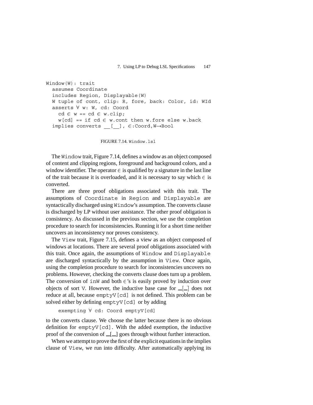```
Window(W): trait
 assumes Coordinate
 includes Region, Displayable(W)
 W tuple of cont, clip: R, fore, back: Color, id: WId
  asserts ∀ w: W, cd: Coord
   cd \in w == cd \in w.clip;
    w[cd] == if cd \in w.count then w.fore else w.backimplies converts [], \in:Coord, W-Bool
```
FIGURE 7.14. Window.lsl

The Window trait, Figure 7.14, defines a window as an object composed of content and clipping regions, foreground and background colors, and a window identifier. The operator  $\in$  is qualified by a signature in the last line of the trait because it is overloaded, and it is necessary to say which  $\in$  is converted.

There are three proof obligations associated with this trait. The assumptions of Coordinate in Region and Displayable are syntactically discharged using Window's assumption. The converts clause is discharged by LP without user assistance. The other proof obligation is consistency. As discussed in the previous section, we use the completion procedure to search for inconsistencies. Running it for a short time neither uncovers an inconsistency nor proves consistency.

The View trait, Figure 7.15, defines a view as an object composed of windows at locations. There are several proof obligations associated with this trait. Once again, the assumptions of Window and Displayable are discharged syntactically by the assumption in View. Once again, using the completion procedure to search for inconsistencies uncovers no problems. However, checking the converts clause does turn up a problem. The conversion of  $in \mathbb{W}$  and both  $\in$ 's is easily proved by induction over objects of sort V. However, the inductive base case for  $\Box$  does not reduce at all, because emptyV[cd] is not defined. This problem can be solved either by defining emptyV[cd] or by adding

```
exempting V cd: Coord emptyV[cd]
```
to the converts clause. We choose the latter because there is no obvious definition for emptyV[cd]. With the added exemption, the inductive proof of the conversion of  $[-]$  goes through without further interaction.

When we attempt to prove the first of the explicit equations in the implies clause of View, we run into difficulty. After automatically applying its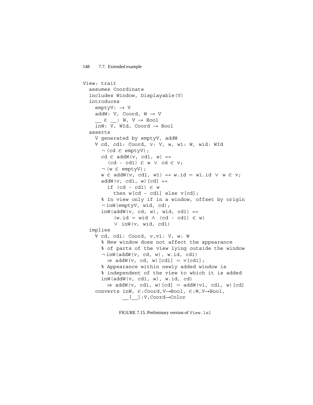```
148 7.7. Extended example
View: trait
  assumes Coordinate
  includes Window, Displayable(V)
  introduces
    empty: \rightarrow VaddW: V, Coord, W \rightarrow V\_ \in \_ : \mathbb{W}, \mathbb{V} \to \mathbb{B}ool
    inW: V, WId, Coord \rightarrow Bool
  asserts
    V generated by emptyV, addW
     -
 cd, cd1: Coord, v: V, w, w1: W, wid: WId \neg (cd \in emptyV);
       cd \in addW(v, cd1, w) ==(cd - cd1) \in w \lor cd \in v;\neg (w \in emptyV);
       w \in addW(v, cd1, w1) == w.id = w1.id \vee w \in v;addW(v, cd1, w) [cd] ==if (cd - cd1) \in wthen w[cd - cd1] else v[cd];
       % In view only if in a window, offset by origin \neg inW (emptyV, wid, cd);
       inv(\text{addW}(v, cd, w), wid, cd1) ==(w.id = wid \wedge (cd - cd1) \in w)V inW(v, wid, cd1)
  implies
     -
 cd, cd1: Coord, v,v1: V, w: W
       % New window does not affect the appearance
       % of parts of the view lying outside the window \neginW(addW(v, cd, w), w.id, cd1)
         \Rightarrow addW(v, cd, w)[cd1] = v[cd1];
       % Appearance within newly added window is
       % independent of the view to which it is added
       inW(addW(v, cd1, w), w.id, cd)
         \Rightarrow addW(v, cd1, w)[cd] = addW(v1, cd1, w)[cd]
    converts inW, \in:Coord, V-Bool, \in:W, V-Bool,
               \lfloor \underline{\hspace{-.15in}} \rfloor:V, Coord\rightarrowColor
```
FIGURE 7.15. Preliminary version of View.lsl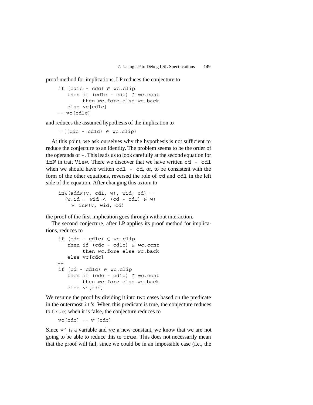proof method for implications, LP reduces the conjecture to

```
if (cd1c - cdc) \in wc.clipthen if (cd1c - cdc) \in wc.contthen wc.fore else wc.back
   else vc[cd1c]
== vc[cd1c]
```
and reduces the assumed hypothesis of the implication to

 $\neg ((cdc - cdc) \in wc.clip)$ 

At this point, we ask ourselves why the hypothesis is not sufficient to reduce the conjecture to an identity. The problem seems to be the order of the operands of -. This leads us to look carefully at the second equation for inW in trait View. There we discover that we have written cd - cd1 when we should have written  $cd1 - cd$ , or, to be consistent with the form of the other equations, reversed the role of cd and cd1 in the left side of the equation. After changing this axiom to

```
inv(\text{addW}(v, \text{cd1}, w), \text{wid}, \text{cd}) ==(w.id = wid \wedge (cd - cd1) \in w) inW(v, wid, cd)
```
the proof of the first implication goes through without interaction.

The second conjecture, after LP applies its proof method for implications, reduces to

```
if (cdc - cd1c) \in wc.clip
   then if (cdc - cd1c) \in wc.contthen wc.fore else wc.back
   else vc[cdc]
=if (cd - cd1c) \in wc.clip
   then if (cdc - cd1c) \in wc.cont
        then wc.fore else wc.back
   else v'[cdc]
```
We resume the proof by dividing it into two cases based on the predicate in the outermost if's. When this predicate is true, the conjecture reduces to true; when it is false, the conjecture reduces to

 $vc[cdc] == v'[cdc]$ 

Since  $v'$  is a variable and  $vc$  a new constant, we know that we are not going to be able to reduce this to true. This does not necessarily mean that the proof will fail, since we could be in an impossible case (i.e., the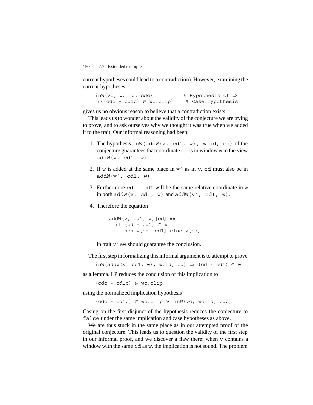#### 150 7.7. Extended example

current hypotheses could lead to a contradiction). However, examining the current hypotheses,

| inW(vc, wc.id, cdc) |                                   | % Hypothesis of $\Rightarrow$ |
|---------------------|-----------------------------------|-------------------------------|
|                     | $\neg ((cdc - cd1c) \in wc.clip)$ | % Case hypothesis             |

gives us no obvious reason to believe that a contradiction exists.

This leads us to wonder about the validity of the conjecture we are trying to prove, and to ask ourselves why we thought it was true when we added it to the trait. Our informal reasoning had been:

- 1. The hypothesis inW(addW(v, cd1, w), w.id, cd) of the conjecture guarantees that coordinate cd is in window w in the view  $addW(v, cdl, w)$ .
- 2. If w is added at the same place in  $v'$  as in v, cd must also be in  $addW(v', cd1, w).$
- 3. Furthermore cd cd1 will be the same relative coordinate in w in both addW( $v$ , cd1, w) and addW( $v'$ , cd1, w).
- 4. Therefore the equation

```
addW(v, cd1, w) [cd] ==if (cd - cd1) \in wthen w[cd -cd1] else v[cd]
```
in trait View should guarantee the conclusion.

The first step in formalizing this informal argument is to attempt to prove

 $inv(\text{addW}(v, \text{cd1}, w), w.id, \text{cd}) \Rightarrow (\text{cd - cd1}) \in w$ 

as a lemma. LP reduces the conclusion of this implication to

 $(cdc - cd1c) \in wc$ .clip

using the normalized implication hypothesis

 $(cdc - cd1c) \in wc.clip \lor inW(vc, wc.id, cdc)$ 

Casing on the first disjunct of the hypothesis reduces the conjecture to false under the same implication and case hypotheses as above.

We are thus stuck in the same place as in our attempted proof of the original conjecture. This leads us to question the validity of the first step in our informal proof, and we discover a flaw there: when v contains a window with the same id as w, the implication is not sound. The problem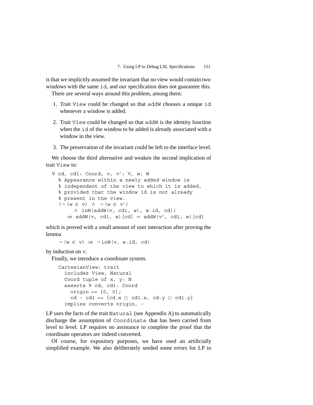is that we implicitly assumed the invariant that no view would contain two windows with the same id, and our specification does not guarantee this. There are several ways around this problem, among them:

1. Trait View could be changed so that addW chooses a unique id whenever a window is added.

- 2. Trait View could be changed so that addW is the identity function when the id of the window to be added is already associated with a window in the view.
- 3. The preservation of the invariant could be left to the interface level.

We choose the third alternative and weaken the second implication of trait View to:

```
-
 cd, cd1: Coord, v, v': V, w: W
  % Appearance within a newly added window is
  % independent of the view to which it is added,
  % provided that the window id is not already
  % present in the view.
  (\neg (w \in v) \land \neg (w \in v'))\land inW(addW(v, cd1, w), w.id, cd))
     \Rightarrow addW(v, cd1, w)[cd] = addW(v', cd1, w)[cd]
```
which is proved with a small amount of user interaction after proving the lemma

 $\neg(w \in v) \Rightarrow \neg inW(v, w.id, cd)$ 

by induction on v.

Finally, we introduce a coordinate system.

```
CartesianView: trait
  includes View, Natural
 Coord tuple of x, y: N
  asserts ∀ cd, cd1: Coord
    origin == [0, 0];
    cd - cd1 == [cd.x \ominus cd1.x, cd.y \ominus cd1.y]implies converts origin, -
```
LP uses the facts of the trait Natural (see Appendix A) to automatically discharge the assumption of Coordinate that has been carried from level to level. LP requires no assistance to complete the proof that the coordinate operators are indeed converted.

Of course, for expository purposes, we have used an artificially simplified example. We also deliberately seeded some errors for LP to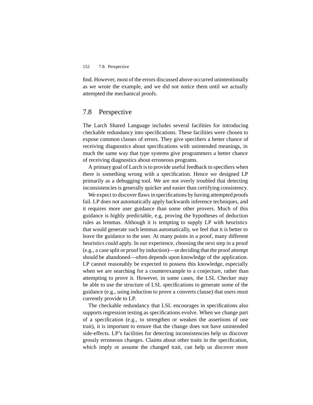### 152 7.8. Perspective

find. However, most of the errors discussed above occurred unintentionally as we wrote the example, and we did not notice them until we actually attempted the mechanical proofs.

### 7.8 Perspective

The Larch Shared Language includes several facilities for introducing checkable redundancy into specifications. These facilities were chosen to expose common classes of errors. They give specifiers a better chance of receiving diagnostics about specifications with unintended meanings, in much the same way that type systems give programmers a better chance of receiving diagnostics about erroneous programs.

A primary goal of Larch is to provide useful feedback to specifiers when there is something wrong with a specification. Hence we designed LP primarily as a debugging tool. We are not overly troubled that detecting inconsistencies is generally quicker and easier than certifying consistency.

We expect to discover flaws in specifications by having attempted proofs fail. LP does not automatically apply backwards inference techniques, and it requires more user guidance than some other provers. Much of this guidance is highly predictable, e.g, proving the hypotheses of deduction rules as lemmas. Although it is tempting to supply LP with heuristics that would generate such lemmas automatically, we feel that it is better to leave the guidance to the user. At many points in a proof, many different heuristics could apply. In our experience, choosing the next step in a proof (e.g., a case split or proof by induction)—or deciding that the proof attempt should be abandoned—often depends upon knowledge of the application. LP cannot reasonably be expected to possess this knowledge, especially when we are searching for a counterexample to a conjecture, rather than attempting to prove it. However, in some cases, the LSL Checker may be able to use the structure of LSL specifications to generate some of the guidance (e.g., using induction to prove a converts clause) that users must currently provide to LP.

The checkable redundancy that LSL encourages in specifications also supports regression testing as specifications evolve. When we change part of a specification (e.g., to strengthen or weaken the assertions of one trait), it is important to ensure that the change does not have unintended side-effects. LP's facilities for detecting inconsistencies help us discover grossly erroneous changes. Claims about other traits in the specification, which imply or assume the changed trait, can help us discover more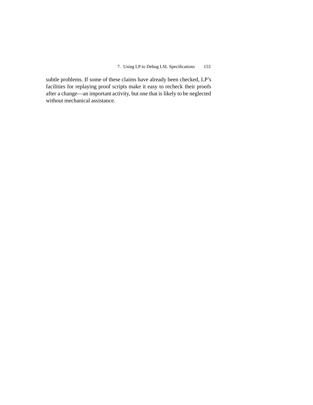subtle problems. If some of these claims have already been checked, LP's facilities for replaying proof scripts make it easy to recheck their proofs after a change—an important activity, but one that is likely to be neglected without mechanical assistance.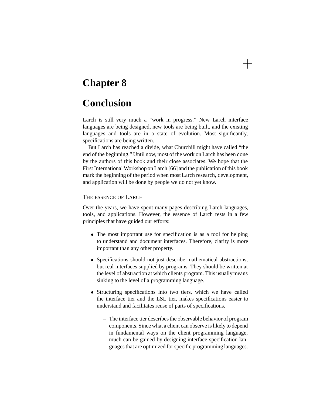# **Chapter 8**

## **Conclusion**

Larch is still very much a "work in progress." New Larch interface languages are being designed, new tools are being built, and the existing languages and tools are in a state of evolution. Most significantly, specifications are being written.

But Larch has reached a divide, what Churchill might have called "the end of the beginning." Until now, most of the work on Larch has been done by the authors of this book and their close associates. We hope that the First International Workshop on Larch [66] and the publication of this book mark the beginning of the period when most Larch research, development, and application will be done by people we do not yet know.

### THE ESSENCE OF LARCH

Over the years, we have spent many pages describing Larch languages, tools, and applications. However, the essence of Larch rests in a few principles that have guided our efforts:

- The most important use for specification is as a tool for helping to understand and document interfaces. Therefore, clarity is more important than any other property.
- Specifications should not just describe mathematical abstractions, but real interfaces supplied by programs. They should be written at the level of abstraction at which clients program. This usually means sinking to the level of a programming language.
- Structuring specifications into two tiers, which we have called the interface tier and the LSL tier, makes specifications easier to understand and facilitates reuse of parts of specifications.
	- **–** The interface tier describes the observable behavior of program components. Since what a client can observe is likely to depend in fundamental ways on the client programming language, much can be gained by designing interface specification languages that are optimized for specific programming languages.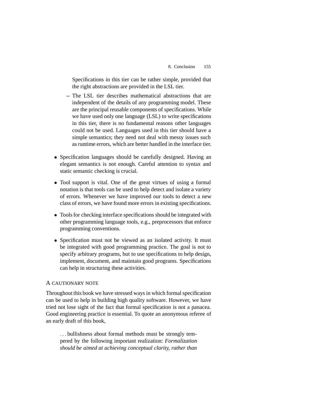Specifications in this tier can be rather simple, provided that the right abstractions are provided in the LSL tier.

- **–** The LSL tier describes mathematical abstractions that are independent of the details of any programming model. These are the principal reusable components of specifications. While we have used only one language (LSL) to write specifications in this tier, there is no fundamental reasons other languages could not be used. Languages used in this tier should have a simple semantics; they need not deal with messy issues such as runtime errors, which are better handled in the interface tier.
- Specification languages should be carefully designed. Having an elegant semantics is not enough. Careful attention to syntax and static semantic checking is crucial.
- Tool support is vital. One of the great virtues of using a formal notation is that tools can be used to help detect and isolate a variety of errors. Whenever we have improved our tools to detect a new class of errors, we have found more errors in existing specifications.
- Tools for checking interface specifications should be integrated with other programming language tools, e.g., preprocessors that enforce programming conventions.
- Specification must not be viewed as an isolated activity. It must be integrated with good programming practice. The goal is not to specify arbitrary programs, but to use specifications to help design, implement, document, and maintain good programs. Specifications can help in structuring these activities.

### A CAUTIONARY NOTE

Throughout this book we have stressed ways in which formal specification can be used to help in building high quality software. However, we have tried not lose sight of the fact that formal specification is not a panacea. Good engineering practice is essential. To quote an anonymous referee of an early draft of this book,

 bullishness about formal methods must be strongly tempered by the following important realization: *Formalization should be aimed at achieving conceptual clarity, rather than*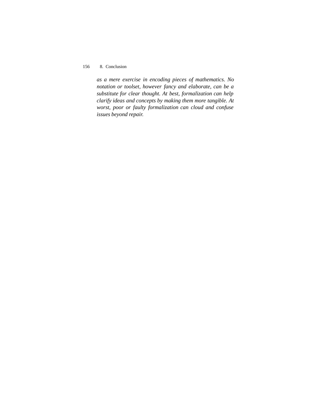156 8. Conclusion

*as a mere exercise in encoding pieces of mathematics. No notation or toolset, however fancy and elaborate, can be a substitute for clear thought. At best, formalization can help clarify ideas and concepts by making them more tangible. At worst, poor or faulty formalization can cloud and confuse issues beyond repair.*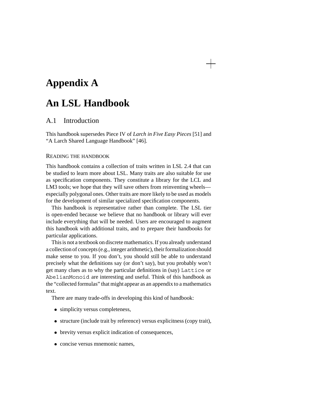# **Appendix A**

## **An LSL Handbook**

## A.1 Introduction

This handbook supersedes Piece IV of *Larch in Five Easy Pieces* [51] and "A Larch Shared Language Handbook" [46].

### READING THE HANDBOOK

This handbook contains a collection of traits written in LSL 2.4 that can be studied to learn more about LSL. Many traits are also suitable for use as specification components. They constitute a library for the LCL and LM3 tools; we hope that they will save others from reinventing wheels especially polygonal ones. Other traits are more likely to be used as models for the development of similar specialized specification components.

This handbook is representative rather than complete. The LSL tier is open-ended because we believe that no handbook or library will ever include everything that will be needed. Users are encouraged to augment this handbook with additional traits, and to prepare their handbooks for particular applications.

This is not a textbook on discrete mathematics. If you already understand a collection of concepts (e.g., integer arithmetic), their formalization should make sense to you. If you don't, you should still be able to understand precisely what the definitions say (or don't say), but you probably won't get many clues as to why the particular definitions in (say) Lattice or AbelianMonoid are interesting and useful. Think of this handbook as the "collected formulas" that might appear as an appendix to a mathematics text.

There are many trade-offs in developing this kind of handbook:

- simplicity versus completeness,
- structure (include trait by reference) versus explicitness (copy trait),
- brevity versus explicit indication of consequences,
- concise versus mnemonic names,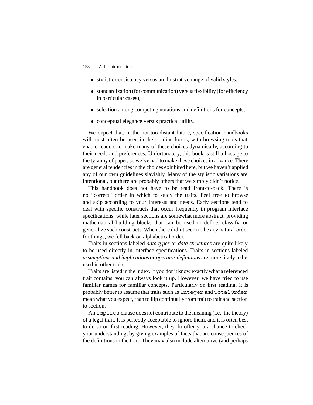### 158 A.1. Introduction

- stylistic consistency versus an illustrative range of valid styles,
- standardization (for communication) versus flexibility (for efficiency in particular cases),
- selection among competing notations and definitions for concepts,
- conceptual elegance versus practical utility.

We expect that, in the not-too-distant future, specification handbooks will most often be used in their online forms, with browsing tools that enable readers to make many of these choices dynamically, according to their needs and preferences. Unfortunately, this book is still a hostage to the tyranny of paper, so we've had to make these choices in advance. There are general tendencies in the choices exhibited here, but we haven't applied any of our own guidelines slavishly. Many of the stylistic variations are intentional, but there are probably others that we simply didn't notice.

This handbook does not have to be read front-to-back. There is no "correct" order in which to study the traits. Feel free to browse and skip according to your interests and needs. Early sections tend to deal with specific constructs that occur frequently in program interface specifications, while later sections are somewhat more abstract, providing mathematical building blocks that can be used to define, classify, or generalize such constructs. When there didn't seem to be any natural order for things, we fell back on alphabetical order.

Traits in sections labeled *data types* or *data structures* are quite likely to be used directly in interface specifications. Traits in sections labeled *assumptions and implications* or *operator definitions* are more likely to be used in other traits.

Traits are listed in the index. If you don't know exactly what a referenced trait contains, you can always look it up. However, we have tried to use familiar names for familiar concepts. Particularly on first reading, it is probably better to assume that traits such as Integer and TotalOrder mean what you expect, than to flip continually from trait to trait and section to section.

An implies clause does not contribute to the meaning (i.e., the theory) of a legal trait. It is perfectly acceptable to ignore them, and it is often best to do so on first reading. However, they do offer you a chance to check your understanding, by giving examples of facts that are consequences of the definitions in the trait. They may also include alternative (and perhaps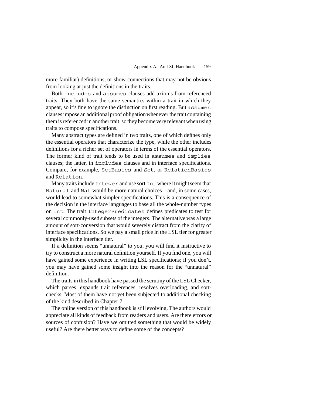more familiar) definitions, or show connections that may not be obvious from looking at just the definitions in the traits.

Both includes and assumes clauses add axioms from referenced traits. They both have the same semantics within a trait in which they appear, so it's fine to ignore the distinction on first reading. But assumes clauses impose an additional proof obligation whenever the trait containing them is referenced in another trait, so they become very relevant when using traits to compose specifications.

Many abstract types are defined in two traits, one of which defines only the essential operators that characterize the type, while the other includes definitions for a richer set of operators in terms of the essential operators. The former kind of trait tends to be used in assumes and implies clauses; the latter, in includes clauses and in interface specifications. Compare, for example, SetBasics and Set, or RelationBasics and Relation.

Many traits include Integer and use sort Int where it might seem that Natural and Nat would be more natural choices—and, in some cases, would lead to somewhat simpler specifications. This is a consequence of the decision in the interface languages to base all the whole-number types on Int. The trait IntegerPredicates defines predicates to test for several commonly-used subsets of the integers. The alternative was a large amount of sort-conversion that would severely distract from the clarity of interface specifications. So we pay a small price in the LSL tier for greater simplicity in the interface tier.

If a definition seems "unnatural" to you, you will find it instructive to try to construct a more natural definition yourself. If you find one, you will have gained some experience in writing LSL specifications; if you don't, you may have gained some insight into the reason for the "unnatural" definition.

The traits in this handbook have passed the scrutiny of the LSL Checker, which parses, expands trait references, resolves overloading, and sortchecks. Most of them have not yet been subjected to additional checking of the kind described in Chapter 7.

The online version of this handbook is still evolving. The authors would appreciate all kinds of feedback from readers and users. Are there errors or sources of confusion? Have we omitted something that would be widely useful? Are there better ways to define some of the concepts?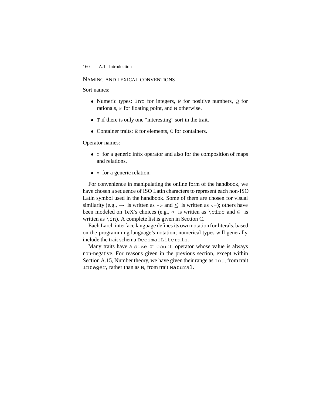### 160 A.1. Introduction

### NAMING AND LEXICAL CONVENTIONS

Sort names:

- Numeric types: Int for integers, P for positive numbers, Q for rationals, F for floating point, and N otherwise.
- T if there is only one "interesting" sort in the trait.
- Container traits: E for elements, C for containers.

Operator names:

- $\circ$  for a generic infix operator and also for the composition of maps and relations.
- $\bullet \diamond$  for a generic relation.

For convenience in manipulating the online form of the handbook, we have chosen a sequence of ISO Latin characters to represent each non-ISO Latin symbol used in the handbook. Some of them are chosen for visual similarity (e.g.,  $\rightarrow$  is written as  $\rightarrow$  and  $\leq$  is written as  $\lt$ =); others have been modeled on TeX's choices (e.g.,  $\circ$  is written as  $\circ$  is  $\circ$ written as  $\infty$ . A complete list is given in Section C.

Each Larch interface language defines its own notation for literals, based on the programming language's notation; numerical types will generally include the trait schema DecimalLiterals.

Many traits have a size or count operator whose value is always non-negative. For reasons given in the previous section, except within Section A.15, Number theory, we have given their range as Int, from trait Integer, rather than as N, from trait Natural.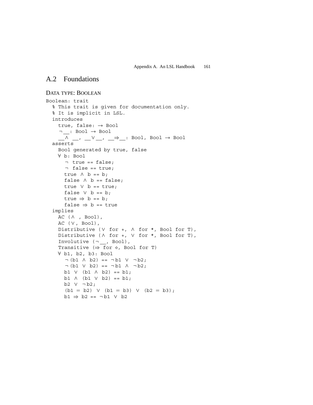## A.2 Foundations

```
DATA TYPE: BOOLEAN
Boolean: trait
   % This trait is given for documentation only.
   % It is implicit in LSL.
   introduces
       true, false: \rightarrow Bool
        \neg : Bool \rightarrow Bool
       \begin{CD} \begin{array}{c} \begin{array}{c} \begin{array}{c} \end{array} \\ \text{---} \end{array} & \begin{array}{c} \begin{array}{c} \begin{array}{c} \end{array} \\ \text{---} \end{array} & \begin{array}{c} \end{array} \\ \text{---} \end{CD} \end{CD} & \begin{CD} \begin{array}{c} \begin{array}{c} \end{array} \\ \text{---} \end{array} & \begin{array}{c} \begin{array}{c} \end{array} \\ \text{---} \end{array} & \begin{array}{c} \begin{array}{c} \end{array} \\ \text{---} \end{array} & \begin{array}{c} \end{array}asserts
       Bool generated by true, false
        -
 b: Bool  true == false; \neg false == true;
           true \wedge b == b;
           false \wedge b == false;
           true \vee b == true;
          false \vee b == b;
          true \Rightarrow b == b;
           false \Rightarrow b == true
   implies
       AC (\wedge, Bool),
       AC (V, Bool),
       Distributive (\vee for +, \wedge for *, Bool for T),
       Distributive (\land for +, \lor for *, Bool for T),
       Involutive (\neg \underline{\hspace{1cm}}, \text{Bool}),Transitive (\Rightarrow for \diamond, Bool for T)
        -
 b1, b2, b3: Bool \neg (b1 \land b2) == \neg b1 \lor \neg b2;
           \neg (b1 \vee b2) == \neg b1 \wedge \neg b2;
           b1 \vee (b1 \wedge b2) == b1;b1 \wedge (b1 \vee b2) == b1;b2 \vee \neg b2;
           (b1 = b2) V (b1 = b3) V (b2 = b3);
           b1 \Rightarrow b2 == \neg b1 \vee b2
```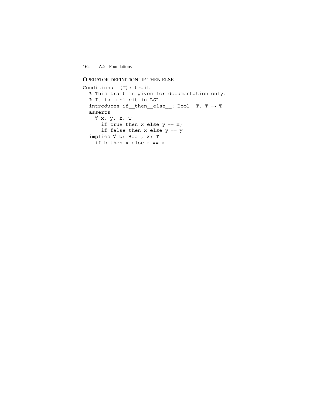162 A.2. Foundations

### OPERATOR DEFINITION: IF THEN ELSE

```
Conditional (T): trait
  % This trait is given for documentation only.
  % It is implicit in LSL.
  introduces if then else : Bool, T, T \rightarrow T
  asserts
    -
 x, y, z: T
      if true then x else y == x;
     if false then x else y == y
  implies \forall b: Bool, x: T
    if b then x else x == x
```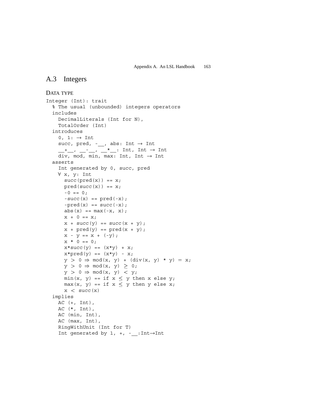## A.3 Integers

```
DATA TYPE
Integer (Int): trait
  % The usual (unbounded) integers operators
  includes
    DecimalLiterals (Int for N),
    TotalOrder (Int)
  introduces
    0, 1: \rightarrow Intsucc, pred, -, abs: Int \rightarrow Int
    + , - , * : Int, Int \rightarrow Int
    div, mod, min, max: Int, Int \rightarrow Int
  asserts
    Int generated by 0, succ, pred
    -
 x, y: Int
      succ(pred(x)) == x;pred(succ(x)) == x;-0 == 0;-succ(x) == pred(-x);-pred(x) == succ(-x);abs(x) == max(-x, x);x + 0 == x;x + succ(y) == succ(x + y);x + pred(y) == pred(x + y);x - y == x + (-y);x * 0 == 0;x*succ(y) == (x*y) + x;x*pred(y) == (x*y) - x;y > 0 \Rightarrow mod(x, y) + (div(x, y) * y) = x;y > 0 \Rightarrow mod(x, y) \ge 0;y > 0 \Rightarrow mod(x, y) < y;min(x, y) == if x \le y then x else y;
      max(x, y) == if x \leq y then y else x;x <succ(x)
  implies
    AC (+, Int),
    AC (*, Int),
    AC (min, Int),
    AC (max, Int),
    RingWithUnit (Int for T)
    Int generated by 1, +, - :Int\rightarrowInt
```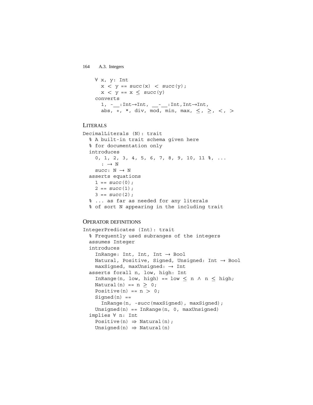```
164 A.3. Integers
     -
 x, y: Int
       x < y == succ(x) < succ(y);x < y == x \leq succ(y)converts
       1, \quad \text{--}:\text{Int}\text{--}\text{Int}\,,\; \underline{\qquad}\text{--}:\text{Int},\text{Int}\text{--}\text{Int}\,,abs, +, *, div, mod, min, max, \leq, \geq, \lt, >LITERALS
DecimalLiterals (N): trait
  % A built-in trait schema given here
  % for documentation only
  introduces
     0, 1, 2, 3, 4, 5, 6, 7, 8, 9, 10, 11 %, ...
       : \rightarrow Nsucc: N \rightarrow Nasserts equations
     1 == succ(0);2 == succ(1);3 == succ(2);% ... as far as needed for any literals
  % of sort N appearing in the including trait
```
### OPERATOR DEFINITIONS

```
IntegerPredicates (Int): trait
  % Frequently used subranges of the integers
  assumes Integer
  introduces
    InRange: Int, Int, Int \rightarrow Bool
    Natural, Positive, Signed, Unsigned: Int \rightarrow Bool
    maxSignal, maxUnsigned: \rightarrow Intasserts forall n, low, high: Int
    InRange(n, low, high) == low \leq n \land n \leq high;
    Natural(n) == n \ge 0;
    Positive(n) == n > 0;
    Signed(n) ==
      InRange(n, -succ(maxSigned), maxSigned);
    Unsigned(n) == InRange(n, 0, maxUnsigned)
  implies \forall n: Int
    Positive(n) \Rightarrow Natural(n);
    Unsigned(n) \Rightarrow Natural(n)
```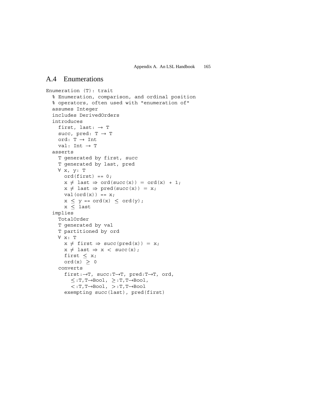## A.4 Enumerations

```
Enumeration (T): trait
  % Enumeration, comparison, and ordinal position
  % operators, often used with "enumeration of"
  assumes Integer
  includes DerivedOrders
  introduces
    first, last: \rightarrow T
    succ, pred: T \rightarrow Tord: T \rightarrow Intval: Int \rightarrow T
  asserts
    T generated by first, succ
    T generated by last, pred
     -
 x, y: T
       ord(first) == 0;x \neq last \Rightarrow ord(succ(x)) = ord(x) + 1;
       x \neq last \Rightarrow pred(succ(x)) = x;
       val(ord(x)) == x;x < y == ord(x) < ord(y);
       x \leq last
  implies
     TotalOrder
    T generated by val
     T partitioned by ord
     -
 x: T
       x \neq first \Rightarrow succ(pred(x)) = x;
       x \neq last \Rightarrow x < succ(x);
       first \leq x;ord(x) \geq 0converts
       first:\rightarrowT, succ:T\rightarrowT, pred:T\rightarrowT, ord,
          \leq:T,T\rightarrowBool, \geq:T,T\rightarrowBool,
          \langle :T,T\rightarrow \text{Bool}, \rangle :T,T\rightarrow \text{Bool}exempting succ(last), pred(first)
```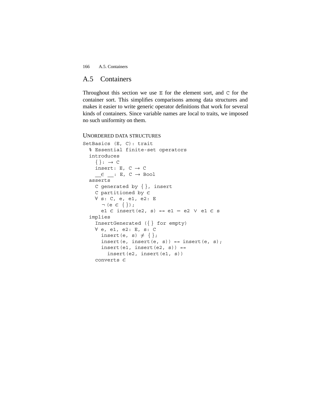166 A.5. Containers

## A.5 Containers

Throughout this section we use E for the element sort, and C for the container sort. This simplifies comparisons among data structures and makes it easier to write generic operator definitions that work for several kinds of containers. Since variable names are local to traits, we imposed no such uniformity on them.

UNORDERED DATA STRUCTURES

```
SetBasics (E, C): trait
   % Essential finite-set operators
   introduces
      \{\;\}:\rightarrow\mathbb{C}insert: E, C \rightarrow C\begin{array}{c} \begin{array}{c} \end{array} \mathsf{E} \end{array} , \begin{array}{c} \mathsf{E} \end{array} , \begin{array}{c} \mathsf{C} \end{array} \rightarrow Bool
   asserts
      C generated by { }, insert
      C partitioned by \in∀ s: C, e, e1, e2: E
         \neg (e \in { });
         e1 \in insert(e2, s) == e1 = e2 \vee e1 \in s
   implies
      InsertGenerated ({ } for empty)
      -
 e, e1, e2: E, s: C
         insert(e, s) \neq { };
         insert(e, insert(e, s)) == insert(e, s);insert(e1, insert(e2, s)) ==insert(e2, insert(e1, s))converts
```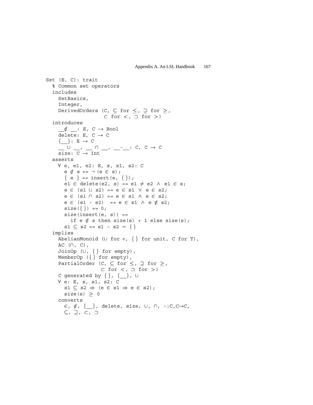```
Set (E, C): trait
  % Common set operators
  includes
     SetBasics,
     Integer,
     DerivedOrders (C, \subseteq for \le, \supseteq for \ge,
                          \subset for \lt, \supset for \gt)
  introduces
      \epsilon _: E, C \rightarrow Bool
     delete: E, C \rightarrow C\{\quad\}:\ \mathbb{E}\ \rightarrow\ \mathbb{C}\cup , \cap , \cdot : C, C \rightarrow C
     size: C \rightarrow Intasserts
     -
 e, e1, e2: E, s, s1, s2: C
       e \notin s == \neg (e \in s);
        { e } == insert(e, { });
        e1 \in delete(e2, s) == e1 \neq e2 \land e1 \in s;
        e \in (s1 \cup s2) == e \in s1 \lor e \in s2;e \in (s1 \cap s2) == e \in s1 \land e \in s2;e \in (s1 - s2) = e \in s1 \land e \notin s2;size({}) = 0;size(insect(e, s)) ==if e \notin s then size(s) + 1 else size(s);
        s1 \subseteq s2 == s1 - s2 = \{\}implies
     AbelianMonoid (\cup for \circ, \{\} for unit, C for T),
     AC (\cap, C),
     JoinOp (U, \{\} for empty),
     MemberOp ({ } for empty),
     PartialOrder (C, \subseteq for \le, \supseteq for \ge,
                        \subset for \lt, \supset for >)
     C generated by \{\,\}, \{\_\,\}, \cup-
 e: E, s, s1, s2: C
        s1 \subseteq s2 \Rightarrow (e \in s1 \Rightarrow e \in s2);size(s) \geq 0converts
        \in, \notin, \{ }, delete, size, \cup, \cap, -:C,C\rightarrowC,
        \subseteq, \supseteq, \subset, \supset
```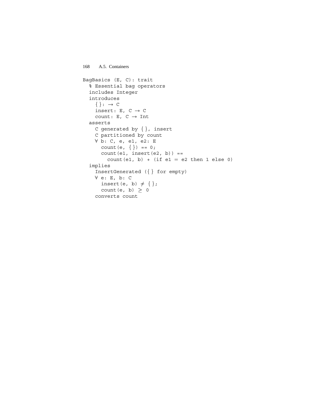```
168 A.5. Containers
BagBasics (E, C): trait
  % Essential bag operators
  includes Integer
  introduces
    \{\;\}:\rightarrow\mathbb{C}insert: E, C \rightarrow Ccount: E, C \rightarrow Intasserts
    C generated by { }, insert
    C partitioned by count
     ∀ b: C, e, e1, e2: E
      count (e, \{\}\) == 0;
      count(e1, insert(e2, b)) ==
         count(e1, b) + (if e1 = e2 then 1 else 0)
  implies
    InsertGenerated ({ } for empty)
     ∀ e: E, b: C
      insert(e, b) \neq \{\};
      count (e, b) \geq 0
    converts count
```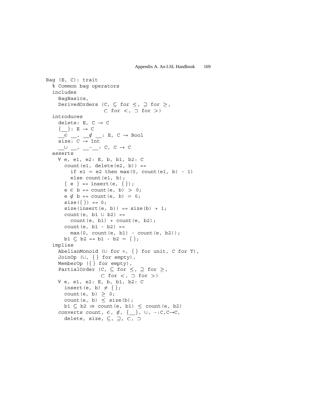```
Bag (E, C): trait
   % Common bag operators
   includes
       BagBasics,
      DerivedOrders (C, \subseteq for \le, \supseteq for \ge,
                                   \subset for \lt, \supset for \gt)
   introduces
       delete: E, C \rightarrow C\{\_\} : E \rightarrow C\_\infty \in \_ \prime \_ \# \_ \colon E, C \to \text{Bool}size: C \rightarrow Int\begin{array}{ccc} \begin{array}{ccc} \begin{array}{ccc} \end{array} & \begin{array}{ccc} \end{array} & \begin{array}{ccc} \end{array} & \begin{array}{ccc} \end{array} & \begin{array}{ccc} \end{array} & \begin{array}{ccc} \end{array} & \begin{array}{ccc} \end{array} & \begin{array}{ccc} \end{array} & \begin{array}{ccc} \end{array} & \begin{array}{ccc} \end{array} & \begin{array}{ccc} \end{array} & \begin{array}{ccc} \end{array} & \begin{array}{ccc} \end{array} & \begin{array}{ccc} \end{array} & \begin{array}{ccc} \end{array} & \begin{array}{ccc} \end{arrayasserts
       -
 e, e1, e2: E, b, b1, b2: C
          count(e1, delete(e2, b)) ==
              if el = e2 then max(0, count(e1, b) - 1)else count(e1, b);
           { e } == insert (e, { });
           e \in b == count(e, b) > 0;e \notin b == count(e, b) = 0;size({}) = 0;size(insort(e, b)) == size(b) + 1;count (e, b1 \cup b2) ==
              count (e, b1) + count(e, b2);
          count (e, b1 - b2) ==max(0, count(e, b1) - count(e, b2));b1 \subseteq b2 == b1 - b2 = \{\}\;implies
       AbelianMonoid (\cup for \circ, \{\} for unit, C for T),
       JoinOp (U, \{\} \text{for empty}),
       MemberOp ({ } for empty),
       PartialOrder (C, \subseteq for \le, \supseteq for \ge,
                                 \subset for \lt, \supset for >)
       -
 e, e1, e2: E, b, b1, b2: C
          insert(e, b) \neq { };
          count (e, b) \geq 0;
          count (e, b) \leq size(b);
          b1 \subseteq b2 \Rightarrow count(e, b1) \le count(e, b2)converts count, \in, \notin, \{ \}, \cup, -:C, C -> C,
          delete, size, \subseteq, \supset, \subset, \supset
```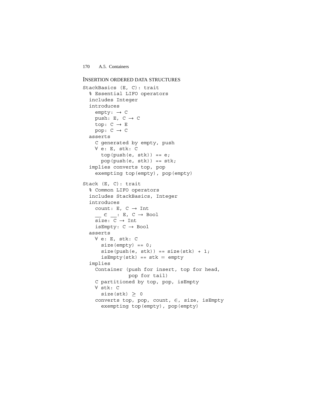170 A.5. Containers

### INSERTION ORDERED DATA STRUCTURES

```
StackBasics (E, C): trait
  % Essential LIFO operators
  includes Integer
  introduces
    empty: \rightarrow Cpush: E, C \rightarrow Ctop: C \rightarrow Epop: C \rightarrow Casserts
    C generated by empty, push
    ∀ e: E, stk: C
      top(push(e, stk)) == e;pop(push(e, stk)) == stk;implies converts top, pop
    exempting top(empty), pop(empty)
Stack (E, C): trait
  % Common LIFO operators
  includes StackBasics, Integer
  introduces
    count: E, C \rightarrow Int\in : E, C \rightarrow Bool
    size: C \rightarrow IntisEmpty: C \rightarrow Bool
  asserts
    ∀ e: E, stk: C
      size(empty) == 0;size(push(e, stk)) == size(stk) + 1;isEmpty(stk) == stk = emptyimplies
    Container (push for insert, top for head,
                pop for tail)
    C partitioned by top, pop, isEmpty
    -
 stk: C
      size(stk) \geq 0converts top, pop, count, \in, size, isEmpty
      exempting top(empty), pop(empty)
```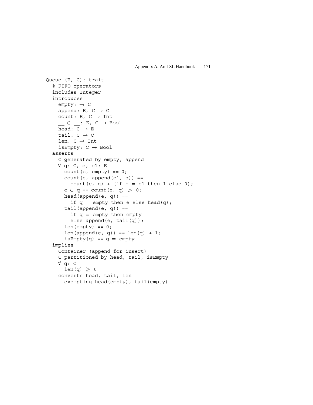```
Queue (E, C): trait
  % FIFO operators
  includes Integer
  introduces
    empty: \rightarrow Cappend: E, C \rightarrow Ccount: E, C \rightarrow Int\_ \in \_ : \mathbb{E}, C \rightarrow Bool
    head: C \rightarrow Etail: C \rightarrow Clen: C \rightarrow IntisEmpty: C \rightarrow Bool
  asserts
    C generated by empty, append
    ∀ q: C, e, e1: E
      count (e, \text{empty}) == 0;count (e, append(e1, q)) ==
         count (e, q) + (if e = e1 then 1 else 0);
       e \in q == count(e, q) > 0;head(append(e, q)) ==
         if q = \text{empty then } e else head(q);
      tail(append(e, q)) ==
         if q = empty then empty
         else append(e, tail(q));
      len(empty) == 0;len(append(e, q)) == len(q) + 1;isEmpty(q) == q = emptyimplies
    Container (append for insert)
    C partitioned by head, tail, isEmpty
    -
 q: C
       len(q) \geq 0converts head, tail, len
      exempting head(empty), tail(empty)
```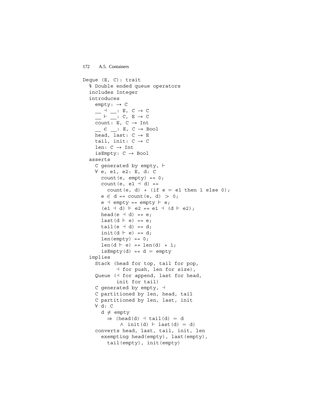```
172 A.5. Containers
Deque (E, C): trait
  % Double ended queue operators
  includes Integer
  introduces
    empty: \rightarrow C- \frac{1}{\cdot} \frac{1}{\cdot} E, C \rightarrow C
     - \vdash \ldots c, E \rightarrow Ccount: E, C \rightarrow Int\_ \in \_ : \mathbb{E}, \mathbb{C} \to \mathbb{B}ool
    head, last: C \rightarrow Etail, init: C \rightarrow Clen: C \rightarrow IntisEmpty: C \rightarrow Bool
  asserts
    C generated by empty, 
     ∀ e, e1, e2: E, d: C
       count (e, empty) == 0;count (e, e1 \uparrow d) ==
         count(e, d) + (if e = e1 then 1 else 0);
       e \in d == count(e, d) > 0;e - empty == empty \vdash e;
       (e1 + d) \vdash e2 == e1 + (d + e2);
       head(e \dagger d) == e;
       last(d \vdash e) == e;
       tail(e d) == d;
       init (d + e) = d;len(empty) == 0;len(d \mid e) == len(d) + 1;isEmpty(d) == d = emptyimplies
    Stack (head for top, tail for pop,
             a for push, len for size),
    Queue ( for append, last for head,
             init for tail)
    C generated by empty, \dashvC partitioned by len, head, tail
    C partitioned by len, last, init
     -
 d: C
       d \neq \text{empty}\Rightarrow (head(d) \exists tail(d) = d
               \land init(d) \vdash last(d) = d)
    converts head, last, tail, init, len
       exempting head(empty), last(empty),
         tail(empty), init(empty)
```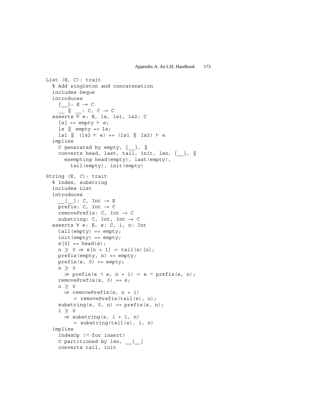```
List (E, C): trait
  % Add singleton and concatenation
  includes Deque
  introduces
     \{\_\right\}: E \rightarrow C\Box \parallel \Box: C, C \rightarrow C
  asserts ∀ e: E, ls, ls1, ls2: C
     {e} = empty \vdash e;
     \text{ls} \parallel empty == \text{ls};ls1 || (1s2 \; \vdash \; e) = (1s1 \; || \; 1s2) \; \vdash \; eimplies
     C generated by empty, \{\_\ \}, \|converts head, last, tail, init, len, \{\_\}, \|exempting head(empty), last(empty),
         tail(empty), init(empty)
String (E, C): trait
  % Index, substring
  includes List
  introduces
     [ ]: C, Int \rightarrow E
    prefix: C, Int \rightarrow C
    removePrefix: C, Int \rightarrow C
     substring: C, Int, Int \rightarrow C
  asserts \forall e: E, s: C, i, n: Int
     tail(empty) == empty;init(empty) == empty;s[0] == head(s);n \geq 0 \Rightarrow s[n + 1] = \text{tail}(s)[n];prefix(empty, n) == empty;
    prefix(s, 0) == empty;n \geq 0\Rightarrow prefix(e + s, n + 1) = e + prefix(s, n);
     removePrefix(s, 0) == s;
    n \geq 0\Rightarrow removePrefix(s, n + 1)
           = removePrefix(tail(s), n);
     substring(s, 0, n) == prefix(s, n);
     i \geq 0\Rightarrow substring(s, i + 1, n)
           = substring(tail(s), i, n)
  implies
     IndexOp (\dagger) for insert)
     C partitioned by len, \boxed{[-]}converts tail, init
```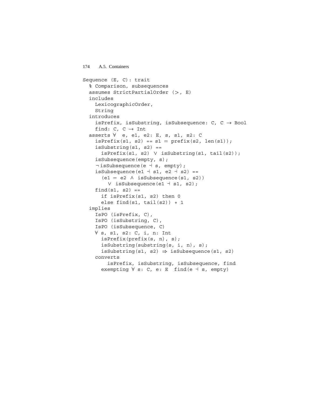```
174 A.5. Containers
Sequence (E, C): trait
  % Comparison, subsequences
  assumes StrictPartialOrder (>, E)
  includes
    LexicographicOrder,
    String
  introduces
    isPrefix, isSubstring, isSubsequence: C, C \rightarrow Bool
    find: C, C \rightarrow Intasserts \forall e, e1, e2: E, s, s1, s2: C
    isPrefix(s1, s2) == s1 = prefix(s2, len(s1));issubstring(s1, s2) ==isPrefix(s1, s2) \lor isSubstring(s1, tail(s2));isSubsequence(empty, s); \negisSubsequence(e \neg s, empty);
    isSubsequence(e1 + s1, e2 + s2) ==
       (e1 = e2 \land isSubsequence(s1, s2))\vee isSubsequence(e1 \exists s1, s2);
    find(s1, s2) ==if isPrefix(s1, s2) then 0
      else find(s1, tail(s2)) + 1
  implies
    IsPO (isPrefix, C),
    IsPO (isSubstring, C),
    IsPO (isSubsequence, C)
    \forall s, s1, s2: C, i, n: Int
      isPrefix(prefix(s, n), s);
      isSubstring(substring(s, i, n), s);
      isSubstring(s1, s2) \Rightarrow isSubsequence(s1, s2)
    converts
        isPrefix, isSubstring, isSubsequence, find
      exempting \forall s: C, e: E find (e \dashv s, empty)
```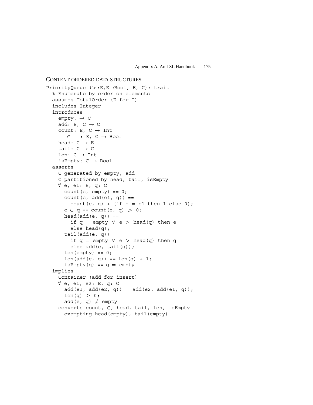CONTENT ORDERED DATA STRUCTURES

```
PriorityQueue (>:E,E-Bool, E, C): trait
  % Enumerate by order on elements
  assumes TotalOrder (E for T)
  includes Integer
  introduces
    empty: \rightarrow Cadd: E, C \rightarrow Ccount: E, C \rightarrow Int\_ \in \_ : E, C \rightarrow Bool
    head: \overline{C} \rightarrow Etail: C \rightarrow Clen: C \rightarrow IntisEmpty: C \rightarrow Bool
 asserts
    C generated by empty, add
    C partitioned by head, tail, isEmpty
    ∀ e, e1: E, q: C
      count (e, empty) == 0;
      count (e, add(e1, q)) ==count (e, q) + (if e = e1 then 1 else 0);e \in q == count(e, q) > 0;head(add(e, q)) ==
         if q = \text{empty} \lor e > \text{head}(q) then e
        else head(q);
      tail(add(e, q)) ==
         if q = \text{empty} \lor e > \text{head}(q) then q
        else add(e, tail(q));
      len(empty) == 0;len(add(e, q)) == len(q) + 1;isEmpty(q) == q = emptyimplies
    Container (add for insert)
    -
 e, e1, e2: E, q: C
      add(e1, add(e2, q)) = add(e2, add(e1, q));len(q) > 0;add(e, q) \neq empty
    converts count, \in, head, tail, len, isEmpty
      exempting head(empty), tail(empty)
```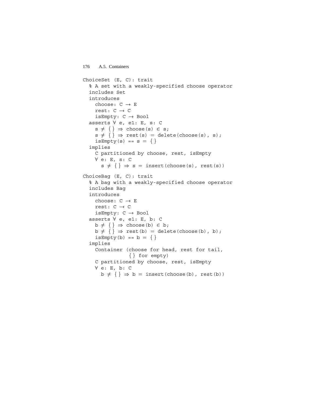```
176 A.5. Containers
ChoiceSet (E, C): trait
  % A set with a weakly-specified choose operator
  includes Set
  introduces
     choose: C \rightarrow Erest: C \rightarrow CisEmpty: C \rightarrow Boolasserts \forall e, el: E, s: C
     s \neq \{\} \Rightarrow \text{choose(s)} \in s;s \neq \{\} \Rightarrow \text{rest}(s) = \text{delete}(choose(s), s);isEmpty(s) == s = \{\}implies
     C partitioned by choose, rest, isEmpty
     ∀ e: E, s: C
       s \neq \{\} \Rightarrow s = \text{insert}(\text{choose}(s), \text{rest}(s))ChoiceBag (E, C): trait
  % A bag with a weakly-specified choose operator
  includes Bag
  introduces
    choose: C \rightarrow Erest: C \rightarrow CisEmpty: C \rightarrow Bool
  asserts \forall e, e1: E, b: C
     b \neq \{\} \Rightarrow \text{choose}(b) \in b;b \neq \{\} \Rightarrow \text{rest}(b) = \text{delete}(choose(b), b);isEmpty(b) == b = { }implies
     Container (choose for head, rest for tail,
                   { } for empty)
     C partitioned by choose, rest, isEmpty
     ∀ e: E, b: C
       b \neq \{\} \Rightarrow b = \text{insert}(\text{choose}(b), \text{rest}(b))
```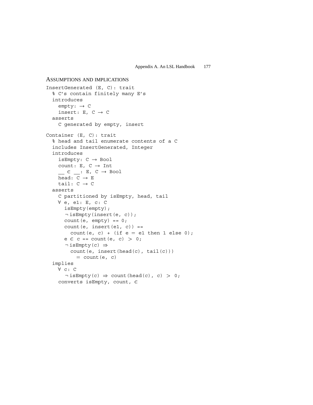### ASSUMPTIONS AND IMPLICATIONS

```
InsertGenerated (E, C): trait
  % C's contain finitely many E's
  introduces
    empty: \rightarrow Cinsert: E, C \rightarrow Casserts
    C generated by empty, insert
Container (E, C): trait
  % head and tail enumerate contents of a C
  includes InsertGenerated, Integer
  introduces
    isEmpty: C \rightarrow Bool
    count: E, C \rightarrow Int\_ \in \_ : \mathbb{E}, \mathbb{C} \to \mathbb{B}ool
    head: C \rightarrow Etail: C \rightarrow Casserts
    C partitioned by isEmpty, head, tail
     ∀ e, e1: E, c: C
      isEmpty(empty); \neg isEmpty(insert(e, c));
      count (e, empty) == 0;count (e, insert (e1, c)) ==
         count (e, c) + (if e = e1 then 1 else 0);
       e \in c == count(e, c) > 0;\neg isEmpty(c) \Rightarrowcount(e, insert(head(c), tail(c)))
            = count (e, c)
  implies
     -
 c: C \neg isEmpty(c) \Rightarrow count(head(c), c) > 0;converts isEmpty, count,
```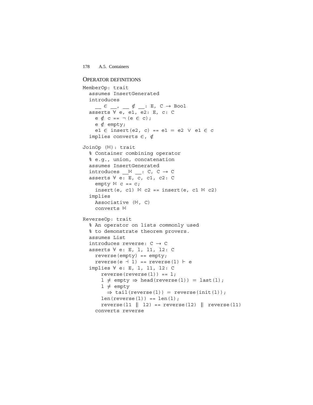178 A.5. Containers

#### OPERATOR DEFINITIONS

```
MemberOp: trait
  assumes InsertGenerated
  introduces
    \_\subseteq \in \_\subseteq, \_\subseteq \notin \_\subseteq: E, C \rightarrow Bool
  asserts \forall e, e1, e2: E, c: C
    e \notin c == \neg (e \in c);e \notin empty;
    e1 \in insert(e2, c) == e1 = e2 \vee e1 \in c
  implies converts \in, \notinJoinOp (\mathbb N): trait
  % Container combining operator
  % e.g., union, concatenation
  assumes InsertGenerated
  introduces \bowtie : C, C \rightarrow C
  asserts \forall e: E, c, c1, c2: C
    empty \bowtie c == c;
    insert(e, c1) \bowtie c2 == insert(e, c1 \bowtie c2)
  implies
    Associative (M, C)converts 
ReverseOp: trait
  % An operator on lists commonly used
  % to demonstrate theorem provers.
  assumes List
  introduces reverse: C \rightarrow Casserts ∀ e: E, 1, 11, 12: C
    reverse(empty) == empty;
    reverse(e +1) == reverse(l) + e
  implies V e: E, 1, 11, 12: C
       reverse(reverse(1)) == 1;
       1 \neq empty \Rightarrow head(reverse(l)) = last(l);
       1 \neq empty
         \Rightarrow tail(reverse(l)) = reverse(init(l));
       len(reverse(1)) == len(1);reverse(l1 \parallel 12) == reverse(l2) \parallel reverse(l1)
    converts reverse
```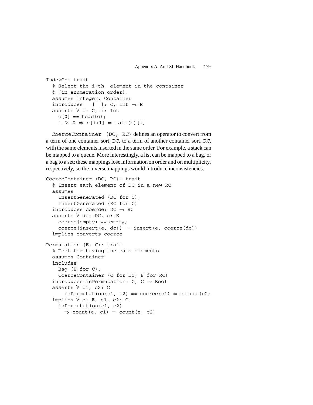```
IndexOp: trait
  % Select the i-th element in the container
  % (in enumeration order).
  assumes Integer, Container
  introduces [ ]: C, Int \rightarrow E
  asserts \forall c: C, i: Int
    c[0] == head(c);i \geq 0 \Rightarrow c[i+1] = tail(c)[i]
```
CoerceContainer (DC, RC) defines an operator to convert from a term of one container sort, DC, to a term of another container sort, RC, with the same elements inserted in the same order. For example, a stack can be mapped to a queue. More interestingly, a list can be mapped to a bag, or a bag to a set; these mappings lose information on order and on multiplicity, respectively, so the inverse mappings would introduce inconsistencies.

```
CoerceContainer (DC, RC): trait
  % Insert each element of DC in a new RC
  assumes
    InsertGenerated (DC for C),
    InsertGenerated (RC for C)
  introduces coerce: DC \rightarrow RCasserts ∀ dc: DC, e: E
    coerce(empty) == empty;
    coverce(insett(e, dc)) == insert(e, coerce(dc))implies converts coerce
Permutation (E, C): trait
  % Test for having the same elements
  assumes Container
  includes
    Bag (B for C),
    CoerceContainer (C for DC, B for RC)
  introduces isPermutation: C, C \rightarrow Boolasserts \forall c1, c2: C
      isPermutation(c1, c2) == coerce(c1) = coerce(c2)
  implies \forall e: E, c1, c2: C
    isPermutation(c1, c2)
      \Rightarrow count(e, c1) = count(e, c2)
```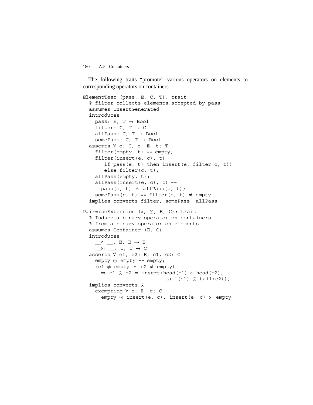180 A.5. Containers

The following traits "promote" various operators on elements to corresponding operators on containers.

```
ElementTest (pass, E, C, T): trait
  % filter collects elements accepted by pass
  assumes InsertGenerated
  introduces
    pass: E, T \rightarrow Boolfilter: C, T \rightarrow C
    allPass: C, T \rightarrow BoolsomePass: C, T \rightarrow Boolasserts \forall c: C, e: E, t: T
    filter(empty, t) == empty;filter(insert(e, c), t) ==
        if pass(e, t) then insert(e, filter(c, t))
        else filter(c, t);
    allPass(empty, t);
    allPass(insert(e, c), t) ==
       pass(e, t) \land allPass(c, t);
    somePass(c, t) == filter(c, t) \neq empty
  implies converts filter, somePass, allPass
PairwiseExtension (\circ, \odot, E, C): trait
  % Induce a binary operator on containers
  % from a binary operator on elements.
  assumes Container (E, C)
  introduces
    \_\circ \_\cdot E, E \rightarrow E
     \_\odot \_\colon C, C \to C
  asserts \forall e1, e2: E, c1, c2: C
    empty \odot empty == empty;(c1 \neq \text{empty} \land c2 \neq \text{empty})\Rightarrow c1 \odot c2 = insert(head(c1) \circ head(c2),
                               tail(cl) \odot tail(c2));
  implies converts 
     exempting \forall e: E, c: C
       empty \odot insert(e, c), insert(e, c) \odot empty
```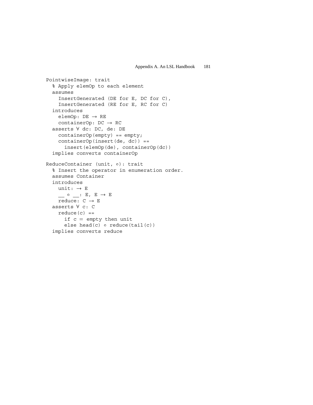```
PointwiseImage: trait
  % Apply elemOp to each element
  assumes
    InsertGenerated (DE for E, DC for C),
    InsertGenerated (RE for E, RC for C)
  introduces
    elemOp: DE \rightarrow REcontainerOp: DC \rightarrow RCasserts ∀ dc: DC, de: DE
     containerOp(empty) == empty;
     containerOp(insert(de, dc)) ==
       insert(elemOp(de), containerOp(dc))
  implies converts containerOp
ReduceContainer (unit, o): trait
  % Insert the operator in enumeration order.
  assumes Container
  introduces
    unit: \rightarrow E
     \begin{array}{c} \begin{array}{c} \circ \end{array} \begin{array}{c} \hline \end{array} \cdot E, E \end{array}reduce: C \rightarrow Easserts \forall c: C
     reduce(c) ==if c = empty then unit
       else head(c) \circ reduce(tail(c))
  implies converts reduce
```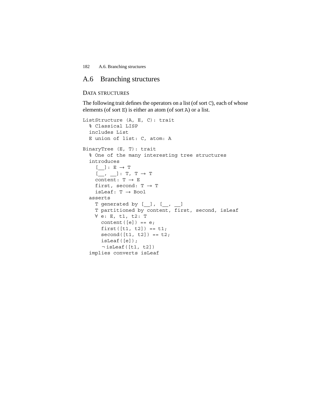182 A.6. Branching structures

## A.6 Branching structures

### DATA STRUCTURES

The following trait defines the operators on a list (of sort C), each of whose elements (of sort E) is either an atom (of sort A) or a list.

```
ListStructure (A, E, C): trait
  % Classical LISP
  includes List
  E union of list: C, atom: A
BinaryTree (E, T): trait
  % One of the many interesting tree structures
  introduces
    [\underline{\quad}] : E \rightarrow T[ ], ]: T, T \rightarrow T
    content: T \rightarrow Efirst, second: T \rightarrow TisLeaf: T \rightarrow Bool
  asserts
    T generated by [ ], [ , ]T partitioned by content, first, second, isLeaf
    ∀ e: E, t1, t2: T
      content([e]) == e;
      first([t1, t2]) == t1;second([t1, t2]) == t2;isLeaf([e]); \negisLeaf([t1, t2])
  implies converts isLeaf
```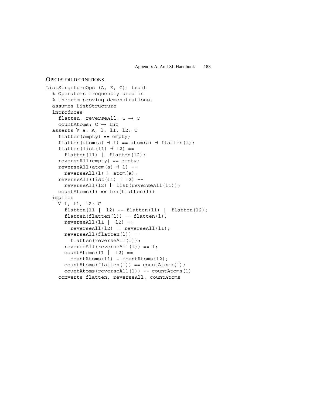#### OPERATOR DEFINITIONS

```
ListStructureOps (A, E, C): trait
  % Operators frequently used in
  % theorem proving demonstrations.
  assumes ListStructure
  introduces
    flatten, reverseAll: C \rightarrow CcountAtoms: C \rightarrow Intasserts ∀ a: A, l, l1, l2: C
    flatten(empty) == empty;flatten(atom(a) \exists l) == atom(a) \exists flatten(l);
    flatten(list(11) \pm 12) ==
      flatten(11) | flatten(12);
    reverseAll(empty) == empty;
    reverseAll(atom(a) \pm 1) ==
      reverseAll(1) \vdash atom(a);
    reverseAll(list(l1) -1 l2) ==
      reversed1(12) \vdash list(reverseAll(l1));
    countAtoms(1) == len(flatten(1))implies
    ∀ 1, 11, 12: C
      flatten(11 || 12) == flatten(11) || 12;
      flatten(flatten(l)) == flatten(l);reverseAll(11 \parallel 12) ==reversed1(12) | reverseAll(11);
      reversed1(flatten(l)) ==flatten(reverseAll(l));
      reverseAll(reverseAll(1)) == 1;
      countAtoms(11 || 12) ==
        countAtoms(l1) + countAtoms(l2);
      countAtoms(flatenten(1)) == countAtoms(1);countAtoms(reverseAll(1)) == countAtoms(1)converts flatten, reverseAll, countAtoms
```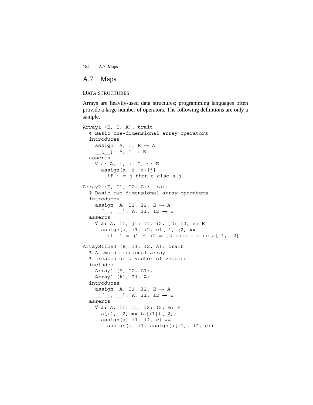184 A.7. Maps

## A.7 Maps

### DATA STRUCTURES

Arrays are heavily-used data structures; programming languages often provide a large number of operators. The following definitions are only a sample.

```
Array1 (E, I, A): trait
  % Basic one-dimensional array operators
  introduces
    assign: A, I, E \rightarrow A[ ]: A, I \rightarrow E
  asserts
    ∀ a: A, i, j: I, e: E
      assign(a, i, e)[j] ==if i = j then e else a[j]
Array2 (E, I1, I2, A): trait
  % Basic two-dimensional array operators
  introduces
    assign: A, I1, I2, E \rightarrow A\_ [\_, \_]: A, I1, I2 \rightarrow E
  asserts
    -
 a: A, i1, j1: I1, i2, j2: I2, e: E
      assign(a, i1, i2, e)[j1, j2] ==if i1 = j1 \land i2 = j2 then e else a[j1, j2]
ArraySlice2 (E, I1, I2, A): trait
  % A two-dimensional array
  % treated as a vector of vectors
  includes
    Array1 (E, I2, A1),
    Array1 (A1, I1, A)
  introduces
    assign: A, I1, I2, E \rightarrow A\_ [\_, \_]: A, I1, I2 \rightarrow E
  asserts
    -
 a: A, i1: I1, i2: I2, e: E
      a[i1, i2] == (a[i1])[i2];assign(a, i1, i2, e) =assign(a, i1, assign(a[i1], i2, e))
```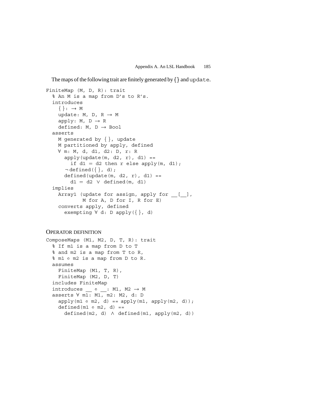The maps of the following trait are finitely generated by  $\{\}$  and update.

```
FiniteMap (M, D, R): trait
  % An M is a map from D's to R's.
  introduces
    \{\}\colon\rightarrow Mupdate: M, D, R \rightarrow Mapply: M, D \rightarrow Rdefined: M, D \rightarrow Bool
  asserts
    M generated by { }, update
    M partitioned by apply, defined
    -
 m: M, d, d1, d2: D, r: R
      apply(update(m, d2, r), d1) ==if d1 = d2 then r else apply(m, d1);
      \neg \text{defined}(\{\}, d\});
      defined(update(m, d2, r), d1) ==
        d1 = d2 V defined(m, d1)
  implies
    Array1 (update for assign, apply for __[_],
             M for A, D for I, R for E)
    converts apply, defined
      exempting \forall d: D apply({}, d)
```
### OPERATOR DEFINITION

```
ComposeMaps (M1, M2, D, T, R): trait
  % If m1 is a map from D to T
  % and m2 is a map from T to R,
  % m1 o m2 is a map from D to R.
 assumes
   FiniteMap (M1, T, R),
   FiniteMap (M2, D, T)
  includes FiniteMap
  introduces \_\circ \_\cdot : M1, M2 \to Masserts \forall m1: M1, m2: M2, d: D
    apply(m1 o m2, d) == apply(m1, apply(m2, d));defined(m1 o m2, d) ==
      defined(m2, d) \land defined(m1, apply(m2, d))
```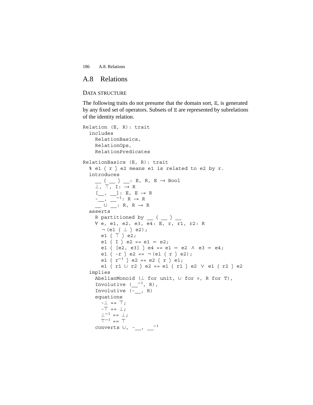186 A.8. Relations

## A.8 Relations

### DATA STRUCTURE

The following traits do not presume that the domain sort, E, is generated by any fixed set of operators. Subsets of E are represented by subrelations of the identity relation.

```
Relation (E, R): trait
  includes
     RelationBasics,
     RelationOps,
     RelationPredicates
RelationBasics (E, R): trait
  \text{ } e1 \langle r \rangle e2 means e1 is related to e2 by r.
  introduces
     \langle \quad \rangle : E, R, E \rightarrow Bool
     \bot, T, I: \rightarrow R
     [ ], ]: E, E \rightarrow R
     -, ^{-1}: R \rightarrow R\cup : R, R \rightarrow R
  asserts
     R partitioned by \qquad \langle \qquad \rangle-
 e, e1, e2, e3, e4: E, r, r1, r2: R \neg (e1 \langle \perp \rangle e2);
        e1 \langle T \rangle e2;
        e1 \langle I \rangle e2 == e1 = e2;
        e1 \langle [e2, e3] \rangle e4 == e1 = e2 \land e3 = e4;
        e1 \langle -r \rangle e2 == \neg (e1 \langle r \rangle e2);
        e1 \langle r^{-1} \rangle e2 == e2 \langle r \rangle e1;
        e1 \langle r1 \cup r2 \rangle e2 == e1 \langle r1 \rangle e2 \vee e1 \langle r2 \rangle e2
  implies
     AbelianMonoid (L for unit, U for \circ, R for T),
     Involutive (-1, R),
     Involutive (-, R)equations
        -L == T;-T = = \bot;\perp^{-1} == \perp;
        T^{-1} == T
     converts \cup, - , ^{-1}
```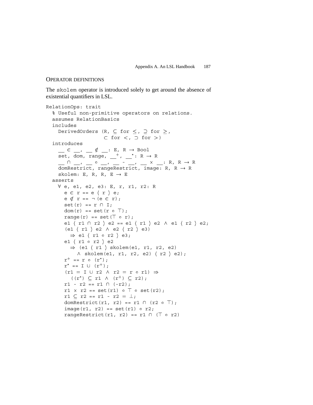#### OPERATOR DEFINITIONS

The skolem operator is introduced solely to get around the absence of existential quantifiers in LSL.

```
RelationOps: trait
    % Useful non-primitive operators on relations.
   assumes RelationBasics
    includes
       DerivedOrders (R, \subseteq for \le, \supseteq for \ge,
                                    \subset for \lt, \supset for >)
    introduces
        \_ \in \_ , \_ \notin \_ : \mathbb{E}, \mathbb{R} \to \mathsf{Bool}set, dom, range, \quad ^+, \quad ^* : R \rightarrow R
          \begin{array}{c} \n\begin{array}{c} \n\text{-} \ \n\end{array} \begin{array}{c} \n\text{-} \ \n\end{array} \begin{array}{c} \n\text{-} \ \n\end{array} \begin{array}{c} \n\text{-} \ \n\end{array} \begin{array}{c} \n\text{-} \ \n\end{array} \begin{array}{c} \n\text{-} \ \n\end{array} \begin{array}{c} \n\text{-} \ \n\end{array} \begin{array}{c} \n\text{-} \ \n\end{array} \begin{array}{c} \n\text{-} \ \n\end{array} \begin{array}{c} \n\text{-} \ \n\end{array} \domRestrict, rangeRestrict, image: R, R \rightarrow Rskolem: E, R, R, E \rightarrow E
   asserts
        -
 e, e1, e2, e3: E, r, r1, r2: R
          e \in r == e \langle r \rangle e;
           e \notin r == \neg (e \in r);set(r) == r \cap I;dom(r) == set(r \circ \top);range(r) == \text{set}(\top \text{o} r);
           e1 \langle r1 \cap r2 \rangle e2 == e1 \langle r1 \rangle e2 \land e1 \langle r2 \rangle e2;
           (e1 \langle r1 \rangle e2 \wedge e2 \langle r2 \rangle e3)
               \Rightarrow e1 \langle r1 o r2 \rangle e3;
           e1 \langle r1 \circ r2 \rangle e2
               \Rightarrow (e1 \langle r1 \rangle skolem(e1, r1, r2, e2)
                  \land skolem(e1, r1, r2, e2) \langle r2 \rangle e2);
           r^{+} == r o (r^{*});
           r^* = I \cup (r^+);
           (rl = I \cup r2 \land r2 = r \circ r1) \Rightarrow((r^*) \subseteq r1 \land (r^+) \subseteq r2);r1 - r2 = r1 \cap (-r2);r1 \times r2 == set(r1) \circ \top \circ set(r2);r1 \subseteq r2 == r1 - r2 = \perp;
           domRestrict(r1, r2) == r1 \cap (r2 \circ T);
           image(r1, r2) == set(r1) o r2;rangeRestrict(r1, r2) == r1 \cap (T o r2)
```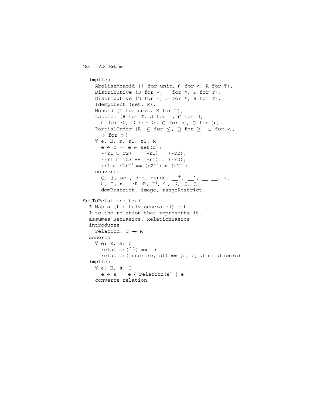```
188 A.8. Relations
  implies
     AbelianMonoid (T for unit, \cap for \circ, R for T),
    Distributive (\cup for +, \cap for *, R for T),
    Distributive (\cap for +, \cup for *, R for T),
     Idempotent (set, R),
    Monoid (I for unit, R for T),
    Lattice (R for T, \cup for \cup, \cap for \Pi,
       \subseteq for \leq, \supseteq for \geq, \subset for \lt, \supset for \gt),
    PartialOrder (R, \subseteq for \leq, \supseteq for \geq, \subset for \lt,
       \supset for > )
     -
 e: E, r, r1, r2: R
       e \in r == e \in set(r);-(r1 \cup r2) == (-r1) \cap (-r2);-(r1 \cap r2) == (-r1) \cup (-r2);(r1 o r2)^{-1} = (r2^{-1}) o (r1^{-1})converts
       \in, \notin, set, dom, range, +, *, - , \times,
       U, N, o, \texttt{-:R}\rightarrow \texttt{R}, ^{-1}, \subseteq, \supset, \subset, \supset,
       domRestrict, image, rangeRestrict
SetToRelation: trait
  % Map a (finitely generated) set
  % to the relation that represents it.
  assumes SetBasics, RelationBasics
  introduces
    relation: C \rightarrow Rasserts
     ∀ e: E, s: C
       relation(\{\ \}) == \bot;
       relation(insert(e, s)) == [e, e] \cup relation(s)
  implies
     -
 e: E, s: C
       e \in s == e \langle relation(s) \rangle econverts relation
```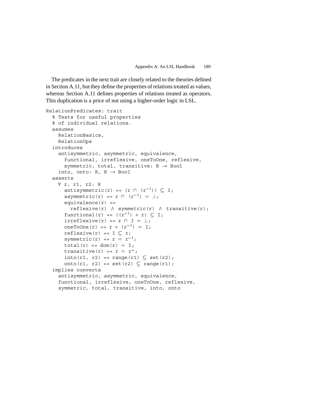The predicates in the next trait are closely related to the theories defined in Section A.11, but they define the properties of relations treated as values, whereas Section A.11 defines properties of relations treated as operators. This duplication is a price of not using a higher-order logic in LSL.

```
RelationPredicates: trait
  % Tests for useful properties
  % of individual relations.
  assumes
    RelationBasics,
    RelationOps
  introduces
    antisymmetric, asymmetric, equivalence,
      functional, irreflexive, oneToOne, reflexive,
      symmetric, total, transitive: R \rightarrow Boolinto, onto: R, R \rightarrow Bool
  asserts
    -
 r, r1, r2: R
       antisymmetric(r) == (r \cap (r<sup>-1</sup>)) \subseteq I;
       asymmetric(r) == r \cap (r<sup>-1</sup>) = \perp;
      equivalence(r) ==
        reflexive(r) \wedge symmetric(r) \wedge transitive(r);functional(r) == ((r^{-1}) o r) \subseteq I;
      irreflexive(r) == r \cap I = \bot;oneToOne(r) == r o (r^{-1}) = I;
      reflexive(r) == I \subseteq r;symmetric(r) == r = r^{-1};
      total(r) == dom(r) = I;transitive(r) == r = r^{+};
      into(r1, r2) == range(r1) \subseteq set(r2);onto(r1, r2) == set(r2) \subseteq range(r1);
  implies converts
    antisymmetric, asymmetric, equivalence,
    functional, irreflexive, oneToOne, reflexive,
    symmetric, total, transitive, into, onto
```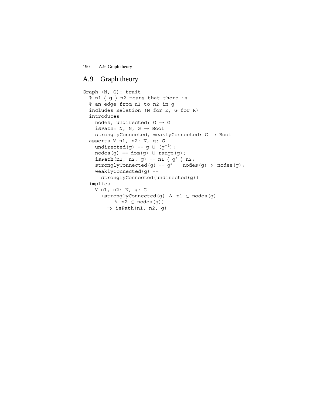190 A.9. Graph theory

# A.9 Graph theory

```
Graph (N, G): trait
  \text{ and } \{ g \} n2 means that there is
  % an edge from n1 to n2 in g
  includes Relation (N for E, G for R)
  introduces
    nodes, undirected: G \rightarrow GisPath: N, N, G \rightarrow Bool
    stronglyConnected, weaklyConnected: G \rightarrow Boolasserts \forall n1, n2: N, g: G
     undirected(g) == g \cup (g^{-1});
    nodes(g) == dom(g) \cup range(g);isPath(n1, n2, g) == n1 \langle g<sup>*</sup> \rangle n2;
     stronglyConnected(g) == g^* = nodes(g) \times nodes(g);
     weaklyConnected(g) ==
       stronglyConnected(undirected(g))
  implies
     -
 n1, n2: N, g: G
       (\text{stronglyConnected}(g) \land n1 \in nodes(g))\land n2 \in nodes(g))
          \Rightarrow isPath(n1, n2, g)
```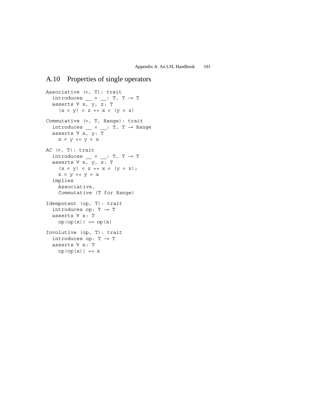# A.10 Properties of single operators

```
Associative (o, T): trait
  introduces \_\circ \_\cdot : T, T \to Tasserts \forall x, y, z: T
     (x \circ y) \circ z == x \circ (y \circ z)Commutative (o, T, Range): trait
  introduces \_\circ \_\circ \_ : T, T \to \mathbb{R}ange
   asserts \forall x, y: T
     x \circ y == y \circ xAC (o, T): trait
  introduces \_\circ \_\cdot : T, T \to Tasserts \forall x, y, z: T
     (x o y) o z == x o (y o z);x \circ y == y \circ ximplies
     Associative,
     Commutative (T for Range)
Idempotent (op, T): trait
  introduces op: T \rightarrow Tasserts \forall x: T
     op(p(x)) == op(x)Involutive (op, T): trait
  introduces op: T \rightarrow Tasserts ∀ x: T
     op(op(x)) == x
```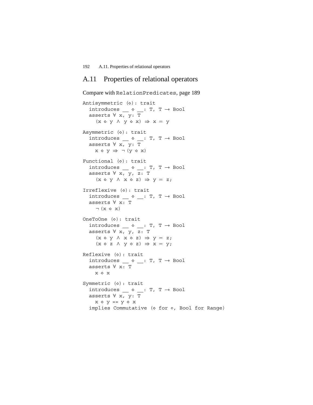192 A.11. Properties of relational operators

## A.11 Properties of relational operators

Compare with RelationPredicates, page 189

```
Antisymmetric (): trait
   introduces \_\ \circ \_\: T, T \rightarrow Bool
    asserts \forall x, y: T
        (x \diamond y \wedge y \diamond x) \Rightarrow x = yAsymmetric (): trait
    introduces __ \circ __: T, T \rightarrow Bool
    asserts \forall x, y: T
       \mathtt{x}\;\diamond\; \mathtt{y}\;\Rightarrow\; \neg\; (\mathtt{y}\;\diamond\; \mathtt{x})Functional (\diamond): trait
    introduces _ \circ _: T, T \rightarrow Bool
    asserts \forall x, y, z: T
        (x \diamond y \wedge x \diamond z) \Rightarrow y = z;Irreflexive (): trait
   \begin{tabular}{l} introduces \end{tabular} \begin{tabular}{l} \hline \multicolumn{2}{c}{\textbf{introduces}} \end{tabular} \begin{tabular}{l} \hline \multicolumn{2}{c}{\textbf{introduces}} \end{tabular} \begin{tabular}{l} \hline \multicolumn{2}{c}{\textbf{introduces}} \end{tabular} \end{tabular}asserts \forall x: T
        \neg (x \diamond x)OneToOne (0): trait
   introduces _ \circ _: T, T \rightarrow Bool
    asserts \forall x, y, z: T
        (x \diamond y \wedge x \diamond z) \Rightarrow y = z;(x \circ z \land y \circ z) \Rightarrow x = y;Reflexive (\diamond): trait
   introduces \_\ \circ \_\ : \ T, T \to \text{Bool}asserts \forall x: T
       x \circ xSymmetric (\diamond): trait
   introduces \_\circ \_\circ \_\cdot T, T \rightarrow Bool
    asserts \forall x, y: T
       x \circ y == y \circ ximplies Commutative ( \diamond for  \circ, Bool for Range)
```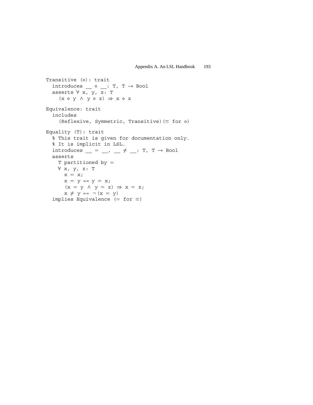```
Transitive (): trait
  introduces __ \circ __: T, T \rightarrow Bool
  asserts \forall x, y, z: T
     (x \diamond y \wedge y \diamond z) \Rightarrow x \diamond zEquivalence: trait
  includes
     (Reflexive, Symmetric, Transitive) (\equiv for \diamond)Equality (T): trait
  % This trait is given for documentation only.
  % It is implicit in LSL.
  introduces _ = _, _ \neq _: T, T \rightarrow Bool
  asserts
    T partitioned by =-
 x, y, z: T
       x = x;x = y == y = x;(x = y \land y = z) \Rightarrow x = z;x \neq y == \neg (x = y)implies Equivalence (= for \equiv)
```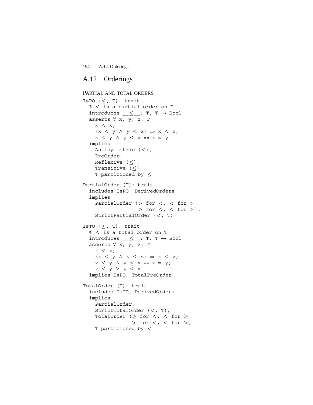194 A.12. Orderings

## A.12 Orderings

#### PARTIAL AND TOTAL ORDERS

```
IsPO (<, T): trait
  \frac{1}{6} \leq is a partial order on T
  introduces \underline{\leq} \underline{\leq}: T, T \rightarrow Bool
   asserts \forall x, y, z: T
     x \leq x;(x \leq y \land y \leq z) \Rightarrow x \leq z;x \leq y \land y \leq x == x = yimplies
    Antisymmetric (\le),
    PreOrder,
     Reflexive (\le),
     Transitive (\le)T partitioned by \leqPartialOrder (T): trait
  includes IsPO, DerivedOrders
  implies
     PartialOrder (> for \langle , \langle for >,
                       \geq for \leq, \leq for \geq),
     StrictPartialOrder (<, T)
IsTO (<, T): trait
  \frac{1}{6} \leq is a total order on T
  introduces \underline{\leq} \_: T, T \rightarrow Bool
   asserts ∀ x, y, z: T
     x \leq x;(x \leq y \land y \leq z) \Rightarrow x \leq z;x \leq y \land y \leq x == x = y;\mathtt{x} \ \leq \ \mathtt{y} \ \lor \ \mathtt{y} \ \leq \ \mathtt{x}implies IsPO, TotalPreOrder
TotalOrder (T): trait
  includes IsTO, DerivedOrders
  implies
     PartialOrder,
     StrictTotalOrder (<, T),
     TotalOrder (\geq for \leq, \leq for \geq,
                     > for <, < for >)
     T partitioned by <
```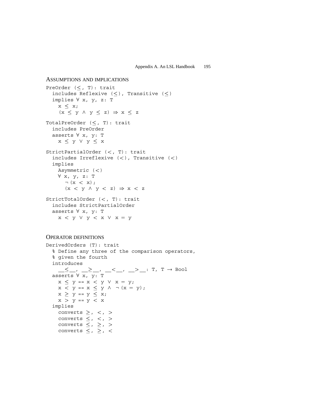```
ASSUMPTIONS AND IMPLICATIONS
```

```
PreOrder (\leq, T): trait
  includes Reflexive (\le), Transitive (\le)implies \forall x, y, z: T
    x \leq x;(x \leq y \land y \leq z) \Rightarrow x \leq zTotalPreOrder (<, T): trait
  includes PreOrder
  asserts \forall x, y: T
    x \le y \vee y \le xStrictPartialOrder (<, T): trait
  includes Irreflexive (<), Transitive (<)implies
    Asymmetric (<)-
 x, y, z: T \neg (x < x);
       (x < y \land y < z) \Rightarrow x < zStrictTotalOrder (<, T): trait
  includes StrictPartialOrder
  asserts \forall x, y: T
```
OPERATOR DEFINITIONS

 $x < y \lor y < x \lor x = y$ 

```
DerivedOrders (T): trait
  % Define any three of the comparison operators,
  % given the fourth
  introduces
    \leq , \geq , \lt , > : T, T \rightarrow Bool
  asserts \forall x, y: T
    x \leq y == x < y \lor x = y;x < y == x \le y \land \neg (x = y);x \geq y == y \leq x;x > y == y < ximplies
    converts \geq, \lt, >converts \lt, \lt, >converts \leq, \geq, >converts \leq, \geq, <
```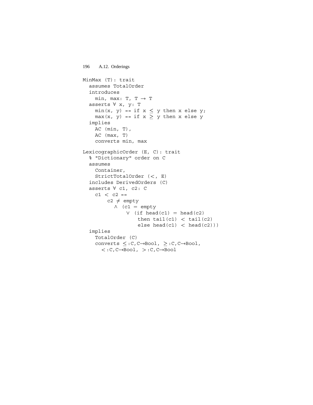```
196 A.12. Orderings
MinMax (T): trait
  assumes TotalOrder
  introduces
    min, max: T, T \rightarrow T
  asserts \forall x, y: T
    min(x, y) == if x \le y then x else y;max(x, y) == if x \ge y then x else y
  implies
    AC (min, T),
    AC (max, T)
    converts min, max
LexicographicOrder (E, C): trait
  % "Dictionary" order on C
  assumes
    Container,
    StrictTotalOrder (<, E)includes DerivedOrders (C)
  asserts \forall c1, c2: C
    c1 < c2 ==c2 \neq empty
            \wedge (c1 = empty
                V (if head(c1) = head(c2)
                    then tail(cl) < tail(c2)else head(c1) < head(c2))implies
    TotalOrder (C)
    converts \leq:C,C\rightarrowBool, \geq:C,C\rightarrowBool,
       \langle :C, C \rightarrow Boo1, >:C, C \rightarrow Boo1
```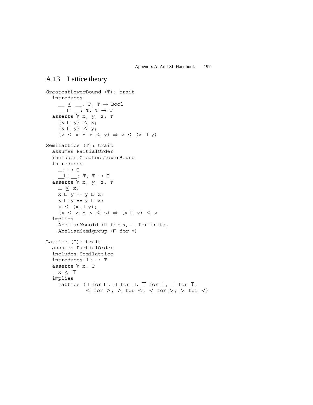# A.13 Lattice theory

```
GreatestLowerBound (T): trait
    introduces
         \leq : T, T \rightarrow Bool
         \Box \Box \Box \Box \Box \Box \Boxasserts \forall x, y, z: T
        (x \cap y) \leq x;(x \sqcap y) \leq y;(z \leq x \land z \leq y) \Rightarrow z \leq (x \sqcap y)Semilattice (T): trait
    assumes PartialOrder
    includes GreatestLowerBound
    introduces
        \perp : \rightarrow T\begin{array}{c} \begin{array}{c} \begin{array}{c} \end{array} \\ \begin{array}{c} \end{array} \\ \begin{array}{c} \end{array} \end{array} \begin{array}{c} \begin{array}{c} \end{array} \\ \begin{array}{c} \end{array} \end{array} \begin{array}{c} \end{array} \begin{array}{c} \end{array} \begin{array}{c} \end{array} \begin{array}{c} \end{array} \begin{array}{c} \end{array} \begin{array}{c} \end{array} \begin{array}{c} \end{array}asserts \forall x, y, z: T
        \perp \leq x;
        x \cup y == y \cup x;x \bigcap y == y \bigcap x;x \leq (x \cup y);(x \leq z \land y \leq z) \Rightarrow (x \sqcup y) \leq zimplies
        AbelianMonoid (\sqcup for \circ, \bot for unit),
        AbelianSemigroup ( \cap for o)Lattice (T): trait
    assumes PartialOrder
    includes Semilattice
    introduces T: \rightarrow Tasserts \forall x: T
        x \leq \topimplies
        Lattice (\sqcup for \Pi, \Pi for \sqcup, \top for \bot, \bot for \top,
                           \leq for \geq, \geq for \leq, \lt for \gt, \gt for \lt)
```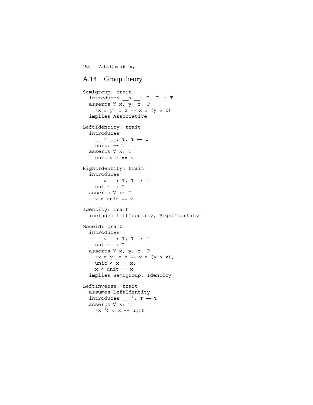198 A.14. Group theory

# A.14 Group theory

```
Semigroup: trait
    introduces \_\circ \_\cdot : T, T \to Tasserts \forall x, y, z: T
          (x \circ y) \circ z == x \circ (y \circ z)implies Associative
LeftIdentity: trait
    introduces
         \begin{array}{c} \begin{array}{c} \circ \\ \hline \end{array} \end{array} \begin{array}{c} : T, T \rightarrow T \end{array}unit: \rightarrow T
     asserts \forall x: T
         unit \circ x == x
RightIdentity: trait
    introduces
         \frac{\ }{2} \frac{\ }{2} \frac{\ }{2} \frac{\ }{2} \frac{\ }{2} \frac{\ }{2} \frac{\ }{2} \frac{\ }{2} \frac{\ }{2} \frac{\ }{2} \frac{\ }{2} \frac{\ }{2} \frac{\ }{2} \frac{\ }{2} \frac{\ }{2} \frac{\ }{2} \frac{\ }{2} \frac{\ }{2} \frac{\ }{2} \frac{\ }{2} \frac{\ }{2} \frac{\ }{2} unit: \rightarrow T
     asserts \forall x: T
         x \circ unit == xIdentity: trait
    includes LeftIdentity, RightIdentity
Monoid: trait
    introduces
          \begin{array}{c} \begin{array}{c} \circ \\ \hline \end{array} \end{array} \begin{array}{c} \circ \\ \hline \end{array} \begin{array}{c} \circ \\ \hline \end{array} \begin{array}{c} \circ \\ \hline \end{array} \begin{array}{c} \circ \\ \hline \end{array} \begin{array}{c} \circ \\ \hline \end{array} \begin{array}{c} \circ \\ \hline \end{array}unit: \rightarrow T
     asserts \forall x, y, z: T
         (x o y) o z == x o (y o z);unit \circ x == x;
         x \circ unit == ximplies Semigroup, Identity
LeftInverse: trait
    assumes LeftIdentity
     introduces ^{-1}: T \rightarrow T
     asserts \forall x: T
          (x^{-1}) o x == unit
```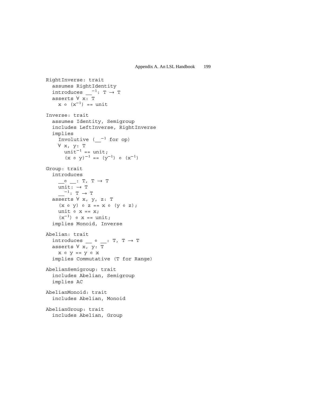```
RightInverse: trait
   assumes RightIdentity
   introduces ^{-1}: T \rightarrow Tasserts \forall x: T
      x \circ (x^{-1}) == unitInverse: trait
   assumes Identity, Semigroup
   includes LeftInverse, RightInverse
   implies
      Involutive ( ^{-1} for op)
      -
 x, y: T
         unit^{-1} == unit;(x \circ y)^{-1} = (y^{-1}) \circ (x^{-1})Group: trait
   introduces
      \begin{array}{c} \begin{array}{c} \circ \\ \hline \end{array} \end{array} \begin{array}{c} \begin{array}{c} \circ \\ \hline \end{array} \end{array} \begin{array}{c} \vdots \end{array} \begin{array}{c} \top \end{array} \end{array} \begin{array}{c} \top \end{array}unit: \rightarrow T
      ^{-1}: T \rightarrow T
   asserts \forall x, y, z: T
      (x o y) o z == x o (y o z);unit \circ x == x;
      (x^{-1}) o x == unit;
   implies Monoid, Inverse
Abelian: trait
   introduces \_\circ \_\circ \_\cdot : T, T \to Tasserts \forall x, y: T
      x \circ y == y \circ ximplies Commutative (T for Range)
AbelianSemigroup: trait
   includes Abelian, Semigroup
   implies AC
AbelianMonoid: trait
   includes Abelian, Monoid
AbelianGroup: trait
   includes Abelian, Group
```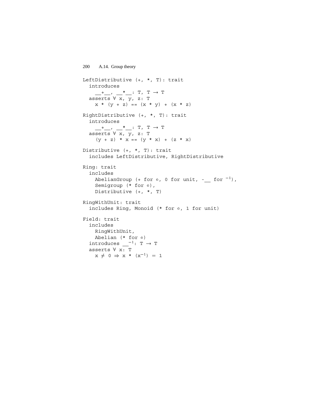```
200 A.14. Group theory
LeftDistributive (+, *, T): trait
  introduces
     + , * : T, T \rightarrow T
   asserts \forall x, y, z: T
     x * (y + z) == (x * y) + (x * z)RightDistributive (+, *, T): trait
  introduces
     \begin{array}{c} \begin{array}{c} \n-\end{array}^+ \quad \begin{array}{c} \n-\end{array}^* \quad \begin{array}{c} \n-\end{array}^* \quad T, \quad T \rightarrow T \end{array}asserts \forall x, y, z: T
     (y + z) * x == (y * x) + (z * x)Distributive (+, *, T): trait
  includes LeftDistributive, RightDistributive
Ring: trait
  includes
     AbelianGroup (+ for \circ, 0 for unit, - \; for ^{-1}),
     Semigroup (* for 0),
     Distributive (+, *, T)
RingWithUnit: trait
  includes Ring, Monoid (* for o, 1 for unit)
Field: trait
  includes
     RingWithUnit,
     Abelian (* for 0)
   introduces ^{-1}: T \rightarrow T
   asserts \forall x: T
     x \neq 0 \Rightarrow x * (x^{-1}) = 1
```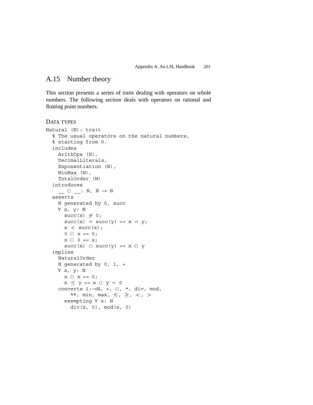## A.15 Number theory

This section presents a series of traits dealing with operators on whole numbers. The following section deals with operators on rational and floating point numbers.

### DATA TYPES

```
Natural (N): trait
  % The usual operators on the natural numbers,
  % starting from 0.
  includes
    ArithOps (N),
     DecimalLiterals,
     Exponentiation (N),
     MinMax (N),
     TotalOrder (N)
  introduces
     \begin{array}{c} \text{---} \end{array} \begin{array}{c} \text{---} \end{array} : N, N \rightarrow N
  asserts
     N generated by 0, succ
     -
 x, y: N
       succ(x) \neq 0;succ(x) = succ(y) == x = y;x <succ(x);
       0 \oplus x == 0;x \oplus 0 == x;succ(x) \oplus succ(y) == x \ominus yimplies
     NaturalOrder
     N generated by 0, 1, +
     -
 x, y: N
       x \oplus x == 0;x \leq y == x \ominus y = 0converts 1:\rightarrow N, +, \ominus, *, div, mod,
          **, min, max, \leq, \geq, \lt, >exempting \forall x: N
          div(x, 0), mod(x, 0)
```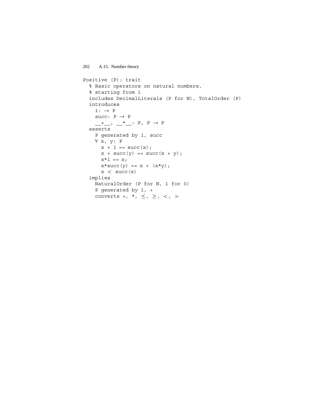```
202 A.15. Number theory
Positive (P): trait
  % Basic operators on natural numbers,
  % starting from 1
  includes DecimalLiterals (P for N), TotalOrder (P)
  introduces
    1: \rightarrow Psucc: P \rightarrow P- + \_\,, - * \_\,: P, P \rightarrow P
  asserts
    P generated by 1, succ
    -
 x, y: P
      x + 1 == succ(x);x + succ(y) == succ(x + y);x * 1 == x;x*succ(y) == x + (x*y);x < succ(x)implies
    NaturalOrder (P for N, 1 for 0)
    P generated by 1, +
    converts +, \star, \leq, \geq, \lt, >
```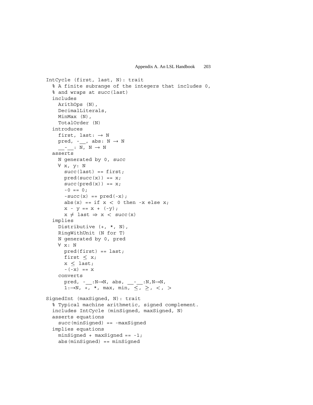```
IntCycle (first, last, N): trait
  % A finite subrange of the integers that includes 0,
  % and wraps at succ(last)
  includes
    ArithOps (N),
    DecimalLiterals,
    MinMax (N),
    TotalOrder (N)
  introduces
    first, last: \rightarrow N
    pred, -, abs: N \rightarrow N\_\_ - \_\_ : N, N \rightarrow N
 asserts
    N generated by 0, succ
    -
 x, y: N
      succ(last) == first;
      pred(succ(x)) == x;succ(pred(x)) == x;-0 = 0;-succ(x) == pred(-x);abs(x) == if x < 0 then -x else x;
      x - y = x + (-y);x \neq last \Rightarrow x < succ(x)
  implies
    Distributive (+, *, N),
    RingWithUnit (N for T)
    N generated by 0, pred
    -
 x: N
      pred(first) == last;
      first \leq x;x \leq last;
      -(-x) == x
    converts
      pred, - :N\rightarrow N, abs, - :N,N\rightarrow N,
      1:\rightarrow \mathbb{N}, +, *, max, min, \leq, \geq, \lt, >SignedInt (maxSigned, N): trait
  % Typical machine arithmetic, signed complement.
  includes IntCycle (minSigned, maxSigned, N)
  asserts equations
    succ(minSigned) == -maxSigned
  implies equations
    minSigned + maxSigned == -1;abs(minSigned) == minSigned
```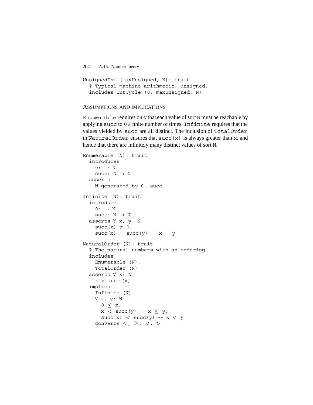204 A.15. Number theory

```
UnsignedInt (maxUnsigned, N): trait
  % Typical machine arithmetic, unsigned.
  includes IntCycle (0, maxUnsigned, N)
```
### ASSUMPTIONS AND IMPLICATIONS

Enumerable requires only that each value of sort N must be reachable by applying succ to 0 a finite number of times. Infinite requires that the values yielded by succ are all distinct. The inclusion of TotalOrder in NaturalOrder ensures that succ $(x)$  is always greater than x, and hence that there are infinitely many distinct values of sort N.

```
Enumerable (N): trait
  introduces
    0: \rightarrow Nsucc: N \rightarrow Nasserts
    N generated by 0, succ
Infinite (N): trait
  introduces
    0: \rightarrow Nsucc: N \rightarrow Nasserts \forall x, y: N
    succ(x) \neq 0;succ(x) = succ(y) == x = yNaturalOrder (N): trait
  % The natural numbers with an ordering
  includes
    Enumerable (N),
    TotalOrder (N)
  asserts \forall x: N
    x <succ(x)implies
    Infinite (N)
     -
 x, y: N
      0 \leq x;x < succ(y) == x \le y;
      succ(x) < succ(y) == x < yconverts \leq, \geq, \lt, >
```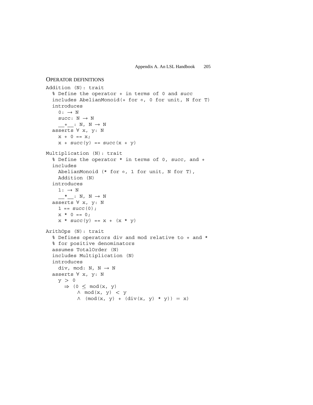```
OPERATOR DEFINITIONS
```

```
Addition (N): trait
  % Define the operator + in terms of 0 and succ
  includes AbelianMonoid(+ for \circ, 0 for unit, N for T)
  introduces
     0: \rightarrow Nsucc: N \rightarrow N- + - : N, N \rightarrow N
   asserts \forall x, y: N
     x + 0 == x;x + succ(y) == succ(x + y)Multiplication (N): trait
  % Define the operator * in terms of 0, succ, and +
  includes
     AbelianMonoid (* for 0, 1 for unit, N for T),
     Addition (N)
  introduces
     1: \rightarrow N\begin{array}{c} \n - * \n \begin{array}{ccc} \n & \n \end{array} & \n \begin{array}{ccc} \n & \n \n \end{array} & \n \end{array}asserts \forall x, y: N
     1 == succ(0);x * 0 == 0;x * succ(y) == x + (x * y)ArithOps (N): trait
  % Defines operators div and mod relative to + and *
  % for positive denominators
  assumes TotalOrder (N)
  includes Multiplication (N)
  introduces
     div, mod: N, N \rightarrow Nasserts \forall x, y: N
     y > 0\Rightarrow (0 \le mod(x, y)
             \land mod(x, y) < y
             \wedge (mod(x, y) + (div(x, y) * y)) = x)
```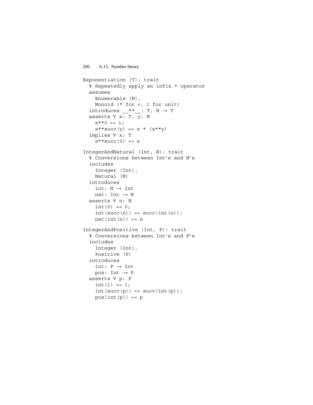```
206 A.15. Number theory
Exponentiation (T): trait
  % Repeatedly apply an infix * operator
  assumes
    Enumerable (N),
    Monoid (* for 0, 1 for unit)
  introduces \_\ast^* : T, N \to Tasserts \forall x: T, y: N
    x**0 == 1;x**succ(y) == x * (x**y)implies \forall x: T
    x**succ(0) == xIntegerAndNatural (Int, N): trait
  % Conversions between Int's and N's
  includes
    Integer (Int),
    Natural (N)
  introduces
    int: N \rightarrow Intnat: Int \rightarrow N
  asserts ∀ n: N
    int(0) == 0;int(succ(n)) == succ(int(n));nat(int(n)) == nIntegerAndPositive (Int, P): trait
  % Conversions between Int's and P's
  includes
    Integer (Int),
    Positive (P)
  introduces
    int: P \rightarrow Intpos: Int \rightarrow P
  asserts ∀ p: P
    int(1) == 1;int(succ(p)) == succ(int(p));pos(int(p)) == p
```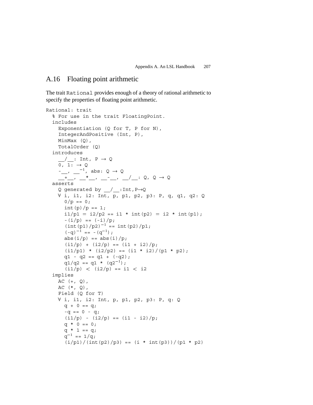## A.16 Floating point arithmetic

The trait Rational provides enough of a theory of rational arithmetic to specify the properties of floating point arithmetic.

```
Rational: trait
  % For use in the trait FloatingPoint.
  includes
    Exponentiation (Q for T, P for N),
    IntegerAndPositive (Int, P),
    MinMax (Q),
    TotalOrder (Q)
  introduces
    \_/\_: Int, P \rightarrow Q
    \overline{0}, 1: \rightarrow Q
    - , ^{-1}, abs: Q \rightarrow Q+ , * , - , / : Q, Q \rightarrow Q
  asserts
    Q generated by / : Int, P\rightarrowQ
    -
 i, i1, i2: Int, p, p1, p2, p3: P, q, q1, q2: Q
      0/p == 0;int(p)/p == 1;i1/p1 = i2/p2 == i1 * int(p2) = i2 * int(p1);-(i/p) == (-i)/p;(int (p1) / p2)^{-1} == int (p2) / p1;(-q)^{-1} = - (q^{-1});
      abs(i/p) == abs(i)/p;
      (i1/p) + (i2/p) == (i1 + i2)/p;(i1/p1) * (i2/p2) == (i1 * i2) / (p1 * p2);q1 - q2 = q1 + (-q2);q1/q2 = q1 * (q2^{-1});
      (i1/p) < (i2/p) == i1 < i2
  implies
    AC (+, 0),
    AC (* , Q),
    Field (Q for T)
    -
 i, i1, i2: Int, p, p1, p2, p3: P, q: Q
      q + 0 == q;-q == 0 - q;(i1/p) - (i2/p) == (i1 - i2)/p;q * 0 == 0;q * 1 == q;q^{-1} == 1/q;
      (i/p1)/(int(p2)/p3) = (i * int(p3))/(p1 * p2)
```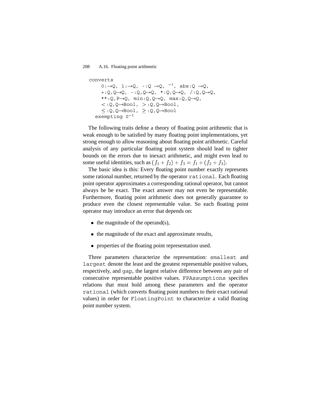208 A.16. Floating point arithmetic

```
converts
            0:\rightarrow Q, 1:\rightarrow Q, \rightarrow Q, \rightarrow Q, ^{-1}, abs:Q \rightarrow Q,
            +:\mathbb{Q},\mathbb{Q}\rightarrow\mathbb{Q}, -:\mathbb{Q},\mathbb{Q}\rightarrow\mathbb{Q}, *:\mathbb{Q},\mathbb{Q}\rightarrow\mathbb{Q}, /:\mathbb{Q},\mathbb{Q}\rightarrow\mathbb{Q},***:Q, P\rightarrow Q, min:Q, Q\rightarrow Q, max:Q, Q\rightarrow Q,<:Q, Q \rightarrow BOo1, >:Q, Q \rightarrow BOo1,\langle : \mathbb{Q}, \mathbb{Q} \rightarrow \mathbb{B}ool, > : \mathbb{Q}, \mathbb{Q} \rightarrow \mathbb{B}ool
      exempting 0^{-1}
```
The following traits define a theory of floating point arithmetic that is weak enough to be satisfied by many floating point implementations, yet strong enough to allow reasoning about floating point arithmetic. Careful analysis of any particular floating point system should lead to tighter bounds on the errors due to inexact arithmetic, and might even lead to some useful identities, such as  $(f_1 + f_2) + f_3 = f_1 + (f_2 + f_3)$ .

The basic idea is this: Every floating point number exactly represents some rational number, returned by the operator rational. Each floating point operator approximates a corresponding rational operator, but cannot always be be exact. The exact answer may not even be representable. Furthermore, floating point arithmetic does not generally guarantee to produce even the closest representable value. So each floating point operator may introduce an error that depends on:

- $\bullet$  the magnitude of the operand(s),
- the magnitude of the exact and approximate results,
- properties of the floating point representation used.

Three parameters characterize the representation: smallest and largest denote the least and the greatest representable positive values, respectively, and gap, the largest relative difference between any pair of consecutive representable positive values. FPAssumptions specifies relations that must hold among these parameters and the operator rational (which converts floating point numbers to their exact rational values) in order for FloatingPoint to characterize a valid floating point number system.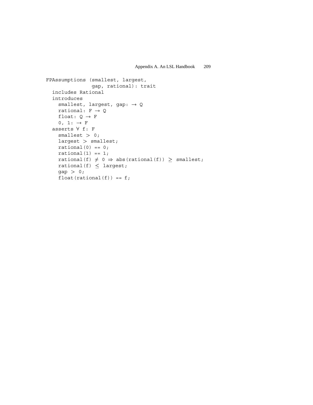```
FPAssumptions (smallest, largest,
                 gap, rational): trait
  includes Rational
  introduces
    smallest, largest, gap: \rightarrow Q
    rational: F \rightarrow Qfloat: Q \rightarrow F0, 1: \rightarrow F
  asserts \forall f: F
     smallest > 0;largest > smallest;
    rational(0) == 0;rational(1) == 1;rational(f) \neq 0 \Rightarrow abs(rational(f)) \geq smallest;
    rational(f) \leq largest;
     gap > 0;float(rational(f)) == f;
```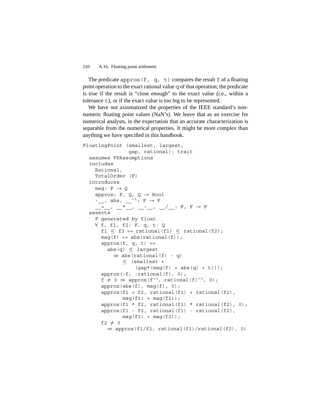#### 210 A.16. Floating point arithmetic

The predicate approx  $(f, q, t)$  compares the result f of a floating point operation to the exact rational value q of that operation; the predicate is true if the result is "close enough" to the exact value (i.e., within a tolerance t), or if the exact value is too big to be represented.

We have not axiomatized the properties of the IEEE standard's nonnumeric floating point values (NaN's). We leave that as an exercise for numerical analysts, in the expectation that an accurate characterization is separable from the numerical properties. It might be more complex than anything we have specified in this handbook.

```
FloatingPoint (smallest, largest,
                gap, rational): trait
  assumes FPAssumptions
  includes
    Rational,
    TotalOrder (F)
  introduces
    mag: F \rightarrow Qapprox: F, Q, Q \rightarrow Bool
    - , abs, ^{-1}: F \rightarrow F__+__, __*__, __-__, __/__: F, F  F
  asserts
    F generated by float
    -
 f, f1, f2: F, q, t: Q
      f1 \langle f2 == rational(f1) \langle rational(f2);
      mag(f) == abs(rational(f));approx(f, q, t) ==abs(q) < largest
           \Rightarrow abs(rational(f) - q)
               \leq (smallest +
                   (gap*(mag(f) + abs(q) + t)));
      approx(-f, -rational(f), 0);f \neq 0 \Rightarrow approx(f^{-1}, rational(f)<sup>-1</sup>, 0);
      approx(abs(f), mag(f), 0);approx(f1 + f2, rational(f1) + rational(f2),
              mag(f1) + mag(f2);
      approx(f1 * f2, rational(f1) * rational(f2), 0);approx(f1 - f2, rational(f1) - rational(f2),
              mag(f1) + mag(f2);
      f2 \neq 0\Rightarrow approx(f1/f2, rational(f1)/rational(f2), 0)
```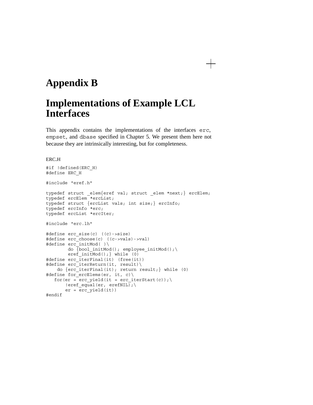## **Appendix B**

### **Implementations of Example LCL Interfaces**

This appendix contains the implementations of the interfaces erc, empset, and dbase specified in Chapter 5. We present them here not because they are intrinsically interesting, but for completeness.

 $+$ 

#### ERC.H

```
#if !defined(ERC_H)
#define ERC_H
#include "eref.h"
typedef struct _elem{eref val; struct _elem *next;} ercElem;
typedef ercElem *ercList;
typedef struct {ercList vals; int size;} ercInfo;
typedef ercInfo *erc;
typedef ercList *ercIter;
#include "erc.lh"
#define erc_size(c) ((c)->size)
#define erc_choose(c) ((c->vals)->val)
#define erc_initMod( )\
       do {bool_initMod(); employee_initMod();\
       eref_initMod();} while (0)
#define erc_iterFinal(it) (free(it))
#define erc_iterReturn(it, result)\
   do {erc_iterFinal(it); return result;} while (0)
#define for_ercElems(er, it, c)\
  for(er = erc_yield(it = erc_iterStart(c));\
      !eref equal(er, erefNIL);
      er =erc yield(it))
#endif
```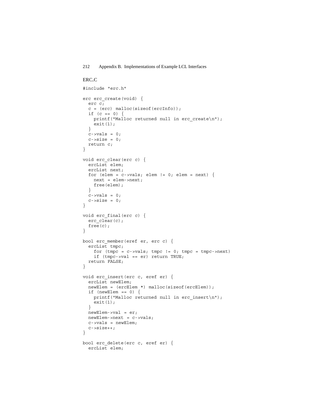212 Appendix B. Implementations of Example LCL Interfaces

#### ERC.C

```
#include "erc.h"
erc erc_create(void) {
  erc c;
  c = (erc) malloc(sizeof(ercInfo));
  if (c == 0) {
   printf("Malloc returned null in erc_create\n");
    exit(1);}
  c->vals = 0;
  c\rightarrowsize = 0;
  return c;
}
void erc_clear(erc c) {
  ercList elem;
  ercList next;
  for (elem = c->vals; elem != 0; elem = next) {
   next = elem->next;
    free(elem);
  }
  c->vals = 0;
  c\rightarrowsize = 0;
}
void erc final (erc c) {
  erc clear(c);
  free(c);
}
bool erc_member(eref er, erc c) {
  ercList tmpc;
    for (tmpc = c->vals; tmpc != 0; tmpc = tmpc->next)if (tmpc->val == er) return TRUE;
  return FALSE;
}
void erc_insert(erc c, eref er) {
  ercList newElem;
  newElem = (ercElem *) malloc(sizeof(ercElem));
  if (newElem == 0) {
    printf("Malloc returned null in erc_insert\n");
    exit(1);}
  newElem->val = er;
  newElem->next = c->vals;
  c->vals = newElem;
  c\rightarrowsize++;}
bool erc_delete(erc c, eref er) {
  ercList elem;
```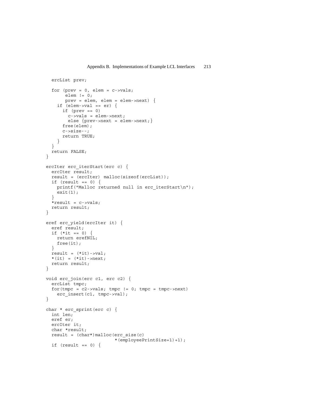```
ercList prev;
  for (prev = 0, elem = c->vals;
       elem != 0;
       prev = elem, elem = elem->next) {
    if \text{[element]} == \text{er} {
      if (prev == 0)c->vals = elem->next;
        else {prev->next = elem->next;}
      free(elem);
      c->size--;
      return TRUE;
    }
  }
  return FALSE;
}
ercIter erc iterStart(erc c) {
  ercIter result;
  result = (ercIter) malloc(sizeof(ercList));
  if (result == 0) {
    printf("Malloc returned null in erc_iterStart\n");
    exit(1);}
  *result = c->vals;
  return result;
}
eref erc_yield(ercIter it) {
  eref result;
  if (*it == 0)return erefNIL;
    free(it);
  }
  result = (*it) ->val;
  *(it) = (*it) ->next;
  return result;
}
void erc_join(erc c1, erc c2) {
  ercList tmpc;
  for(tmpc = c2->vals; tmpc != 0; tmpc = tmpc->next)
    erc_insert(c1, tmpc->val);
}
char * erc_sprint(erc c) {
  int len;
  eref er;
  ercIter it;
  char *result;
  result = (char*)malloc(erc_size(c)
                          *(employeePrintSize+1)+1);
  if (result == 0) {
```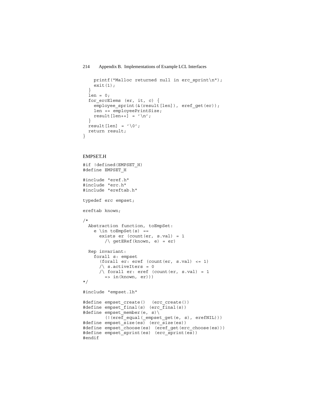```
printf("Malloc returned null in erc_sprint\n");
   exit(1);
  }
 len = 0;for_ercElems (er, it, c) {
    employee_sprint(&(result[len]), eref_get(er));
    len += employeePrintSize;
   result [len++] = '\n\cdot;
  }
 result[len] = \sqrt{0'};
 return result;
}
```
#### EMPSET.H

```
#if !defined(EMPSET H)
#define EMPSET_H
#include "eref.h"
#include "erc.h"
#include "ereftab.h"
typedef erc empset;
ereftab known;
/*
 Abstraction function, toEmpSet:
    e \in toEmpSet(s) ==
      exists er (count(er, s.val) = 1
       \wedge getERef(known, e) = er)
 Rep invariant:
    forall s: empset
      (forall er: erf (count(er, s.val) < = 1)
      \land s.activeIters = 0
      \land forall er: eref (count(er, s.val) = 1
        \Rightarrow in(known, er)))
*/
#include "empset.lh"
#define empset create() (erc create())
#define empset_final(s) (erc_final(s))
#define empset_member(e, s)\
        (!(eref_equal(_empset_get(e, s), erefNIL)))
#define empset size(es) (erc size(es))
#define empset choose(es) (eref get(erc choose(es)))
#define empset_sprint(es) (erc_sprint(es))
#endif
```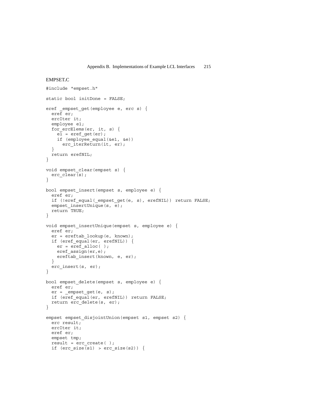#### EMPSET.C

```
#include "empset.h"
static bool initDone = FALSE;
eref empset get(employee e, erc s) {
  eref er;
  ercIter it;
  employee e1;
  for_ercElems(er, it, s) {
   e1 = eref_get(er);
    if (employee_equal(&e1, &e))
      erc iterReturn(it, er);
  }
  return erefNIL;
}
void empset_clear(empset s) {
  erc_clear(s);
}
bool empset_insert(empset s, employee e) {
  eref er;
  if (!eref_equal(_empset_get(e, s), erefNIL)) return FALSE;
  empset_insertUnique(s, e);
  return TRUE;
}
void empset_insertUnique(empset s, employee e) {
  eref er;
  er = ereftab_lookup(e, known);
  if (eref_equal(er, erefNIL)) {
   er = eref alloc( );
    eref assign(er,e);
    ereftab insert(known, e, er);
  }
  erc_insert(s, er);
}
bool empset_delete(empset s, employee e) {
  eref er;
  er = _empset_get(e, s);
  if (eref_equal(er, erefNIL)) return FALSE;
  return erc delete(s, er);
}
empset empset_disjointUnion(empset s1, empset s2) {
  erc result;
  ercIter it;
  eref er;
  empset tmp;
  result = erc_create( );
  if (erc size(s1) > erc size(s2)) {
```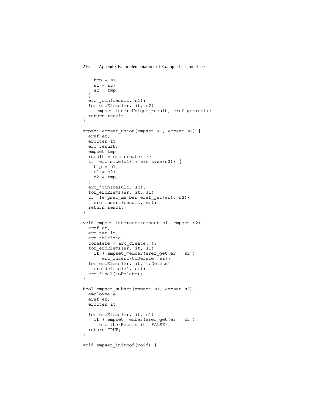```
216 Appendix B. Implementations of Example LCL Interfaces
    tmp = s1;s1 = s2;s2 = tmp;}
  erc_join(result, s1);
  for_ercElems(er, it, s2)
     empset insertUnique(result, eref get(er));
  return result;
}
empset empset union(empset s1, empset s2) {
  eref er;
  ercIter it;
  erc result;
  empset tmp;
  result = erc_create( );
  if (erc size(s1) > erc size(s2)) {
   tmp = s1;s1 = s2;s2 = tmp;}
  erc_join(result, s2);
  for_ercElems(er, it, s1)
  if (!empset member(eref get(er), s2))
    erc_insert(result, er);
  return result;
}
void empset_intersect(empset s1, empset s2) {
  eref er;
  ercIter it;
  erc toDelete;
  toDelete = erc_create( );
  for ercElems (er, it, s1)
    if (!empset_member(eref_get(er), s2))
       erc_insert(toDelete, er);
  for_ercElems(er, it, toDelete)
    erc delete(s1, er);
  erc final(toDelete);
}
bool empset subset(empset s1, empset s2) {
  employee e;
  eref er;
  ercIter it;
  for ercElems(er, it, s1)
    if (!empset member(eref get(er), s2))
      erc_iterReturn(it, FALSE);
  return TRUE;
}
void empset_initMod(void) {
```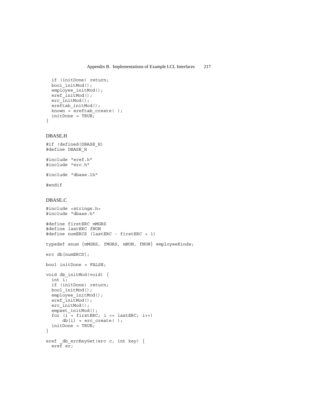```
if (initDone) return;
 bool_initMod();
  employee initMod();
 eref_initMod();
 erc_initMod();
 ereftab_initMod();
 known = ereftab create( );
 initDone = TRUE;
}
```

```
DBASE.H
```

```
#if !defined(DBASE_H)
#define DBASE_H
#include "eref.h"
#include "erc.h"
#include "dbase.lh"
#endif
DBASE.C
#include <strings.h>
#include "dbase.h"
#define firstERC mMGRS
#define lastERC fNON
#define numERCS (lastERC - firstERC + 1)
typedef enum {mMGRS, fMGRS, mNON, fNON} employeeKinds;
erc db[numERCS];
bool initDone = FALSE;
void db_initMod(void) {
 int i;
  if (initDone) return;
  bool_initMod();
  employee_initMod();
  eref_initMod();
  erc intMod();
  empset_initMod();
  for (i = firstERC; i \le lastERC; i++)
      db[i] = enc\_create();
  initDone = TRUE;
}
eref db ercKeyGet(erc c, int key) {
  ere\overline{f} er;
```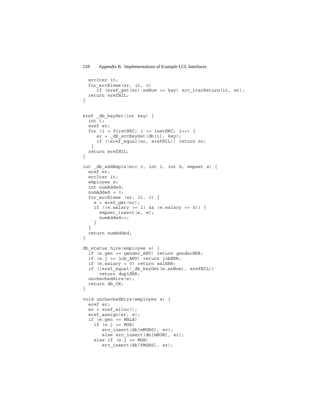```
218 Appendix B. Implementations of Example LCL Interfaces
  ercIter it;
  for ercElems(er, it, c)
     if (eref get(er).ssNum == key) erc iterReturn(it, er);
  return erefNIL;
}
eref _db_keyGet(int key) {
  int i;
  eref er;
  for (i = firstERC; i \leq lastERC; i++)er = db ercKeyGet(db[i], key);
     if (!eref equal(er, erefNIL)) return er;
   }
  return erefNIL;
}
int db addEmpls(erc c, int l, int h, empset s) {
  eref er;
  ercIter it;
  employee e;
  int numAdded;
  numAdded = 0;
  for ercElems (er, it, c) {
    e = \text{erefget}(\text{er});if ((e.salary >= 1) && (e.salary <= h) {
      empset insert(s, e);
      numAdded++;
    }
  }
  return numAdded;
}
db_status hire(employee e) {
  if (e.gen == gender_ANY) return genderERR;
  if (e,j == job_NY)^{-}return jobERR;
  if (e.salary < 0) return salERR;
  if (!eref equal( db keyGet(e.ssNum), erefNIL))
      return duplERR;
  uncheckedHire(e);
  return db_OK;
}
void uncheckedHire(employee e) {
  eref er;
  er = eref alloc();
  eref \text{assign}(er, e);
  if (e.gen == MALE)
    if (e.j == MGR)erc_insert(db[mMGRS], er);
       else erc_insert(db[mNON], er);
    else if (e, \overline{j}) == MGR)erc_insert(db[fMGRS], er);
```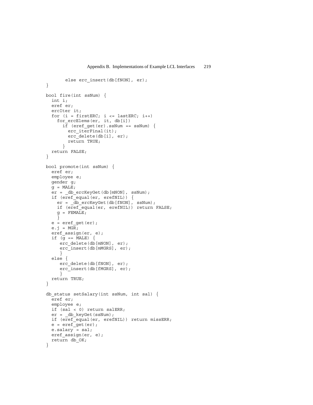```
else erc_insert(db[fNON], er);
}
bool fire(int ssNum) {
  int i;
  eref er;
  ercIter it;
  for (i = firstERC; i \leq lastERC; i++)for_ercElems(er, it, db[i])
      i\bar{f} (eref_get(er).ssNum == ssNum) {
        erc_iterFinal(it);
        erc delete(db[i], er);
        return TRUE;
      }
  return FALSE;
}
bool promote(int ssNum) {
  eref er;
  employee e;
  gender g;
  g = \text{MALE};
  er = _db_ercKeyGet(db[mNON], ssNum);
  if (eref_equal(er, erefNIL)) {
    er = _db_ercKeyGet(db[fNON], ssNum);
    if (eref_equal(er, erefNIL)) return FALSE;
    g = FEMALE;
    }
  e = eref_get(er);
  e.j = MGR;eref_assign(er, e);
  if (g == MALE) {
     erc_delete(db[mNON], er);
     erc_insert(db[mMGRS], er);
     }
  else {
     erc delete(db[fNON], er);
     erc_insert(db[fMGRS], er);
     }
  return TRUE;
}
db_status setSalary(int ssNum, int sal) {
  eref er;
  employee e;
  if (sal < 0) return salERR;
  er = db keyGet(ssNum);
  if (eref equal(er, erefNIL)) return missERR;
  e = eref_get(er);
  e.salary = sal;eref_assign(er, e);
  return db_OK;
}
```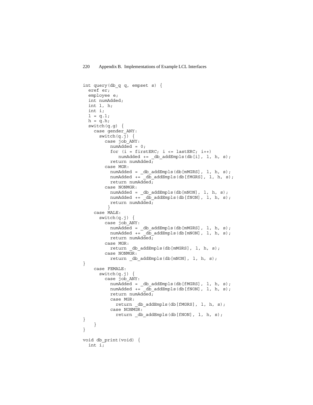```
int query(db_q q, empset s) {
  eref er;
  employee e;
  int numAdded;
  int l, h;
  int i;
  1 = q.1;h = q.h;
 switch(q.g) {
    case gender_ANY:
      switch(q,i) {
        case job_ANY:
          numAdded = 0;for (i = firstERC; i \leq lastERC; i++)numAdded += db addEmpls(db[i], l, h, s);return numAdded;
        case MGR:
          numAdded = _db_addEmpls(db[mMGRS], l, h, s);
          numAdded += _db_addEmpls(db[fMGRS], l, h, s);
          return numAdded;
        case NONMGR:
          numAdded = _db_addEmpls(db[mNON], l, h, s);
          numAdded += \overline{db} addEmpls(db[fNON], 1, h, s);
          return numAdded;
         }
    case MALE:
      switch(q,j) {
        case job_ANY:
          numAdded = _db_addEmpls(db[mMGRS], l, h, s);
          numAdded += _db_addEmpls(db[mNON], l, h, s);
          return numAdded;
        case MGR:
          return db addEmpls(db[mMGRS], l, h, s);
        case NONMGR:
          return _db_addEmpls(db[mNON], l, h, s);
}
    case FEMALE:
      switch(q,j) {
        case job_ANY:
          numAdded = _db_addEmpls(db[fMGRS], l, h, s);
          numAdded += _db_addEmpls(db[fNON], l, h, s);
          return numAdded;
          case MGR:
            return _db_addEmpls(db[fMGRS], l, h, s);
          case NONMGR:
            return db addEmpls(db[fNON], l, h, s);
}
    }
}
void db_print(void) {
  int i;
```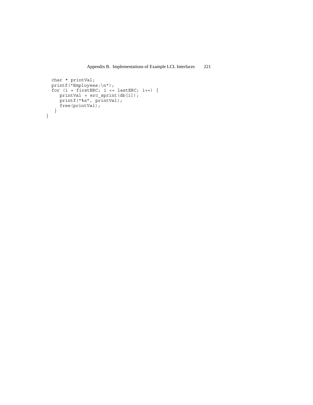Appendix B. Implementations of Example LCL Interfaces 221

```
char * printVal;
  printf("Employees:\n");
  for (i = firstERC; i \leq lastERC; i++) {
     printVal = erc sprint(db[i]);
     printf("%s", printVal);
     free(printVal);
   }
}
```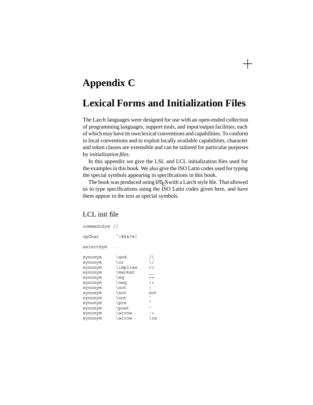# **Appendix C**

# **Lexical Forms and Initialization Files**

 $\frac{1}{1}$ 

The Larch languages were designed for use with an open-ended collection of programming languages, support tools, and input/output facilities, each of which may have its own lexical conventions and capabilities. To conform to local conventions and to exploit locally available capabilities, character and token classes are extensible and can be tailored for particular purposes by *initialization files*.

In this appendix we give the LSL and LCL initialization files used for the examples in this book. We also give the ISO Latin codes used for typing the special symbols appearing in specifications in this book.

The book was produced using LAT<sub>E</sub>Xwith a Larch style file. That allowed us to type specifications using the ISO Latin codes given here, and have them appear in the text as special symbols.

### LCL init file

| commentSym // |                   |              |
|---------------|-------------------|--------------|
| opChar        | $^{\sim}$ !#\$&?@ |              |
| selectSym     |                   |              |
| synonym       | \and              |              |
| synonym       | \or               |              |
| synonym       | \implies          | $=$ $>$      |
| synonym       | \marker           |              |
| synonym       | $\text{eq}$       | $=$ $=$      |
| synonym       | $\neq$            | $!=$         |
| synonym       | \not              | ī            |
| synonym       | \not              | not          |
| synonym       | \not              |              |
| synonym       | \pre              | ́            |
| synonym       | \post             | ı            |
| synonym       | \arrow            | $\mathbb{I}$ |
| synonym       | \arrow            | \ra          |
|               |                   |              |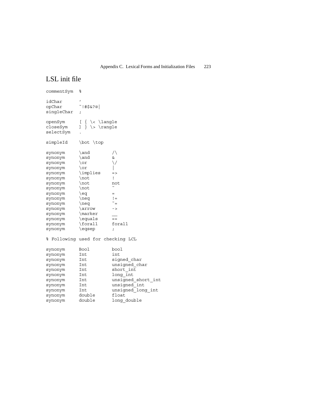### LSL init file

| commentSym                                                                                                                                                                   | ႜ                                                                                                                                               |                                                                                                                                                   |  |
|------------------------------------------------------------------------------------------------------------------------------------------------------------------------------|-------------------------------------------------------------------------------------------------------------------------------------------------|---------------------------------------------------------------------------------------------------------------------------------------------------|--|
| idChar<br>opChar<br>singleChar                                                                                                                                               | $^{\sim}$ !#\$&?@ <br>$\ddot{i}$                                                                                                                |                                                                                                                                                   |  |
| openSym<br>closeSym<br>selectSym                                                                                                                                             | $\{\ \langle \cdot \rangle\}$ \langle<br>L<br>$\}$ \> \rangle<br>1                                                                              |                                                                                                                                                   |  |
| simpleId                                                                                                                                                                     | bot \top                                                                                                                                        |                                                                                                                                                   |  |
| synonym<br>synonym<br>synonym<br>synonym<br>synonym<br>synonym<br>synonym<br>synonym<br>synonym<br>synonym<br>synonym<br>synonym<br>synonym<br>synonym<br>synonym<br>synonym | \and<br>\and<br>\or<br>\or<br>\implies<br>\not<br>\not<br>\not<br>$\geq$<br>$\neq$<br>\neq<br>\arrow<br>\marker<br>\equals<br>\forall<br>\eqsep | $/ \setminus$<br>&.<br>∨<br>$=$ ><br>Ţ<br>not<br>$\qquad \qquad =$<br>$!=$<br>$\tilde{\ }$ =<br>$\mathbb{R}$<br>$=$ $=$<br>forall<br>$\mathbf{r}$ |  |
|                                                                                                                                                                              | % Following used for checking LCL                                                                                                               |                                                                                                                                                   |  |
| synonym<br>synonym<br>synonym<br>synonym<br>synonym<br>synonym<br>synonym<br>synonym<br>synonym<br>synonym                                                                   | Bool<br>Int<br>Int<br>Int<br>Int<br>Int<br>Int<br>Int<br>Int<br>double                                                                          | bool<br>int<br>signed_char<br>unsigned_char<br>short_int<br>long_int<br>unsigned_short_int<br>unsigned_int<br>unsigned_long_int<br>float          |  |
| synonym                                                                                                                                                                      | double                                                                                                                                          | long double                                                                                                                                       |  |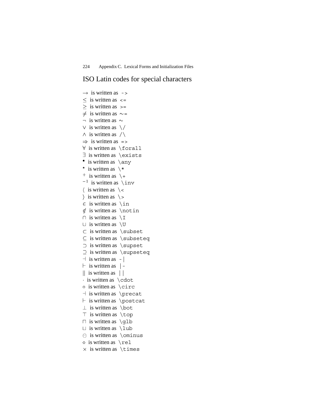### ISO Latin codes for special characters

```
\rightarrow is written as \rightarrow\leq is written as \leq\ge is written as \ge=
\neq is written as \sim =
\lnot is written as \sim\vee is written as \setminus/
\land is written as \land\Rightarrow is written as =>
\forall is written as \forall
\exists is written as \exists

is written as \any * is written as \forall*
+ is written as \lambda +^{-1} is written as \inv
\langle is written as \langle\rangle is written as \langle \rangle\in is written as \in
\notin is written as \notin
\cap is written as \setminus I\cup is written as \setminus \cup\subset is written as \subset
\subseteq is written as \subseteq
\supset is written as \supset
\supseteq is written as \supseteq
- is written as -|
\vdash is written as \vert -
|| is written as || is written as \cdot o is written as \circ
\dashv is written as \precat
\vdash is written as \postcat
\perp is written as \bot
\top is written as \top
\Box is written as \qlb
\sqcup is written as \lceil \text{lub} \rceil\ominus is written as \ominus
\diamond is written as \rel
\times is written as \times
```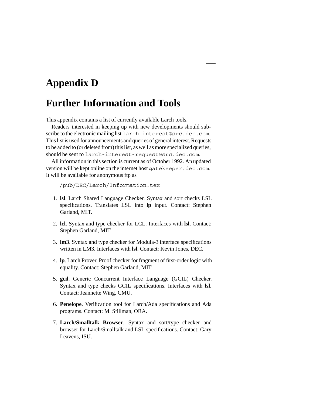## **Appendix D**

### **Further Information and Tools**

This appendix contains a list of currently available Larch tools.

Readers interested in keeping up with new developments should subscribe to the electronic mailing list larch-interest@src.dec.com. This list is used for announcements and queries of general interest. Requests to be added to (or deleted from) this list, as well as more specialized queries, should be sent to larch-interest-request@src.dec.com.

All information in this section is current as of October 1992. An updated version will be kept online on the internet host gatekeeper.dec.com. It will be available for anonymous ftp as

#### /pub/DEC/Larch/Information.tex

- 1. **lsl**. Larch Shared Language Checker. Syntax and sort checks LSL specifications. Translates LSL into **lp** input. Contact: Stephen Garland, MIT.
- 2. **lcl**. Syntax and type checker for LCL. Interfaces with **lsl**. Contact: Stephen Garland, MIT.
- 3. **lm3**. Syntax and type checker for Modula-3 interface specifications written in LM3. Interfaces with **lsl**. Contact: Kevin Jones, DEC.
- 4. **lp**. Larch Prover. Proof checker for fragment of first-order logic with equality. Contact: Stephen Garland, MIT.
- 5. **gcil**. Generic Concurrent Interface Language (GCIL) Checker. Syntax and type checks GCIL specifications. Interfaces with **lsl**. Contact: Jeannette Wing, CMU.
- 6. **Penelope**. Verification tool for Larch/Ada specifications and Ada programs. Contact: M. Stillman, ORA.
- 7. **Larch/Smalltalk Browser**. Syntax and sort/type checker and browser for Larch/Smalltalk and LSL specifications. Contact: Gary Leavens, ISU.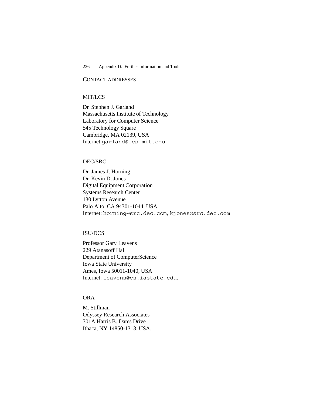226 Appendix D. Further Information and Tools

CONTACT ADDRESSES

#### MIT/LCS

Dr. Stephen J. Garland Massachusetts Institute of Technology Laboratory for Computer Science 545 Technology Square Cambridge, MA 02139, USA Internet:garland@lcs.mit.edu

#### DEC/SRC

Dr. James J. Horning Dr. Kevin D. Jones Digital Equipment Corporation Systems Research Center 130 Lytton Avenue Palo Alto, CA 94301-1044, USA Internet: horning@src.dec.com, kjones@src.dec.com

#### ISU/DCS

Professor Gary Leavens 229 Atanasoff Hall Department of ComputerScience Iowa State University Ames, Iowa 50011-1040, USA Internet: leavens@cs.iastate.edu.

#### ORA

M. Stillman Odyssey Research Associates 301A Harris B. Dates Drive Ithaca, NY 14850-1313, USA.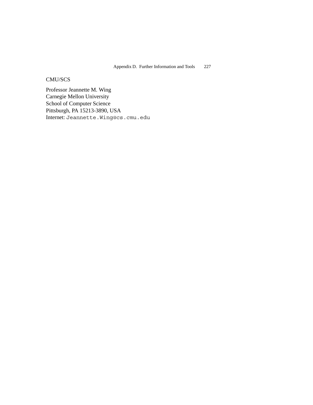#### Appendix D. Further Information and Tools 227

CMU/SCS

Professor Jeannette M. Wing Carnegie Mellon University School of Computer Science Pittsburgh, PA 15213-3890, USA Internet: Jeannette.Wing@cs.cmu.edu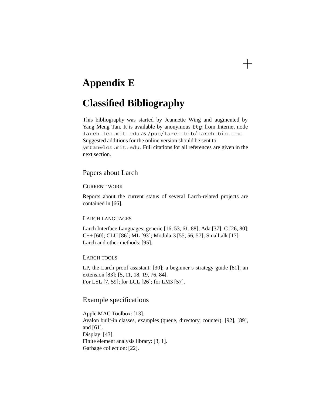# **Appendix E**

### **Classified Bibliography**

This bibliography was started by Jeannette Wing and augmented by Yang Meng Tan. It is available by anonymous ftp from Internet node larch.lcs.mit.edu as /pub/larch-bib/larch-bib.tex. Suggested additions for the online version should be sent to ymtan@lcs.mit.edu. Full citations for all references are given in the next section.

 $+$ 

### Papers about Larch

#### CURRENT WORK

Reports about the current status of several Larch-related projects are contained in [66].

#### LARCH LANGUAGES

Larch Interface Languages: generic [16, 53, 61, 88]; Ada [37]; C [26, 80]; C++ [60]; CLU [86]; ML [93]; Modula-3 [55, 56, 57]; Smalltalk [17]. Larch and other methods: [95].

#### LARCH TOOLS

LP, the Larch proof assistant: [30]; a beginner's strategy guide [81]; an extension [83]; [5, 11, 18, 19, 76, 84]. For LSL [7, 59]; for LCL [26]; for LM3 [57].

### Example specifications

Apple MAC Toolbox: [13]. Avalon built-in classes, examples (queue, directory, counter): [92], [89], and [61]. Display: [43]. Finite element analysis library: [3, 1]. Garbage collection: [22].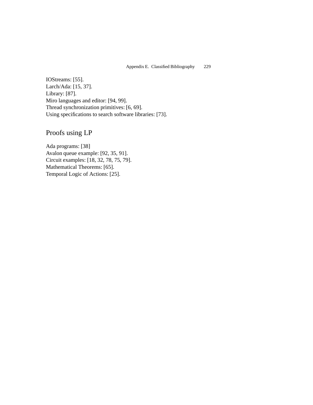Appendix E. Classified Bibliography 229

IOStreams: [55]. Larch/Ada: [15, 37]. Library: [87]. Miro languages and editor: [94, 99]. Thread synchronization primitives: [6, 69]. Using specifications to search software libraries: [73].

### Proofs using LP

Ada programs: [38] Avalon queue example: [92, 35, 91]. Circuit examples: [18, 32, 78, 75, 79]. Mathematical Theorems: [65]. Temporal Logic of Actions: [25].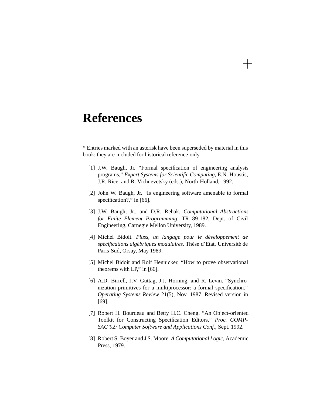# **References**

\* Entries marked with an asterisk have been superseded by material in this book; they are included for historical reference only.

 $+$ 

- [1] J.W. Baugh, Jr. "Formal specification of engineering analysis programs," *Expert Systems for Scientific Computing*, E.N. Houstis, J.R. Rice, and R. Vichnevetsky (eds.), North-Holland, 1992.
- [2] John W. Baugh, Jr. "Is engineering software amenable to formal specification?," in [66].
- [3] J.W. Baugh, Jr., and D.R. Rehak. *Computational Abstractions for Finite Element Programming*, TR 89-182, Dept. of Civil Engineering, Carnegie Mellon University, 1989.
- [4] Michel Bidoit. *Pluss, un langage pour le développement de* spécifications algébriques modulaires. Thèse d'Etat, Université de Paris-Sud, Orsay, May 1989.
- [5] Michel Bidoit and Rolf Hennicker, "How to prove observational theorems with LP," in [66].
- [6] A.D. Birrell, J.V. Guttag, J.J. Horning, and R. Levin. "Synchronization primitives for a multiprocessor: a formal specification." *Operating Systems Review* 21(5), Nov. 1987. Revised version in [69].
- [7] Robert H. Bourdeau and Betty H.C. Cheng. "An Object-oriented Toolkit for Constructing Specification Editors," *Proc. COMP-SAC'92: Computer Software and Applications Conf.*, Sept. 1992.
- [8] Robert S. Boyer and J S. Moore. *A Computational Logic*, Academic Press, 1979.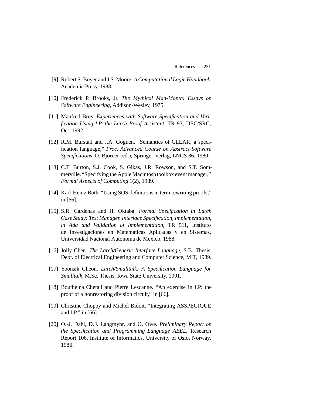- [9] Robert S. Boyer and J S. Moore. *A Computational Logic Handbook*, Academic Press, 1988.
- [10] Frederick P. Brooks, Jr. *The Mythical Man-Month: Essays on Software Engineering*, Addison-Wesley, 1975.
- [11] Manfred Broy. *Experiences with Software Specification and Verification Using LP, the Larch Proof Assistant*, TR 93, DEC/SRC, Oct. 1992.
- [12] R.M. Burstall and J.A. Goguen. "Semantics of CLEAR, a specification language," *Proc. Advanced Course on Abstract Software Specifications*, D. Bjorner (ed.), Springer-Verlag, LNCS 86, 1980.
- [13] C.T. Burton, S.J. Cook, S. Gikas, J.R. Rowson, and S.T. Sommerville. "Specifying the Apple Macintoshtoolbox event manager," *Formal Aspects of Computing* 1(2), 1989.
- [14] Karl-Heinz Buth. "Using SOS definitions in term rewriting proofs," in [66].
- [15] S.R. Cardenas and H. Oktaba. *Formal Specification in Larch Case Study: Text Manager. Interface Specification, Implementation, in Ada and Validation of Implementation*, TR 511, Instituto de Investigaciones en Matematicas Aplicadas y en Sistemas, Universidad Nacional Autonoma de Mexico, 1988.
- [16] Jolly Chen. *The Larch/Generic Interface Language*, S.B. Thesis, Dept. of Electrical Engineering and Computer Science, MIT, 1989.
- [17] Yoonsik Cheon. *Larch/Smalltalk: A Specification Language for Smalltalk*, M.Sc. Thesis, Iowa State University, 1991.
- [18] Boutheina Chetali and Pierre Lescanne. "An exercise in LP: the proof of a nonrestoring division circuit," in [66].
- [19] Christine Choppy and Michel Bidoit. "Integrating ASSPEGIQUE and LP," in [66].
- [20] O.-J. Dahl, D.F. Langmyhr, and O. Owe. *Preliminary Report on the Specification and Programming Language ABEL*, Research Report 106, Institute of Informatics, University of Oslo, Norway, 1986.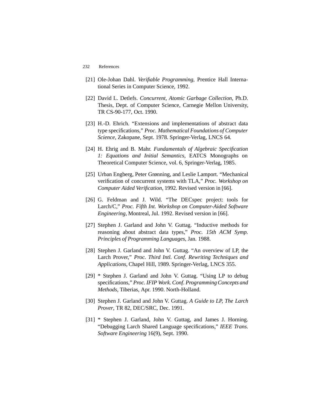- 232 References
	- [21] Ole-Johan Dahl. *Verifiable Programming*, Prentice Hall International Series in Computer Science, 1992.
	- [22] David L. Detlefs. *Concurrent, Atomic Garbage Collection*, Ph.D. Thesis, Dept. of Computer Science, Carnegie Mellon University, TR CS-90-177, Oct. 1990.
	- [23] H.-D. Ehrich. "Extensions and implementations of abstract data type specifications," *Proc. Mathematical Foundations of Computer Science*, Zakopane, Sept. 1978. Springer-Verlag, LNCS 64.
	- [24] H. Ehrig and B. Mahr. *Fundamentals of Algebraic Specification 1: Equations and Initial Semantics*, EATCS Monographs on Theoretical Computer Science, vol. 6, Springer-Verlag, 1985.
	- [25] Urban Engberg, Peter Grønning, and Leslie Lamport. "Mechanical verification of concurrent systems with TLA," *Proc. Workshop on Computer Aided Verification*, 1992. Revised version in [66].
	- [26] G. Feldman and J. Wild. "The DECspec project: tools for Larch/C," *Proc. Fifth Int. Workshop on Computer-Aided Software Engineering*, Montreal, Jul. 1992. Revised version in [66].
	- [27] Stephen J. Garland and John V. Guttag. "Inductive methods for reasoning about abstract data types," *Proc. 15th ACM Symp. Principles of Programming Languages*, Jan. 1988.
	- [28] Stephen J. Garland and John V. Guttag. "An overview of LP, the Larch Prover," *Proc. Third Intl. Conf. Rewriting Techniques and Applications*, Chapel Hill, 1989. Springer-Verlag, LNCS 355.
	- [29] \* Stephen J. Garland and John V. Guttag. "Using LP to debug specifications," *Proc. IFIP Work. Conf. Programming Concepts and Methods*, Tiberias, Apr. 1990. North-Holland.
	- [30] Stephen J. Garland and John V. Guttag. *A Guide to LP, The Larch Prover*, TR 82, DEC/SRC, Dec. 1991.
	- [31] \* Stephen J. Garland, John V. Guttag, and James J. Horning. "Debugging Larch Shared Language specifications," *IEEE Trans. Software Engineering* 16(9), Sept. 1990.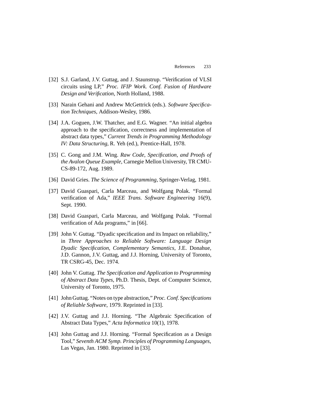- [32] S.J. Garland, J.V. Guttag, and J. Staunstrup. "Verification of VLSI circuits using LP," *Proc. IFIP Work. Conf. Fusion of Hardware Design and Verification*, North Holland, 1988.
- [33] Narain Gehani and Andrew McGettrick (eds.). *Software Specification Techniques*, Addison-Wesley, 1986.
- [34] J.A. Goguen, J.W. Thatcher, and E.G. Wagner. "An initial algebra approach to the specification, correctness and implementation of abstract data types," *Current Trends in Programming Methodology IV: Data Structuring*, R. Yeh (ed.), Prentice-Hall, 1978.
- [35] C. Gong and J.M. Wing. *Raw Code, Specification, and Proofs of the Avalon Queue Example*, Carnegie Mellon University, TR CMU-CS-89-172, Aug. 1989.
- [36] David Gries. *The Science of Programming*, Springer-Verlag, 1981.
- [37] David Guaspari, Carla Marceau, and Wolfgang Polak. "Formal verification of Ada," *IEEE Trans. Software Engineering* 16(9), Sept. 1990.
- [38] David Guaspari, Carla Marceau, and Wolfgang Polak. "Formal verification of Ada programs," in [66].
- [39] John V. Guttag. "Dyadic specification and its Impact on reliability," in *Three Approaches to Reliable Software: Language Design Dyadic Specification, Complementary Semantics*, J.E. Donahue, J.D. Gannon, J.V. Guttag, and J.J. Horning, University of Toronto, TR CSRG-45, Dec. 1974.
- [40] John V. Guttag. *The Specification and Application to Programming of Abstract Data Types*, Ph.D. Thesis, Dept. of Computer Science, University of Toronto, 1975.
- [41] John Guttag. "Notes on type abstraction," *Proc. Conf. Specifications of Reliable Software*, 1979. Reprinted in [33].
- [42] J.V. Guttag and J.J. Horning. "The Algebraic Specification of Abstract Data Types," *Acta Informatica* 10(1), 1978.
- [43] John Guttag and J.J. Horning. "Formal Specification as a Design Tool," *Seventh ACM Symp. Principles of Programming Languages*, Las Vegas, Jan. 1980. Reprinted in [33].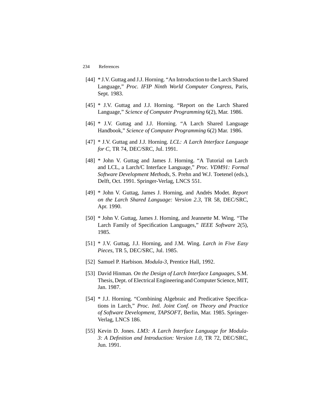- 234 References
- [44] \* J.V. Guttag and J.J. Horning. "An Introduction to the Larch Shared Language," *Proc. IFIP Ninth World Computer Congress*, Paris, Sept. 1983.
- [45] \* J.V. Guttag and J.J. Horning. "Report on the Larch Shared Language," *Science of Computer Programming* 6(2), Mar. 1986.
- [46] \* J.V. Guttag and J.J. Horning. "A Larch Shared Language Handbook," *Science of Computer Programming* 6(2) Mar. 1986.
- [47] \* J.V. Guttag and J.J. Horning. *LCL: A Larch Interface Language for C*, TR 74, DEC/SRC, Jul. 1991.
- [48] \* John V. Guttag and James J. Horning. "A Tutorial on Larch and LCL, a Larch/C Interface Language," *Proc. VDM91: Formal Software Development Methods*, S. Prehn and W.J. Toetenel (eds.), Delft, Oct. 1991. Springer-Verlag, LNCS 551.
- [49] \* John V. Guttag, James J. Horning, and Andrés Modet. *Report on the Larch Shared Language: Version 2.3*, TR 58, DEC/SRC, Apr. 1990.
- [50] \* John V. Guttag, James J. Horning, and Jeannette M. Wing. "The Larch Family of Specification Languages," *IEEE Software* 2(5), 1985.
- [51] \* J.V. Guttag, J.J. Horning, and J.M. Wing. *Larch in Five Easy Pieces*, TR 5, DEC/SRC, Jul. 1985.
- [52] Samuel P. Harbison. *Modula-3*, Prentice Hall, 1992.
- [53] David Hinman. *On the Design of Larch Interface Languages*, S.M. Thesis, Dept. of Electrical Engineering and Computer Science, MIT, Jan. 1987.
- [54] \* J.J. Horning. "Combining Algebraic and Predicative Specifications in Larch," *Proc. Intl. Joint Conf. on Theory and Practice of Software Development, TAPSOFT*, Berlin, Mar. 1985. Springer-Verlag, LNCS 186.
- [55] Kevin D. Jones. *LM3: A Larch Interface Language for Modula-3: A Definition and Introduction: Version 1.0*, TR 72, DEC/SRC, Jun. 1991.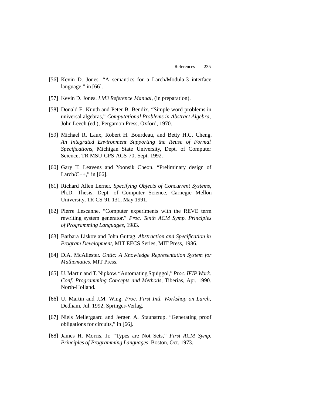- [56] Kevin D. Jones. "A semantics for a Larch/Modula-3 interface language," in [66].
- [57] Kevin D. Jones. *LM3 Reference Manual*, (in preparation).
- [58] Donald E. Knuth and Peter B. Bendix. "Simple word problems in universal algebras," *Computational Problems in Abstract Algebra*, John Leech (ed.), Pergamon Press, Oxford, 1970.
- [59] Michael R. Laux, Robert H. Bourdeau, and Betty H.C. Cheng. *An Integrated Environment Supporting the Reuse of Formal Specifications,* Michigan State University, Dept. of Computer Science, TR MSU-CPS-ACS-70, Sept. 1992.
- [60] Gary T. Leavens and Yoonsik Cheon. "Preliminary design of Larch/C++," in  $[66]$ .
- [61] Richard Allen Lerner. *Specifying Objects of Concurrent Systems*, Ph.D. Thesis, Dept. of Computer Science, Carnegie Mellon University, TR CS-91-131, May 1991.
- [62] Pierre Lescanne. "Computer experiments with the REVE term rewriting system generator," *Proc. Tenth ACM Symp. Principles of Programming Languages*, 1983.
- [63] Barbara Liskov and John Guttag. *Abstraction and Specification in Program Development*, MIT EECS Series, MIT Press, 1986.
- [64] D.A. McAllester. *Ontic: A Knowledge Representation System for Mathematics*, MIT Press.
- [65] U. Martin and T. Nipkow. "Automating Squiggol," *Proc. IFIP Work. Conf. Programming Concepts and Methods*, Tiberias, Apr. 1990. North-Holland.
- [66] U. Martin and J.M. Wing. *Proc. First Intl. Workshop on Larch*, Dedham, Jul. 1992, Springer-Verlag.
- [67] Niels Mellergaard and Jørgen A. Staunstrup. "Generating proof obligations for circuits," in [66].
- [68] James H. Morris, Jr. "Types are Not Sets," *First ACM Symp. Principles of Programming Languages*, Boston, Oct. 1973.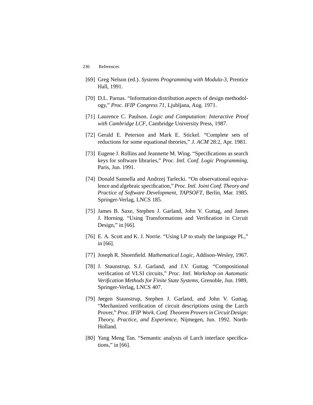- 236 References
- [69] Greg Nelson (ed.). *Systems Programming with Modula-3*, Prentice Hall, 1991.
- [70] D.L. Parnas. "Information distribution aspects of design methodology," *Proc. IFIP Congress 71*, Ljubljana, Aug. 1971.
- [71] Laurence C. Paulson. *Logic and Computation: Interactive Proof with Cambridge LCF*, Cambridge University Press, 1987.
- [72] Gerald E. Peterson and Mark E. Stickel. "Complete sets of reductions for some equational theories," *J. ACM* 28:2, Apr. 1981.
- [73] Eugene J. Rollins and Jeannette M. Wing. "Specifications as search keys for software libraries," *Proc. Intl. Conf. Logic Programming*, Paris, Jun. 1991.
- [74] Donald Sannella and Andrzej Tarlecki. "On observational equivalence and algebraic specification," *Proc. Intl. Joint Conf. Theory and Practice of Software Development, TAPSOFT*, Berlin, Mar. 1985. Springer-Verlag, LNCS 185.
- [75] James B. Saxe, Stephen J. Garland, John V. Guttag, and James J. Horning. "Using Transformations and Verification in Circuit Design," in  $[66]$ .
- [76] E. A. Scott and K. J. Norrie. "Using LP to study the language PL," in [66].
- [77] Joseph R. Shoenfield. *Mathematical Logic*, Addison-Wesley, 1967.
- [78] J. Staunstrup, S.J. Garland, and J.V. Guttag. "Compositional verification of VLSI circuits," *Proc. Intl. Workshop on Automatic Verification Methods for Finite State Systems*, Grenoble, Jun. 1989, Springer-Verlag, LNCS 407.
- [79] Jørgen Staunstrup, Stephen J. Garland, and John V. Guttag. "Mechanized verification of circuit descriptions using the Larch Prover," *Proc. IFIP Work. Conf. Theorem Provers in Circuit Design: Theory, Practice, and Experience*, Nijmegen, Jun. 1992. North-Holland.
- [80] Yang Meng Tan. "Semantic analysis of Larch interface specifications," in [66].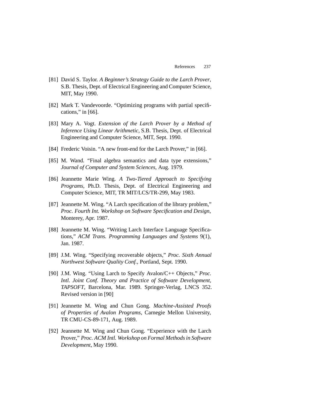- [81] David S. Taylor. *A Beginner's Strategy Guide to the Larch Prover*, S.B. Thesis, Dept. of Electrical Engineering and Computer Science, MIT, May 1990.
- [82] Mark T. Vandevoorde. "Optimizing programs with partial specifications," in [66].
- [83] Mary A. Vogt. *Extension of the Larch Prover by a Method of Inference Using Linear Arithmetic*, S.B. Thesis, Dept. of Electrical Engineering and Computer Science, MIT, Sept. 1990.
- [84] Frederic Voisin. "A new front-end for the Larch Prover," in [66].
- [85] M. Wand. "Final algebra semantics and data type extensions," *Journal of Computer and System Sciences*, Aug. 1979.
- [86] Jeannette Marie Wing. *A Two-Tiered Approach to Specifying Programs*, Ph.D. Thesis, Dept. of Electrical Engineering and Computer Science, MIT, TR MIT/LCS/TR-299, May 1983.
- [87] Jeannette M. Wing. "A Larch specification of the library problem," *Proc. Fourth Int. Workshop on Software Specification and Design*, Monterey, Apr. 1987.
- [88] Jeannette M. Wing. "Writing Larch Interface Language Specifications," *ACM Trans. Programming Languages and Systems* 9(1), Jan. 1987.
- [89] J.M. Wing. "Specifying recoverable objects," *Proc. Sixth Annual Northwest Software Quality Conf.*, Portland, Sept. 1990.
- [90] J.M. Wing. "Using Larch to Specify Avalon/C++ Objects," *Proc. Intl. Joint Conf. Theory and Practice of Software Development, TAPSOFT*, Barcelona, Mar. 1989. Springer-Verlag, LNCS 352. Revised version in [90]
- [91] Jeannette M. Wing and Chun Gong. *Machine-Assisted Proofs of Properties of Avalon Programs*, Carnegie Mellon University, TR CMU-CS-89-171, Aug. 1989.
- [92] Jeannette M. Wing and Chun Gong. "Experience with the Larch Prover," *Proc. ACM Intl. Workshop on Formal Methods in Software Development*, May 1990.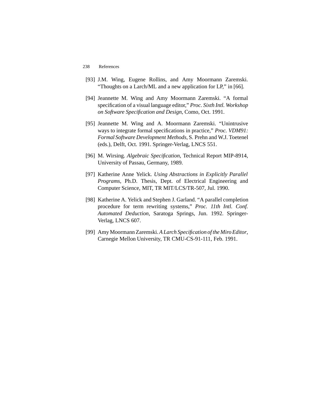- 238 References
	- [93] J.M. Wing, Eugene Rollins, and Amy Moormann Zaremski. "Thoughts on a Larch/ML and a new application for LP," in [66].
	- [94] Jeannette M. Wing and Amy Moormann Zaremski. "A formal specification of a visual language editor," *Proc. Sixth Intl. Workshop on Software Specification and Design*, Como, Oct. 1991.
	- [95] Jeannette M. Wing and A. Moormann Zaremski. "Unintrusive ways to integrate formal specifications in practice," *Proc. VDM91: Formal Software Development Methods*, S. Prehn and W.J. Toetenel (eds.), Delft, Oct. 1991. Springer-Verlag, LNCS 551.
	- [96] M. Wirsing. *Algebraic Specification*, Technical Report MIP-8914, University of Passau, Germany, 1989.
	- [97] Katherine Anne Yelick. *Using Abstractions in Explicitly Parallel Programs*, Ph.D. Thesis, Dept. of Electrical Engineering and Computer Science, MIT, TR MIT/LCS/TR-507, Jul. 1990.
	- [98] Katherine A. Yelick and Stephen J. Garland. "A parallel completion procedure for term rewriting systems," *Proc. 11th Intl. Conf. Automated Deduction*, Saratoga Springs, Jun. 1992. Springer-Verlag, LNCS 607.
	- [99] Amy Moormann Zaremski. *A Larch Specification of the Miro Editor*, Carnegie Mellon University, TR CMU-CS-91-111, Feb. 1991.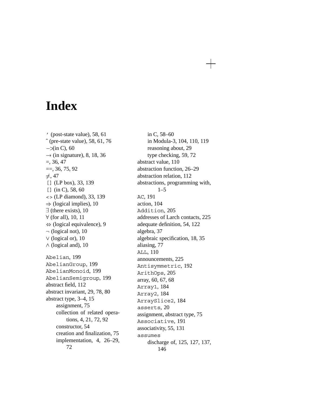' (post-state value), 58, 61  $\hat{ }$  (pre-state value), 58, 61, 76  $-\times$ in C), 60  $\rightarrow$  (in signature), 8, 18, 36  $=$ , 36, 47 ==, 36, 75, 92  $\neq$ , 47 [] (LP box), 33, 139 [] (in C), 58, 60 <> (LP diamond), 33, 139  $\Rightarrow$  (logical implies), 10  $\exists$  (there exists), 10  $\forall$  (for all), 10, 11  $\Leftrightarrow$  (logical equivalence), 9 (logical not), 10  $\vee$  (logical or), 10  $\wedge$  (logical and), 10 Abelian, 199 AbelianGroup, 199 AbelianMonoid, 199 AbelianSemigroup, 199 abstract field, 112 abstract invariant, 29, 78, 80 abstract type, 3–4, 15 assignment, 75 collection of related operations, 4, 21, 72, 92 constructor, 54 creation and finalization, 75 implementation, 4, 26–29, 72

in C, 58–60 in Modula-3, 104, 110, 119 reasoning about, 29 type checking, 59, 72 abstract value, 110 abstraction function, 26–29 abstraction relation, 112 abstractions, programming with,  $1 - 5$ AC, 191 action, 104 Addition, 205 addresses of Larch contacts, 225 adequate definition, 54, 122 algebra, 37 algebraic specification, 18, 35 aliasing, 77 ALL, 110 announcements, 225 Antisymmetric, 192 ArithOps, 205 array, 60, 67, 68 Array1, 184 Array2, 184 ArraySlice2, 184 asserts, 20 assignment, abstract type, 75 Associative, 191 associativity, 55, 131 assumes discharge of, 125, 127, 137, 146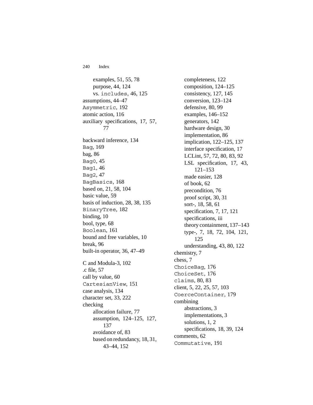examples, 51, 55, 78 purpose, 44, 124 vs. includes, 46, 125 assumptions, 44–47 Asymmetric, 192 atomic action, 116 auxiliary specifications, 17, 57, 77 backward inference, 134 Bag, 169 bag, 86 Bag0, 45 Bag1, 46 Bag2, 47 BagBasics, 168 based on, 21, 58, 104 basic value, 59 basis of induction, 28, 38, 135 BinaryTree, 182 binding, 10 bool, type, 68 Boolean, 161 bound and free variables, 10 break, 96 built-in operator, 36, 47–49 C and Modula-3, 102 .c file, 57 call by value, 60 CartesianView, 151 case analysis, 134 character set, 33, 222 checking allocation failure, 77 assumption, 124–125, 127, 137 avoidance of, 83 based on redundancy, 18, 31, 43–44, 152

completeness, 122 composition, 124–125 consistency, 127, 145 conversion, 123–124 defensive, 80, 99 examples, 146–152 generators, 142 hardware design, 30 implementation, 86 implication, 122–125, 137 interface specification, 17 LCLint, 57, 72, 80, 83, 92 LSL specification, 17, 43, 121–153 made easier, 128 of book, 62 precondition, 76 proof script, 30, 31 sort-, 18, 58, 61 specification, 7, 17, 121 specifications, iii theory containment, 137–143 type-, 7, 18, 72, 104, 121, 125 understanding, 43, 80, 122 chemistry, 7 chess, 7 ChoiceBag, 176 ChoiceSet, 176 claims, 80, 83 client, 5, 22, 25, 57, 103 CoerceContainer, 179 combining abstractions, 3 implementations, 3 solutions, 1, 2 specifications, 18, 39, 124 comments, 62 Commutative, 191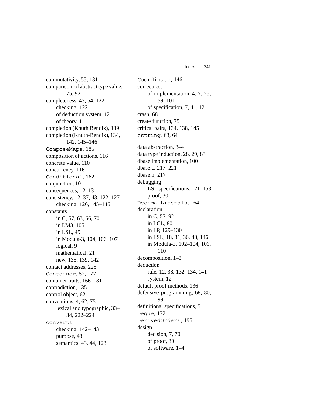commutativity, 55, 131 comparison, of abstract type value, 75, 92 completeness, 43, 54, 122 checking, 122 of deduction system, 12 of theory, 11 completion (Knuth Bendix), 139 completion (Knuth-Bendix), 134, 142, 145–146 ComposeMaps, 185 composition of actions, 116 concrete value, 110 concurrency, 116 Conditional, 162 conjunction, 10 consequences, 12–13 consistency, 12, 37, 43, 122, 127 checking, 126, 145–146 constants in C, 57, 63, 66, 70 in LM3, 105 in LSL, 49 in Modula-3, 104, 106, 107 logical, 9 mathematical, 21 new, 135, 139, 142 contact addresses, 225 Container, 52, 177 container traits, 166–181 contradiction, 135 control object, 62 conventions, 4, 62, 75 lexical and typographic, 33– 34, 222–224 converts checking, 142–143 purpose, 43 semantics, 43, 44, 123

Coordinate, 146 correctness of implementation, 4, 7, 25, 59, 101 of specification, 7, 41, 121 crash, 68 create function, 75 critical pairs, 134, 138, 145 cstring, 63, 64 data abstraction, 3–4 data type induction, 28, 29, 83 dbase implementation, 100 dbase.c, 217–221 dbase.h, 217 debugging LSL specifications, 121–153 proof, 30 DecimalLiterals, 164 declaration in C, 57, 92 in LCL, 80 in LP, 129–130 in LSL, 18, 31, 36, 48, 146 in Modula-3, 102–104, 106, 110 decomposition, 1–3 deduction rule, 12, 38, 132–134, 141 system, 12 default proof methods, 136 defensive programming, 68, 80, 99 definitional specifications, 5 Deque, 172 DerivedOrders, 195 design decision, 7, 70 of proof, 30 of software, 1–4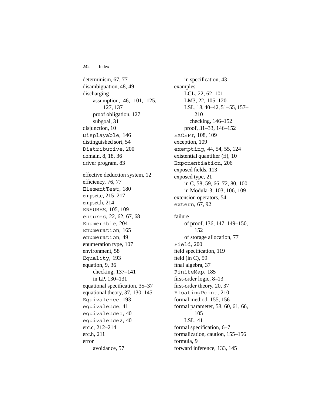determinism, 67, 77 disambiguation, 48, 49 discharging assumption, 46, 101, 125, 127, 137 proof obligation, 127 subgoal, 31 disjunction, 10 Displayable, 146 distinguished sort, 54 Distributive, 200 domain, 8, 18, 36 driver program, 83 effective deduction system, 12 efficiency, 76, 77 ElementTest, 180 empset.c, 215–217 empset.h, 214 ENSURES, 105, 109 ensures, 22, 62, 67, 68 Enumerable, 204 Enumeration, 165 enumeration, 49 enumeration type, 107 environment, 58 Equality, 193 equation, 9, 36 checking, 137–141 in LP, 130–131 equational specification, 35–37 equational theory, 37, 130, 145 Equivalence, 193 equivalence, 41 equivalence1, 40 equivalence2, 40 erc.c, 212–214 erc.h, 211 error avoidance, 57

in specification, 43 examples LCL, 22, 62–101 LM3, 22, 105–120 LSL, 18, 40–42, 51–55, 157– 210 checking, 146–152 proof, 31–33, 146–152 EXCEPT, 108, 109 exception, 109 exempting, 44, 54, 55, 124 existential quantifier  $(\exists)$ , 10 Exponentiation, 206 exposed fields, 113 exposed type, 21 in C, 58, 59, 66, 72, 80, 100 in Modula-3, 103, 106, 109 extension operators, 54 extern, 67, 92 failure of proof, 136, 147, 149–150, 152 of storage allocation, 77 Field, 200 field specification, 119 field (in C), 59 final algebra, 37 FiniteMap, 185 first-order logic, 8–13 first-order theory, 20, 37 FloatingPoint, 210 formal method, 155, 156 formal parameter, 58, 60, 61, 66, 105 LSL, 41 formal specification, 6–7 formalization, caution, 155–156 formula, 9 forward inference, 133, 145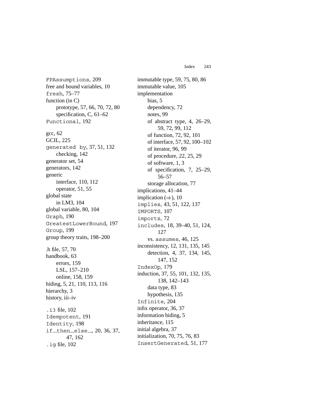FPAssumptions, 209 free and bound variables, 10 fresh, 75–77 function (in C) prototype, 57, 66, 70, 72, 80 specification, C, 61–62 Functional, 192 gcc, 62 GCIL, 225 generated by, 37, 51, 132 checking, 142 generator set, 54 generators, 142 generic interface, 110, 112 operator, 51, 55 global state in LM3, 104 global variable, 80, 104 Graph, 190 GreatestLowerBound, 197 Group, 199 group theory traits, 198–200 .h file, 57, 70 handbook, 63 errors, 159 LSL, 157–210 online, 158, 159 hiding, 5, 21, 110, 113, 116 hierarchy, 3 history, iii–iv .i3 file, 102 Idempotent, 191 Identity, 198 if then else , 20, 36, 37, 47, 162 .ig file, 102

immutable type, 59, 75, 80, 86 immutable value, 105 implementation bias, 5 dependency, 72 notes, 99 of abstract type, 4, 26–29, 59, 72, 99, 112 of function, 72, 92, 101 of interface, 57, 92, 100–102 of iterator, 96, 99 of procedure, 22, 25, 29 of software, 1, 3 of specification, 7, 25–29, 56–57 storage allocation, 77 implications, 41–44 implication  $(\Rightarrow)$ , 10 implies, 43, 51, 122, 137 IMPORTS, 107 imports, 72 includes, 18, 39–40, 51, 124, 127 vs. assumes, 46, 125 inconsistency, 12, 131, 135, 145 detection, 4, 37, 134, 145, 147, 152 IndexOp, 179 induction, 37, 55, 101, 132, 135, 138, 142–143 data type, 83 hypothesis, 135 Infinite, 204 infix operator, 36, 37 information hiding, 5 inheritance, 115 initial algebra, 37 initialization, 70, 75, 76, 83 InsertGenerated, 51, 177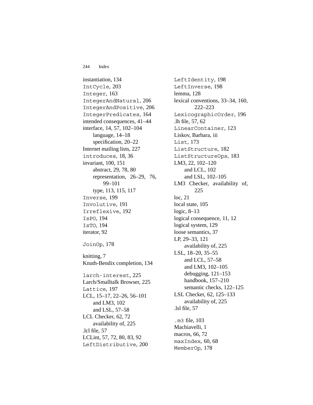instantiation, 134 IntCycle, 203 Integer, 163 IntegerAndNatural, 206 IntegerAndPositive, 206 IntegerPredicates, 164 intended consequences, 41–44 interface, 14, 57, 102–104 language, 14–18 specification, 20–22 Internet mailing lists, 227 introduces, 18, 36 invariant, 100, 151 abstract, 29, 78, 80 representation, 26–29, 76, 99–101 type, 113, 115, 117 Inverse, 199 Involutive, 191 Irreflexive, 192 IsPO, 194 IsTO, 194 iterator, 92 JoinOp, 178 knitting, 7 Knuth-Bendix completion, 134 larch-interest, 225 Larch/Smalltalk Browser, 225 Lattice, 197 LCL, 15–17, 22–26, 56–101 and LM3, 102 and LSL, 57–58 LCL Checker, 62, 72 availability of, 225 .lcl file, 57 LCLint, 57, 72, 80, 83, 92 LeftDistributive, 200

LeftIdentity, 198 LeftInverse, 198 lemma, 128 lexical conventions, 33–34, 160, 222–223 LexicographicOrder, 196 .lh file, 57, 62 LinearContainer, 123 Liskov, Barbara, iii List, 173 ListStructure, 182 ListStructureOps, 183 LM3, 22, 102–120 and LCL, 102 and LSL, 102–105 LM3 Checker, availability of, 225 loc, 21 local state, 105 logic, 8–13 logical consequence, 11, 12 logical system, 129 loose semantics, 37 LP, 29–33, 121 availability of, 225 LSL, 18–20, 35–55 and LCL, 57–58 and LM3, 102–105 debugging, 121–153 handbook, 157–210 semantic checks, 122–125 LSL Checker, 62, 125–133 availability of, 225 .lsl file, 57 .m3 file, 103 Machiavelli, 1 macros, 66, 72 maxIndex, 60, 68 MemberOp, 178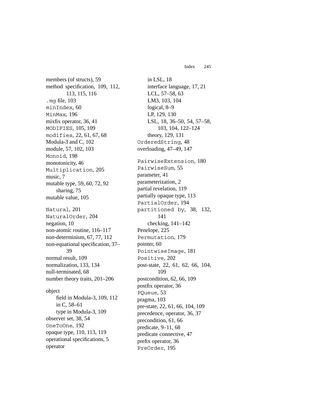members (of structs), 59 method specification, 109, 112, 113, 115, 116 .mg file, 103 minIndex, 60 MinMax, 196 mixfix operator, 36, 41 MODIFIES, 105, 109 modifies, 22, 61, 67, 68 Modula-3 and C, 102 module, 57, 102, 103 Monoid, 198 monotonicity, 46 Multiplication, 205 music, 7 mutable type, 59, 60, 72, 92 sharing, 75 mutable value, 105 Natural, 201 NaturalOrder, 204 negation, 10 non-atomic routine, 116–117 non-determinism, 67, 77, 112 non-equational specification, 37– 39 normal result, 109 normalization, 133, 134 null-terminated, 68 number theory traits, 201–206 object field in Modula-3, 109, 112 in C, 58–61 type in Modula-3, 109 observer set, 38, 54 OneToOne, 192 opaque type, 110, 113, 119 operational specifications, 5 operator

in LSL, 18 interface language, 17, 21 LCL, 57–58, 63 LM3, 103, 104 logical, 8–9 LP, 129, 130 LSL, 18, 36–50, 54, 57–58, 103, 104, 122–124 theory, 129, 131 OrderedString, 48 overloading, 47–49, 147 PairwiseExtension, 180 PairwiseSum, 55 parameter, 41 parameterization, 2 partial revelation, 119 partially opaque type, 113 PartialOrder, 194 partitioned by, 38, 132, 141 checking, 141–142 Penelope, 225 Permutation, 179 pointer, 60 PointwiseImage, 181 Positive, 202 post-state, 22, 61, 62, 66, 104, 109 postcondition, 62, 66, 109 postfix operator, 36 PQueue, 53 pragma, 103 pre-state, 22, 61, 66, 104, 109 precedence, operator, 36, 37 precondition, 61, 66 predicate, 9–11, 68 predicate connective, 47 prefix operator, 36 PreOrder, 195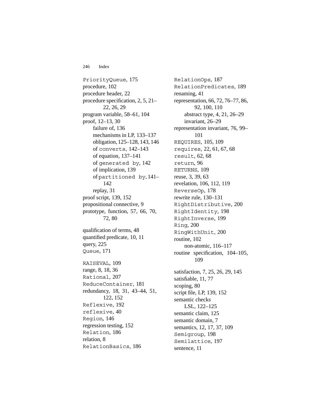PriorityQueue, 175 procedure, 102 procedure header, 22 procedure specification, 2, 5, 21– 22, 26, 29 program variable, 58–61, 104 proof, 12–13, 30 failure of, 136 mechanisms in LP, 133–137 obligation, 125–128, 143, 146 of converts, 142–143 of equation, 137–141 of generated by, 142 of implication, 139 of partitioned by, 141– 142 replay, 31 proof script, 139, 152 propositional connective, 9 prototype, function, 57, 66, 70, 72, 80 qualification of terms, 48 quantified predicate, 10, 11 query, 225 Queue, 171 RAISEVAL, 109 range, 8, 18, 36 Rational, 207 ReduceContainer, 181 redundancy, 18, 31, 43–44, 51, 122, 152 Reflexive, 192 reflexive, 40 Region, 146 regression testing, 152 Relation, 186 relation, 8 RelationBasics, 186

RelationOps, 187 RelationPredicates, 189 renaming, 41 representation, 66, 72, 76–77, 86, 92, 100, 110 abstract type, 4, 21, 26–29 invariant, 26–29 representation invariant, 76, 99– 101 REQUIRES, 105, 109 requires, 22, 61, 67, 68 result, 62, 68 return, 96 RETURNS, 109 reuse, 3, 39, 63 revelation, 106, 112, 119 ReverseOp, 178 rewrite rule, 130–131 RightDistributive, 200 RightIdentity, 198 RightInverse, 199 Ring, 200 RingWithUnit, 200 routine, 102 non-atomic, 116–117 routine specification, 104–105, 109 satisfaction, 7, 25, 26, 29, 145 satisfiable, 11, 77 scoping, 80 script file, LP, 139, 152 semantic checks LSL, 122–125 semantic claim, 125 semantic domain, 7 semantics, 12, 17, 37, 109 Semigroup, 198 Semilattice, 197 sentence, 11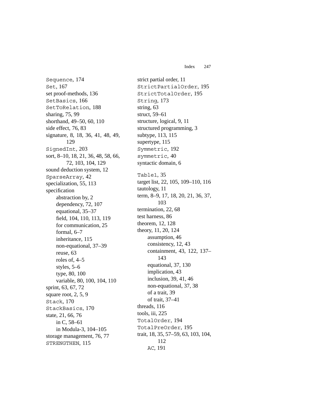Sequence, 174 Set, 167 set proof-methods, 136 SetBasics, 166 SetToRelation, 188 sharing, 75, 99 shorthand, 49–50, 60, 110 side effect, 76, 83 signature, 8, 18, 36, 41, 48, 49, 129 SignedInt, 203 sort, 8–10, 18, 21, 36, 48, 58, 66, 72, 103, 104, 129 sound deduction system, 12 SparseArray, 42 specialization, 55, 113 specification abstraction by, 2 dependency, 72, 107 equational, 35–37 field, 104, 110, 113, 119 for communication, 25 formal, 6–7 inheritance, 115 non-equational, 37–39 reuse, 63 roles of, 4–5 styles, 5–6 type, 80, 100 variable, 80, 100, 104, 110 sprint, 63, 67, 72 square root, 2, 5, 9 Stack, 170 StackBasics, 170 state, 21, 66, 76 in C, 58–61 in Modula-3, 104–105 storage management, 76, 77 STRENGTHEN, 115

strict partial order, 11 StrictPartialOrder, 195 StrictTotalOrder, 195 String, 173 string, 63 struct, 59–61 structure, logical, 9, 11 structured programming, 3 subtype, 113, 115 supertype, 115 Symmetric, 192 symmetric, 40 syntactic domain, 6 Table1, 35 target list, 22, 105, 109–110, 116 tautology, 11 term, 8–9, 17, 18, 20, 21, 36, 37, 103 termination, 22, 68 test harness, 86 theorem, 12, 128 theory, 11, 20, 124 assumption, 46 consistency, 12, 43 containment, 43, 122, 137– 143 equational, 37, 130 implication, 43 inclusion, 39, 41, 46 non-equational, 37, 38 of a trait, 39 of trait, 37–41 threads, 116 tools, iii, 225 TotalOrder, 194 TotalPreOrder, 195 trait, 18, 35, 57–59, 63, 103, 104, 112 AC, 191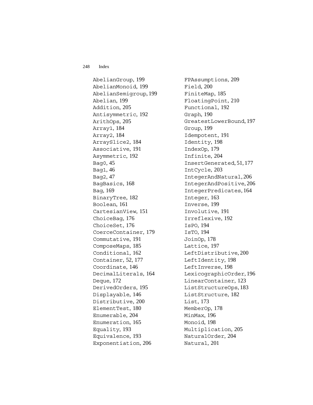AbelianGroup, 199 AbelianMonoid, 199 AbelianSemigroup, 199 Abelian, 199 Addition, 205 Antisymmetric, 192 ArithOps, 205 Array1, 184 Array2, 184 ArraySlice2, 184 Associative, 191 Asymmetric, 192 Bag0, 45 Bag1, 46 Bag2, 47 BagBasics, 168 Bag, 169 BinaryTree, 182 Boolean, 161 CartesianView, 151 ChoiceBag, 176 ChoiceSet, 176 CoerceContainer, 179 Commutative, 191 ComposeMaps, 185 Conditional, 162 Container, 52, 177 Coordinate, 146 DecimalLiterals, 164 Deque, 172 DerivedOrders, 195 Displayable, 146 Distributive, 200 ElementTest, 180 Enumerable, 204 Enumeration, 165 Equality, 193 Equivalence, 193 Exponentiation, 206

FPAssumptions, 209 Field, 200 FiniteMap, 185 FloatingPoint, 210 Functional, 192 Graph, 190 GreatestLowerBound, 197 Group, 199 Idempotent, 191 Identity, 198 IndexOp, 179 Infinite, 204 InsertGenerated, 51, 177 IntCycle, 203 IntegerAndNatural, 206 IntegerAndPositive, 206 IntegerPredicates, 164 Integer, 163 Inverse, 199 Involutive, 191 Irreflexive, 192 IsPO, 194 IsTO, 194 JoinOp, 178 Lattice, 197 LeftDistributive, 200 LeftIdentity, 198 LeftInverse, 198 LexicographicOrder, 196 LinearContainer, 123 ListStructureOps, 183 ListStructure, 182 List, 173 MemberOp, 178 MinMax, 196 Monoid, 198 Multiplication, 205 NaturalOrder, 204 Natural, 201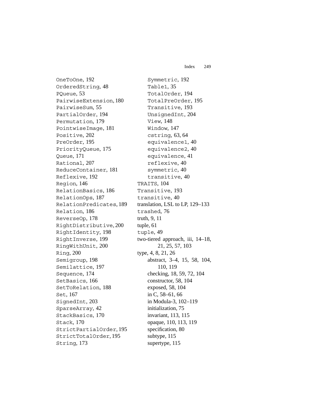OneToOne, 192 OrderedString, 48 PQueue, 53 PairwiseExtension, 180 PairwiseSum, 55 PartialOrder, 194 Permutation, 179 PointwiseImage, 181 Positive, 202 PreOrder, 195 PriorityQueue, 175 Queue, 171 Rational, 207 ReduceContainer, 181 Reflexive, 192 Region, 146 RelationBasics, 186 RelationOps, 187 RelationPredicates, 189 Relation, 186 ReverseOp, 178 RightDistributive, 200 RightIdentity, 198 RightInverse, 199 RingWithUnit, 200 Ring, 200 Semigroup, 198 Semilattice, 197 Sequence, 174 SetBasics, 166 SetToRelation, 188 Set, 167 SignedInt, 203 SparseArray, 42 StackBasics, 170 Stack, 170 StrictPartialOrder, 195 StrictTotalOrder, 195 String, 173

Symmetric, 192 Table1, 35 TotalOrder, 194 TotalPreOrder, 195 Transitive, 193 UnsignedInt, 204 View, 148 Window, 147 cstring, 63, 64 equivalence1, 40 equivalence2, 40 equivalence, 41 reflexive, 40 symmetric, 40 transitive, 40 TRAITS, 104 Transitive, 193 transitive, 40 translation, LSL to LP, 129–133 trashed, 76 truth, 9, 11 tuple, 61 tuple, 49 two-tiered approach, iii, 14–18, 21, 25, 57, 103 type, 4, 8, 21, 26 abstract, 3–4, 15, 58, 104, 110, 119 checking, 18, 59, 72, 104 constructor, 58, 104 exposed, 58, 104 in C, 58–61, 66 in Modula-3, 102–119 initialization, 75 invariant, 113, 115 opaque, 110, 113, 119 specification, 80 subtype, 115 supertype, 115